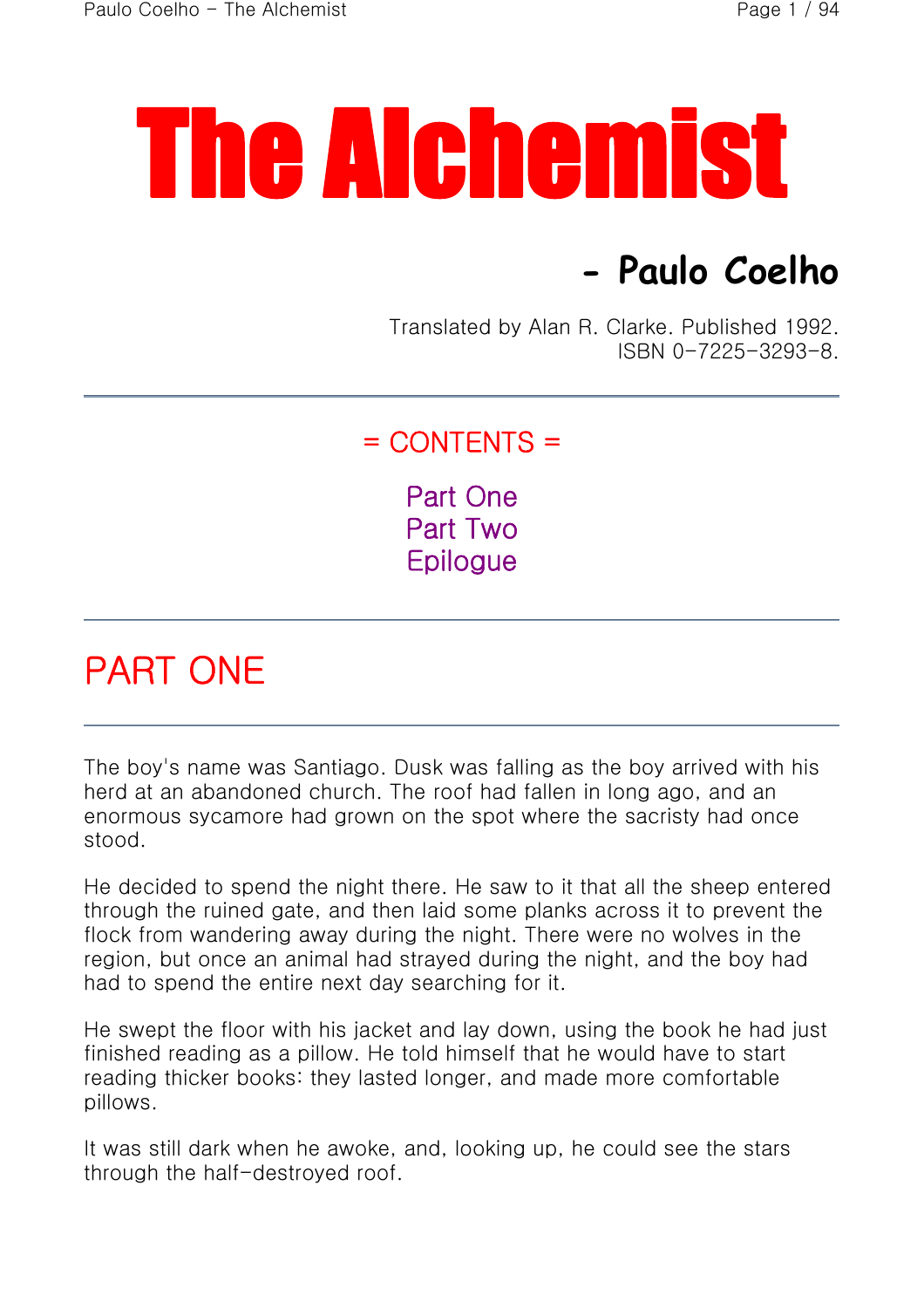## The Alchemist

## **- Paulo Coelho**

Translated by Alan R. Clarke. Published 1992. ISBN 0-7225-3293-8.

= CONTENTS =

Part One Part Two Epilogue

## PART ONE

The boy's name was Santiago. Dusk was falling as the boy arrived with his herd at an abandoned church. The roof had fallen in long ago, and an enormous sycamore had grown on the spot where the sacristy had once stood.

He decided to spend the night there. He saw to it that all the sheep entered through the ruined gate, and then laid some planks across it to prevent the flock from wandering away during the night. There were no wolves in the region, but once an animal had strayed during the night, and the boy had had to spend the entire next day searching for it.

He swept the floor with his jacket and lay down, using the book he had just finished reading as a pillow. He told himself that he would have to start reading thicker books: they lasted longer, and made more comfortable pillows.

It was still dark when he awoke, and, looking up, he could see the stars through the half-destroyed roof.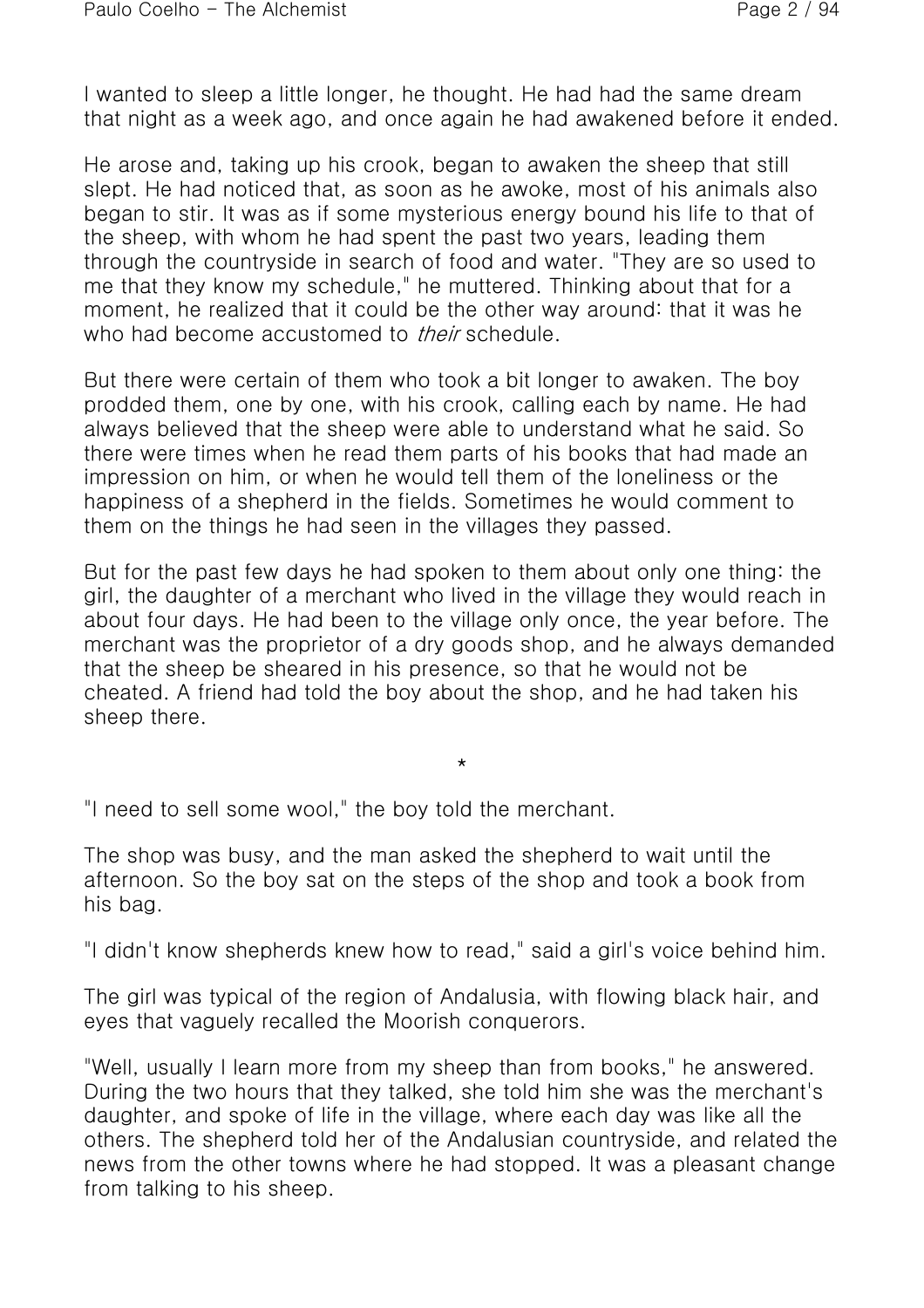I wanted to sleep a little longer, he thought. He had had the same dream that night as a week ago, and once again he had awakened before it ended.

He arose and, taking up his crook, began to awaken the sheep that still slept. He had noticed that, as soon as he awoke, most of his animals also began to stir. It was as if some mysterious energy bound his life to that of the sheep, with whom he had spent the past two years, leading them through the countryside in search of food and water. "They are so used to me that they know my schedule," he muttered. Thinking about that for a moment, he realized that it could be the other way around: that it was he who had become accustomed to *their* schedule.

But there were certain of them who took a bit longer to awaken. The boy prodded them, one by one, with his crook, calling each by name. He had always believed that the sheep were able to understand what he said. So there were times when he read them parts of his books that had made an impression on him, or when he would tell them of the loneliness or the happiness of a shepherd in the fields. Sometimes he would comment to them on the things he had seen in the villages they passed.

But for the past few days he had spoken to them about only one thing: the girl, the daughter of a merchant who lived in the village they would reach in about four days. He had been to the village only once, the year before. The merchant was the proprietor of a dry goods shop, and he always demanded that the sheep be sheared in his presence, so that he would not be cheated. A friend had told the boy about the shop, and he had taken his sheep there.

\*

"I need to sell some wool," the boy told the merchant.

The shop was busy, and the man asked the shepherd to wait until the afternoon. So the boy sat on the steps of the shop and took a book from his bag.

"I didn't know shepherds knew how to read," said a girl's voice behind him.

The girl was typical of the region of Andalusia, with flowing black hair, and eyes that vaguely recalled the Moorish conquerors.

"Well, usually I learn more from my sheep than from books," he answered. During the two hours that they talked, she told him she was the merchant's daughter, and spoke of life in the village, where each day was like all the others. The shepherd told her of the Andalusian countryside, and related the news from the other towns where he had stopped. It was a pleasant change from talking to his sheep.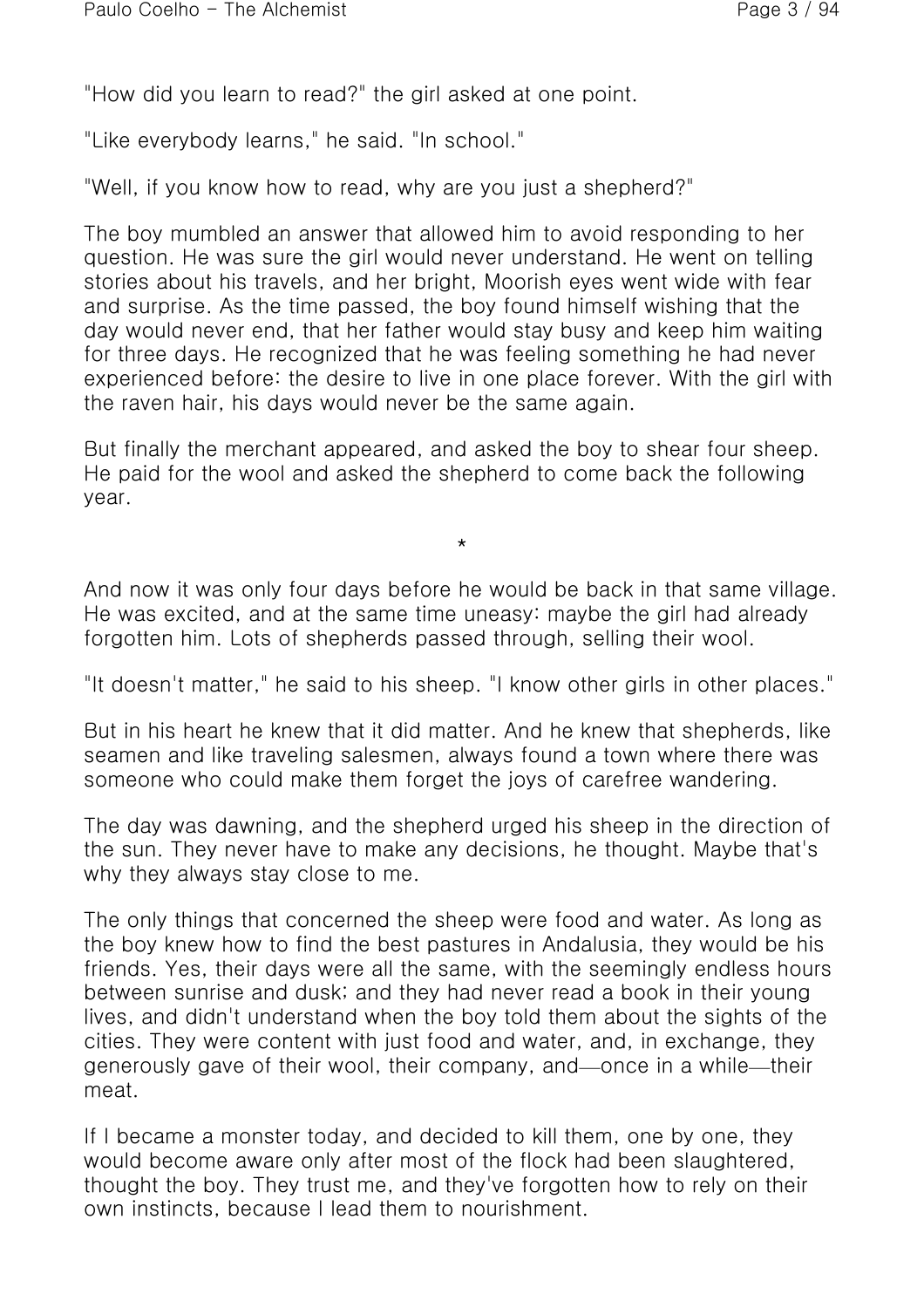"How did you learn to read?" the girl asked at one point.

"Like everybody learns," he said. "In school."

"Well, if you know how to read, why are you just a shepherd?"

The boy mumbled an answer that allowed him to avoid responding to her question. He was sure the girl would never understand. He went on telling stories about his travels, and her bright, Moorish eyes went wide with fear and surprise. As the time passed, the boy found himself wishing that the day would never end, that her father would stay busy and keep him waiting for three days. He recognized that he was feeling something he had never experienced before: the desire to live in one place forever. With the girl with the raven hair, his days would never be the same again.

But finally the merchant appeared, and asked the boy to shear four sheep. He paid for the wool and asked the shepherd to come back the following year.

And now it was only four days before he would be back in that same village. He was excited, and at the same time uneasy: maybe the girl had already forgotten him. Lots of shepherds passed through, selling their wool.

\*

"It doesn't matter," he said to his sheep. "I know other girls in other places."

But in his heart he knew that it did matter. And he knew that shepherds, like seamen and like traveling salesmen, always found a town where there was someone who could make them forget the joys of carefree wandering.

The day was dawning, and the shepherd urged his sheep in the direction of the sun. They never have to make any decisions, he thought. Maybe that's why they always stay close to me.

The only things that concerned the sheep were food and water. As long as the boy knew how to find the best pastures in Andalusia, they would be his friends. Yes, their days were all the same, with the seemingly endless hours between sunrise and dusk; and they had never read a book in their young lives, and didn't understand when the boy told them about the sights of the cities. They were content with just food and water, and, in exchange, they generously gave of their wool, their company, and—once in a while—their meat.

If I became a monster today, and decided to kill them, one by one, they would become aware only after most of the flock had been slaughtered, thought the boy. They trust me, and they've forgotten how to rely on their own instincts, because I lead them to nourishment.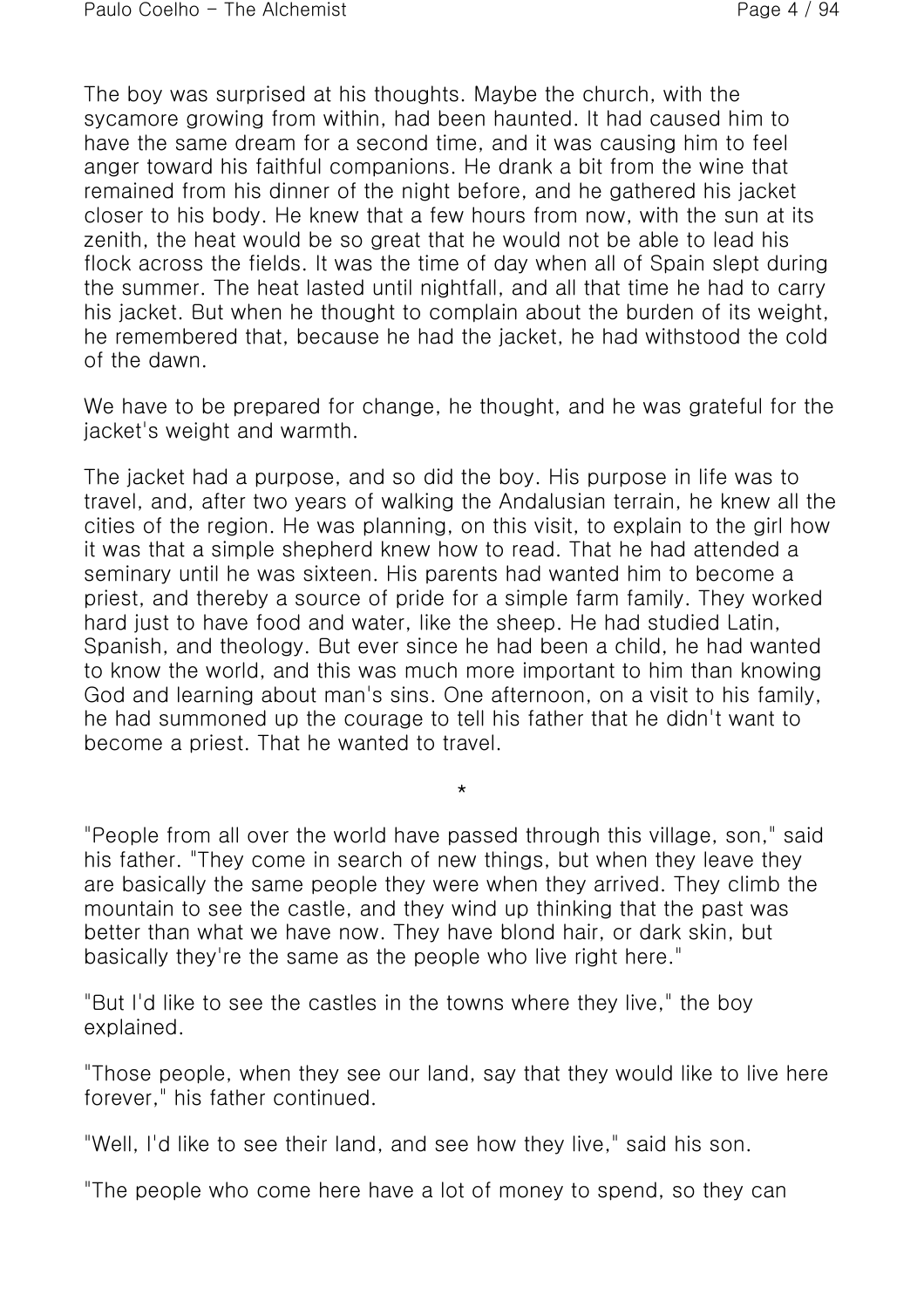The boy was surprised at his thoughts. Maybe the church, with the sycamore growing from within, had been haunted. It had caused him to have the same dream for a second time, and it was causing him to feel anger toward his faithful companions. He drank a bit from the wine that remained from his dinner of the night before, and he gathered his jacket closer to his body. He knew that a few hours from now, with the sun at its zenith, the heat would be so great that he would not be able to lead his flock across the fields. It was the time of day when all of Spain slept during the summer. The heat lasted until nightfall, and all that time he had to carry his jacket. But when he thought to complain about the burden of its weight, he remembered that, because he had the jacket, he had withstood the cold of the dawn.

We have to be prepared for change, he thought, and he was grateful for the jacket's weight and warmth.

The jacket had a purpose, and so did the boy. His purpose in life was to travel, and, after two years of walking the Andalusian terrain, he knew all the cities of the region. He was planning, on this visit, to explain to the girl how it was that a simple shepherd knew how to read. That he had attended a seminary until he was sixteen. His parents had wanted him to become a priest, and thereby a source of pride for a simple farm family. They worked hard just to have food and water, like the sheep. He had studied Latin, Spanish, and theology. But ever since he had been a child, he had wanted to know the world, and this was much more important to him than knowing God and learning about man's sins. One afternoon, on a visit to his family, he had summoned up the courage to tell his father that he didn't want to become a priest. That he wanted to travel.

"People from all over the world have passed through this village, son," said his father. "They come in search of new things, but when they leave they are basically the same people they were when they arrived. They climb the mountain to see the castle, and they wind up thinking that the past was better than what we have now. They have blond hair, or dark skin, but basically they're the same as the people who live right here."

\*

"But I'd like to see the castles in the towns where they live," the boy explained.

"Those people, when they see our land, say that they would like to live here forever," his father continued.

"Well, I'd like to see their land, and see how they live," said his son.

"The people who come here have a lot of money to spend, so they can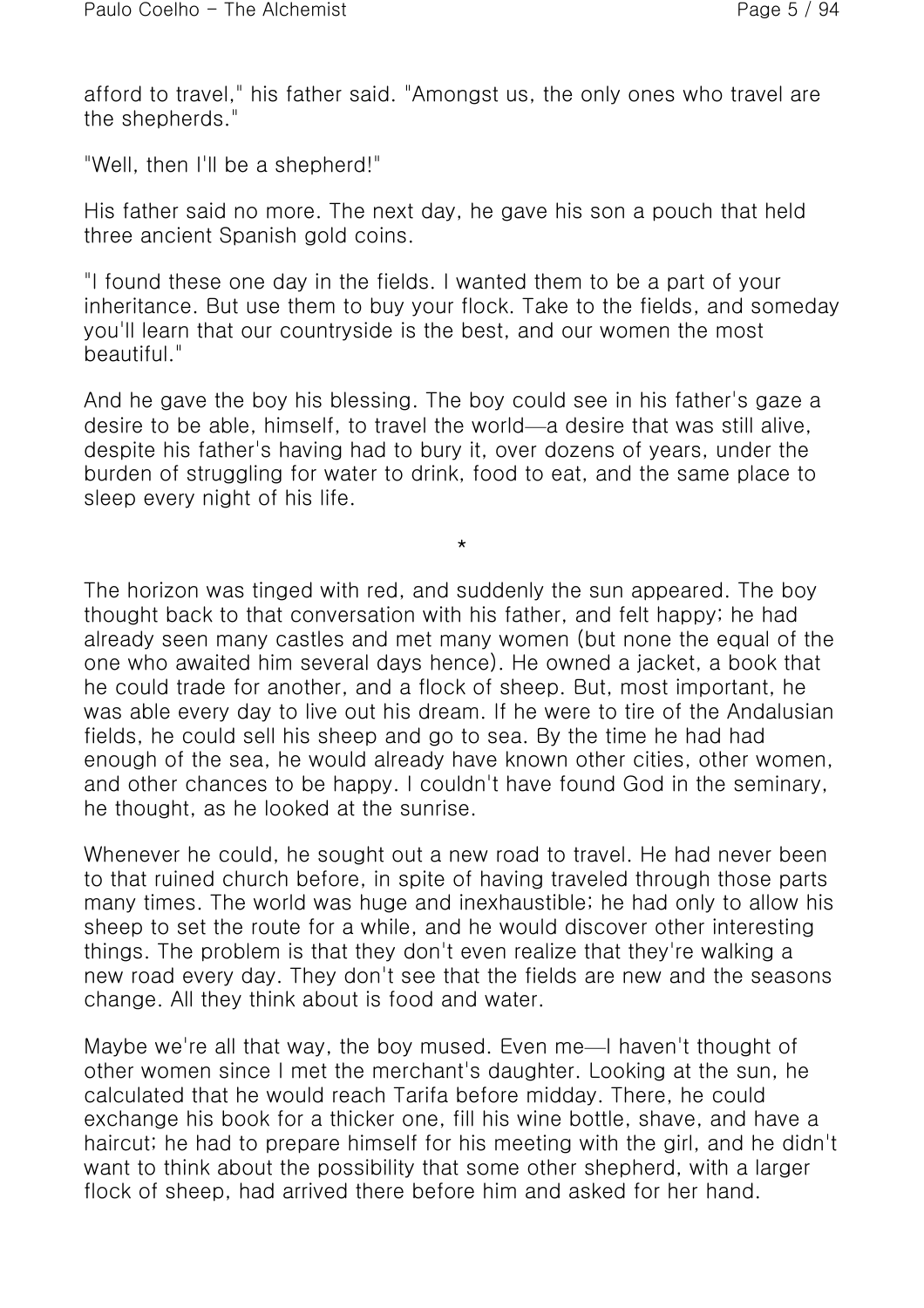afford to travel," his father said. "Amongst us, the only ones who travel are the shepherds."

"Well, then I'll be a shepherd!"

His father said no more. The next day, he gave his son a pouch that held three ancient Spanish gold coins.

"I found these one day in the fields. I wanted them to be a part of your inheritance. But use them to buy your flock. Take to the fields, and someday you'll learn that our countryside is the best, and our women the most beautiful."

And he gave the boy his blessing. The boy could see in his father's gaze a desire to be able, himself, to travel the world—a desire that was still alive, despite his father's having had to bury it, over dozens of years, under the burden of struggling for water to drink, food to eat, and the same place to sleep every night of his life.

\*

The horizon was tinged with red, and suddenly the sun appeared. The boy thought back to that conversation with his father, and felt happy; he had already seen many castles and met many women (but none the equal of the one who awaited him several days hence). He owned a jacket, a book that he could trade for another, and a flock of sheep. But, most important, he was able every day to live out his dream. If he were to tire of the Andalusian fields, he could sell his sheep and go to sea. By the time he had had enough of the sea, he would already have known other cities, other women, and other chances to be happy. I couldn't have found God in the seminary, he thought, as he looked at the sunrise.

Whenever he could, he sought out a new road to travel. He had never been to that ruined church before, in spite of having traveled through those parts many times. The world was huge and inexhaustible; he had only to allow his sheep to set the route for a while, and he would discover other interesting things. The problem is that they don't even realize that they're walking a new road every day. They don't see that the fields are new and the seasons change. All they think about is food and water.

Maybe we're all that way, the boy mused. Even me—I haven't thought of other women since I met the merchant's daughter. Looking at the sun, he calculated that he would reach Tarifa before midday. There, he could exchange his book for a thicker one, fill his wine bottle, shave, and have a haircut; he had to prepare himself for his meeting with the girl, and he didn't want to think about the possibility that some other shepherd, with a larger flock of sheep, had arrived there before him and asked for her hand.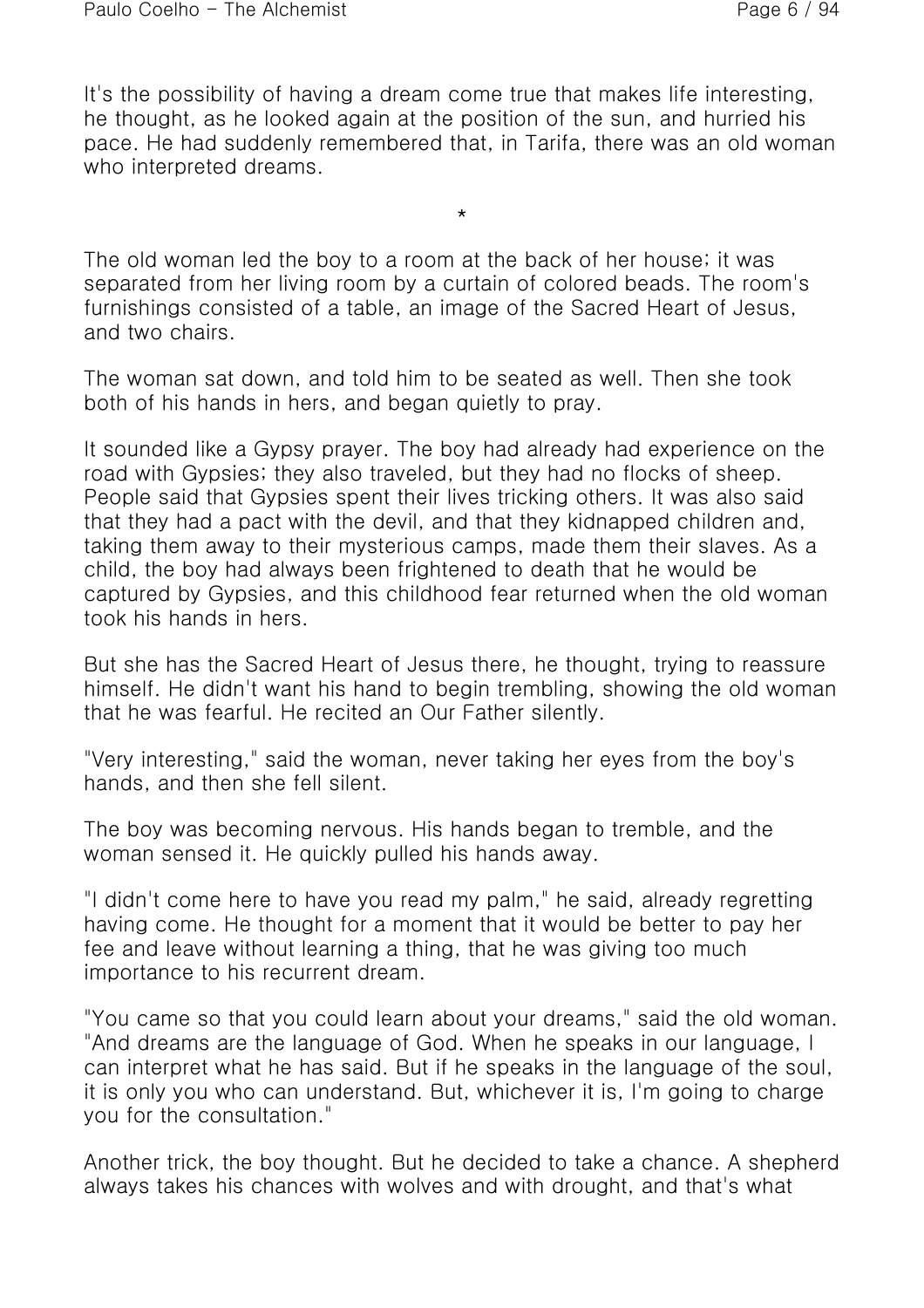It's the possibility of having a dream come true that makes life interesting, he thought, as he looked again at the position of the sun, and hurried his pace. He had suddenly remembered that, in Tarifa, there was an old woman who interpreted dreams.

\*

The old woman led the boy to a room at the back of her house; it was separated from her living room by a curtain of colored beads. The room's furnishings consisted of a table, an image of the Sacred Heart of Jesus, and two chairs.

The woman sat down, and told him to be seated as well. Then she took both of his hands in hers, and began quietly to pray.

It sounded like a Gypsy prayer. The boy had already had experience on the road with Gypsies; they also traveled, but they had no flocks of sheep. People said that Gypsies spent their lives tricking others. It was also said that they had a pact with the devil, and that they kidnapped children and, taking them away to their mysterious camps, made them their slaves. As a child, the boy had always been frightened to death that he would be captured by Gypsies, and this childhood fear returned when the old woman took his hands in hers.

But she has the Sacred Heart of Jesus there, he thought, trying to reassure himself. He didn't want his hand to begin trembling, showing the old woman that he was fearful. He recited an Our Father silently.

"Very interesting," said the woman, never taking her eyes from the boy's hands, and then she fell silent.

The boy was becoming nervous. His hands began to tremble, and the woman sensed it. He quickly pulled his hands away.

"I didn't come here to have you read my palm," he said, already regretting having come. He thought for a moment that it would be better to pay her fee and leave without learning a thing, that he was giving too much importance to his recurrent dream.

"You came so that you could learn about your dreams," said the old woman. "And dreams are the language of God. When he speaks in our language, I can interpret what he has said. But if he speaks in the language of the soul, it is only you who can understand. But, whichever it is, I'm going to charge you for the consultation."

Another trick, the boy thought. But he decided to take a chance. A shepherd always takes his chances with wolves and with drought, and that's what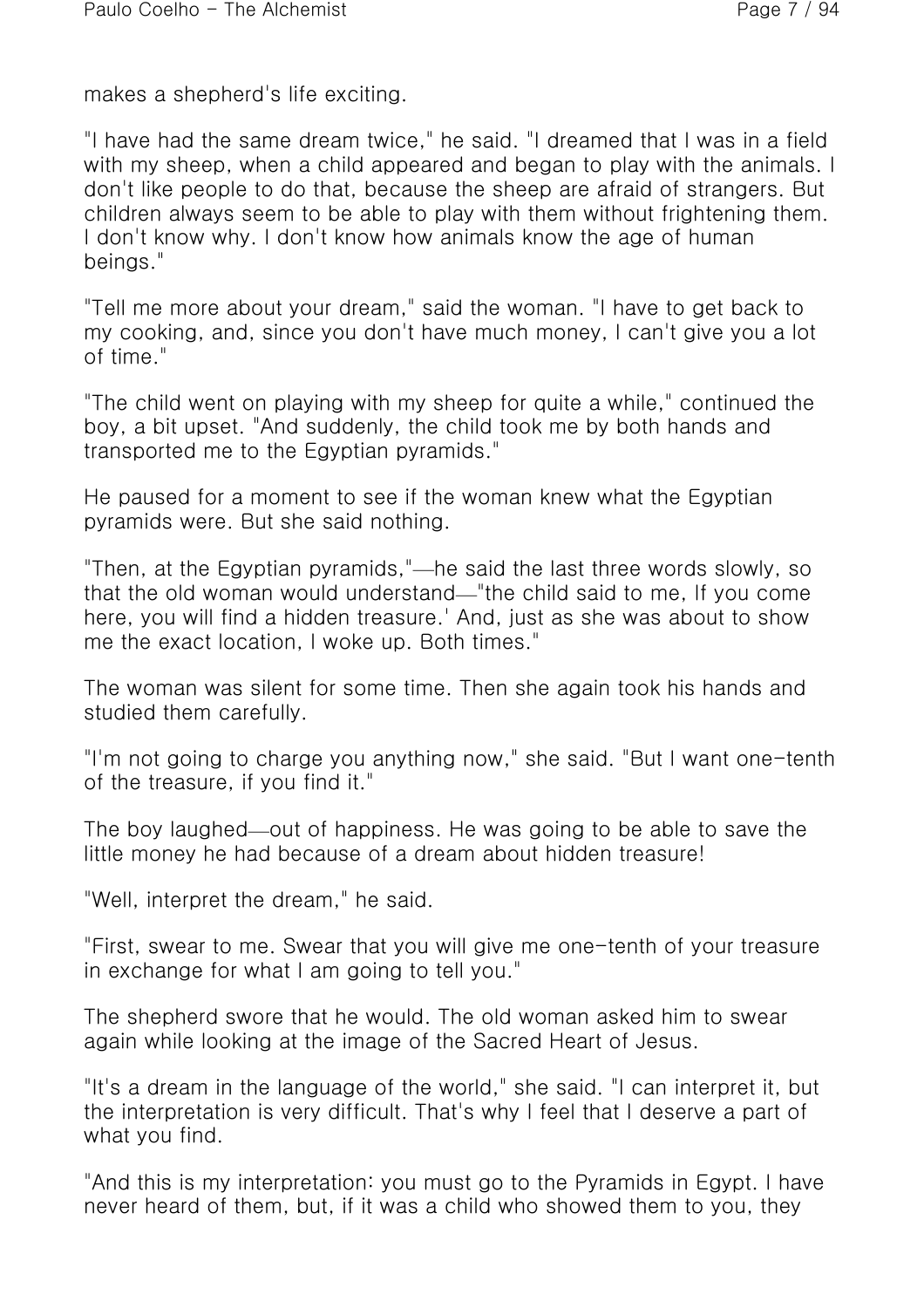makes a shepherd's life exciting.

"I have had the same dream twice," he said. "I dreamed that I was in a field with my sheep, when a child appeared and began to play with the animals. I don't like people to do that, because the sheep are afraid of strangers. But children always seem to be able to play with them without frightening them. I don't know why. I don't know how animals know the age of human beings."

"Tell me more about your dream," said the woman. "I have to get back to my cooking, and, since you don't have much money, I can't give you a lot of time."

"The child went on playing with my sheep for quite a while," continued the boy, a bit upset. "And suddenly, the child took me by both hands and transported me to the Egyptian pyramids."

He paused for a moment to see if the woman knew what the Egyptian pyramids were. But she said nothing.

"Then, at the Egyptian pyramids,"—he said the last three words slowly, so that the old woman would understand—"the child said to me, If you come here, you will find a hidden treasure.' And, just as she was about to show me the exact location, I woke up. Both times."

The woman was silent for some time. Then she again took his hands and studied them carefully.

"I'm not going to charge you anything now," she said. "But I want one-tenth of the treasure, if you find it."

The boy laughed—out of happiness. He was going to be able to save the little money he had because of a dream about hidden treasure!

"Well, interpret the dream," he said.

"First, swear to me. Swear that you will give me one-tenth of your treasure in exchange for what I am going to tell you."

The shepherd swore that he would. The old woman asked him to swear again while looking at the image of the Sacred Heart of Jesus.

"It's a dream in the language of the world," she said. "I can interpret it, but the interpretation is very difficult. That's why I feel that I deserve a part of what you find.

"And this is my interpretation: you must go to the Pyramids in Egypt. I have never heard of them, but, if it was a child who showed them to you, they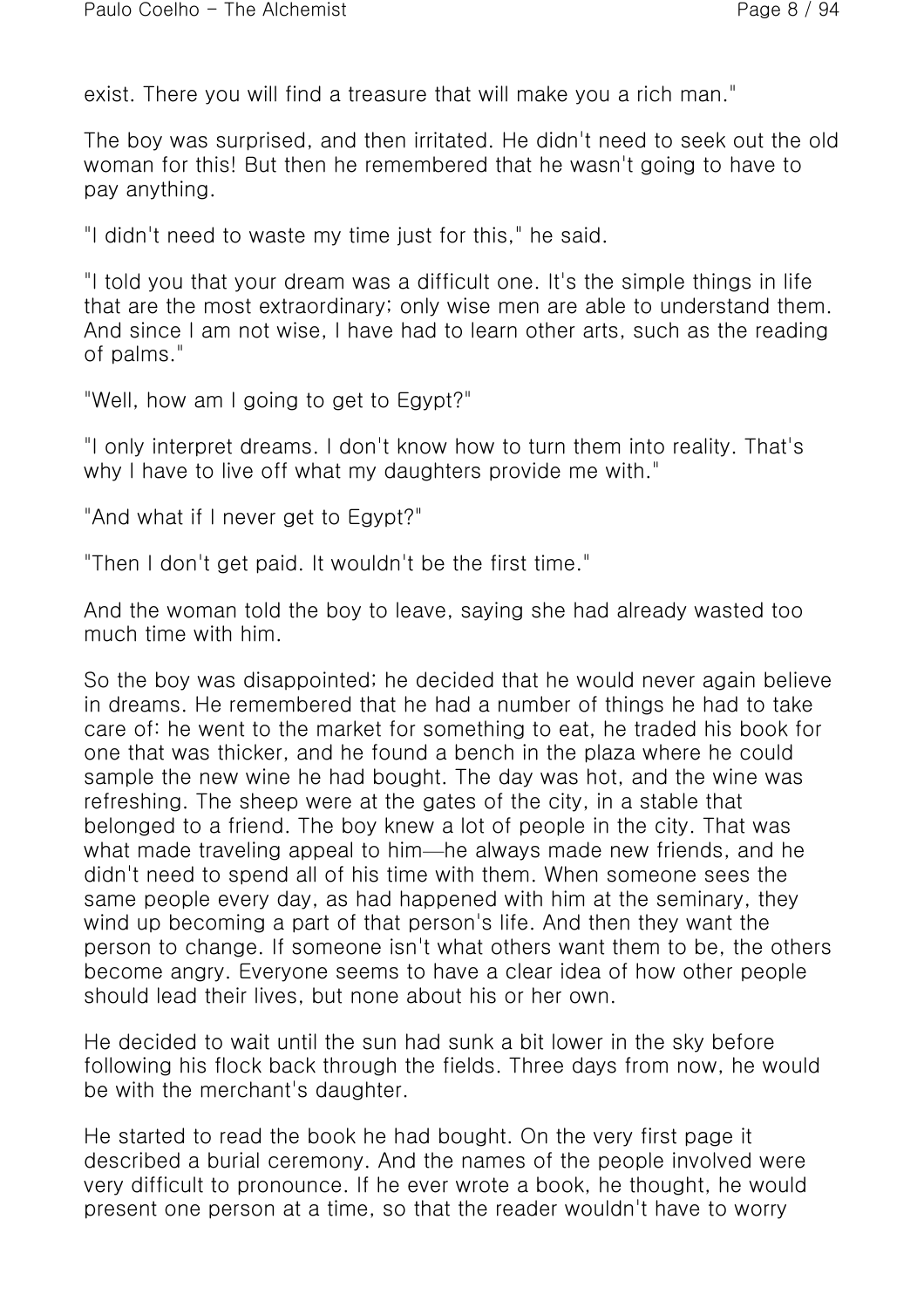exist. There you will find a treasure that will make you a rich man."

The boy was surprised, and then irritated. He didn't need to seek out the old woman for this! But then he remembered that he wasn't going to have to pay anything.

"I didn't need to waste my time just for this," he said.

"I told you that your dream was a difficult one. It's the simple things in life that are the most extraordinary; only wise men are able to understand them. And since I am not wise, I have had to learn other arts, such as the reading of palms."

"Well, how am I going to get to Egypt?"

"I only interpret dreams. I don't know how to turn them into reality. That's why I have to live off what my daughters provide me with."

"And what if I never get to Egypt?"

"Then I don't get paid. It wouldn't be the first time."

And the woman told the boy to leave, saying she had already wasted too much time with him.

So the boy was disappointed; he decided that he would never again believe in dreams. He remembered that he had a number of things he had to take care of: he went to the market for something to eat, he traded his book for one that was thicker, and he found a bench in the plaza where he could sample the new wine he had bought. The day was hot, and the wine was refreshing. The sheep were at the gates of the city, in a stable that belonged to a friend. The boy knew a lot of people in the city. That was what made traveling appeal to him—he always made new friends, and he didn't need to spend all of his time with them. When someone sees the same people every day, as had happened with him at the seminary, they wind up becoming a part of that person's life. And then they want the person to change. If someone isn't what others want them to be, the others become angry. Everyone seems to have a clear idea of how other people should lead their lives, but none about his or her own.

He decided to wait until the sun had sunk a bit lower in the sky before following his flock back through the fields. Three days from now, he would be with the merchant's daughter.

He started to read the book he had bought. On the very first page it described a burial ceremony. And the names of the people involved were very difficult to pronounce. If he ever wrote a book, he thought, he would present one person at a time, so that the reader wouldn't have to worry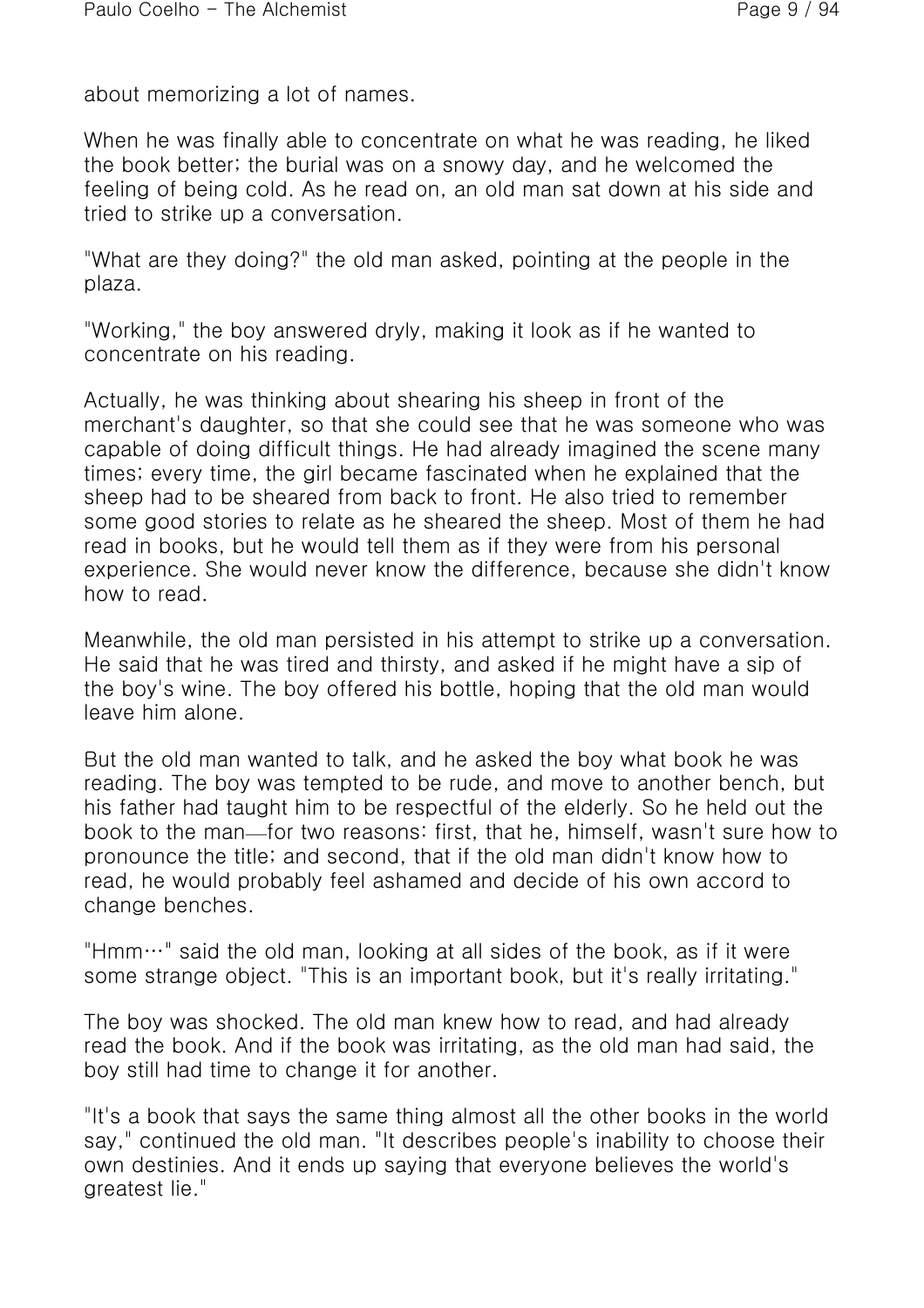about memorizing a lot of names.

When he was finally able to concentrate on what he was reading, he liked the book better; the burial was on a snowy day, and he welcomed the feeling of being cold. As he read on, an old man sat down at his side and tried to strike up a conversation.

"What are they doing?" the old man asked, pointing at the people in the plaza.

"Working," the boy answered dryly, making it look as if he wanted to concentrate on his reading.

Actually, he was thinking about shearing his sheep in front of the merchant's daughter, so that she could see that he was someone who was capable of doing difficult things. He had already imagined the scene many times; every time, the girl became fascinated when he explained that the sheep had to be sheared from back to front. He also tried to remember some good stories to relate as he sheared the sheep. Most of them he had read in books, but he would tell them as if they were from his personal experience. She would never know the difference, because she didn't know how to read.

Meanwhile, the old man persisted in his attempt to strike up a conversation. He said that he was tired and thirsty, and asked if he might have a sip of the boy's wine. The boy offered his bottle, hoping that the old man would leave him alone.

But the old man wanted to talk, and he asked the boy what book he was reading. The boy was tempted to be rude, and move to another bench, but his father had taught him to be respectful of the elderly. So he held out the book to the man—for two reasons: first, that he, himself, wasn't sure how to pronounce the title; and second, that if the old man didn't know how to read, he would probably feel ashamed and decide of his own accord to change benches.

"Hmm…" said the old man, looking at all sides of the book, as if it were some strange object. "This is an important book, but it's really irritating."

The boy was shocked. The old man knew how to read, and had already read the book. And if the book was irritating, as the old man had said, the boy still had time to change it for another.

"It's a book that says the same thing almost all the other books in the world say," continued the old man. "It describes people's inability to choose their own destinies. And it ends up saying that everyone believes the world's greatest lie."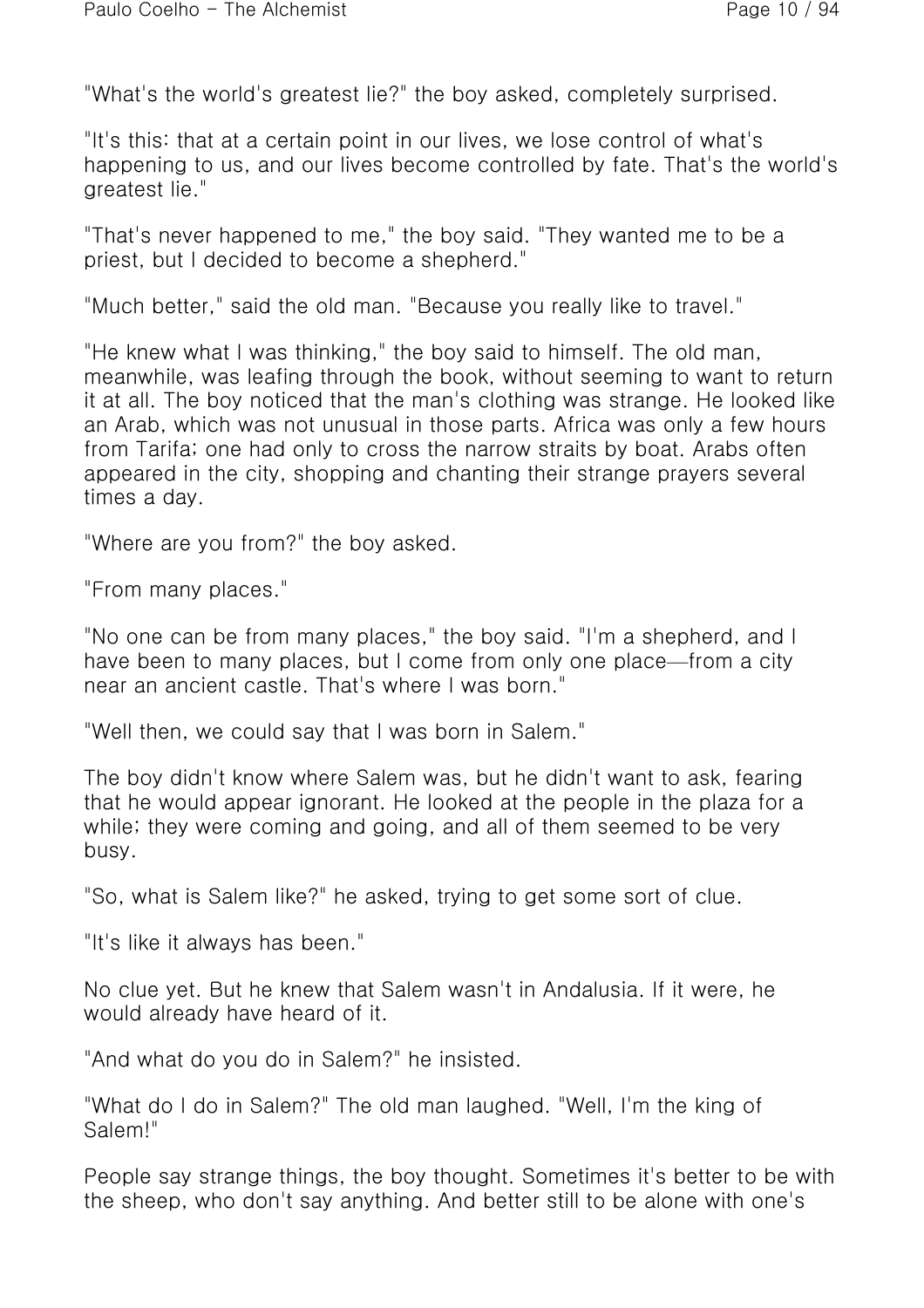"What's the world's greatest lie?" the boy asked, completely surprised.

"It's this: that at a certain point in our lives, we lose control of what's happening to us, and our lives become controlled by fate. That's the world's greatest lie."

"That's never happened to me," the boy said. "They wanted me to be a priest, but I decided to become a shepherd."

"Much better," said the old man. "Because you really like to travel."

"He knew what I was thinking," the boy said to himself. The old man, meanwhile, was leafing through the book, without seeming to want to return it at all. The boy noticed that the man's clothing was strange. He looked like an Arab, which was not unusual in those parts. Africa was only a few hours from Tarifa; one had only to cross the narrow straits by boat. Arabs often appeared in the city, shopping and chanting their strange prayers several times a day.

"Where are you from?" the boy asked.

"From many places."

"No one can be from many places," the boy said. "I'm a shepherd, and I have been to many places, but I come from only one place—from a city near an ancient castle. That's where I was born."

"Well then, we could say that I was born in Salem."

The boy didn't know where Salem was, but he didn't want to ask, fearing that he would appear ignorant. He looked at the people in the plaza for a while; they were coming and going, and all of them seemed to be very busy.

"So, what is Salem like?" he asked, trying to get some sort of clue.

"It's like it always has been."

No clue yet. But he knew that Salem wasn't in Andalusia. If it were, he would already have heard of it.

"And what do you do in Salem?" he insisted.

"What do I do in Salem?" The old man laughed. "Well, I'm the king of Salem!"

People say strange things, the boy thought. Sometimes it's better to be with the sheep, who don't say anything. And better still to be alone with one's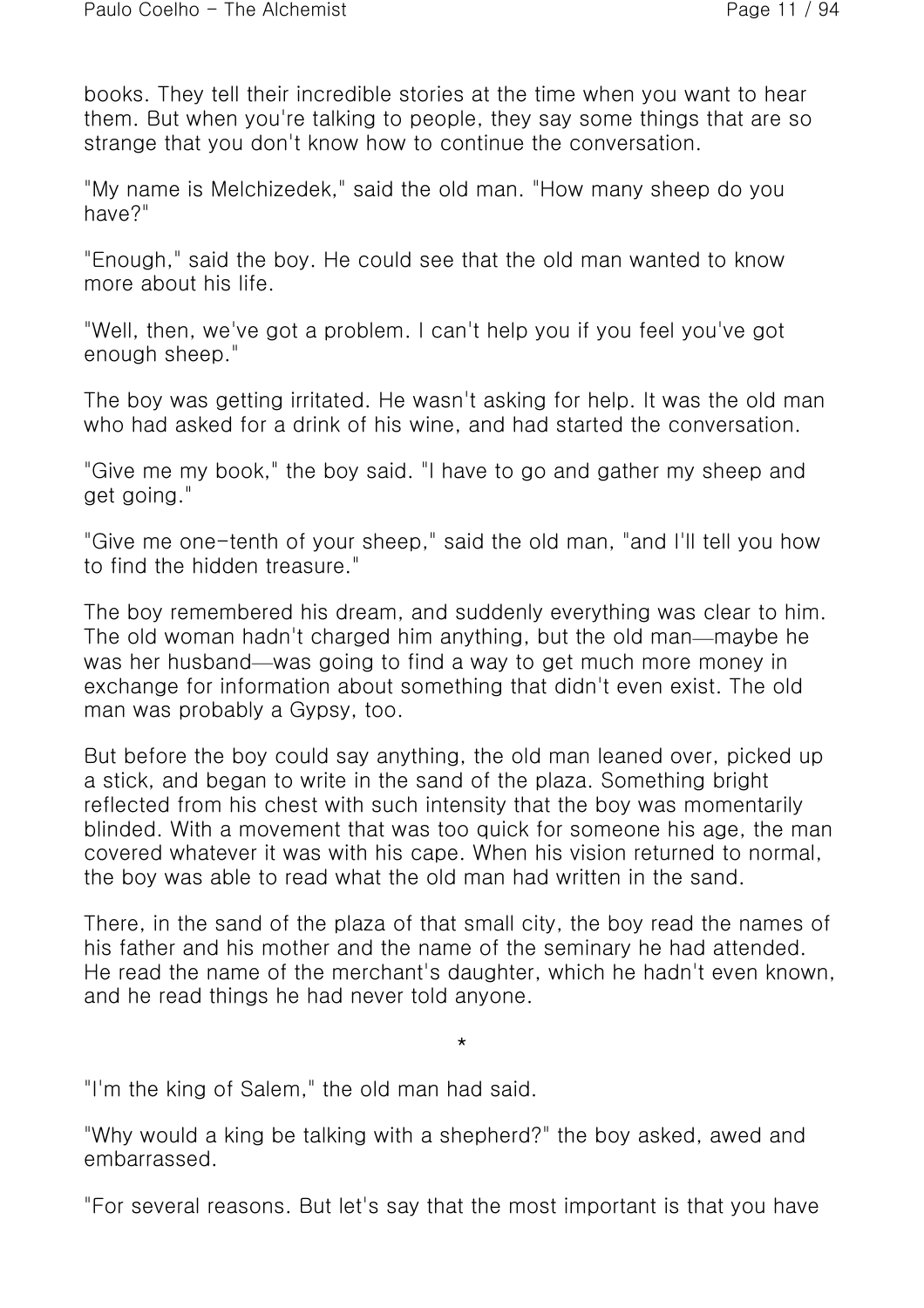books. They tell their incredible stories at the time when you want to hear them. But when you're talking to people, they say some things that are so strange that you don't know how to continue the conversation.

"My name is Melchizedek," said the old man. "How many sheep do you have?"

"Enough," said the boy. He could see that the old man wanted to know more about his life.

"Well, then, we've got a problem. I can't help you if you feel you've got enough sheep."

The boy was getting irritated. He wasn't asking for help. It was the old man who had asked for a drink of his wine, and had started the conversation.

"Give me my book," the boy said. "I have to go and gather my sheep and get going."

"Give me one-tenth of your sheep," said the old man, "and I'll tell you how to find the hidden treasure."

The boy remembered his dream, and suddenly everything was clear to him. The old woman hadn't charged him anything, but the old man—maybe he was her husband—was going to find a way to get much more money in exchange for information about something that didn't even exist. The old man was probably a Gypsy, too.

But before the boy could say anything, the old man leaned over, picked up a stick, and began to write in the sand of the plaza. Something bright reflected from his chest with such intensity that the boy was momentarily blinded. With a movement that was too quick for someone his age, the man covered whatever it was with his cape. When his vision returned to normal, the boy was able to read what the old man had written in the sand.

There, in the sand of the plaza of that small city, the boy read the names of his father and his mother and the name of the seminary he had attended. He read the name of the merchant's daughter, which he hadn't even known, and he read things he had never told anyone.

\*

"I'm the king of Salem," the old man had said.

"Why would a king be talking with a shepherd?" the boy asked, awed and embarrassed.

"For several reasons. But let's say that the most important is that you have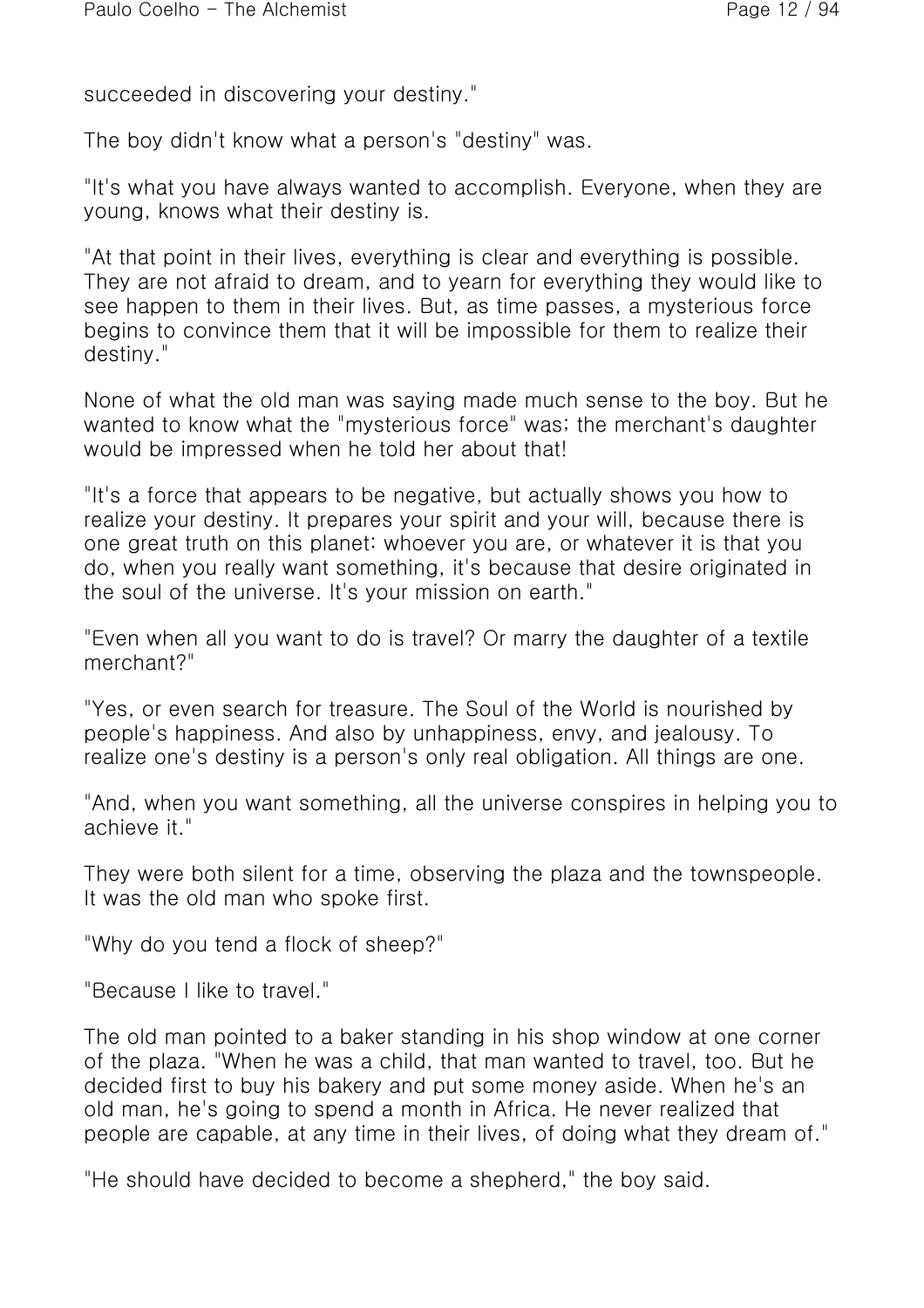succeeded in discovering your destiny."

The boy didn't know what a person's "destiny" was.

"It's what you have always wanted to accomplish. Everyone, when they are young, knows what their destiny is.

"At that point in their lives, everything is clear and everything is possible. They are not afraid to dream, and to yearn for everything they would like to see happen to them in their lives. But, as time passes, a mysterious force begins to convince them that it will be impossible for them to realize their destiny."

None of what the old man was saying made much sense to the boy. But he wanted to know what the "mysterious force" was; the merchant's daughter would be impressed when he told her about that!

"It's a force that appears to be negative, but actually shows you how to realize your destiny. It prepares your spirit and your will, because there is one great truth on this planet: whoever you are, or whatever it is that you do, when you really want something, it's because that desire originated in the soul of the universe. It's your mission on earth."

"Even when all you want to do is travel? Or marry the daughter of a textile merchant?"

"Yes, or even search for treasure. The Soul of the World is nourished by people's happiness. And also by unhappiness, envy, and jealousy. To realize one's destiny is a person's only real obligation. All things are one.

"And, when you want something, all the universe conspires in helping you to achieve it."

They were both silent for a time, observing the plaza and the townspeople. It was the old man who spoke first.

"Why do you tend a flock of sheep?"

"Because I like to travel."

The old man pointed to a baker standing in his shop window at one corner of the plaza. "When he was a child, that man wanted to travel, too. But he decided first to buy his bakery and put some money aside. When he's an old man, he's going to spend a month in Africa. He never realized that people are capable, at any time in their lives, of doing what they dream of."

"He should have decided to become a shepherd," the boy said.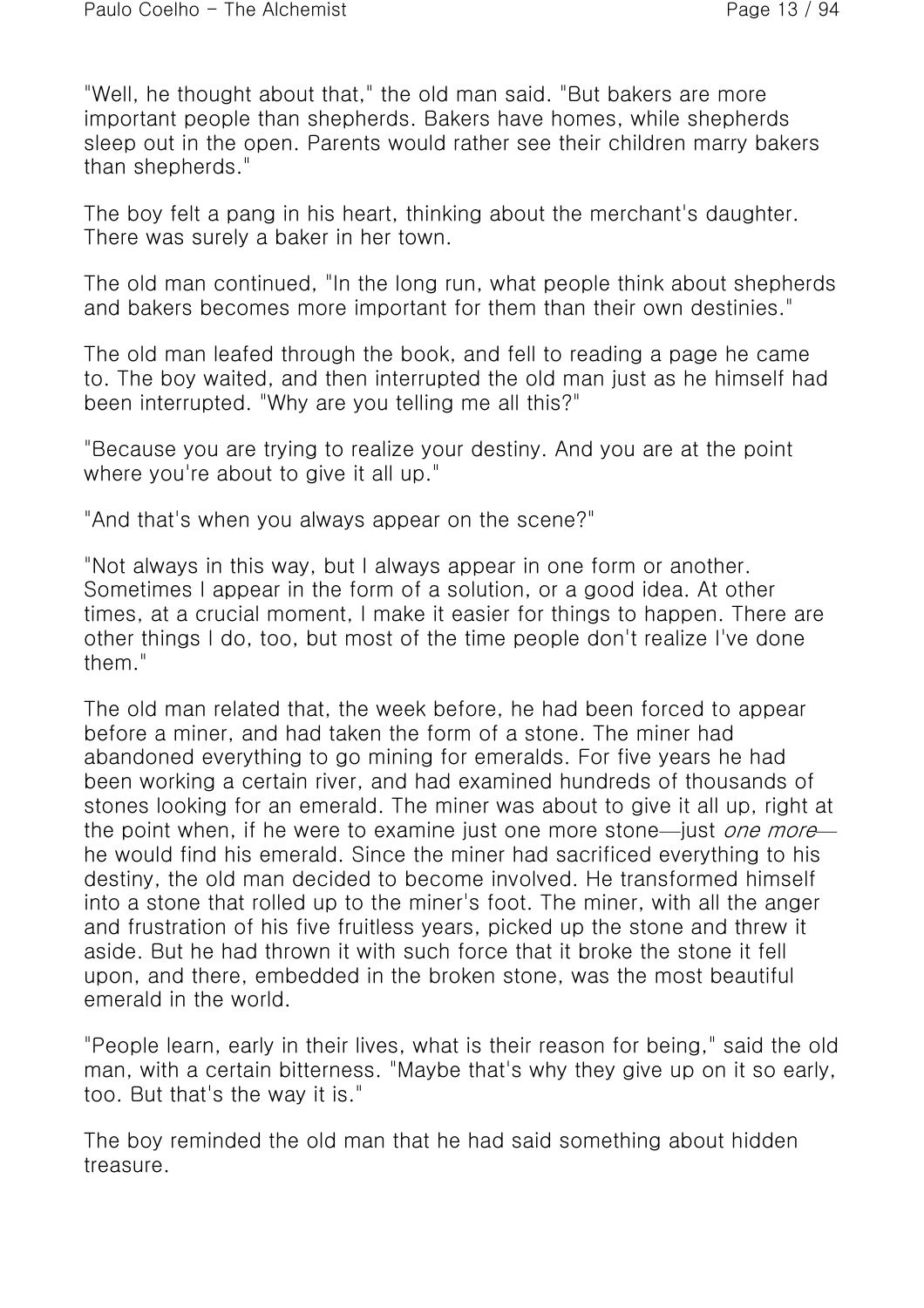"Well, he thought about that," the old man said. "But bakers are more important people than shepherds. Bakers have homes, while shepherds sleep out in the open. Parents would rather see their children marry bakers than shepherds."

The boy felt a pang in his heart, thinking about the merchant's daughter. There was surely a baker in her town.

The old man continued, "In the long run, what people think about shepherds and bakers becomes more important for them than their own destinies."

The old man leafed through the book, and fell to reading a page he came to. The boy waited, and then interrupted the old man just as he himself had been interrupted. "Why are you telling me all this?"

"Because you are trying to realize your destiny. And you are at the point where you're about to give it all up."

"And that's when you always appear on the scene?"

"Not always in this way, but I always appear in one form or another. Sometimes I appear in the form of a solution, or a good idea. At other times, at a crucial moment, I make it easier for things to happen. There are other things I do, too, but most of the time people don't realize I've done them."

The old man related that, the week before, he had been forced to appear before a miner, and had taken the form of a stone. The miner had abandoned everything to go mining for emeralds. For five years he had been working a certain river, and had examined hundreds of thousands of stones looking for an emerald. The miner was about to give it all up, right at the point when, if he were to examine just one more stone—just *one more* he would find his emerald. Since the miner had sacrificed everything to his destiny, the old man decided to become involved. He transformed himself into a stone that rolled up to the miner's foot. The miner, with all the anger and frustration of his five fruitless years, picked up the stone and threw it aside. But he had thrown it with such force that it broke the stone it fell upon, and there, embedded in the broken stone, was the most beautiful emerald in the world.

"People learn, early in their lives, what is their reason for being," said the old man, with a certain bitterness. "Maybe that's why they give up on it so early, too. But that's the way it is."

The boy reminded the old man that he had said something about hidden treasure.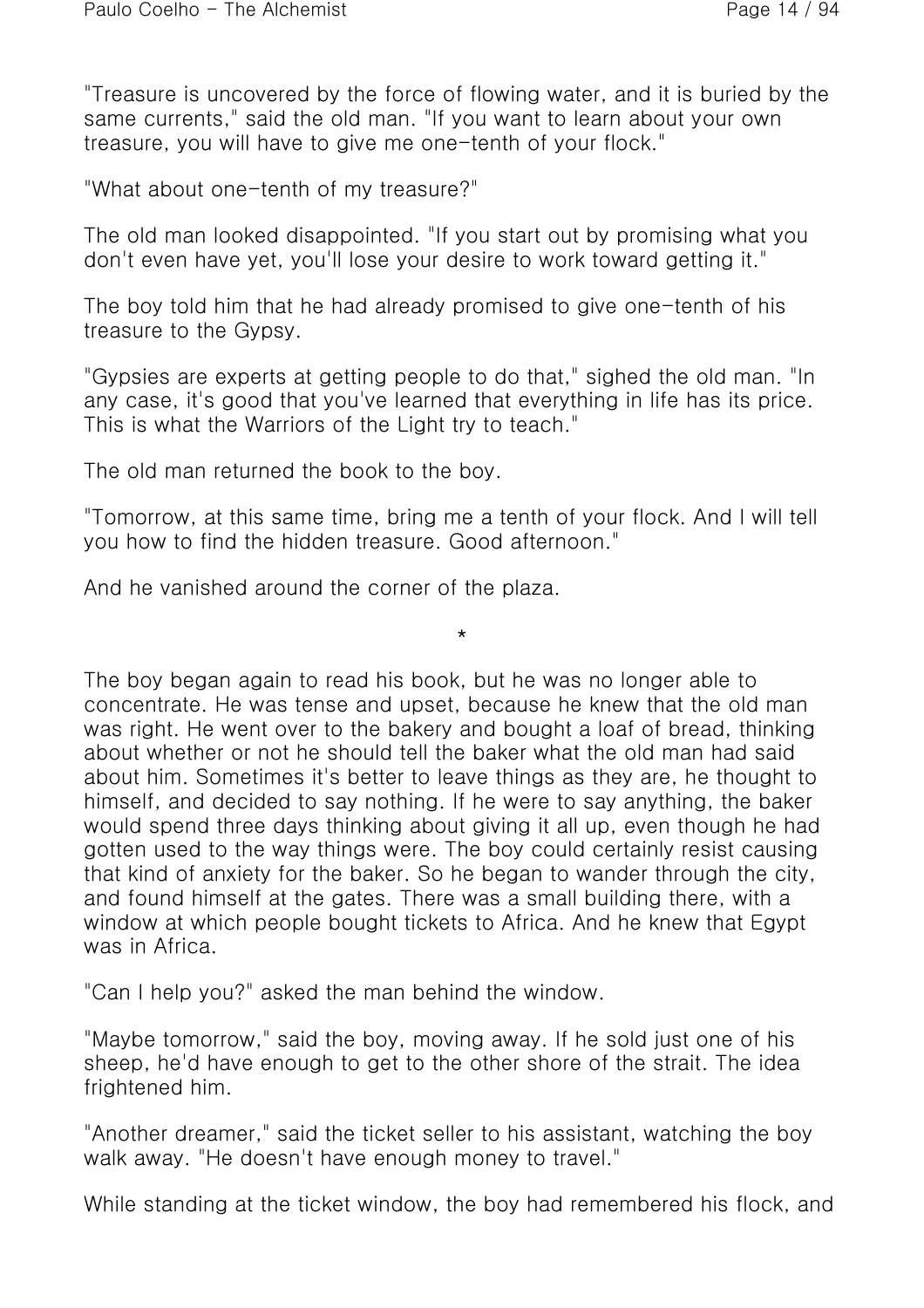"Treasure is uncovered by the force of flowing water, and it is buried by the same currents," said the old man. "If you want to learn about your own treasure, you will have to give me one-tenth of your flock."

"What about one-tenth of my treasure?"

The old man looked disappointed. "If you start out by promising what you don't even have yet, you'll lose your desire to work toward getting it."

The boy told him that he had already promised to give one-tenth of his treasure to the Gypsy.

"Gypsies are experts at getting people to do that," sighed the old man. "In any case, it's good that you've learned that everything in life has its price. This is what the Warriors of the Light try to teach."

The old man returned the book to the boy.

"Tomorrow, at this same time, bring me a tenth of your flock. And I will tell you how to find the hidden treasure. Good afternoon."

\*

And he vanished around the corner of the plaza.

The boy began again to read his book, but he was no longer able to concentrate. He was tense and upset, because he knew that the old man was right. He went over to the bakery and bought a loaf of bread, thinking about whether or not he should tell the baker what the old man had said about him. Sometimes it's better to leave things as they are, he thought to himself, and decided to say nothing. If he were to say anything, the baker would spend three days thinking about giving it all up, even though he had gotten used to the way things were. The boy could certainly resist causing that kind of anxiety for the baker. So he began to wander through the city, and found himself at the gates. There was a small building there, with a window at which people bought tickets to Africa. And he knew that Egypt was in Africa.

"Can I help you?" asked the man behind the window.

"Maybe tomorrow," said the boy, moving away. If he sold just one of his sheep, he'd have enough to get to the other shore of the strait. The idea frightened him.

"Another dreamer," said the ticket seller to his assistant, watching the boy walk away. "He doesn't have enough money to travel."

While standing at the ticket window, the boy had remembered his flock, and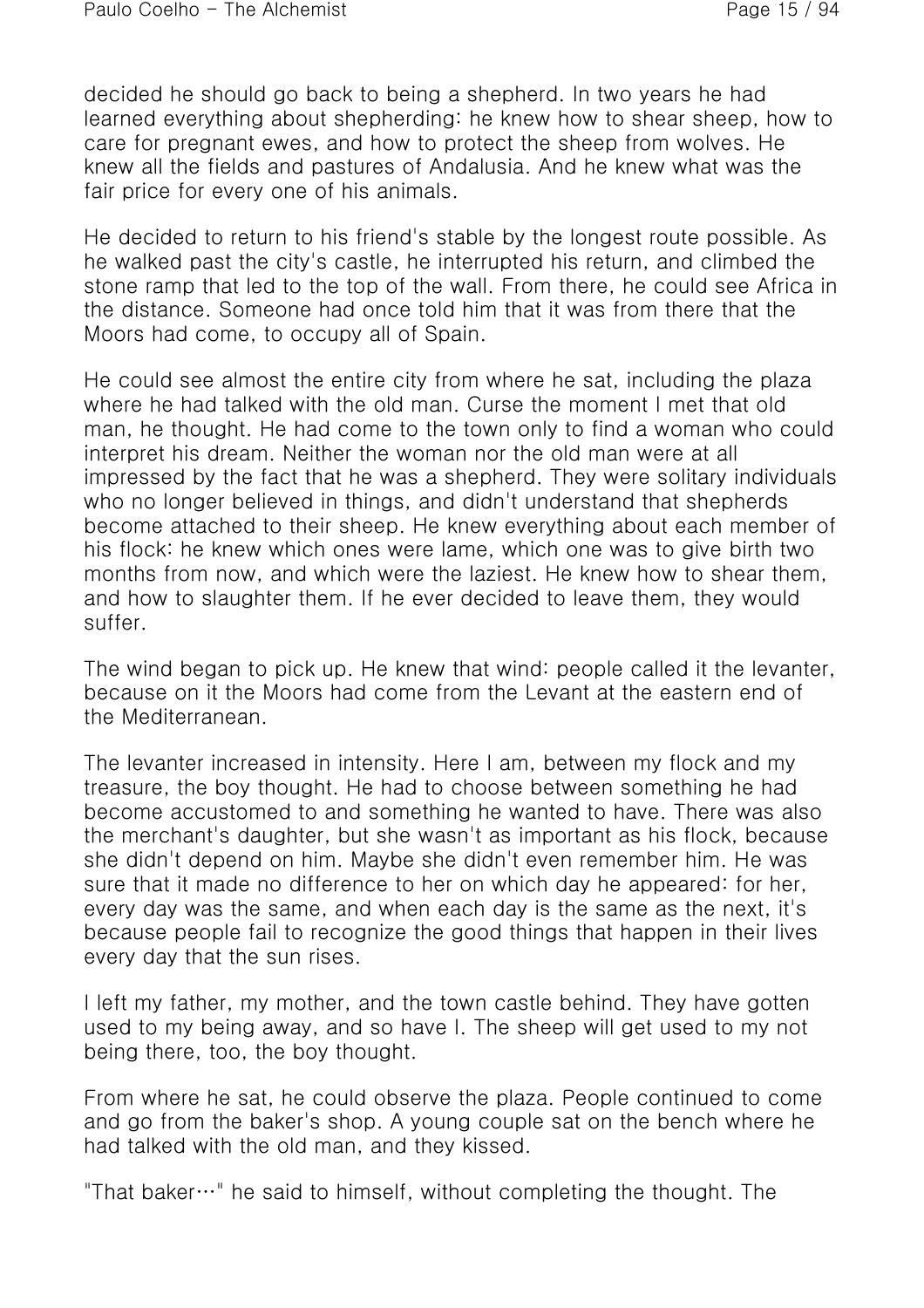decided he should go back to being a shepherd. In two years he had learned everything about shepherding: he knew how to shear sheep, how to care for pregnant ewes, and how to protect the sheep from wolves. He knew all the fields and pastures of Andalusia. And he knew what was the fair price for every one of his animals.

He decided to return to his friend's stable by the longest route possible. As he walked past the city's castle, he interrupted his return, and climbed the stone ramp that led to the top of the wall. From there, he could see Africa in the distance. Someone had once told him that it was from there that the Moors had come, to occupy all of Spain.

He could see almost the entire city from where he sat, including the plaza where he had talked with the old man. Curse the moment I met that old man, he thought. He had come to the town only to find a woman who could interpret his dream. Neither the woman nor the old man were at all impressed by the fact that he was a shepherd. They were solitary individuals who no longer believed in things, and didn't understand that shepherds become attached to their sheep. He knew everything about each member of his flock: he knew which ones were lame, which one was to give birth two months from now, and which were the laziest. He knew how to shear them, and how to slaughter them. If he ever decided to leave them, they would suffer.

The wind began to pick up. He knew that wind: people called it the levanter, because on it the Moors had come from the Levant at the eastern end of the Mediterranean.

The levanter increased in intensity. Here I am, between my flock and my treasure, the boy thought. He had to choose between something he had become accustomed to and something he wanted to have. There was also the merchant's daughter, but she wasn't as important as his flock, because she didn't depend on him. Maybe she didn't even remember him. He was sure that it made no difference to her on which day he appeared: for her, every day was the same, and when each day is the same as the next, it's because people fail to recognize the good things that happen in their lives every day that the sun rises.

I left my father, my mother, and the town castle behind. They have gotten used to my being away, and so have I. The sheep will get used to my not being there, too, the boy thought.

From where he sat, he could observe the plaza. People continued to come and go from the baker's shop. A young couple sat on the bench where he had talked with the old man, and they kissed.

"That baker…" he said to himself, without completing the thought. The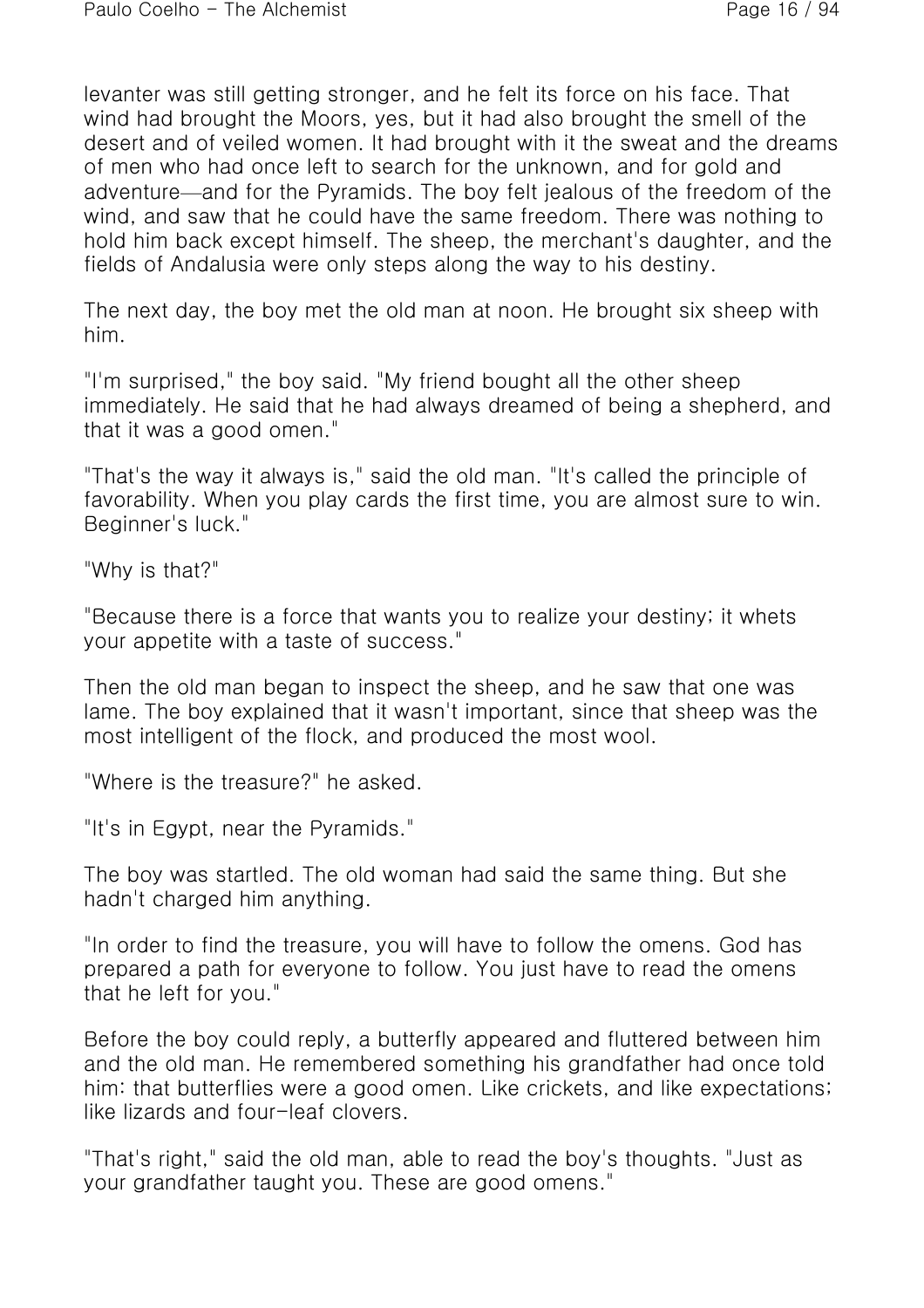levanter was still getting stronger, and he felt its force on his face. That wind had brought the Moors, yes, but it had also brought the smell of the desert and of veiled women. It had brought with it the sweat and the dreams of men who had once left to search for the unknown, and for gold and adventure—and for the Pyramids. The boy felt jealous of the freedom of the wind, and saw that he could have the same freedom. There was nothing to hold him back except himself. The sheep, the merchant's daughter, and the fields of Andalusia were only steps along the way to his destiny.

The next day, the boy met the old man at noon. He brought six sheep with him.

"I'm surprised," the boy said. "My friend bought all the other sheep immediately. He said that he had always dreamed of being a shepherd, and that it was a good omen."

"That's the way it always is," said the old man. "It's called the principle of favorability. When you play cards the first time, you are almost sure to win. Beginner's luck."

"Why is that?"

"Because there is a force that wants you to realize your destiny; it whets your appetite with a taste of success."

Then the old man began to inspect the sheep, and he saw that one was lame. The boy explained that it wasn't important, since that sheep was the most intelligent of the flock, and produced the most wool.

"Where is the treasure?" he asked.

"It's in Egypt, near the Pyramids."

The boy was startled. The old woman had said the same thing. But she hadn't charged him anything.

"In order to find the treasure, you will have to follow the omens. God has prepared a path for everyone to follow. You just have to read the omens that he left for you."

Before the boy could reply, a butterfly appeared and fluttered between him and the old man. He remembered something his grandfather had once told him: that butterflies were a good omen. Like crickets, and like expectations; like lizards and four-leaf clovers.

"That's right," said the old man, able to read the boy's thoughts. "Just as your grandfather taught you. These are good omens."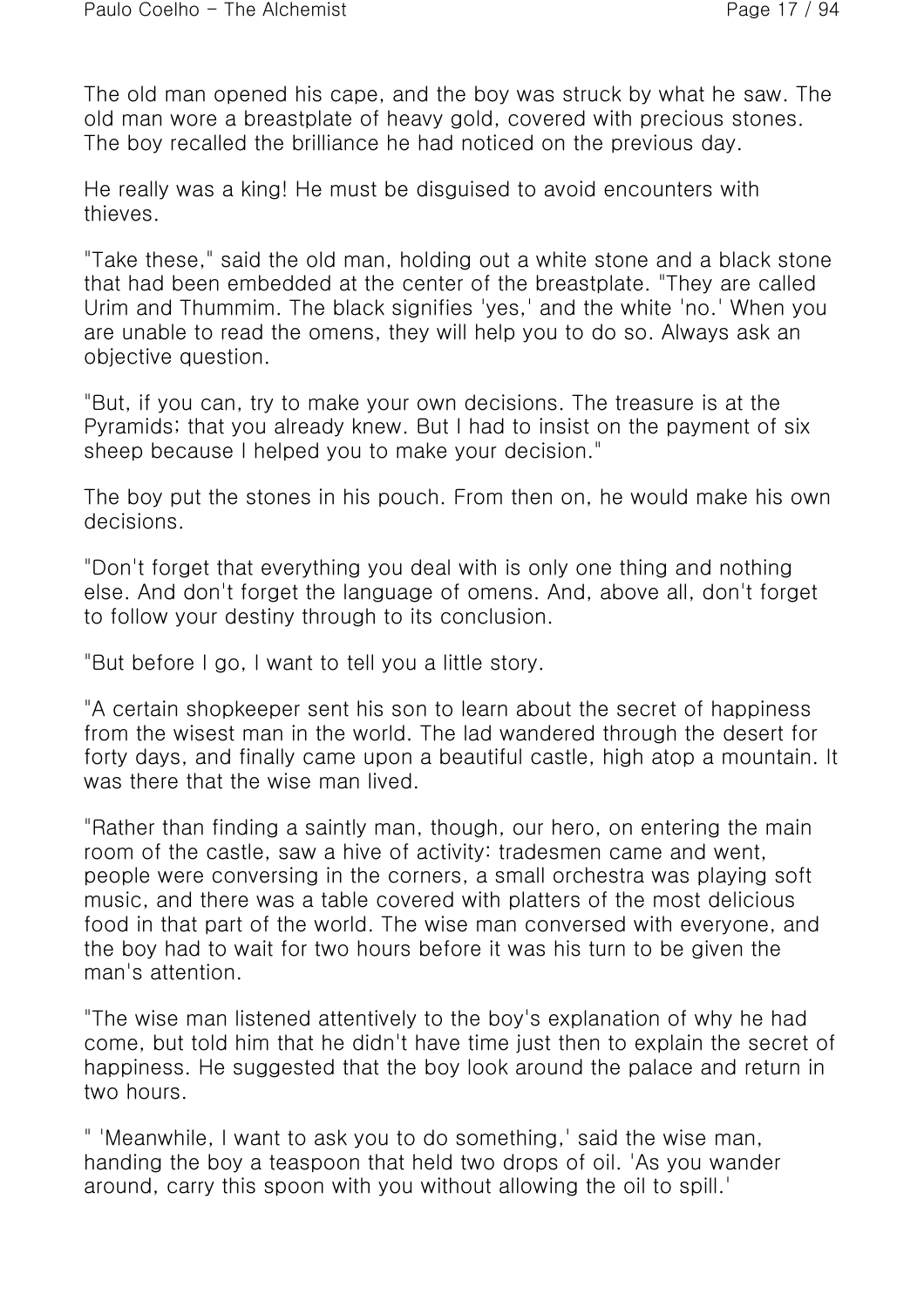The old man opened his cape, and the boy was struck by what he saw. The old man wore a breastplate of heavy gold, covered with precious stones. The boy recalled the brilliance he had noticed on the previous day.

He really was a king! He must be disguised to avoid encounters with thieves.

"Take these," said the old man, holding out a white stone and a black stone that had been embedded at the center of the breastplate. "They are called Urim and Thummim. The black signifies 'yes,' and the white 'no.' When you are unable to read the omens, they will help you to do so. Always ask an objective question.

"But, if you can, try to make your own decisions. The treasure is at the Pyramids; that you already knew. But I had to insist on the payment of six sheep because I helped you to make your decision."

The boy put the stones in his pouch. From then on, he would make his own decisions.

"Don't forget that everything you deal with is only one thing and nothing else. And don't forget the language of omens. And, above all, don't forget to follow your destiny through to its conclusion.

"But before I go, I want to tell you a little story.

"A certain shopkeeper sent his son to learn about the secret of happiness from the wisest man in the world. The lad wandered through the desert for forty days, and finally came upon a beautiful castle, high atop a mountain. It was there that the wise man lived.

"Rather than finding a saintly man, though, our hero, on entering the main room of the castle, saw a hive of activity: tradesmen came and went, people were conversing in the corners, a small orchestra was playing soft music, and there was a table covered with platters of the most delicious food in that part of the world. The wise man conversed with everyone, and the boy had to wait for two hours before it was his turn to be given the man's attention.

"The wise man listened attentively to the boy's explanation of why he had come, but told him that he didn't have time just then to explain the secret of happiness. He suggested that the boy look around the palace and return in two hours.

" 'Meanwhile, I want to ask you to do something,' said the wise man, handing the boy a teaspoon that held two drops of oil. 'As you wander around, carry this spoon with you without allowing the oil to spill.'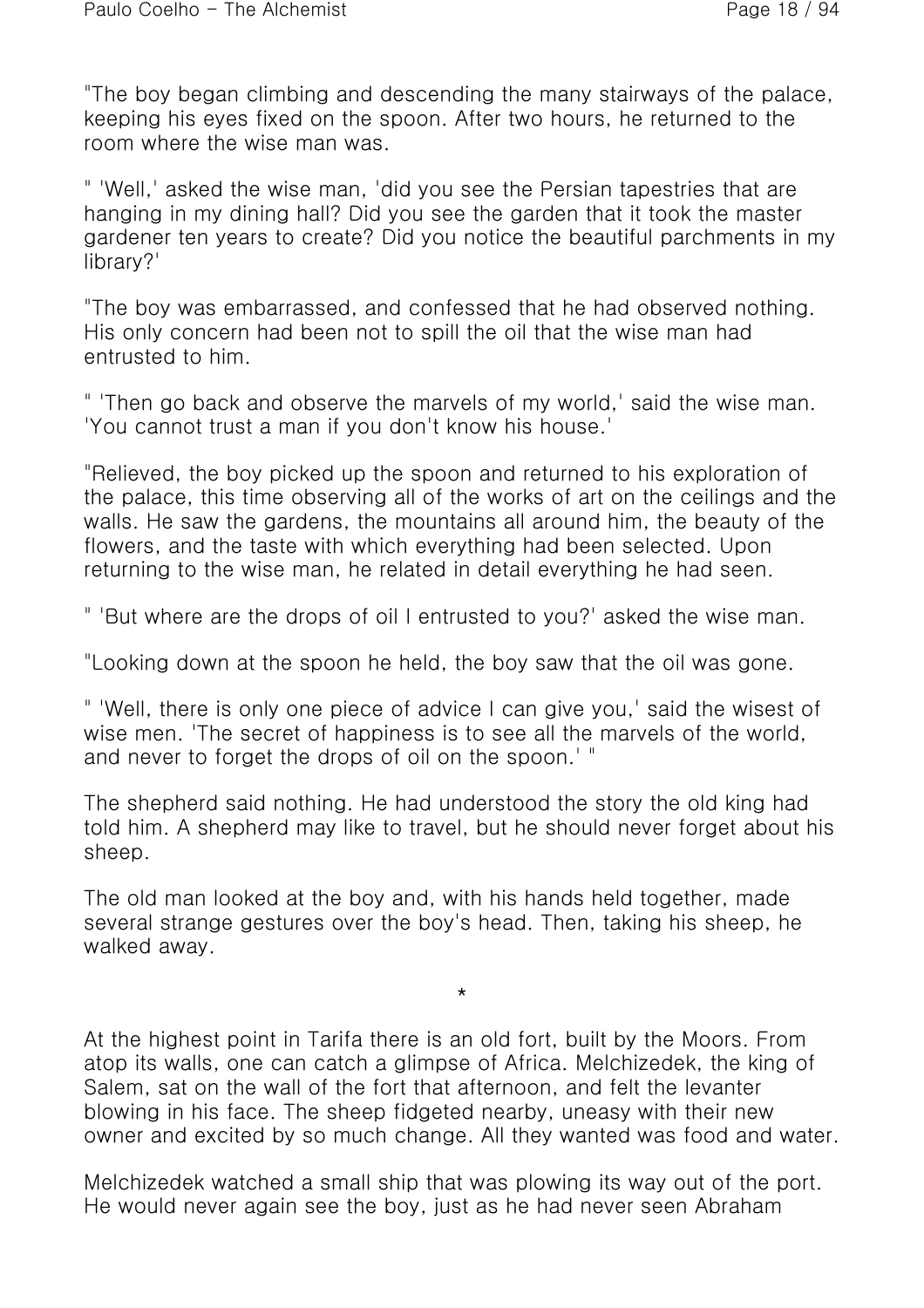"The boy began climbing and descending the many stairways of the palace, keeping his eyes fixed on the spoon. After two hours, he returned to the room where the wise man was.

" 'Well,' asked the wise man, 'did you see the Persian tapestries that are hanging in my dining hall? Did you see the garden that it took the master gardener ten years to create? Did you notice the beautiful parchments in my library?'

"The boy was embarrassed, and confessed that he had observed nothing. His only concern had been not to spill the oil that the wise man had entrusted to him.

" 'Then go back and observe the marvels of my world,' said the wise man. 'You cannot trust a man if you don't know his house.'

"Relieved, the boy picked up the spoon and returned to his exploration of the palace, this time observing all of the works of art on the ceilings and the walls. He saw the gardens, the mountains all around him, the beauty of the flowers, and the taste with which everything had been selected. Upon returning to the wise man, he related in detail everything he had seen.

" 'But where are the drops of oil I entrusted to you?' asked the wise man.

"Looking down at the spoon he held, the boy saw that the oil was gone.

" 'Well, there is only one piece of advice I can give you,' said the wisest of wise men. 'The secret of happiness is to see all the marvels of the world, and never to forget the drops of oil on the spoon.' "

The shepherd said nothing. He had understood the story the old king had told him. A shepherd may like to travel, but he should never forget about his sheep.

The old man looked at the boy and, with his hands held together, made several strange gestures over the boy's head. Then, taking his sheep, he walked away.

At the highest point in Tarifa there is an old fort, built by the Moors. From atop its walls, one can catch a glimpse of Africa. Melchizedek, the king of Salem, sat on the wall of the fort that afternoon, and felt the levanter blowing in his face. The sheep fidgeted nearby, uneasy with their new owner and excited by so much change. All they wanted was food and water.

\*

Melchizedek watched a small ship that was plowing its way out of the port. He would never again see the boy, just as he had never seen Abraham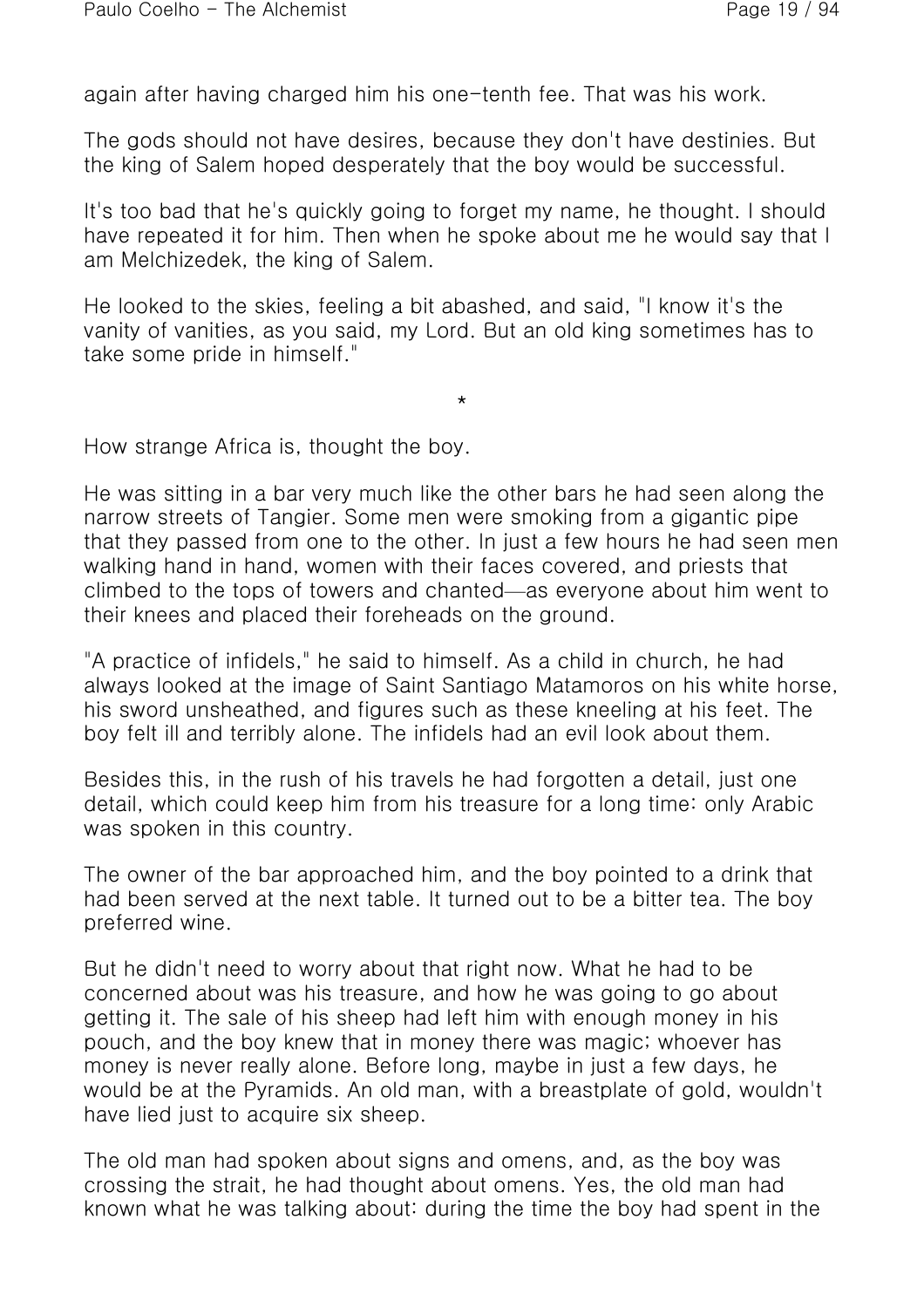again after having charged him his one-tenth fee. That was his work.

The gods should not have desires, because they don't have destinies. But the king of Salem hoped desperately that the boy would be successful.

It's too bad that he's quickly going to forget my name, he thought. I should have repeated it for him. Then when he spoke about me he would say that I am Melchizedek, the king of Salem.

He looked to the skies, feeling a bit abashed, and said, "I know it's the vanity of vanities, as you said, my Lord. But an old king sometimes has to take some pride in himself."

\*

How strange Africa is, thought the boy.

He was sitting in a bar very much like the other bars he had seen along the narrow streets of Tangier. Some men were smoking from a gigantic pipe that they passed from one to the other. In just a few hours he had seen men walking hand in hand, women with their faces covered, and priests that climbed to the tops of towers and chanted—as everyone about him went to their knees and placed their foreheads on the ground.

"A practice of infidels," he said to himself. As a child in church, he had always looked at the image of Saint Santiago Matamoros on his white horse, his sword unsheathed, and figures such as these kneeling at his feet. The boy felt ill and terribly alone. The infidels had an evil look about them.

Besides this, in the rush of his travels he had forgotten a detail, just one detail, which could keep him from his treasure for a long time: only Arabic was spoken in this country.

The owner of the bar approached him, and the boy pointed to a drink that had been served at the next table. It turned out to be a bitter tea. The boy preferred wine.

But he didn't need to worry about that right now. What he had to be concerned about was his treasure, and how he was going to go about getting it. The sale of his sheep had left him with enough money in his pouch, and the boy knew that in money there was magic; whoever has money is never really alone. Before long, maybe in just a few days, he would be at the Pyramids. An old man, with a breastplate of gold, wouldn't have lied just to acquire six sheep.

The old man had spoken about signs and omens, and, as the boy was crossing the strait, he had thought about omens. Yes, the old man had known what he was talking about: during the time the boy had spent in the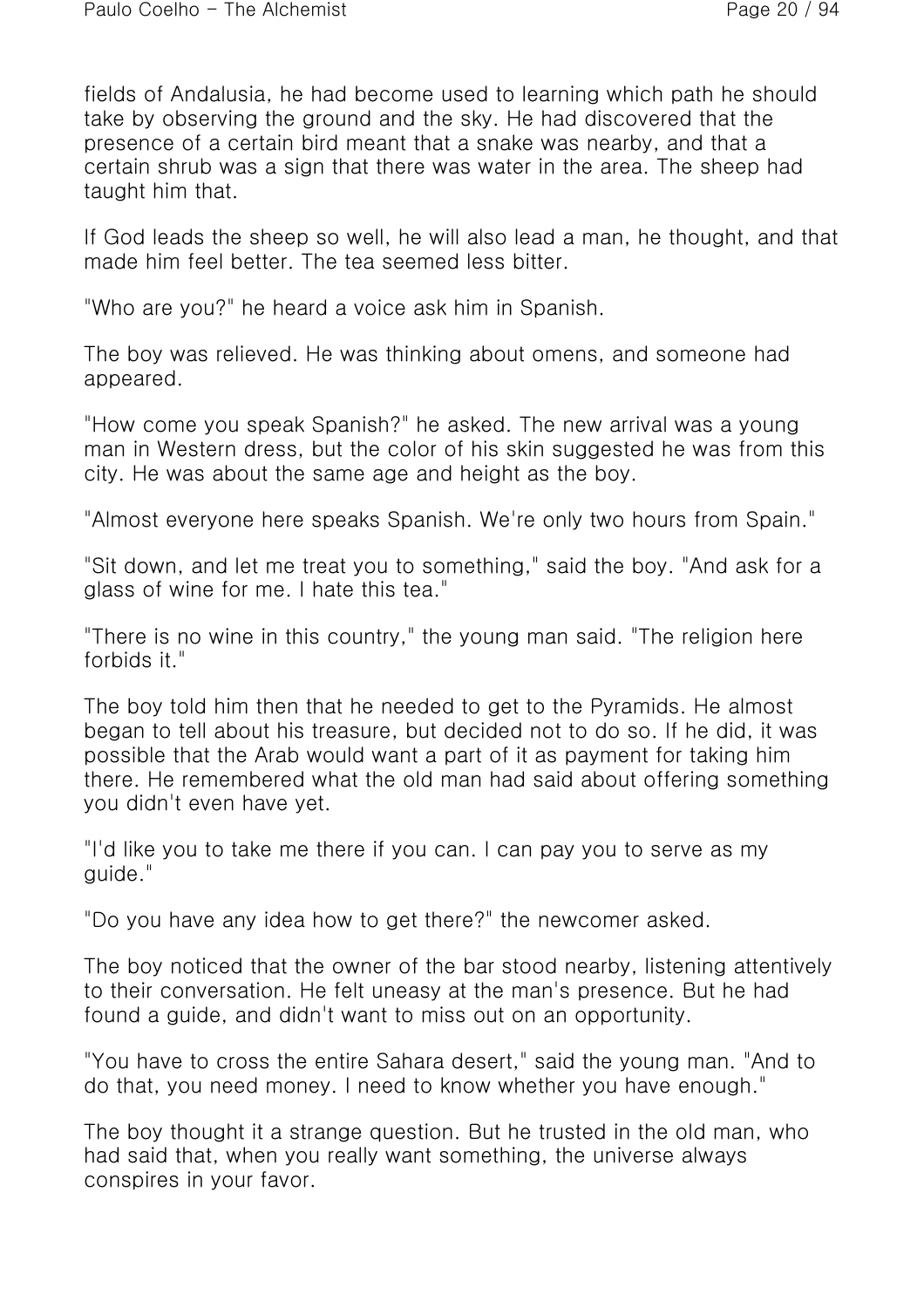fields of Andalusia, he had become used to learning which path he should take by observing the ground and the sky. He had discovered that the presence of a certain bird meant that a snake was nearby, and that a certain shrub was a sign that there was water in the area. The sheep had taught him that.

If God leads the sheep so well, he will also lead a man, he thought, and that made him feel better. The tea seemed less bitter.

"Who are you?" he heard a voice ask him in Spanish.

The boy was relieved. He was thinking about omens, and someone had appeared.

"How come you speak Spanish?" he asked. The new arrival was a young man in Western dress, but the color of his skin suggested he was from this city. He was about the same age and height as the boy.

"Almost everyone here speaks Spanish. We're only two hours from Spain."

"Sit down, and let me treat you to something," said the boy. "And ask for a glass of wine for me. I hate this tea."

"There is no wine in this country," the young man said. "The religion here forbids it."

The boy told him then that he needed to get to the Pyramids. He almost began to tell about his treasure, but decided not to do so. If he did, it was possible that the Arab would want a part of it as payment for taking him there. He remembered what the old man had said about offering something you didn't even have yet.

"I'd like you to take me there if you can. I can pay you to serve as my guide."

"Do you have any idea how to get there?" the newcomer asked.

The boy noticed that the owner of the bar stood nearby, listening attentively to their conversation. He felt uneasy at the man's presence. But he had found a guide, and didn't want to miss out on an opportunity.

"You have to cross the entire Sahara desert," said the young man. "And to do that, you need money. I need to know whether you have enough."

The boy thought it a strange question. But he trusted in the old man, who had said that, when you really want something, the universe always conspires in your favor.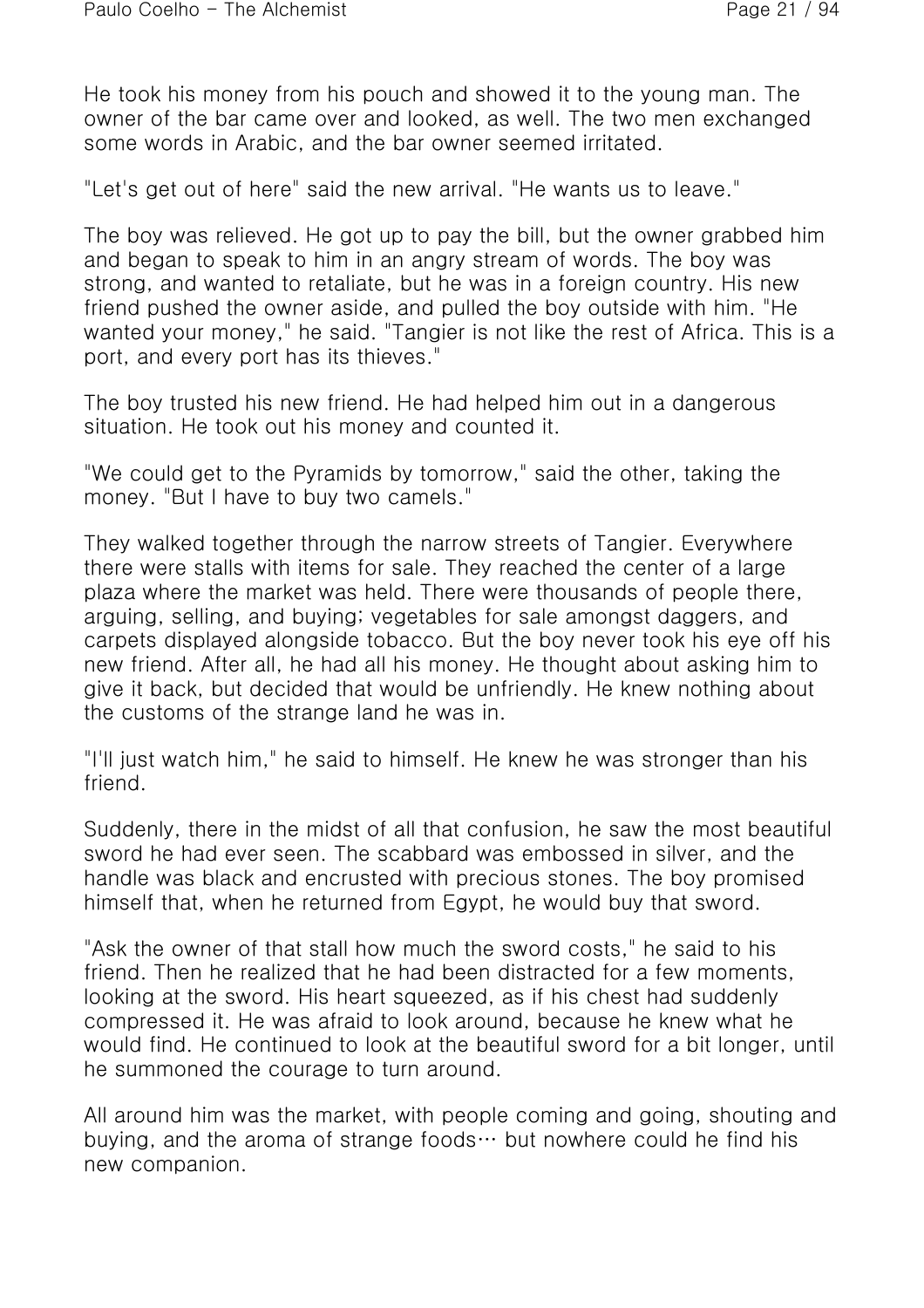He took his money from his pouch and showed it to the young man. The owner of the bar came over and looked, as well. The two men exchanged some words in Arabic, and the bar owner seemed irritated.

"Let's get out of here" said the new arrival. "He wants us to leave."

The boy was relieved. He got up to pay the bill, but the owner grabbed him and began to speak to him in an angry stream of words. The boy was strong, and wanted to retaliate, but he was in a foreign country. His new friend pushed the owner aside, and pulled the boy outside with him. "He wanted your money," he said. "Tangier is not like the rest of Africa. This is a port, and every port has its thieves."

The boy trusted his new friend. He had helped him out in a dangerous situation. He took out his money and counted it.

"We could get to the Pyramids by tomorrow," said the other, taking the money. "But I have to buy two camels."

They walked together through the narrow streets of Tangier. Everywhere there were stalls with items for sale. They reached the center of a large plaza where the market was held. There were thousands of people there, arguing, selling, and buying; vegetables for sale amongst daggers, and carpets displayed alongside tobacco. But the boy never took his eye off his new friend. After all, he had all his money. He thought about asking him to give it back, but decided that would be unfriendly. He knew nothing about the customs of the strange land he was in.

"I'll just watch him," he said to himself. He knew he was stronger than his friend.

Suddenly, there in the midst of all that confusion, he saw the most beautiful sword he had ever seen. The scabbard was embossed in silver, and the handle was black and encrusted with precious stones. The boy promised himself that, when he returned from Egypt, he would buy that sword.

"Ask the owner of that stall how much the sword costs," he said to his friend. Then he realized that he had been distracted for a few moments, looking at the sword. His heart squeezed, as if his chest had suddenly compressed it. He was afraid to look around, because he knew what he would find. He continued to look at the beautiful sword for a bit longer, until he summoned the courage to turn around.

All around him was the market, with people coming and going, shouting and buying, and the aroma of strange foods $\cdots$  but nowhere could he find his new companion.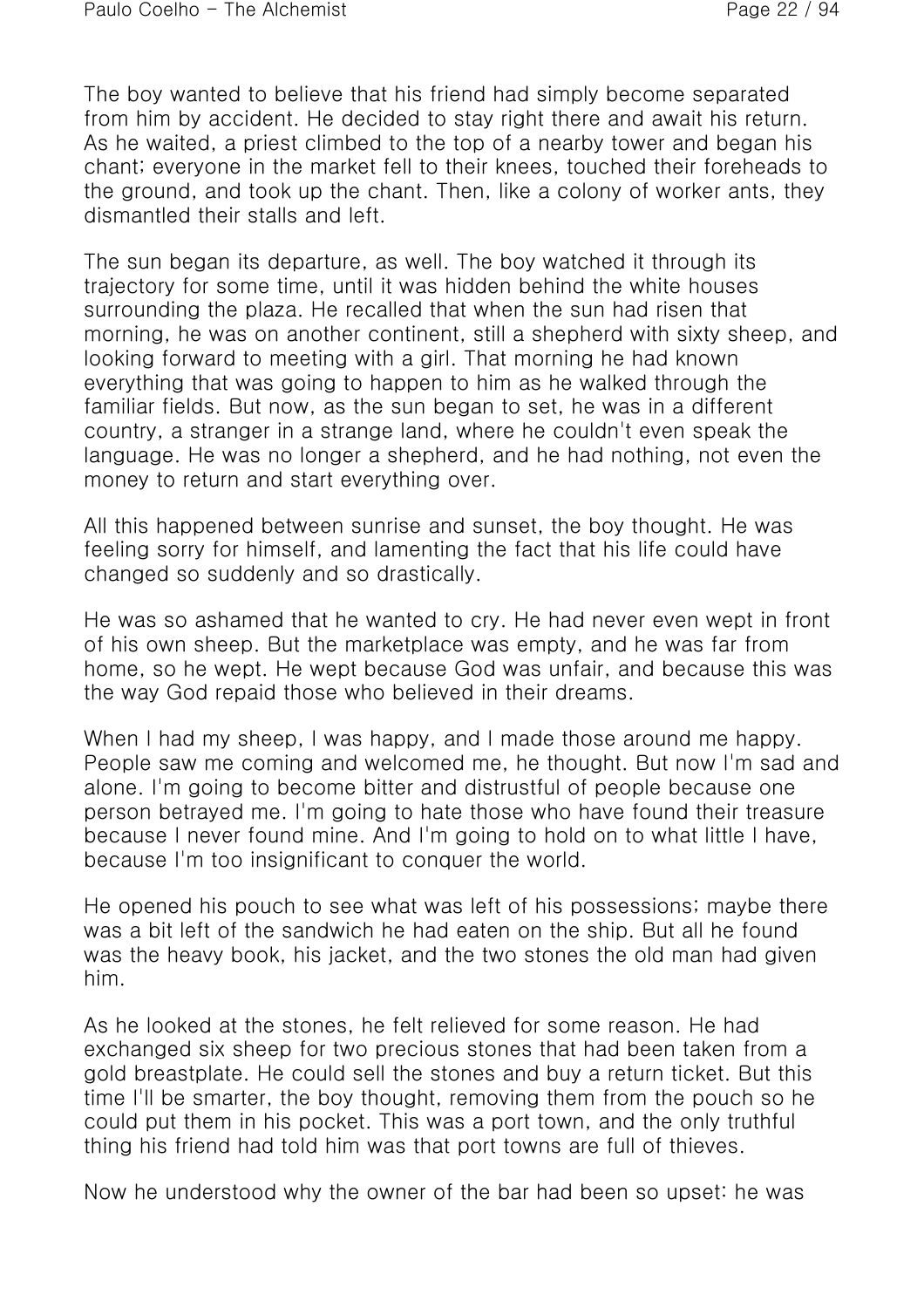The boy wanted to believe that his friend had simply become separated from him by accident. He decided to stay right there and await his return. As he waited, a priest climbed to the top of a nearby tower and began his chant; everyone in the market fell to their knees, touched their foreheads to the ground, and took up the chant. Then, like a colony of worker ants, they dismantled their stalls and left.

The sun began its departure, as well. The boy watched it through its trajectory for some time, until it was hidden behind the white houses surrounding the plaza. He recalled that when the sun had risen that morning, he was on another continent, still a shepherd with sixty sheep, and looking forward to meeting with a girl. That morning he had known everything that was going to happen to him as he walked through the familiar fields. But now, as the sun began to set, he was in a different country, a stranger in a strange land, where he couldn't even speak the language. He was no longer a shepherd, and he had nothing, not even the money to return and start everything over.

All this happened between sunrise and sunset, the boy thought. He was feeling sorry for himself, and lamenting the fact that his life could have changed so suddenly and so drastically.

He was so ashamed that he wanted to cry. He had never even wept in front of his own sheep. But the marketplace was empty, and he was far from home, so he wept. He wept because God was unfair, and because this was the way God repaid those who believed in their dreams.

When I had my sheep. I was happy, and I made those around me happy. People saw me coming and welcomed me, he thought. But now I'm sad and alone. I'm going to become bitter and distrustful of people because one person betrayed me. I'm going to hate those who have found their treasure because I never found mine. And I'm going to hold on to what little I have, because I'm too insignificant to conquer the world.

He opened his pouch to see what was left of his possessions; maybe there was a bit left of the sandwich he had eaten on the ship. But all he found was the heavy book, his jacket, and the two stones the old man had given him.

As he looked at the stones, he felt relieved for some reason. He had exchanged six sheep for two precious stones that had been taken from a gold breastplate. He could sell the stones and buy a return ticket. But this time I'll be smarter, the boy thought, removing them from the pouch so he could put them in his pocket. This was a port town, and the only truthful thing his friend had told him was that port towns are full of thieves.

Now he understood why the owner of the bar had been so upset: he was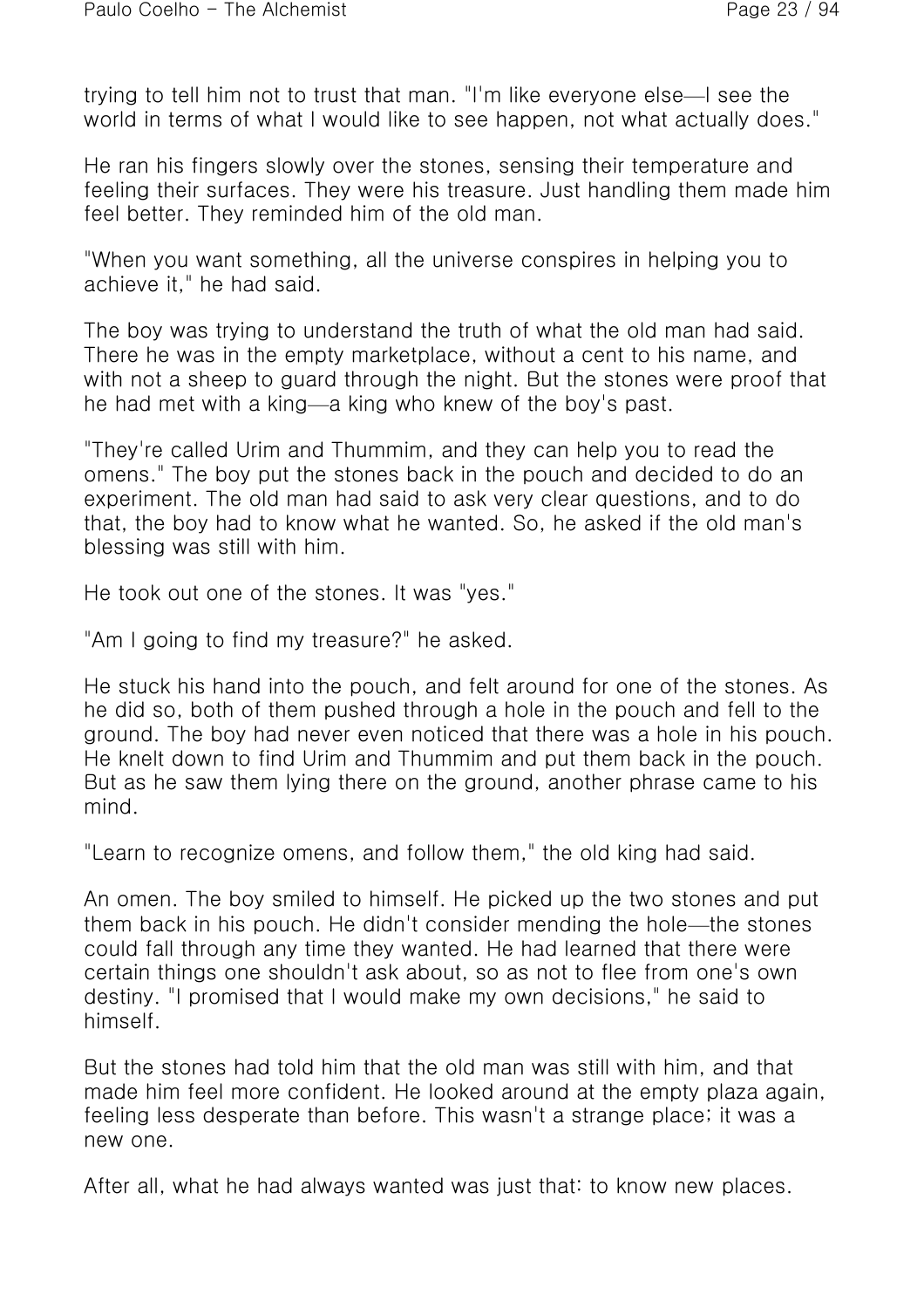trying to tell him not to trust that man. "I'm like everyone else—I see the world in terms of what I would like to see happen, not what actually does."

He ran his fingers slowly over the stones, sensing their temperature and feeling their surfaces. They were his treasure. Just handling them made him feel better. They reminded him of the old man.

"When you want something, all the universe conspires in helping you to achieve it," he had said.

The boy was trying to understand the truth of what the old man had said. There he was in the empty marketplace, without a cent to his name, and with not a sheep to guard through the night. But the stones were proof that he had met with a king—a king who knew of the boy's past.

"They're called Urim and Thummim, and they can help you to read the omens." The boy put the stones back in the pouch and decided to do an experiment. The old man had said to ask very clear questions, and to do that, the boy had to know what he wanted. So, he asked if the old man's blessing was still with him.

He took out one of the stones. It was "yes."

"Am I going to find my treasure?" he asked.

He stuck his hand into the pouch, and felt around for one of the stones. As he did so, both of them pushed through a hole in the pouch and fell to the ground. The boy had never even noticed that there was a hole in his pouch. He knelt down to find Urim and Thummim and put them back in the pouch. But as he saw them lying there on the ground, another phrase came to his mind.

"Learn to recognize omens, and follow them," the old king had said.

An omen. The boy smiled to himself. He picked up the two stones and put them back in his pouch. He didn't consider mending the hole—the stones could fall through any time they wanted. He had learned that there were certain things one shouldn't ask about, so as not to flee from one's own destiny. "I promised that I would make my own decisions," he said to himself.

But the stones had told him that the old man was still with him, and that made him feel more confident. He looked around at the empty plaza again, feeling less desperate than before. This wasn't a strange place; it was a new one.

After all, what he had always wanted was just that: to know new places.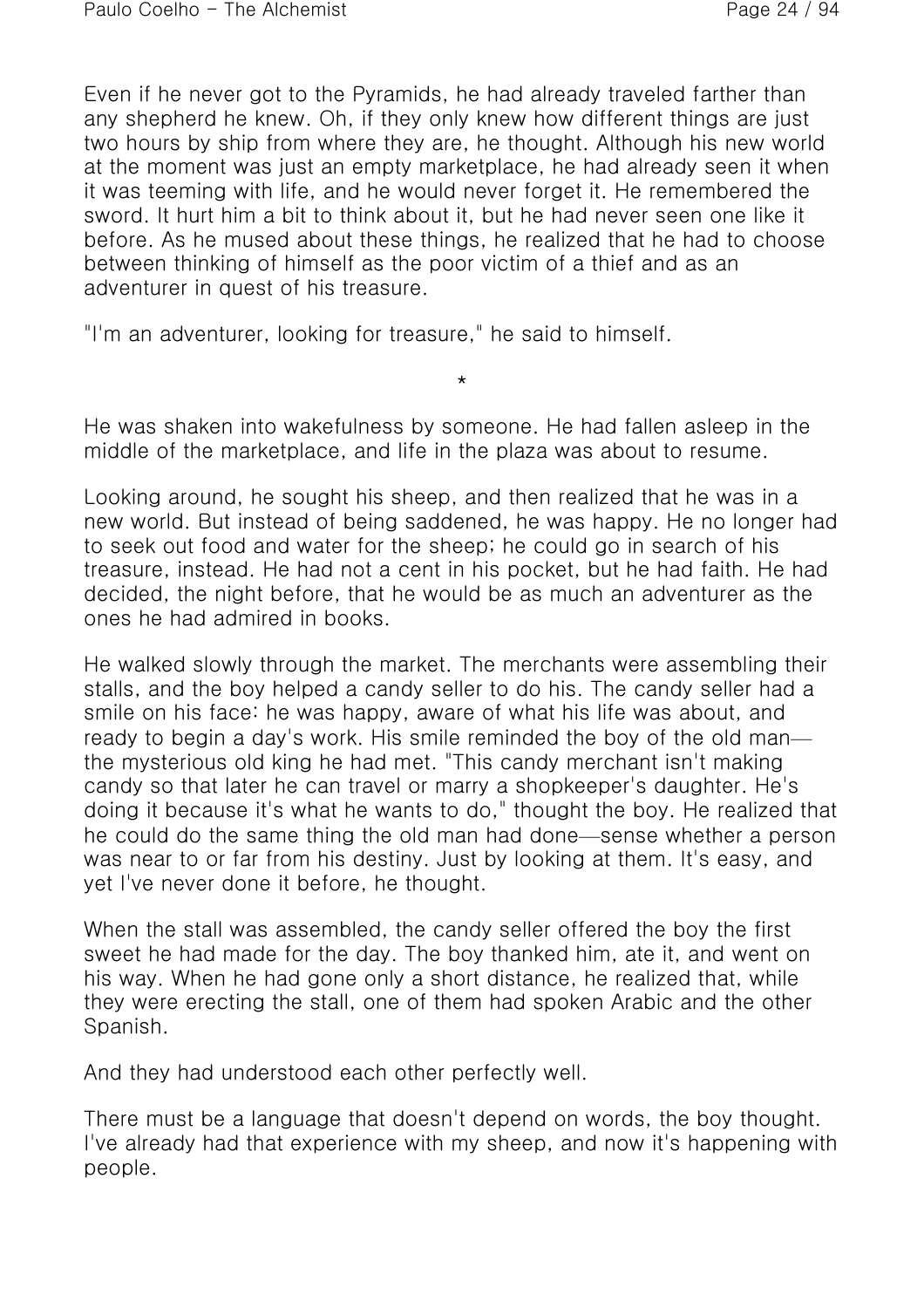Even if he never got to the Pyramids, he had already traveled farther than any shepherd he knew. Oh, if they only knew how different things are just two hours by ship from where they are, he thought. Although his new world at the moment was just an empty marketplace, he had already seen it when it was teeming with life, and he would never forget it. He remembered the sword. It hurt him a bit to think about it, but he had never seen one like it before. As he mused about these things, he realized that he had to choose between thinking of himself as the poor victim of a thief and as an adventurer in quest of his treasure.

"I'm an adventurer, looking for treasure," he said to himself.

He was shaken into wakefulness by someone. He had fallen asleep in the middle of the marketplace, and life in the plaza was about to resume.

\*

Looking around, he sought his sheep, and then realized that he was in a new world. But instead of being saddened, he was happy. He no longer had to seek out food and water for the sheep; he could go in search of his treasure, instead. He had not a cent in his pocket, but he had faith. He had decided, the night before, that he would be as much an adventurer as the ones he had admired in books.

He walked slowly through the market. The merchants were assembling their stalls, and the boy helped a candy seller to do his. The candy seller had a smile on his face: he was happy, aware of what his life was about, and ready to begin a day's work. His smile reminded the boy of the old man the mysterious old king he had met. "This candy merchant isn't making candy so that later he can travel or marry a shopkeeper's daughter. He's doing it because it's what he wants to do," thought the boy. He realized that he could do the same thing the old man had done—sense whether a person was near to or far from his destiny. Just by looking at them. It's easy, and yet I've never done it before, he thought.

When the stall was assembled, the candy seller offered the boy the first sweet he had made for the day. The boy thanked him, ate it, and went on his way. When he had gone only a short distance, he realized that, while they were erecting the stall, one of them had spoken Arabic and the other Spanish.

And they had understood each other perfectly well.

There must be a language that doesn't depend on words, the boy thought. I've already had that experience with my sheep, and now it's happening with people.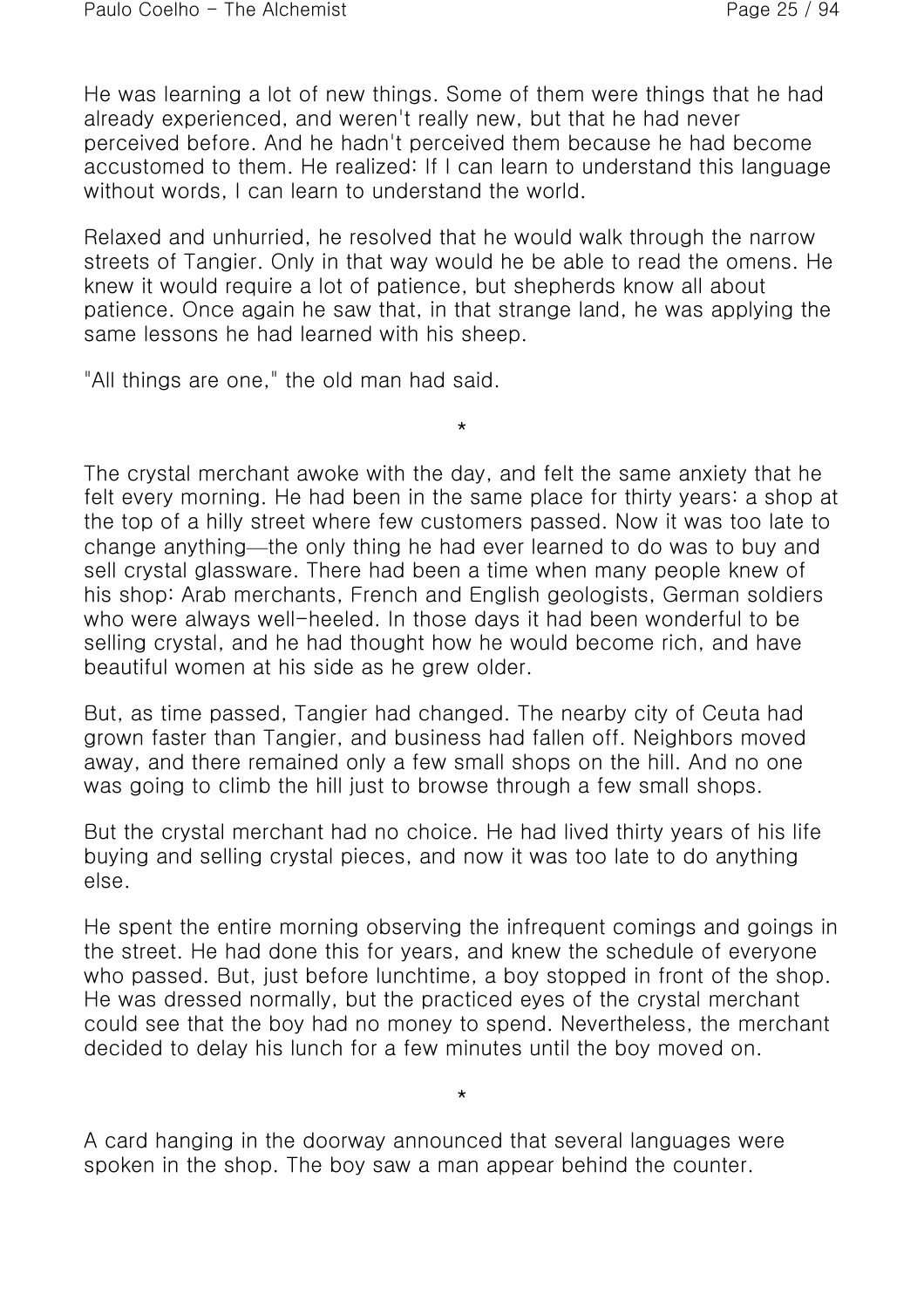He was learning a lot of new things. Some of them were things that he had already experienced, and weren't really new, but that he had never perceived before. And he hadn't perceived them because he had become accustomed to them. He realized: If I can learn to understand this language without words, I can learn to understand the world.

Relaxed and unhurried, he resolved that he would walk through the narrow streets of Tangier. Only in that way would he be able to read the omens. He knew it would require a lot of patience, but shepherds know all about patience. Once again he saw that, in that strange land, he was applying the same lessons he had learned with his sheep.

\*

"All things are one," the old man had said.

The crystal merchant awoke with the day, and felt the same anxiety that he felt every morning. He had been in the same place for thirty years: a shop at the top of a hilly street where few customers passed. Now it was too late to change anything—the only thing he had ever learned to do was to buy and sell crystal glassware. There had been a time when many people knew of his shop: Arab merchants, French and English geologists, German soldiers who were always well-heeled. In those days it had been wonderful to be selling crystal, and he had thought how he would become rich, and have beautiful women at his side as he grew older.

But, as time passed, Tangier had changed. The nearby city of Ceuta had grown faster than Tangier, and business had fallen off. Neighbors moved away, and there remained only a few small shops on the hill. And no one was going to climb the hill just to browse through a few small shops.

But the crystal merchant had no choice. He had lived thirty years of his life buying and selling crystal pieces, and now it was too late to do anything else.

He spent the entire morning observing the infrequent comings and goings in the street. He had done this for years, and knew the schedule of everyone who passed. But, just before lunchtime, a boy stopped in front of the shop. He was dressed normally, but the practiced eyes of the crystal merchant could see that the boy had no money to spend. Nevertheless, the merchant decided to delay his lunch for a few minutes until the boy moved on.

\*

A card hanging in the doorway announced that several languages were spoken in the shop. The boy saw a man appear behind the counter.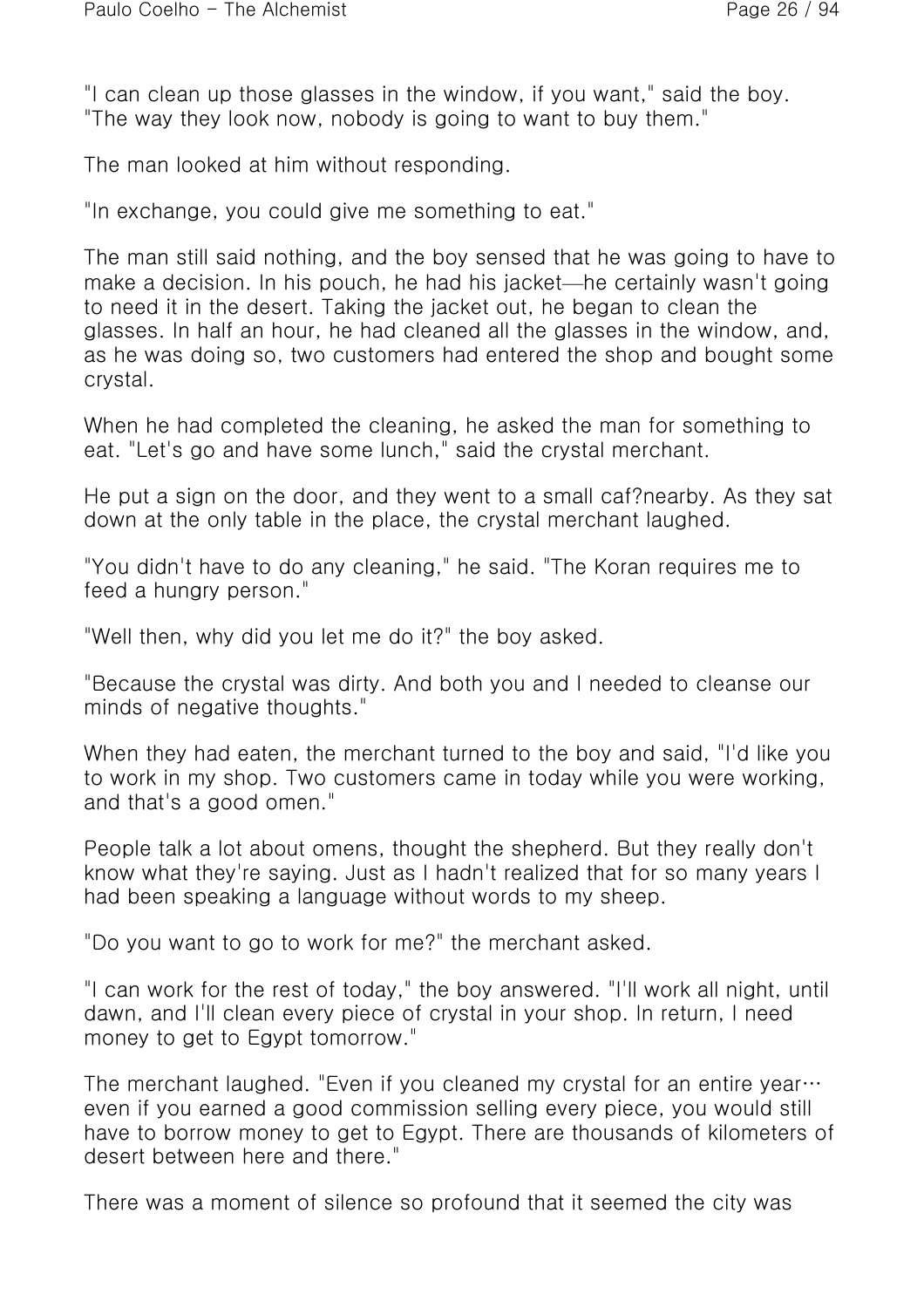"I can clean up those glasses in the window, if you want," said the boy. "The way they look now, nobody is going to want to buy them."

The man looked at him without responding.

"In exchange, you could give me something to eat."

The man still said nothing, and the boy sensed that he was going to have to make a decision. In his pouch, he had his jacket—he certainly wasn't going to need it in the desert. Taking the jacket out, he began to clean the glasses. In half an hour, he had cleaned all the glasses in the window, and, as he was doing so, two customers had entered the shop and bought some crystal.

When he had completed the cleaning, he asked the man for something to eat. "Let's go and have some lunch," said the crystal merchant.

He put a sign on the door, and they went to a small caf?nearby. As they sat down at the only table in the place, the crystal merchant laughed.

"You didn't have to do any cleaning," he said. "The Koran requires me to feed a hungry person."

"Well then, why did you let me do it?" the boy asked.

"Because the crystal was dirty. And both you and I needed to cleanse our minds of negative thoughts."

When they had eaten, the merchant turned to the boy and said, "I'd like you to work in my shop. Two customers came in today while you were working, and that's a good omen."

People talk a lot about omens, thought the shepherd. But they really don't know what they're saying. Just as I hadn't realized that for so many years I had been speaking a language without words to my sheep.

"Do you want to go to work for me?" the merchant asked.

"I can work for the rest of today," the boy answered. "I'll work all night, until dawn, and I'll clean every piece of crystal in your shop. In return, I need money to get to Egypt tomorrow."

The merchant laughed. "Even if you cleaned my crystal for an entire year… even if you earned a good commission selling every piece, you would still have to borrow money to get to Egypt. There are thousands of kilometers of desert between here and there."

There was a moment of silence so profound that it seemed the city was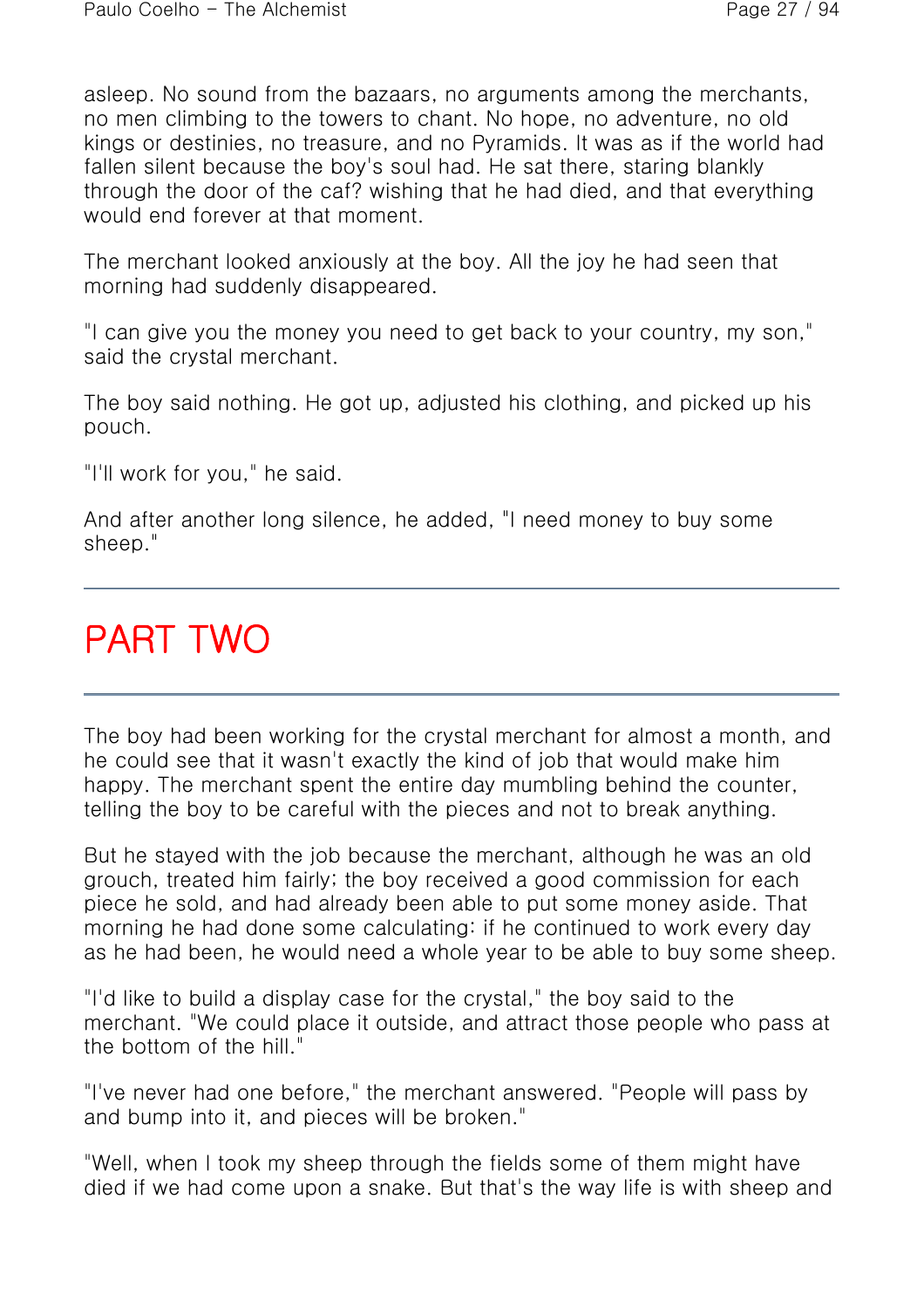asleep. No sound from the bazaars, no arguments among the merchants, no men climbing to the towers to chant. No hope, no adventure, no old kings or destinies, no treasure, and no Pyramids. It was as if the world had fallen silent because the boy's soul had. He sat there, staring blankly through the door of the caf? wishing that he had died, and that everything would end forever at that moment.

The merchant looked anxiously at the boy. All the joy he had seen that morning had suddenly disappeared.

"I can give you the money you need to get back to your country, my son," said the crystal merchant.

The boy said nothing. He got up, adjusted his clothing, and picked up his pouch.

"I'll work for you," he said.

And after another long silence, he added, "I need money to buy some sheep."

## PART TWO

The boy had been working for the crystal merchant for almost a month, and he could see that it wasn't exactly the kind of job that would make him happy. The merchant spent the entire day mumbling behind the counter, telling the boy to be careful with the pieces and not to break anything.

But he stayed with the job because the merchant, although he was an old grouch, treated him fairly; the boy received a good commission for each piece he sold, and had already been able to put some money aside. That morning he had done some calculating: if he continued to work every day as he had been, he would need a whole year to be able to buy some sheep.

"I'd like to build a display case for the crystal," the boy said to the merchant. "We could place it outside, and attract those people who pass at the bottom of the hill."

"I've never had one before," the merchant answered. "People will pass by and bump into it, and pieces will be broken."

"Well, when I took my sheep through the fields some of them might have died if we had come upon a snake. But that's the way life is with sheep and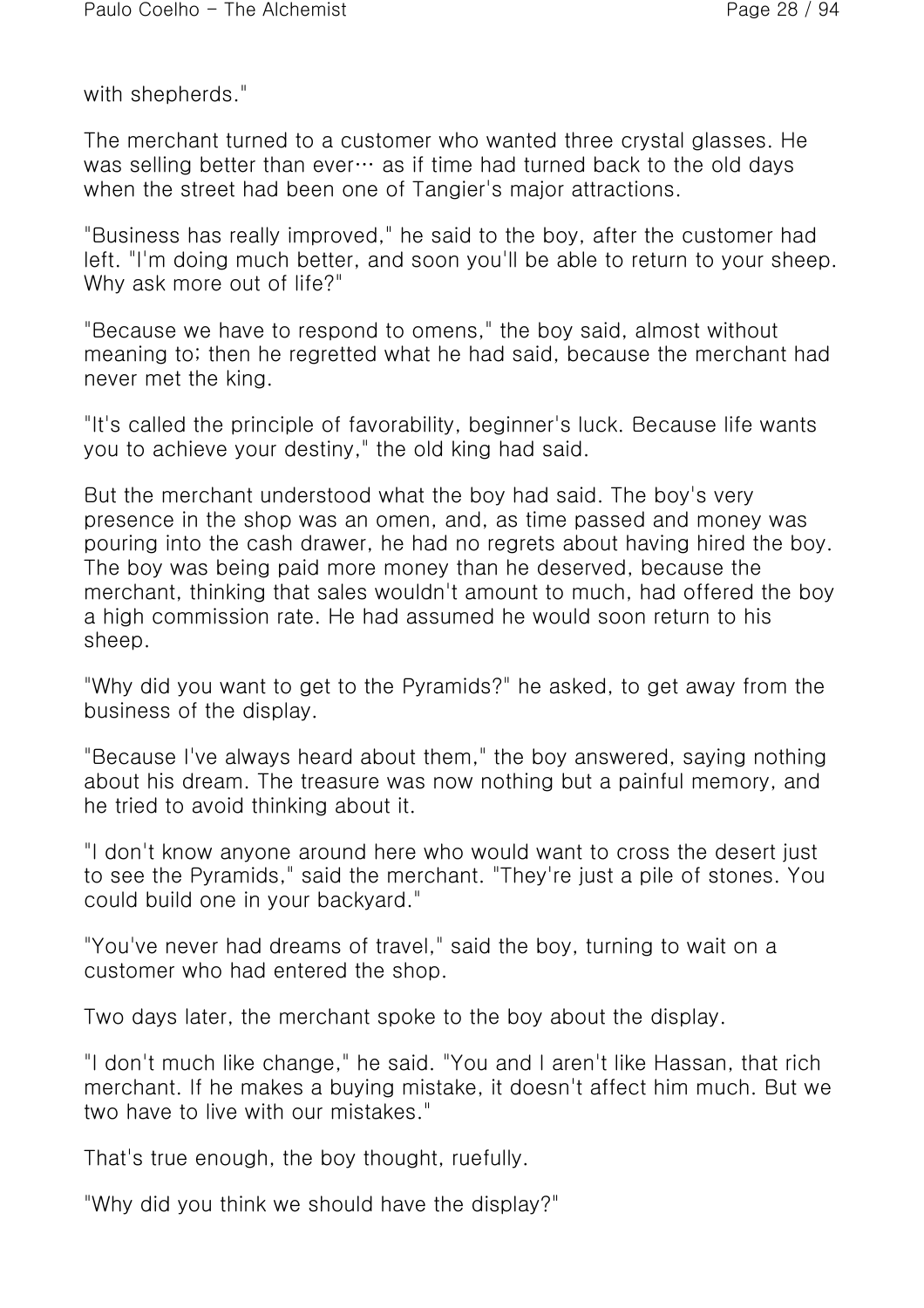with shepherds."

The merchant turned to a customer who wanted three crystal glasses. He was selling better than ever… as if time had turned back to the old days when the street had been one of Tangier's major attractions.

"Business has really improved," he said to the boy, after the customer had left. "I'm doing much better, and soon you'll be able to return to your sheep. Why ask more out of life?"

"Because we have to respond to omens," the boy said, almost without meaning to; then he regretted what he had said, because the merchant had never met the king.

"It's called the principle of favorability, beginner's luck. Because life wants you to achieve your destiny," the old king had said.

But the merchant understood what the boy had said. The boy's very presence in the shop was an omen, and, as time passed and money was pouring into the cash drawer, he had no regrets about having hired the boy. The boy was being paid more money than he deserved, because the merchant, thinking that sales wouldn't amount to much, had offered the boy a high commission rate. He had assumed he would soon return to his sheep.

"Why did you want to get to the Pyramids?" he asked, to get away from the business of the display.

"Because I've always heard about them," the boy answered, saying nothing about his dream. The treasure was now nothing but a painful memory, and he tried to avoid thinking about it.

"I don't know anyone around here who would want to cross the desert just to see the Pyramids," said the merchant. "They're just a pile of stones. You could build one in your backyard."

"You've never had dreams of travel," said the boy, turning to wait on a customer who had entered the shop.

Two days later, the merchant spoke to the boy about the display.

"I don't much like change," he said. "You and I aren't like Hassan, that rich merchant. If he makes a buying mistake, it doesn't affect him much. But we two have to live with our mistakes."

That's true enough, the boy thought, ruefully.

"Why did you think we should have the display?"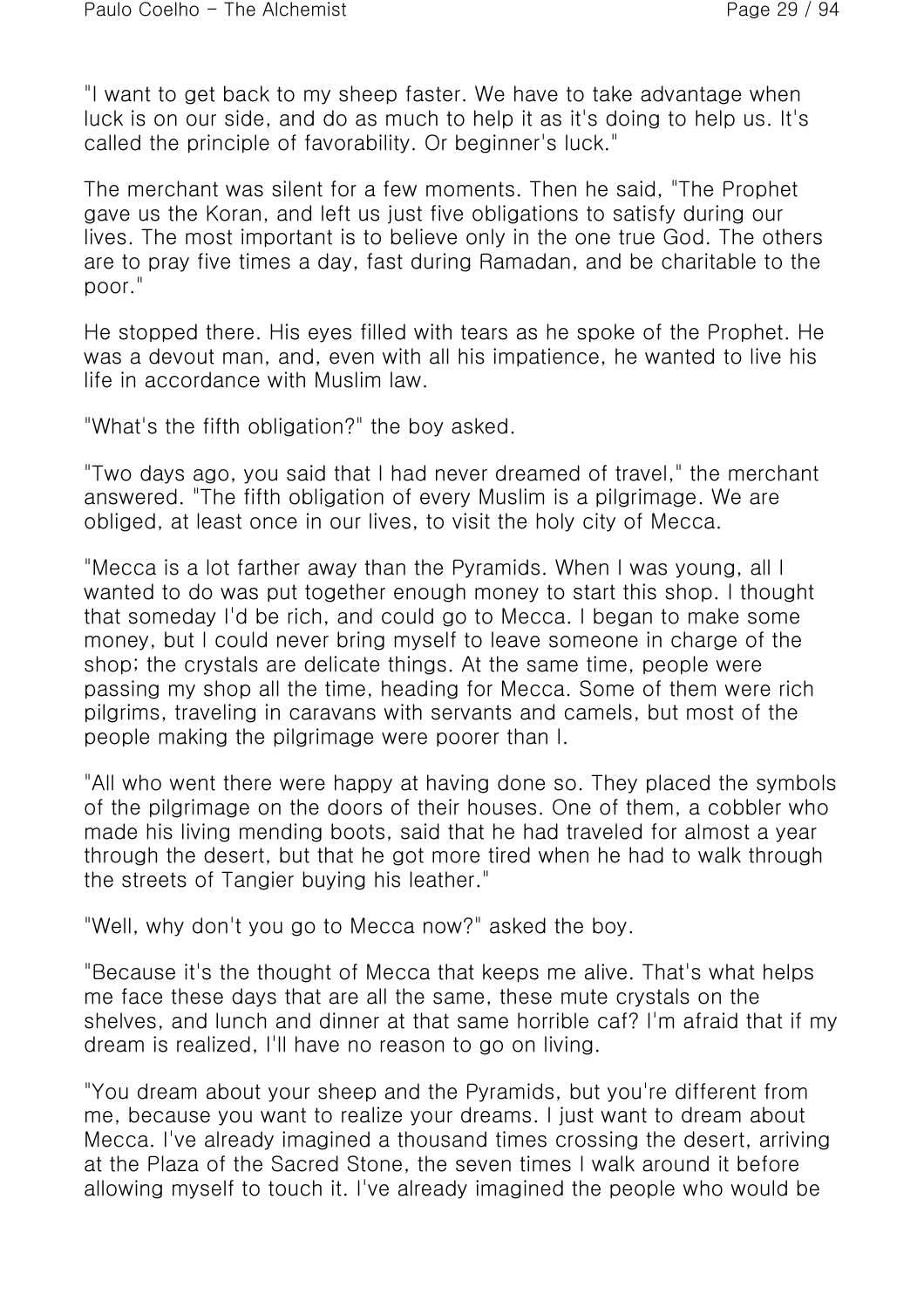"I want to get back to my sheep faster. We have to take advantage when luck is on our side, and do as much to help it as it's doing to help us. It's called the principle of favorability. Or beginner's luck."

The merchant was silent for a few moments. Then he said, "The Prophet gave us the Koran, and left us just five obligations to satisfy during our lives. The most important is to believe only in the one true God. The others are to pray five times a day, fast during Ramadan, and be charitable to the poor."

He stopped there. His eyes filled with tears as he spoke of the Prophet. He was a devout man, and, even with all his impatience, he wanted to live his life in accordance with Muslim law.

"What's the fifth obligation?" the boy asked.

"Two days ago, you said that I had never dreamed of travel," the merchant answered. "The fifth obligation of every Muslim is a pilgrimage. We are obliged, at least once in our lives, to visit the holy city of Mecca.

"Mecca is a lot farther away than the Pyramids. When I was young, all I wanted to do was put together enough money to start this shop. I thought that someday I'd be rich, and could go to Mecca. I began to make some money, but I could never bring myself to leave someone in charge of the shop; the crystals are delicate things. At the same time, people were passing my shop all the time, heading for Mecca. Some of them were rich pilgrims, traveling in caravans with servants and camels, but most of the people making the pilgrimage were poorer than I.

"All who went there were happy at having done so. They placed the symbols of the pilgrimage on the doors of their houses. One of them, a cobbler who made his living mending boots, said that he had traveled for almost a year through the desert, but that he got more tired when he had to walk through the streets of Tangier buying his leather."

"Well, why don't you go to Mecca now?" asked the boy.

"Because it's the thought of Mecca that keeps me alive. That's what helps me face these days that are all the same, these mute crystals on the shelves, and lunch and dinner at that same horrible caf? I'm afraid that if my dream is realized, I'll have no reason to go on living.

"You dream about your sheep and the Pyramids, but you're different from me, because you want to realize your dreams. I just want to dream about Mecca. I've already imagined a thousand times crossing the desert, arriving at the Plaza of the Sacred Stone, the seven times I walk around it before allowing myself to touch it. I've already imagined the people who would be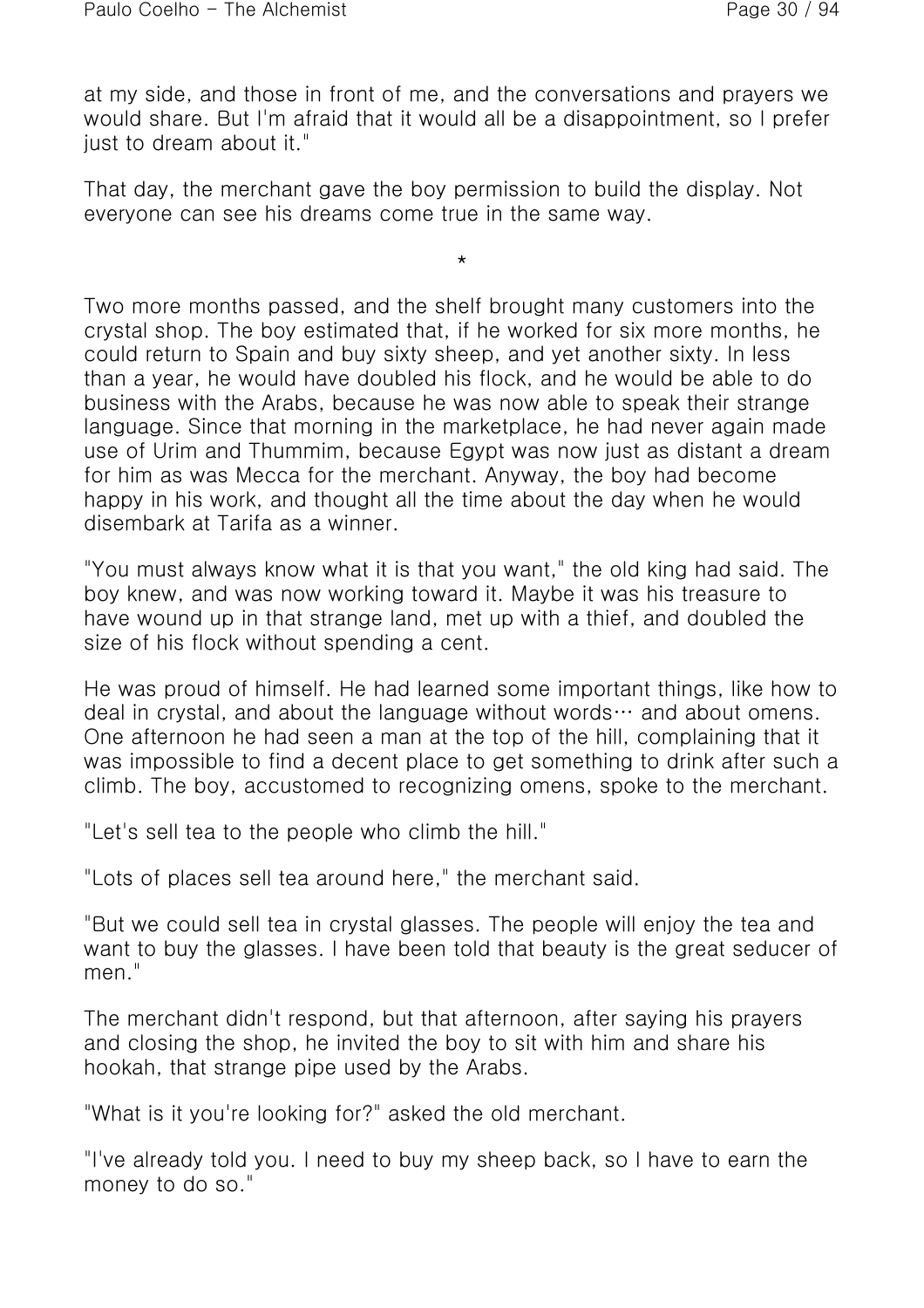at my side, and those in front of me, and the conversations and prayers we would share. But I'm afraid that it would all be a disappointment, so I prefer just to dream about it."

That day, the merchant gave the boy permission to build the display. Not everyone can see his dreams come true in the same way.

\*

Two more months passed, and the shelf brought many customers into the crystal shop. The boy estimated that, if he worked for six more months, he could return to Spain and buy sixty sheep, and yet another sixty. In less than a year, he would have doubled his flock, and he would be able to do business with the Arabs, because he was now able to speak their strange language. Since that morning in the marketplace, he had never again made use of Urim and Thummim, because Egypt was now just as distant a dream for him as was Mecca for the merchant. Anyway, the boy had become happy in his work, and thought all the time about the day when he would disembark at Tarifa as a winner.

"You must always know what it is that you want," the old king had said. The boy knew, and was now working toward it. Maybe it was his treasure to have wound up in that strange land, met up with a thief, and doubled the size of his flock without spending a cent.

He was proud of himself. He had learned some important things, like how to deal in crystal, and about the language without words… and about omens. One afternoon he had seen a man at the top of the hill, complaining that it was impossible to find a decent place to get something to drink after such a climb. The boy, accustomed to recognizing omens, spoke to the merchant.

"Let's sell tea to the people who climb the hill."

"Lots of places sell tea around here," the merchant said.

"But we could sell tea in crystal glasses. The people will enjoy the tea and want to buy the glasses. I have been told that beauty is the great seducer of men."

The merchant didn't respond, but that afternoon, after saying his prayers and closing the shop, he invited the boy to sit with him and share his hookah, that strange pipe used by the Arabs.

"What is it you're looking for?" asked the old merchant.

"I've already told you. I need to buy my sheep back, so I have to earn the money to do so."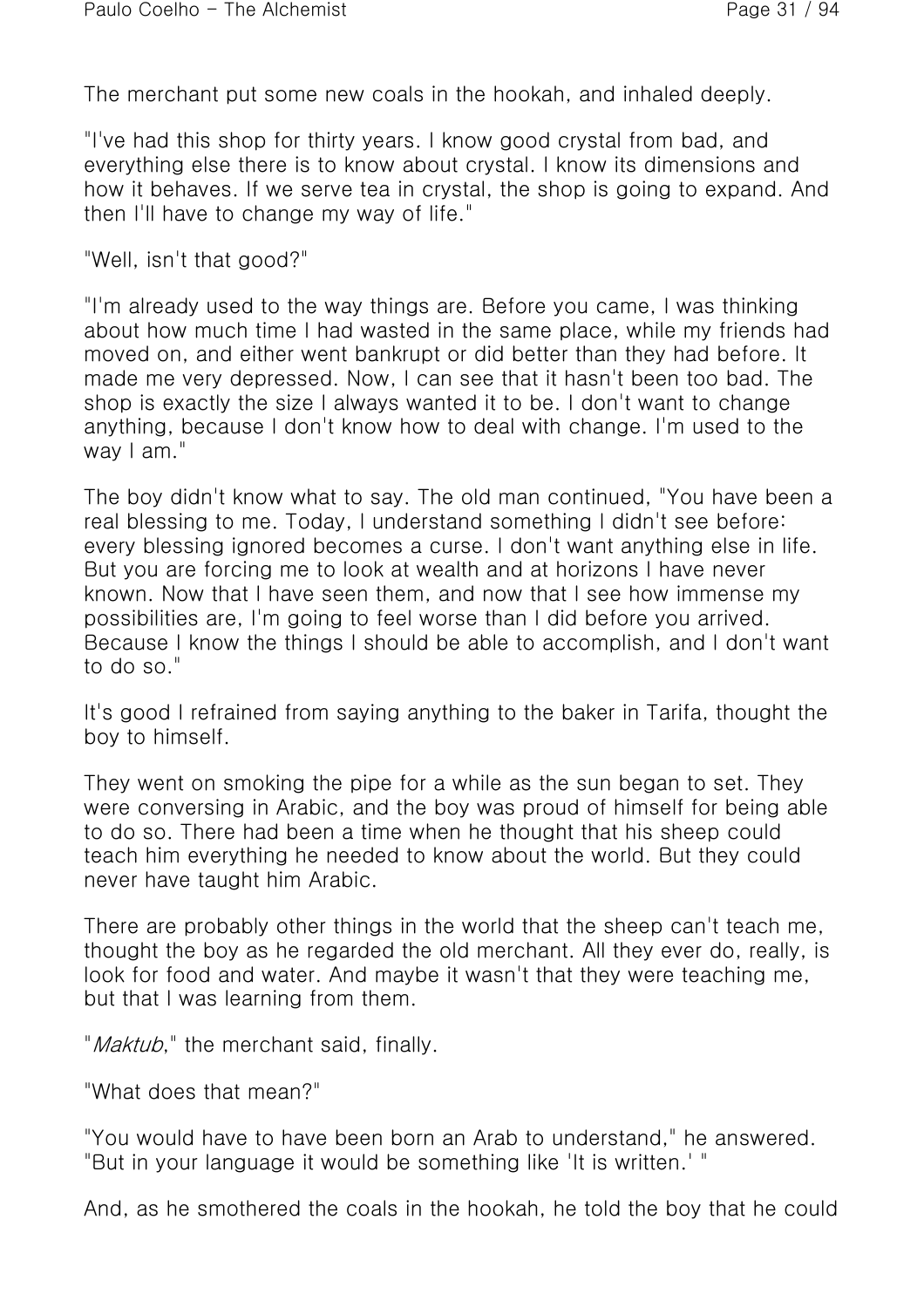The merchant put some new coals in the hookah, and inhaled deeply.

"I've had this shop for thirty years. I know good crystal from bad, and everything else there is to know about crystal. I know its dimensions and how it behaves. If we serve tea in crystal, the shop is going to expand. And then I'll have to change my way of life."

"Well, isn't that good?"

"I'm already used to the way things are. Before you came, I was thinking about how much time I had wasted in the same place, while my friends had moved on, and either went bankrupt or did better than they had before. It made me very depressed. Now, I can see that it hasn't been too bad. The shop is exactly the size I always wanted it to be. I don't want to change anything, because I don't know how to deal with change. I'm used to the way I am."

The boy didn't know what to say. The old man continued, "You have been a real blessing to me. Today, I understand something I didn't see before: every blessing ignored becomes a curse. I don't want anything else in life. But you are forcing me to look at wealth and at horizons I have never known. Now that I have seen them, and now that I see how immense my possibilities are, I'm going to feel worse than I did before you arrived. Because I know the things I should be able to accomplish, and I don't want to do so."

It's good I refrained from saying anything to the baker in Tarifa, thought the boy to himself.

They went on smoking the pipe for a while as the sun began to set. They were conversing in Arabic, and the boy was proud of himself for being able to do so. There had been a time when he thought that his sheep could teach him everything he needed to know about the world. But they could never have taught him Arabic.

There are probably other things in the world that the sheep can't teach me, thought the boy as he regarded the old merchant. All they ever do, really, is look for food and water. And maybe it wasn't that they were teaching me, but that I was learning from them.

"Maktub," the merchant said, finally.

"What does that mean?"

"You would have to have been born an Arab to understand," he answered. "But in your language it would be something like 'It is written.' "

And, as he smothered the coals in the hookah, he told the boy that he could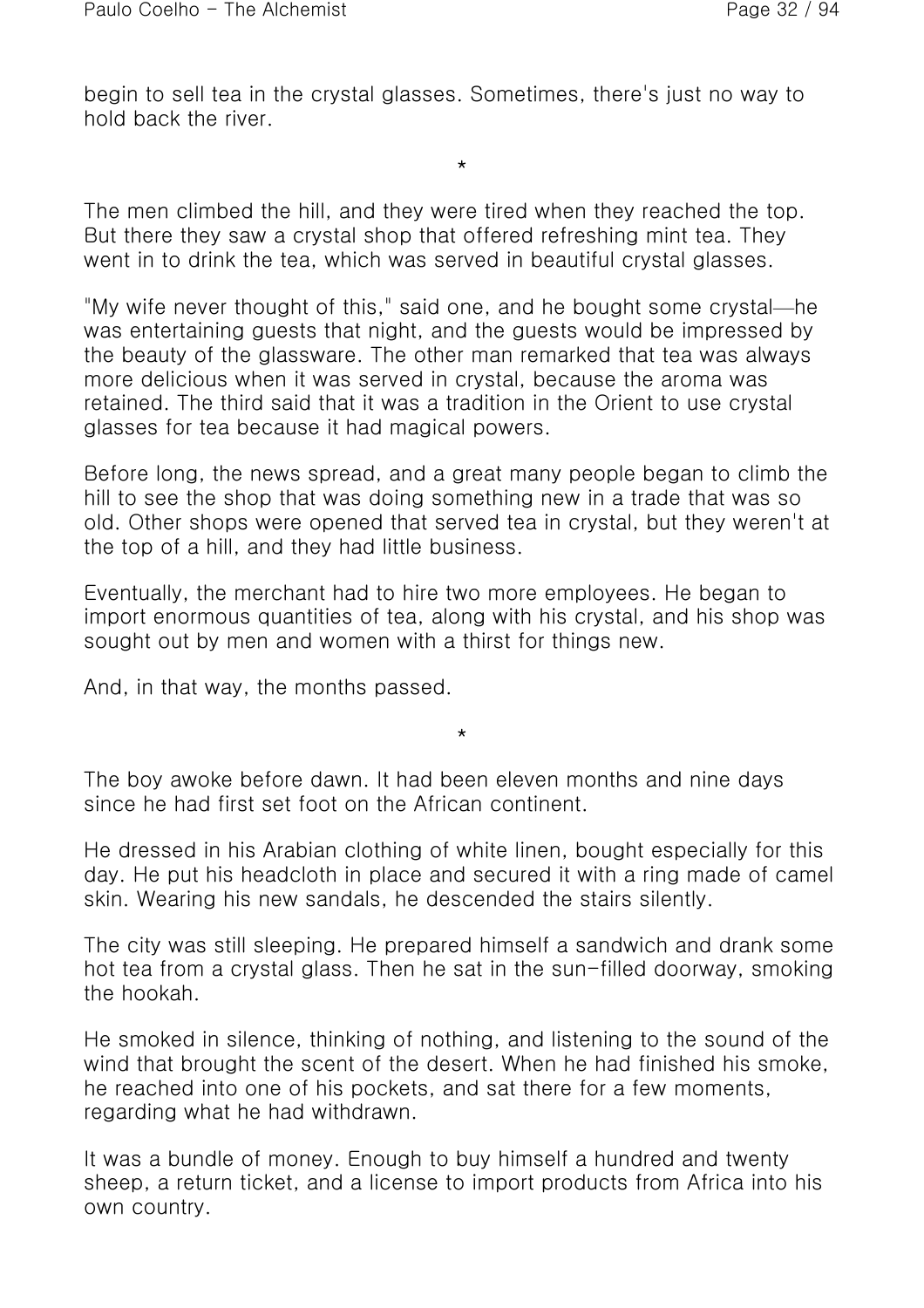begin to sell tea in the crystal glasses. Sometimes, there's just no way to hold back the river.

\*

The men climbed the hill, and they were tired when they reached the top. But there they saw a crystal shop that offered refreshing mint tea. They went in to drink the tea, which was served in beautiful crystal glasses.

"My wife never thought of this," said one, and he bought some crystal—he was entertaining quests that night, and the quests would be impressed by the beauty of the glassware. The other man remarked that tea was always more delicious when it was served in crystal, because the aroma was retained. The third said that it was a tradition in the Orient to use crystal glasses for tea because it had magical powers.

Before long, the news spread, and a great many people began to climb the hill to see the shop that was doing something new in a trade that was so old. Other shops were opened that served tea in crystal, but they weren't at the top of a hill, and they had little business.

Eventually, the merchant had to hire two more employees. He began to import enormous quantities of tea, along with his crystal, and his shop was sought out by men and women with a thirst for things new.

\*

And, in that way, the months passed.

The boy awoke before dawn. It had been eleven months and nine days since he had first set foot on the African continent.

He dressed in his Arabian clothing of white linen, bought especially for this day. He put his headcloth in place and secured it with a ring made of camel skin. Wearing his new sandals, he descended the stairs silently.

The city was still sleeping. He prepared himself a sandwich and drank some hot tea from a crystal glass. Then he sat in the sun-filled doorway, smoking the hookah.

He smoked in silence, thinking of nothing, and listening to the sound of the wind that brought the scent of the desert. When he had finished his smoke, he reached into one of his pockets, and sat there for a few moments, regarding what he had withdrawn.

It was a bundle of money. Enough to buy himself a hundred and twenty sheep, a return ticket, and a license to import products from Africa into his own country.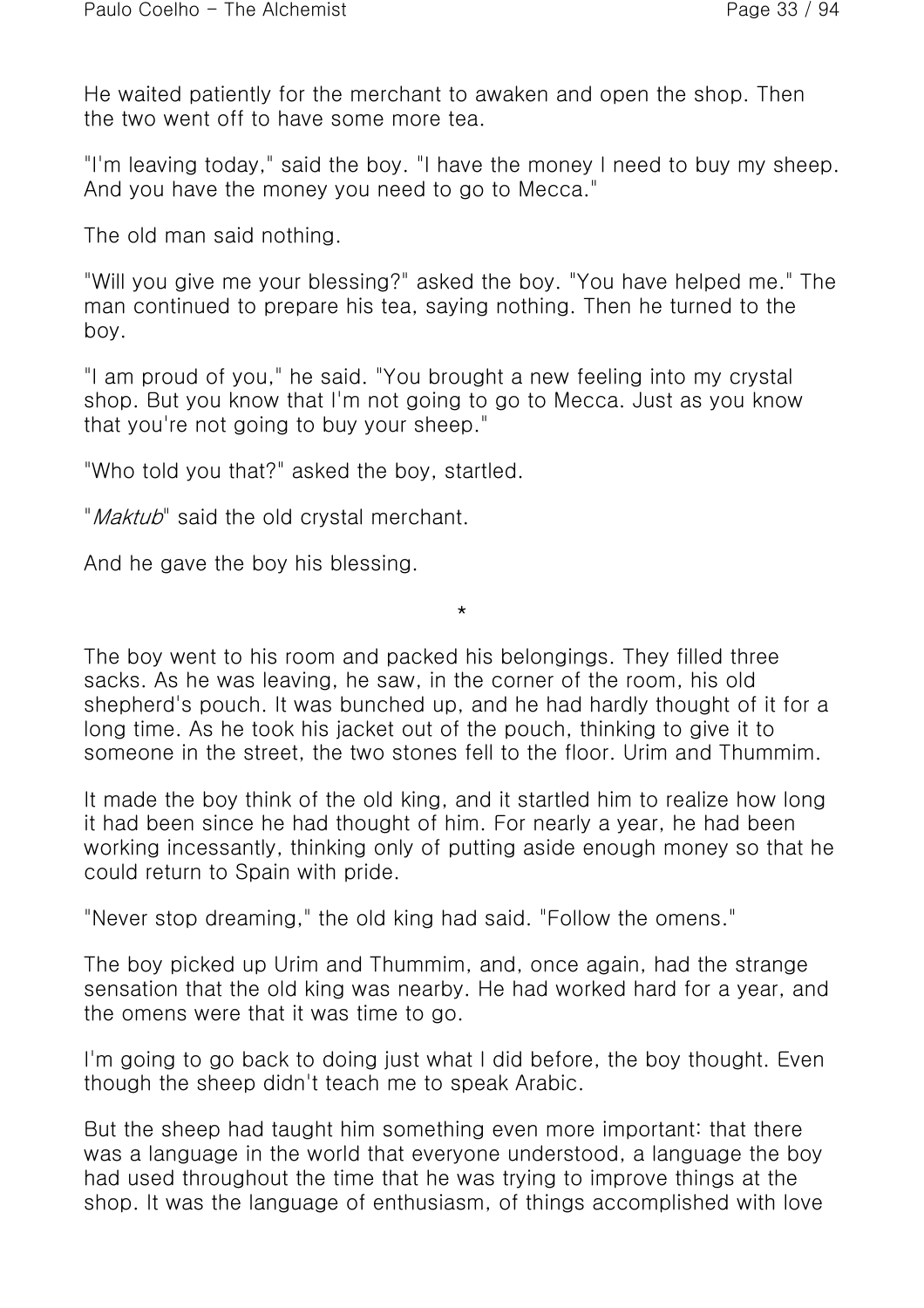He waited patiently for the merchant to awaken and open the shop. Then the two went off to have some more tea.

"I'm leaving today," said the boy. "I have the money I need to buy my sheep. And you have the money you need to go to Mecca."

The old man said nothing.

"Will you give me your blessing?" asked the boy. "You have helped me." The man continued to prepare his tea, saying nothing. Then he turned to the boy.

"I am proud of you," he said. "You brought a new feeling into my crystal shop. But you know that I'm not going to go to Mecca. Just as you know that you're not going to buy your sheep."

"Who told you that?" asked the boy, startled.

"*Maktub*" said the old crystal merchant.

And he gave the boy his blessing.

The boy went to his room and packed his belongings. They filled three sacks. As he was leaving, he saw, in the corner of the room, his old shepherd's pouch. It was bunched up, and he had hardly thought of it for a long time. As he took his jacket out of the pouch, thinking to give it to someone in the street, the two stones fell to the floor. Urim and Thummim.

\*

It made the boy think of the old king, and it startled him to realize how long it had been since he had thought of him. For nearly a year, he had been working incessantly, thinking only of putting aside enough money so that he could return to Spain with pride.

"Never stop dreaming," the old king had said. "Follow the omens."

The boy picked up Urim and Thummim, and, once again, had the strange sensation that the old king was nearby. He had worked hard for a year, and the omens were that it was time to go.

I'm going to go back to doing just what I did before, the boy thought. Even though the sheep didn't teach me to speak Arabic.

But the sheep had taught him something even more important: that there was a language in the world that everyone understood, a language the boy had used throughout the time that he was trying to improve things at the shop. It was the language of enthusiasm, of things accomplished with love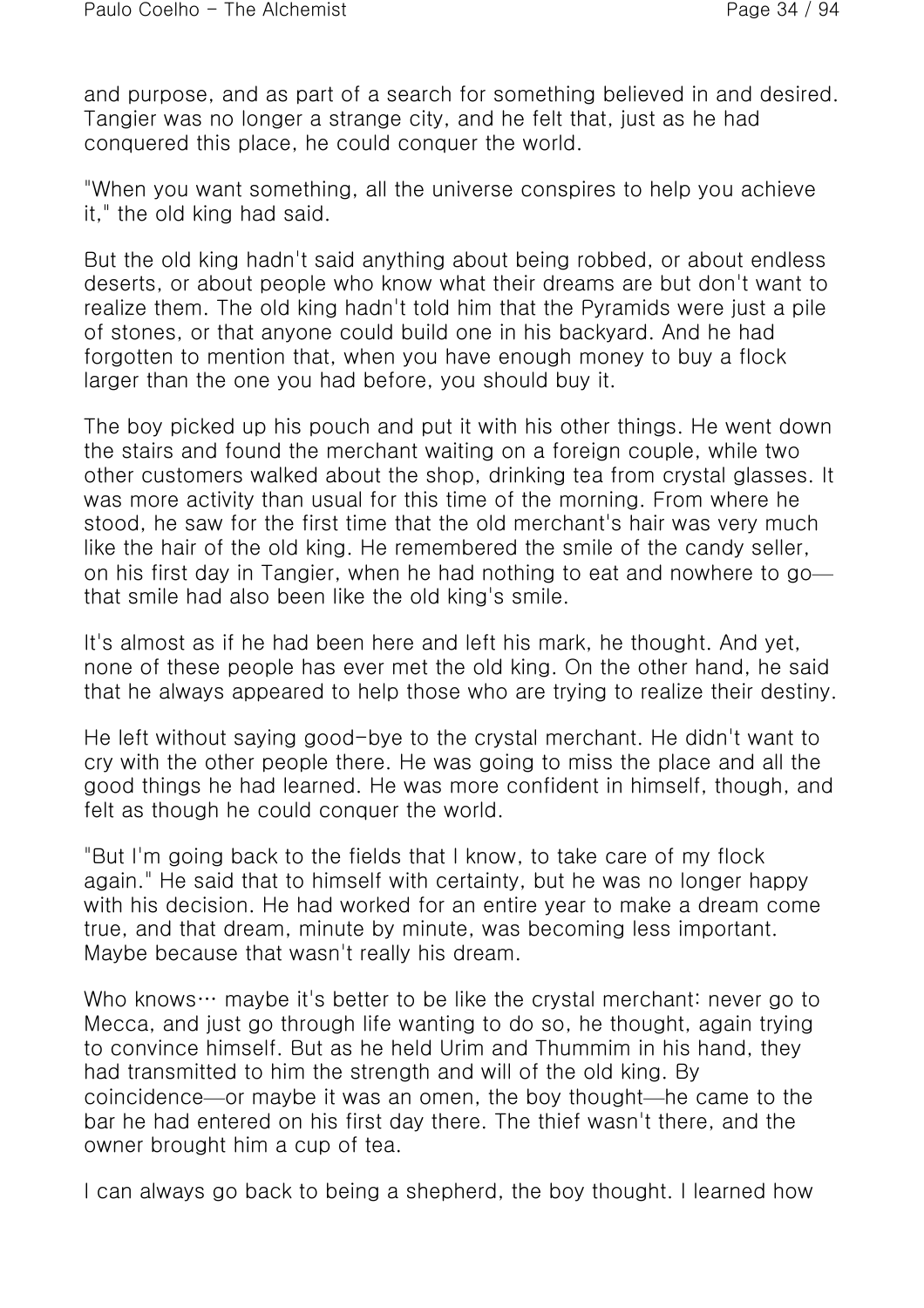and purpose, and as part of a search for something believed in and desired. Tangier was no longer a strange city, and he felt that, just as he had conquered this place, he could conquer the world.

"When you want something, all the universe conspires to help you achieve it," the old king had said.

But the old king hadn't said anything about being robbed, or about endless deserts, or about people who know what their dreams are but don't want to realize them. The old king hadn't told him that the Pyramids were just a pile of stones, or that anyone could build one in his backyard. And he had forgotten to mention that, when you have enough money to buy a flock larger than the one you had before, you should buy it.

The boy picked up his pouch and put it with his other things. He went down the stairs and found the merchant waiting on a foreign couple, while two other customers walked about the shop, drinking tea from crystal glasses. It was more activity than usual for this time of the morning. From where he stood, he saw for the first time that the old merchant's hair was very much like the hair of the old king. He remembered the smile of the candy seller, on his first day in Tangier, when he had nothing to eat and nowhere to go that smile had also been like the old king's smile.

It's almost as if he had been here and left his mark, he thought. And yet, none of these people has ever met the old king. On the other hand, he said that he always appeared to help those who are trying to realize their destiny.

He left without saying good-bye to the crystal merchant. He didn't want to cry with the other people there. He was going to miss the place and all the good things he had learned. He was more confident in himself, though, and felt as though he could conquer the world.

"But I'm going back to the fields that I know, to take care of my flock again." He said that to himself with certainty, but he was no longer happy with his decision. He had worked for an entire year to make a dream come true, and that dream, minute by minute, was becoming less important. Maybe because that wasn't really his dream.

Who knows… maybe it's better to be like the crystal merchant: never go to Mecca, and just go through life wanting to do so, he thought, again trying to convince himself. But as he held Urim and Thummim in his hand, they had transmitted to him the strength and will of the old king. By coincidence—or maybe it was an omen, the boy thought—he came to the bar he had entered on his first day there. The thief wasn't there, and the owner brought him a cup of tea.

I can always go back to being a shepherd, the boy thought. I learned how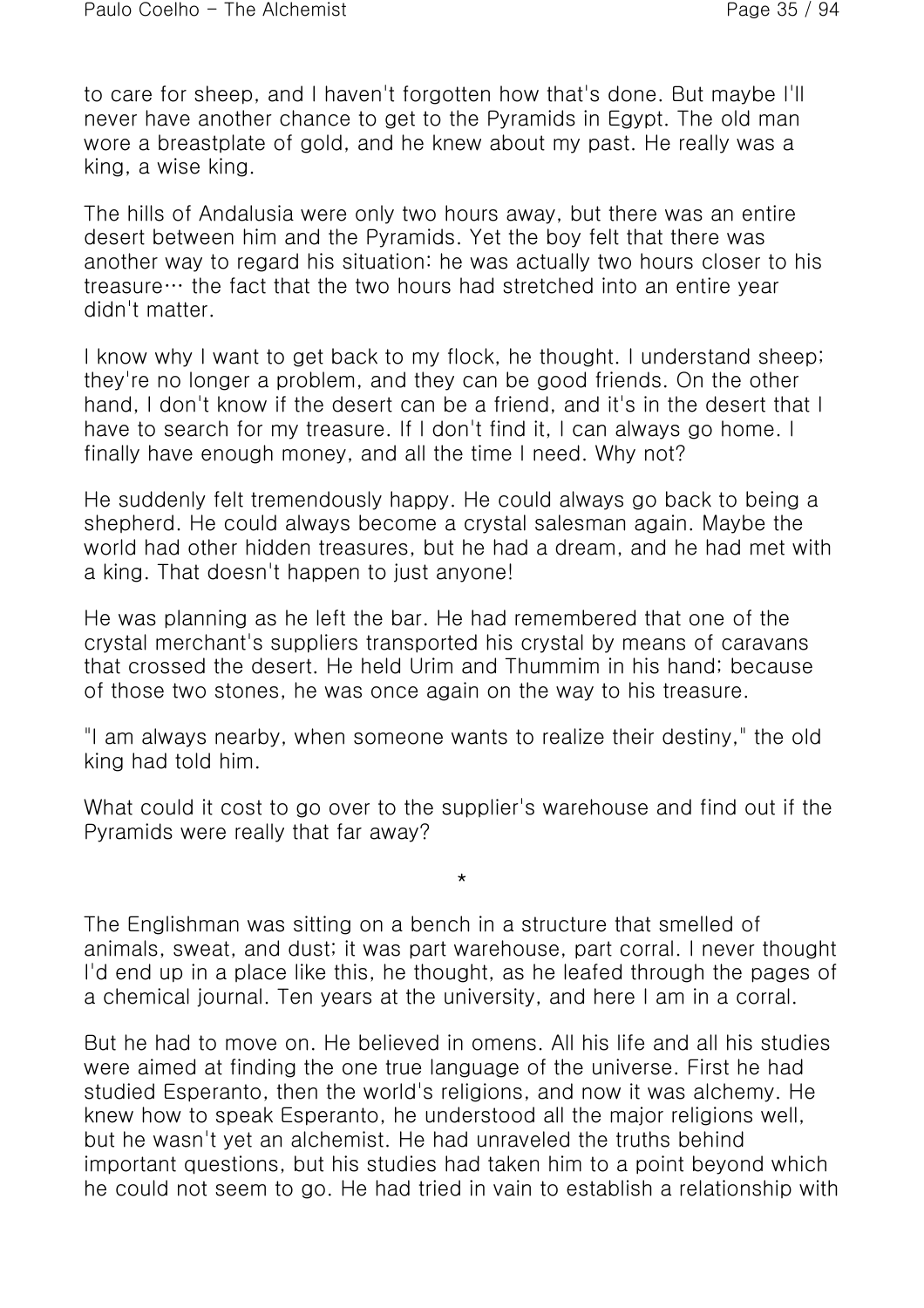to care for sheep, and I haven't forgotten how that's done. But maybe I'll never have another chance to get to the Pyramids in Egypt. The old man wore a breastplate of gold, and he knew about my past. He really was a king, a wise king.

The hills of Andalusia were only two hours away, but there was an entire desert between him and the Pyramids. Yet the boy felt that there was another way to regard his situation: he was actually two hours closer to his treasure… the fact that the two hours had stretched into an entire year didn't matter.

I know why I want to get back to my flock, he thought. I understand sheep; they're no longer a problem, and they can be good friends. On the other hand, I don't know if the desert can be a friend, and it's in the desert that I have to search for my treasure. If I don't find it, I can always go home. I finally have enough money, and all the time I need. Why not?

He suddenly felt tremendously happy. He could always go back to being a shepherd. He could always become a crystal salesman again. Maybe the world had other hidden treasures, but he had a dream, and he had met with a king. That doesn't happen to just anyone!

He was planning as he left the bar. He had remembered that one of the crystal merchant's suppliers transported his crystal by means of caravans that crossed the desert. He held Urim and Thummim in his hand; because of those two stones, he was once again on the way to his treasure.

"I am always nearby, when someone wants to realize their destiny," the old king had told him.

What could it cost to go over to the supplier's warehouse and find out if the Pyramids were really that far away?

\*

The Englishman was sitting on a bench in a structure that smelled of animals, sweat, and dust; it was part warehouse, part corral. I never thought I'd end up in a place like this, he thought, as he leafed through the pages of a chemical journal. Ten years at the university, and here I am in a corral.

But he had to move on. He believed in omens. All his life and all his studies were aimed at finding the one true language of the universe. First he had studied Esperanto, then the world's religions, and now it was alchemy. He knew how to speak Esperanto, he understood all the major religions well, but he wasn't yet an alchemist. He had unraveled the truths behind important questions, but his studies had taken him to a point beyond which he could not seem to go. He had tried in vain to establish a relationship with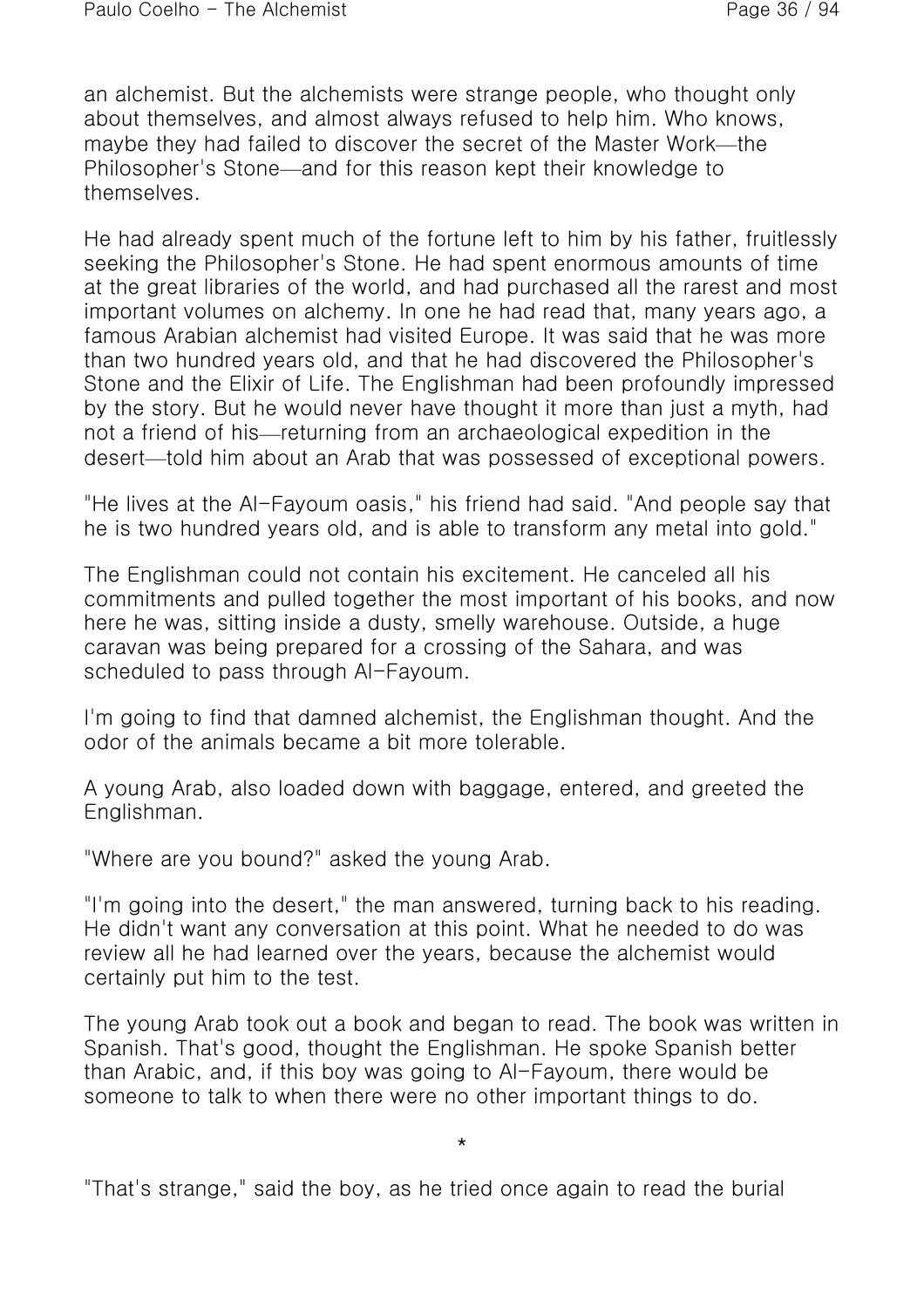an alchemist. But the alchemists were strange people, who thought only about themselves, and almost always refused to help him. Who knows, maybe they had failed to discover the secret of the Master Work—the Philosopher's Stone—and for this reason kept their knowledge to themselves.

He had already spent much of the fortune left to him by his father, fruitlessly seeking the Philosopher's Stone. He had spent enormous amounts of time at the great libraries of the world, and had purchased all the rarest and most important volumes on alchemy. In one he had read that, many years ago, a famous Arabian alchemist had visited Europe. It was said that he was more than two hundred years old, and that he had discovered the Philosopher's Stone and the Elixir of Life. The Englishman had been profoundly impressed by the story. But he would never have thought it more than just a myth, had not a friend of his—returning from an archaeological expedition in the desert—told him about an Arab that was possessed of exceptional powers.

"He lives at the Al-Fayoum oasis," his friend had said. "And people say that he is two hundred years old, and is able to transform any metal into gold."

The Englishman could not contain his excitement. He canceled all his commitments and pulled together the most important of his books, and now here he was, sitting inside a dusty, smelly warehouse. Outside, a huge caravan was being prepared for a crossing of the Sahara, and was scheduled to pass through Al-Fayoum.

I'm going to find that damned alchemist, the Englishman thought. And the odor of the animals became a bit more tolerable.

A young Arab, also loaded down with baggage, entered, and greeted the Englishman.

"Where are you bound?" asked the young Arab.

"I'm going into the desert," the man answered, turning back to his reading. He didn't want any conversation at this point. What he needed to do was review all he had learned over the years, because the alchemist would certainly put him to the test.

The young Arab took out a book and began to read. The book was written in Spanish. That's good, thought the Englishman. He spoke Spanish better than Arabic, and, if this boy was going to Al-Fayoum, there would be someone to talk to when there were no other important things to do.

\*

"That's strange," said the boy, as he tried once again to read the burial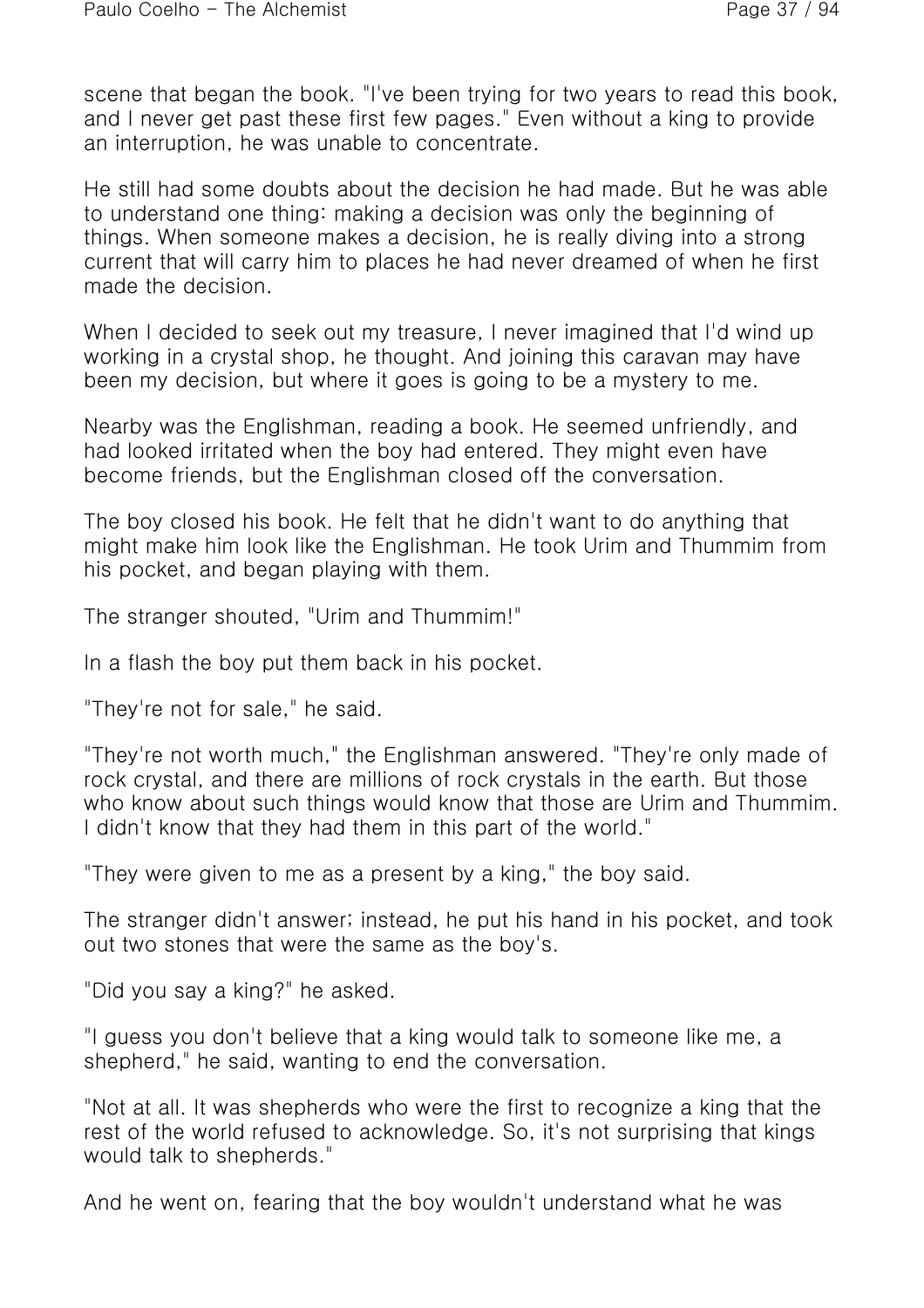scene that began the book. "I've been trying for two years to read this book, and I never get past these first few pages." Even without a king to provide an interruption, he was unable to concentrate.

He still had some doubts about the decision he had made. But he was able to understand one thing: making a decision was only the beginning of things. When someone makes a decision, he is really diving into a strong current that will carry him to places he had never dreamed of when he first made the decision.

When I decided to seek out my treasure, I never imagined that I'd wind up working in a crystal shop, he thought. And joining this caravan may have been my decision, but where it goes is going to be a mystery to me.

Nearby was the Englishman, reading a book. He seemed unfriendly, and had looked irritated when the boy had entered. They might even have become friends, but the Englishman closed off the conversation.

The boy closed his book. He felt that he didn't want to do anything that might make him look like the Englishman. He took Urim and Thummim from his pocket, and began playing with them.

The stranger shouted, "Urim and Thummim!"

In a flash the boy put them back in his pocket.

"They're not for sale," he said.

"They're not worth much," the Englishman answered. "They're only made of rock crystal, and there are millions of rock crystals in the earth. But those who know about such things would know that those are Urim and Thummim. I didn't know that they had them in this part of the world."

"They were given to me as a present by a king," the boy said.

The stranger didn't answer; instead, he put his hand in his pocket, and took out two stones that were the same as the boy's.

"Did you say a king?" he asked.

"I guess you don't believe that a king would talk to someone like me, a shepherd," he said, wanting to end the conversation.

"Not at all. It was shepherds who were the first to recognize a king that the rest of the world refused to acknowledge. So, it's not surprising that kings would talk to shepherds."

And he went on, fearing that the boy wouldn't understand what he was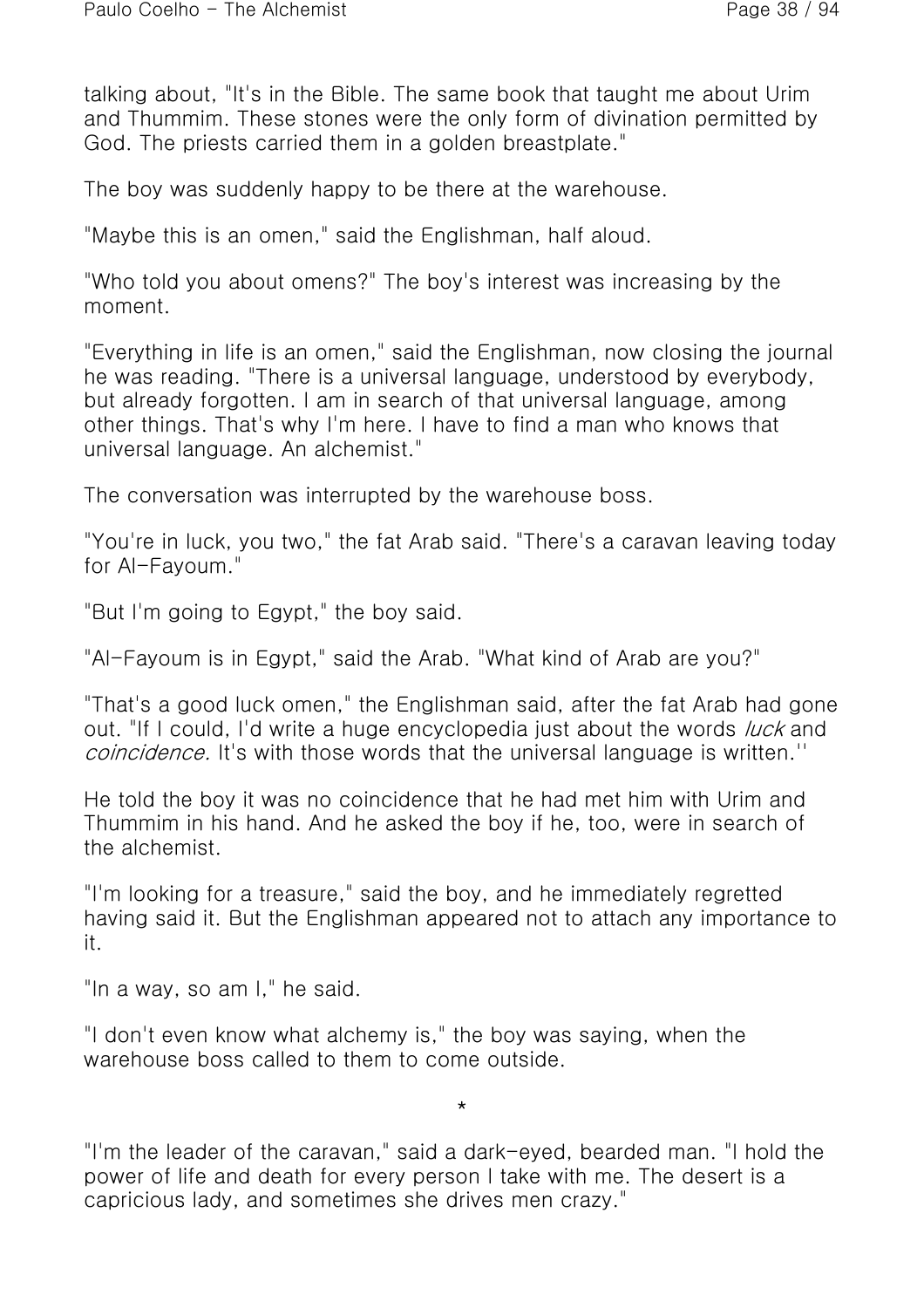talking about, "It's in the Bible. The same book that taught me about Urim and Thummim. These stones were the only form of divination permitted by God. The priests carried them in a golden breastplate."

The boy was suddenly happy to be there at the warehouse.

"Maybe this is an omen," said the Englishman, half aloud.

"Who told you about omens?" The boy's interest was increasing by the moment.

"Everything in life is an omen," said the Englishman, now closing the journal he was reading. "There is a universal language, understood by everybody, but already forgotten. I am in search of that universal language, among other things. That's why I'm here. I have to find a man who knows that universal language. An alchemist."

The conversation was interrupted by the warehouse boss.

"You're in luck, you two," the fat Arab said. "There's a caravan leaving today for Al-Fayoum."

"But I'm going to Egypt," the boy said.

"Al-Fayoum is in Egypt," said the Arab. "What kind of Arab are you?"

"That's a good luck omen," the Englishman said, after the fat Arab had gone out. "If I could, I'd write a huge encyclopedia just about the words *luck* and coincidence. It's with those words that the universal language is written."

He told the boy it was no coincidence that he had met him with Urim and Thummim in his hand. And he asked the boy if he, too, were in search of the alchemist.

"I'm looking for a treasure," said the boy, and he immediately regretted having said it. But the Englishman appeared not to attach any importance to it.

"In a way, so am I," he said.

"I don't even know what alchemy is," the boy was saying, when the warehouse boss called to them to come outside.

"I'm the leader of the caravan," said a dark-eyed, bearded man. "I hold the power of life and death for every person I take with me. The desert is a capricious lady, and sometimes she drives men crazy."

\*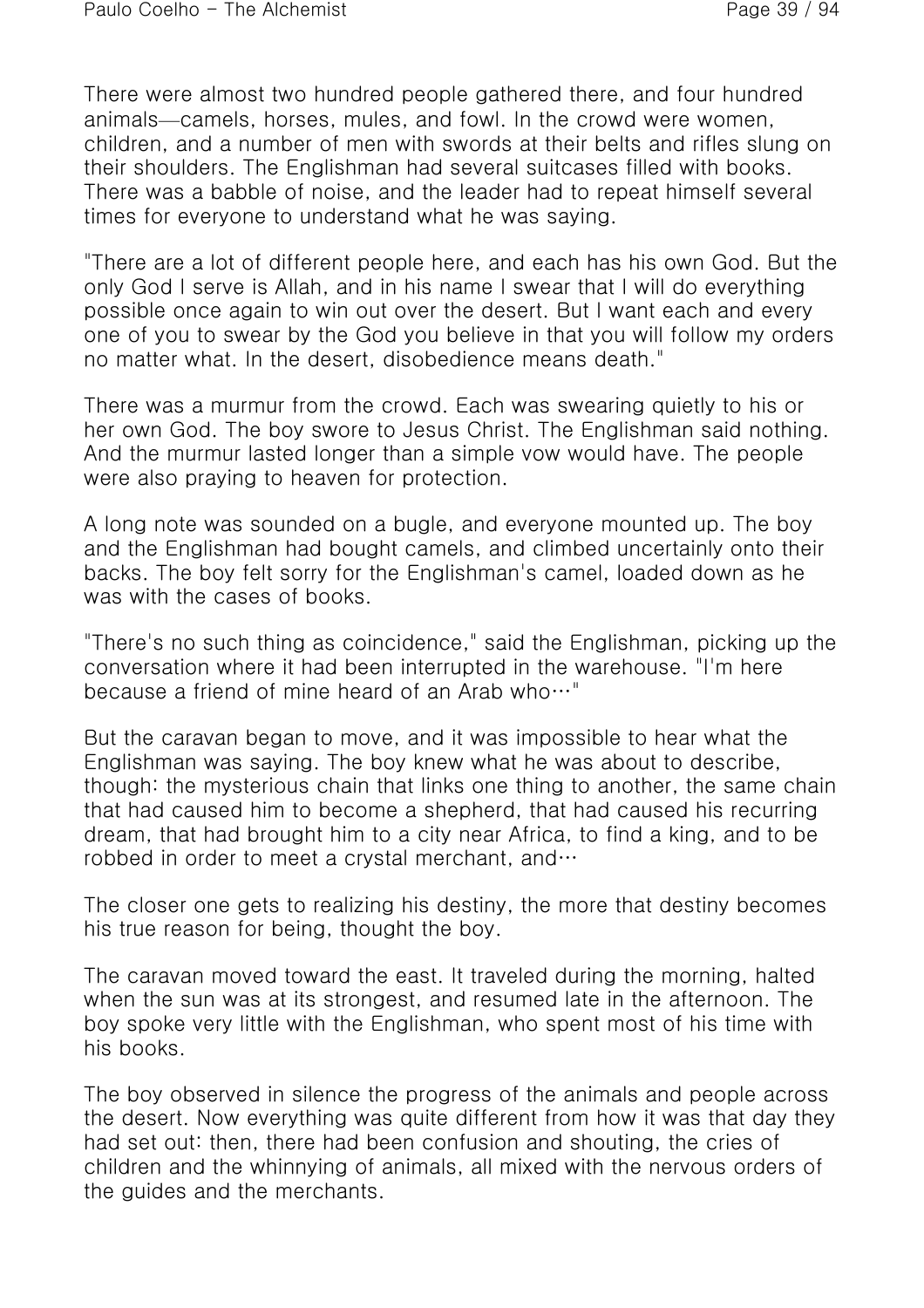There were almost two hundred people gathered there, and four hundred animals—camels, horses, mules, and fowl. In the crowd were women, children, and a number of men with swords at their belts and rifles slung on their shoulders. The Englishman had several suitcases filled with books. There was a babble of noise, and the leader had to repeat himself several times for everyone to understand what he was saying.

"There are a lot of different people here, and each has his own God. But the only God I serve is Allah, and in his name I swear that I will do everything possible once again to win out over the desert. But I want each and every one of you to swear by the God you believe in that you will follow my orders no matter what. In the desert, disobedience means death."

There was a murmur from the crowd. Each was swearing quietly to his or her own God. The boy swore to Jesus Christ. The Englishman said nothing. And the murmur lasted longer than a simple vow would have. The people were also praying to heaven for protection.

A long note was sounded on a bugle, and everyone mounted up. The boy and the Englishman had bought camels, and climbed uncertainly onto their backs. The boy felt sorry for the Englishman's camel, loaded down as he was with the cases of books.

"There's no such thing as coincidence," said the Englishman, picking up the conversation where it had been interrupted in the warehouse. "I'm here because a friend of mine heard of an Arab who…"

But the caravan began to move, and it was impossible to hear what the Englishman was saying. The boy knew what he was about to describe, though: the mysterious chain that links one thing to another, the same chain that had caused him to become a shepherd, that had caused his recurring dream, that had brought him to a city near Africa, to find a king, and to be robbed in order to meet a crystal merchant, and…

The closer one gets to realizing his destiny, the more that destiny becomes his true reason for being, thought the boy.

The caravan moved toward the east. It traveled during the morning, halted when the sun was at its strongest, and resumed late in the afternoon. The boy spoke very little with the Englishman, who spent most of his time with his books.

The boy observed in silence the progress of the animals and people across the desert. Now everything was quite different from how it was that day they had set out: then, there had been confusion and shouting, the cries of children and the whinnying of animals, all mixed with the nervous orders of the guides and the merchants.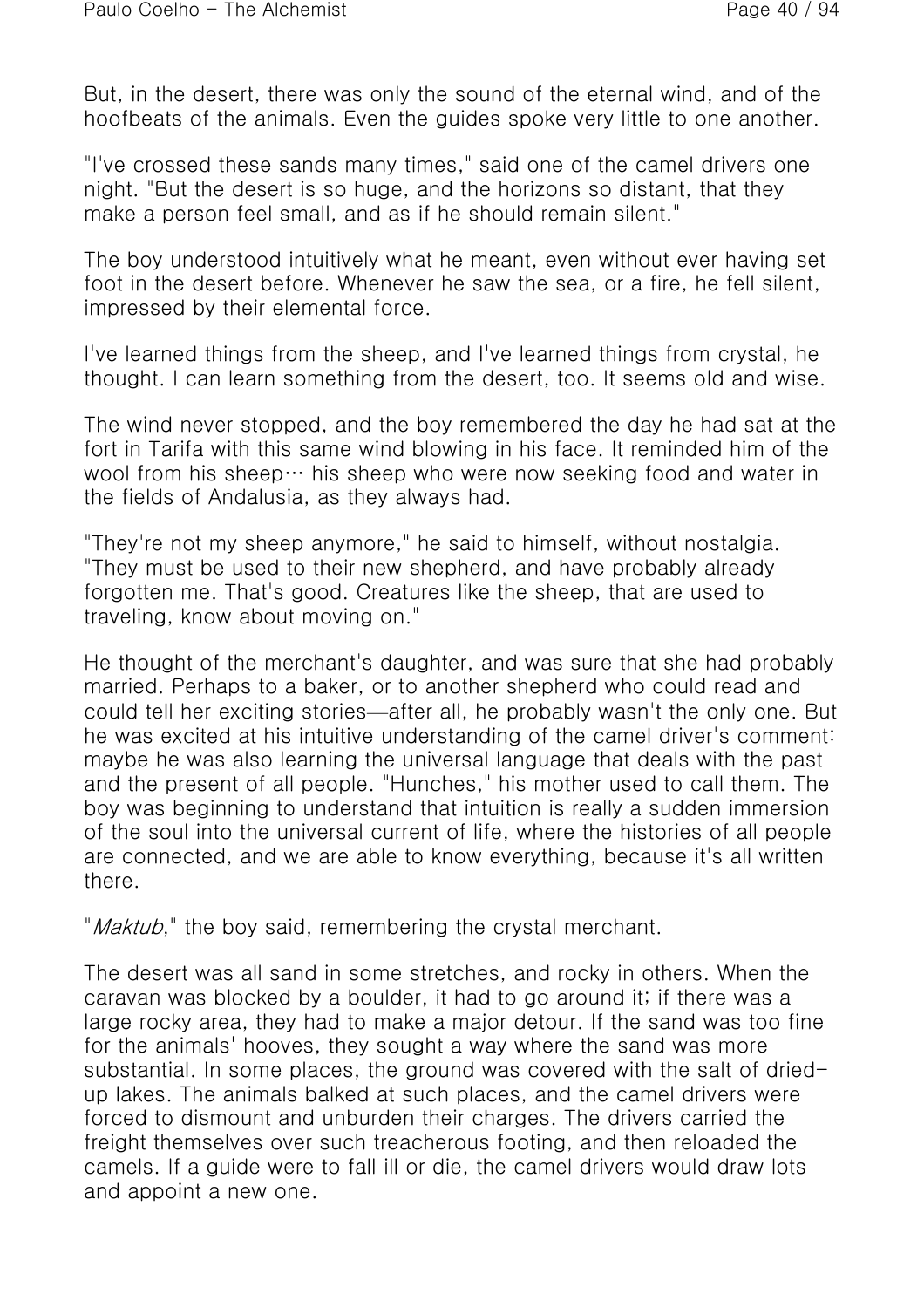But, in the desert, there was only the sound of the eternal wind, and of the hoofbeats of the animals. Even the guides spoke very little to one another.

"I've crossed these sands many times," said one of the camel drivers one night. "But the desert is so huge, and the horizons so distant, that they make a person feel small, and as if he should remain silent."

The boy understood intuitively what he meant, even without ever having set foot in the desert before. Whenever he saw the sea, or a fire, he fell silent, impressed by their elemental force.

I've learned things from the sheep, and I've learned things from crystal, he thought. I can learn something from the desert, too. It seems old and wise.

The wind never stopped, and the boy remembered the day he had sat at the fort in Tarifa with this same wind blowing in his face. It reminded him of the wool from his sheep… his sheep who were now seeking food and water in the fields of Andalusia, as they always had.

"They're not my sheep anymore," he said to himself, without nostalgia. "They must be used to their new shepherd, and have probably already forgotten me. That's good. Creatures like the sheep, that are used to traveling, know about moving on."

He thought of the merchant's daughter, and was sure that she had probably married. Perhaps to a baker, or to another shepherd who could read and could tell her exciting stories—after all, he probably wasn't the only one. But he was excited at his intuitive understanding of the camel driver's comment: maybe he was also learning the universal language that deals with the past and the present of all people. "Hunches," his mother used to call them. The boy was beginning to understand that intuition is really a sudden immersion of the soul into the universal current of life, where the histories of all people are connected, and we are able to know everything, because it's all written there.

"*Maktub*," the boy said, remembering the crystal merchant.

The desert was all sand in some stretches, and rocky in others. When the caravan was blocked by a boulder, it had to go around it; if there was a large rocky area, they had to make a major detour. If the sand was too fine for the animals' hooves, they sought a way where the sand was more substantial. In some places, the ground was covered with the salt of driedup lakes. The animals balked at such places, and the camel drivers were forced to dismount and unburden their charges. The drivers carried the freight themselves over such treacherous footing, and then reloaded the camels. If a guide were to fall ill or die, the camel drivers would draw lots and appoint a new one.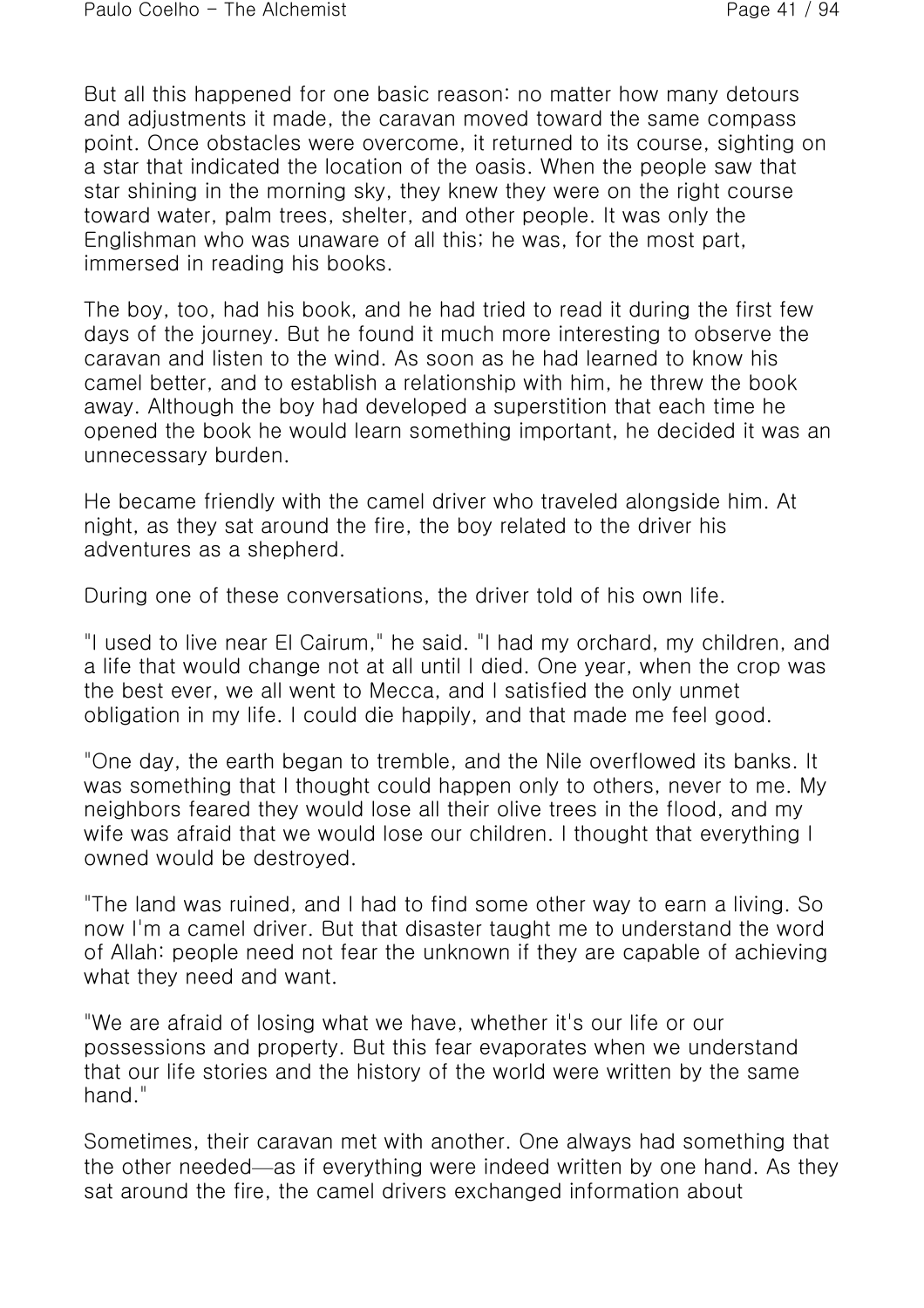But all this happened for one basic reason: no matter how many detours and adjustments it made, the caravan moved toward the same compass point. Once obstacles were overcome, it returned to its course, sighting on a star that indicated the location of the oasis. When the people saw that star shining in the morning sky, they knew they were on the right course toward water, palm trees, shelter, and other people. It was only the Englishman who was unaware of all this; he was, for the most part, immersed in reading his books.

The boy, too, had his book, and he had tried to read it during the first few days of the journey. But he found it much more interesting to observe the caravan and listen to the wind. As soon as he had learned to know his camel better, and to establish a relationship with him, he threw the book away. Although the boy had developed a superstition that each time he opened the book he would learn something important, he decided it was an unnecessary burden.

He became friendly with the camel driver who traveled alongside him. At night, as they sat around the fire, the boy related to the driver his adventures as a shepherd.

During one of these conversations, the driver told of his own life.

"I used to live near El Cairum," he said. "I had my orchard, my children, and a life that would change not at all until I died. One year, when the crop was the best ever, we all went to Mecca, and I satisfied the only unmet obligation in my life. I could die happily, and that made me feel good.

"One day, the earth began to tremble, and the Nile overflowed its banks. It was something that I thought could happen only to others, never to me. My neighbors feared they would lose all their olive trees in the flood, and my wife was afraid that we would lose our children. I thought that everything I owned would be destroyed.

"The land was ruined, and I had to find some other way to earn a living. So now I'm a camel driver. But that disaster taught me to understand the word of Allah: people need not fear the unknown if they are capable of achieving what they need and want.

"We are afraid of losing what we have, whether it's our life or our possessions and property. But this fear evaporates when we understand that our life stories and the history of the world were written by the same hand."

Sometimes, their caravan met with another. One always had something that the other needed—as if everything were indeed written by one hand. As they sat around the fire, the camel drivers exchanged information about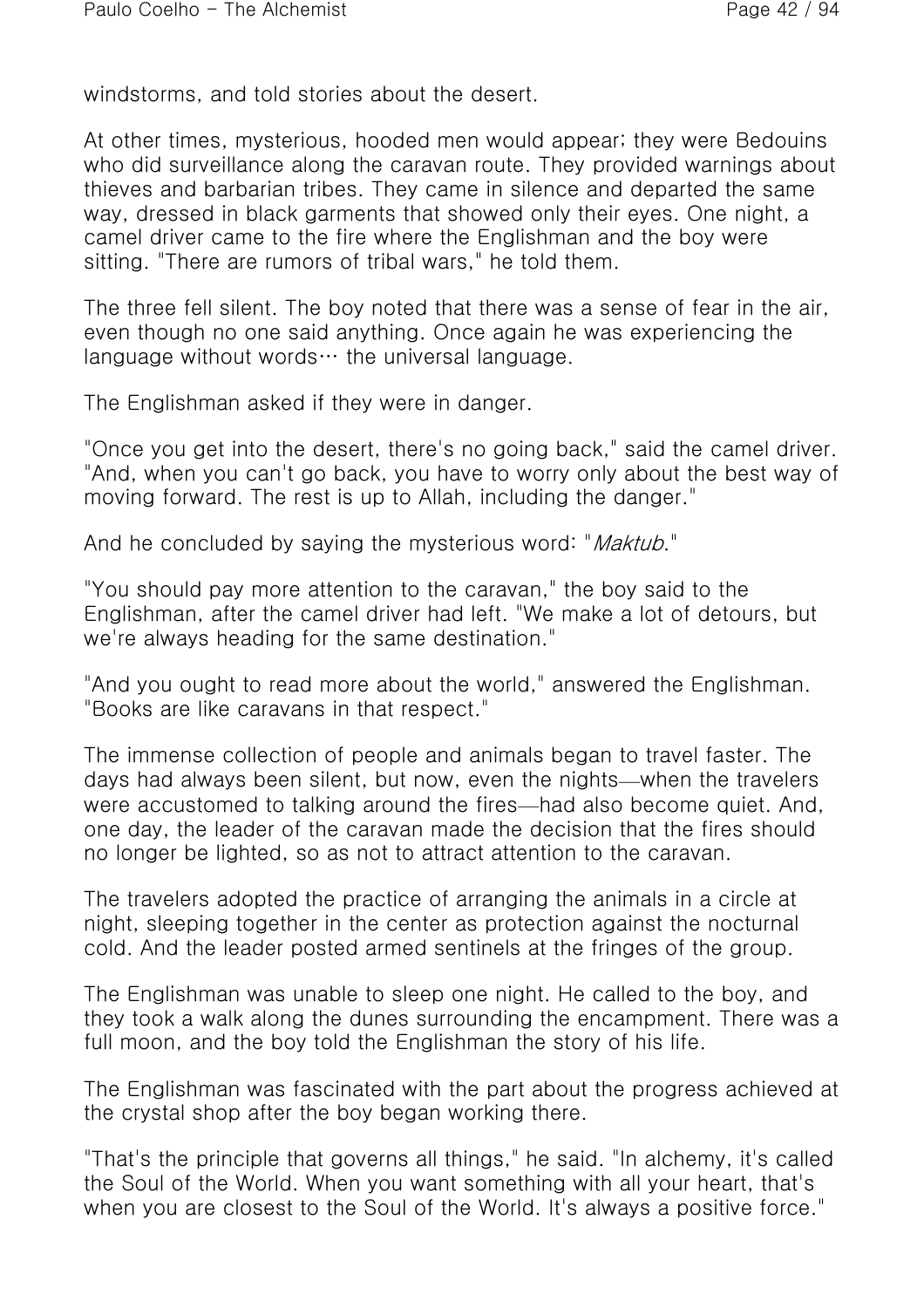windstorms, and told stories about the desert.

At other times, mysterious, hooded men would appear; they were Bedouins who did surveillance along the caravan route. They provided warnings about thieves and barbarian tribes. They came in silence and departed the same way, dressed in black garments that showed only their eyes. One night, a camel driver came to the fire where the Englishman and the boy were sitting. "There are rumors of tribal wars," he told them.

The three fell silent. The boy noted that there was a sense of fear in the air, even though no one said anything. Once again he was experiencing the language without words… the universal language.

The Englishman asked if they were in danger.

"Once you get into the desert, there's no going back," said the camel driver. "And, when you can't go back, you have to worry only about the best way of moving forward. The rest is up to Allah, including the danger."

And he concluded by saying the mysterious word: "*Maktub*."

"You should pay more attention to the caravan," the boy said to the Englishman, after the camel driver had left. "We make a lot of detours, but we're always heading for the same destination."

"And you ought to read more about the world," answered the Englishman. "Books are like caravans in that respect."

The immense collection of people and animals began to travel faster. The days had always been silent, but now, even the nights—when the travelers were accustomed to talking around the fires—had also become quiet. And, one day, the leader of the caravan made the decision that the fires should no longer be lighted, so as not to attract attention to the caravan.

The travelers adopted the practice of arranging the animals in a circle at night, sleeping together in the center as protection against the nocturnal cold. And the leader posted armed sentinels at the fringes of the group.

The Englishman was unable to sleep one night. He called to the boy, and they took a walk along the dunes surrounding the encampment. There was a full moon, and the boy told the Englishman the story of his life.

The Englishman was fascinated with the part about the progress achieved at the crystal shop after the boy began working there.

"That's the principle that governs all things," he said. "In alchemy, it's called the Soul of the World. When you want something with all your heart, that's when you are closest to the Soul of the World. It's always a positive force."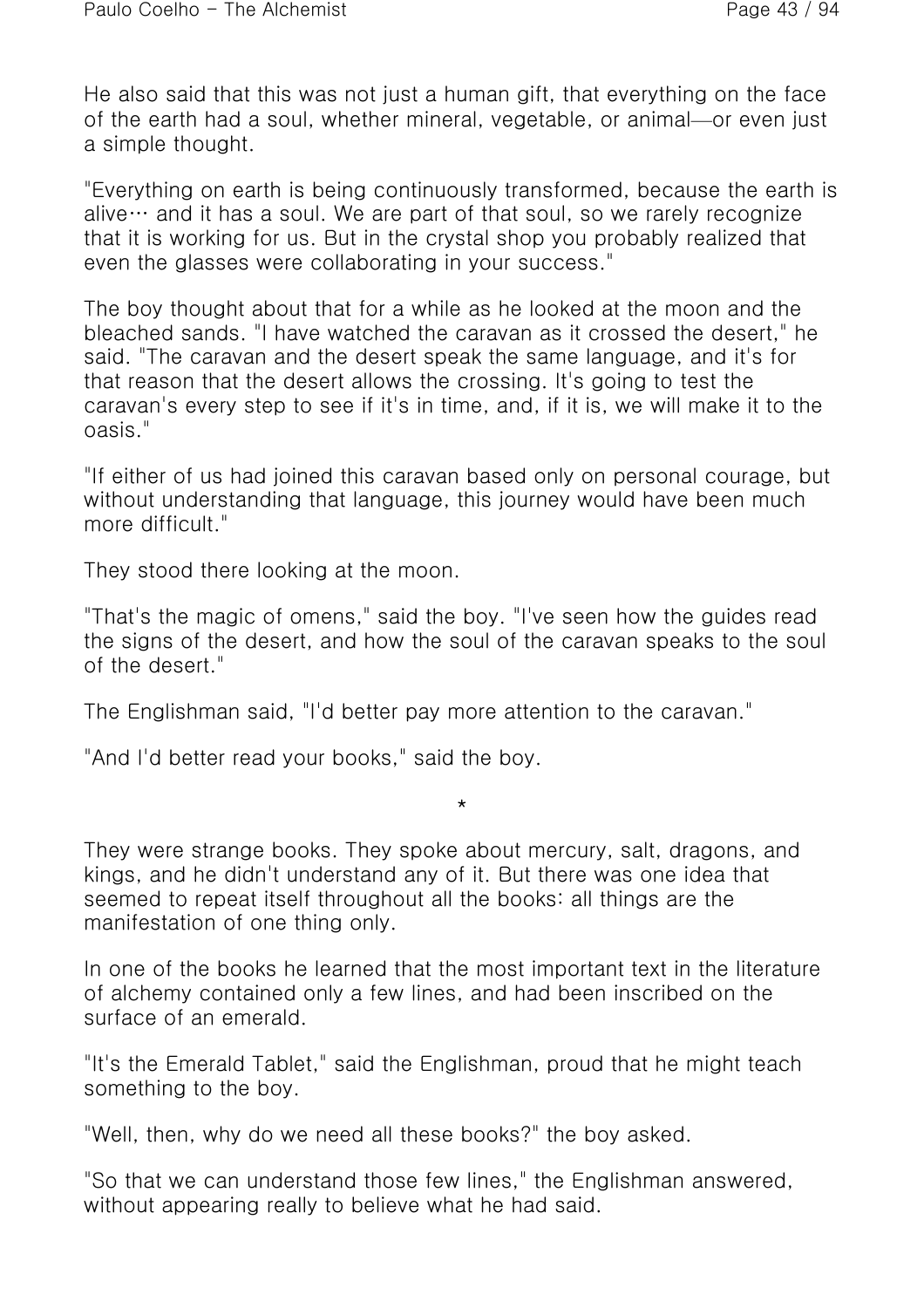He also said that this was not just a human gift, that everything on the face of the earth had a soul, whether mineral, vegetable, or animal—or even just a simple thought.

"Everything on earth is being continuously transformed, because the earth is alive… and it has a soul. We are part of that soul, so we rarely recognize that it is working for us. But in the crystal shop you probably realized that even the glasses were collaborating in your success."

The boy thought about that for a while as he looked at the moon and the bleached sands. "I have watched the caravan as it crossed the desert," he said. "The caravan and the desert speak the same language, and it's for that reason that the desert allows the crossing. It's going to test the caravan's every step to see if it's in time, and, if it is, we will make it to the oasis."

"If either of us had joined this caravan based only on personal courage, but without understanding that language, this journey would have been much more difficult."

They stood there looking at the moon.

"That's the magic of omens," said the boy. "I've seen how the guides read the signs of the desert, and how the soul of the caravan speaks to the soul of the desert."

The Englishman said, "I'd better pay more attention to the caravan."

"And I'd better read your books," said the boy.

They were strange books. They spoke about mercury, salt, dragons, and kings, and he didn't understand any of it. But there was one idea that seemed to repeat itself throughout all the books: all things are the manifestation of one thing only.

\*

In one of the books he learned that the most important text in the literature of alchemy contained only a few lines, and had been inscribed on the surface of an emerald.

"It's the Emerald Tablet," said the Englishman, proud that he might teach something to the boy.

"Well, then, why do we need all these books?" the boy asked.

"So that we can understand those few lines," the Englishman answered, without appearing really to believe what he had said.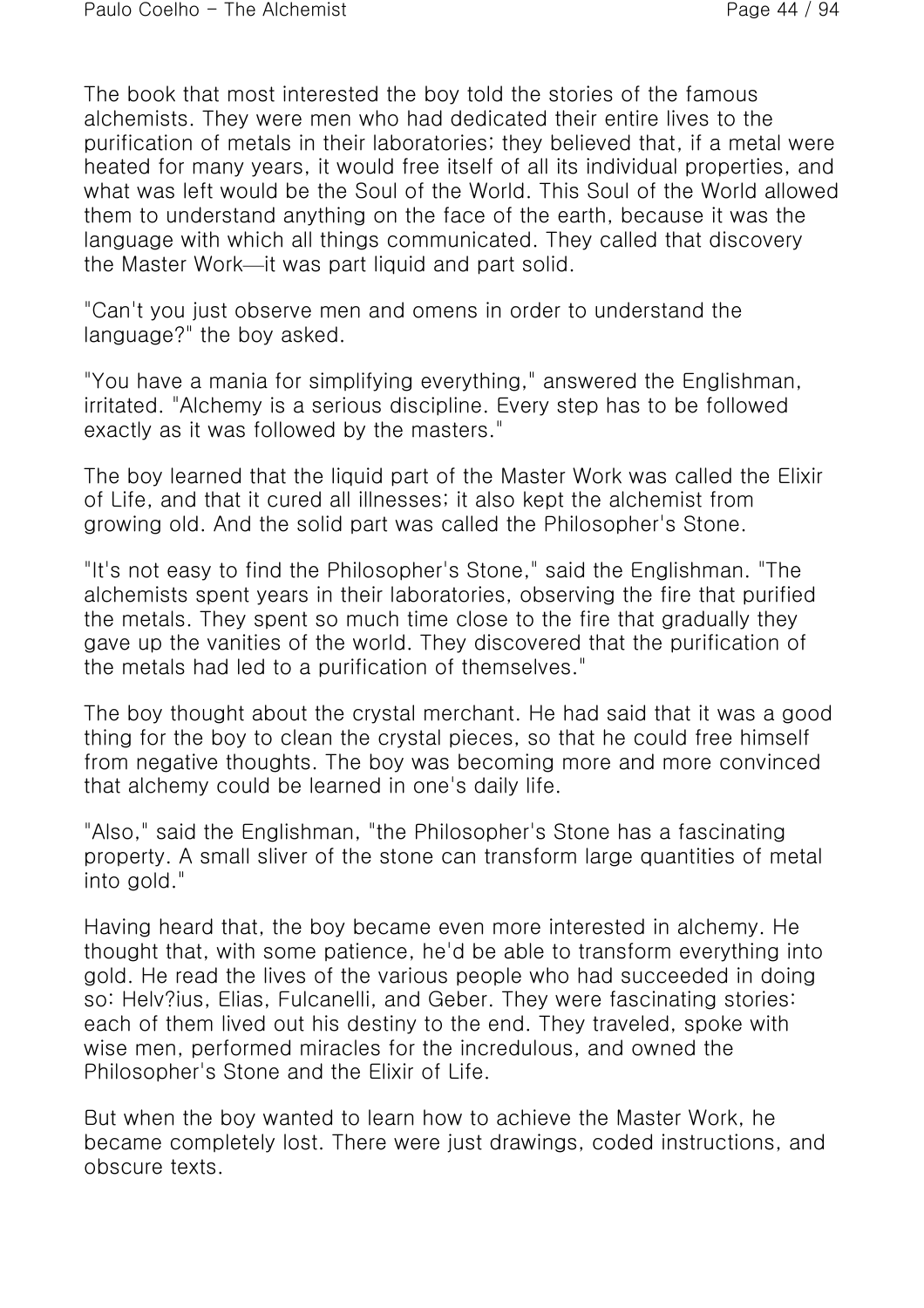The book that most interested the boy told the stories of the famous alchemists. They were men who had dedicated their entire lives to the purification of metals in their laboratories; they believed that, if a metal were heated for many years, it would free itself of all its individual properties, and what was left would be the Soul of the World. This Soul of the World allowed them to understand anything on the face of the earth, because it was the language with which all things communicated. They called that discovery the Master Work—it was part liquid and part solid.

"Can't you just observe men and omens in order to understand the language?" the boy asked.

"You have a mania for simplifying everything," answered the Englishman, irritated. "Alchemy is a serious discipline. Every step has to be followed exactly as it was followed by the masters."

The boy learned that the liquid part of the Master Work was called the Elixir of Life, and that it cured all illnesses; it also kept the alchemist from growing old. And the solid part was called the Philosopher's Stone.

"It's not easy to find the Philosopher's Stone," said the Englishman. "The alchemists spent years in their laboratories, observing the fire that purified the metals. They spent so much time close to the fire that gradually they gave up the vanities of the world. They discovered that the purification of the metals had led to a purification of themselves."

The boy thought about the crystal merchant. He had said that it was a good thing for the boy to clean the crystal pieces, so that he could free himself from negative thoughts. The boy was becoming more and more convinced that alchemy could be learned in one's daily life.

"Also," said the Englishman, "the Philosopher's Stone has a fascinating property. A small sliver of the stone can transform large quantities of metal into gold."

Having heard that, the boy became even more interested in alchemy. He thought that, with some patience, he'd be able to transform everything into gold. He read the lives of the various people who had succeeded in doing so: Helv?ius, Elias, Fulcanelli, and Geber. They were fascinating stories: each of them lived out his destiny to the end. They traveled, spoke with wise men, performed miracles for the incredulous, and owned the Philosopher's Stone and the Elixir of Life.

But when the boy wanted to learn how to achieve the Master Work, he became completely lost. There were just drawings, coded instructions, and obscure texts.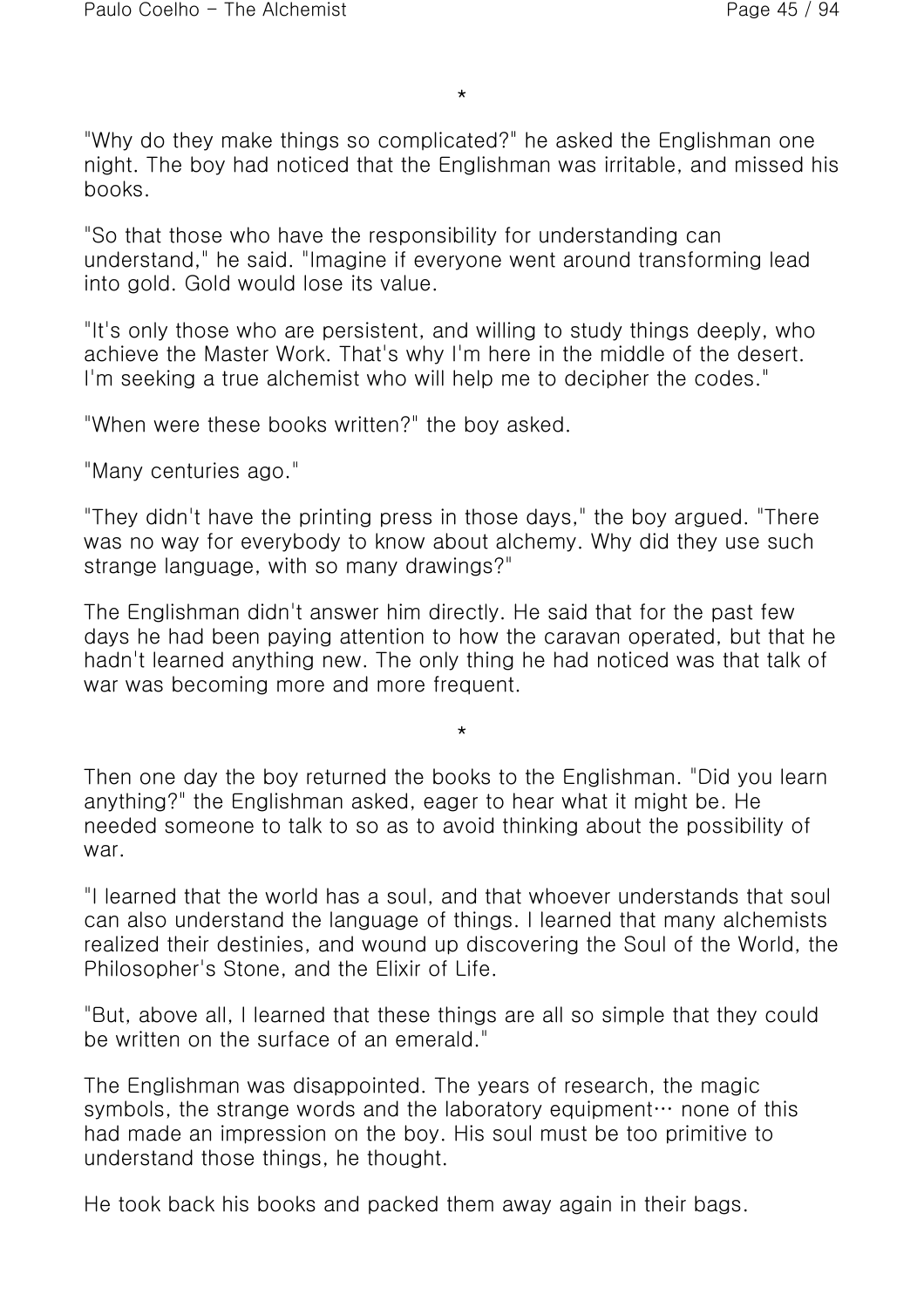\*

"Why do they make things so complicated?" he asked the Englishman one night. The boy had noticed that the Englishman was irritable, and missed his books.

"So that those who have the responsibility for understanding can understand," he said. "Imagine if everyone went around transforming lead into gold. Gold would lose its value.

"It's only those who are persistent, and willing to study things deeply, who achieve the Master Work. That's why I'm here in the middle of the desert. I'm seeking a true alchemist who will help me to decipher the codes."

"When were these books written?" the boy asked.

"Many centuries ago."

"They didn't have the printing press in those days," the boy argued. "There was no way for everybody to know about alchemy. Why did they use such strange language, with so many drawings?"

The Englishman didn't answer him directly. He said that for the past few days he had been paying attention to how the caravan operated, but that he hadn't learned anything new. The only thing he had noticed was that talk of war was becoming more and more frequent.

\*

Then one day the boy returned the books to the Englishman. "Did you learn anything?" the Englishman asked, eager to hear what it might be. He needed someone to talk to so as to avoid thinking about the possibility of war.

"I learned that the world has a soul, and that whoever understands that soul can also understand the language of things. I learned that many alchemists realized their destinies, and wound up discovering the Soul of the World, the Philosopher's Stone, and the Elixir of Life.

"But, above all, I learned that these things are all so simple that they could be written on the surface of an emerald."

The Englishman was disappointed. The years of research, the magic symbols, the strange words and the laboratory equipment… none of this had made an impression on the boy. His soul must be too primitive to understand those things, he thought.

He took back his books and packed them away again in their bags.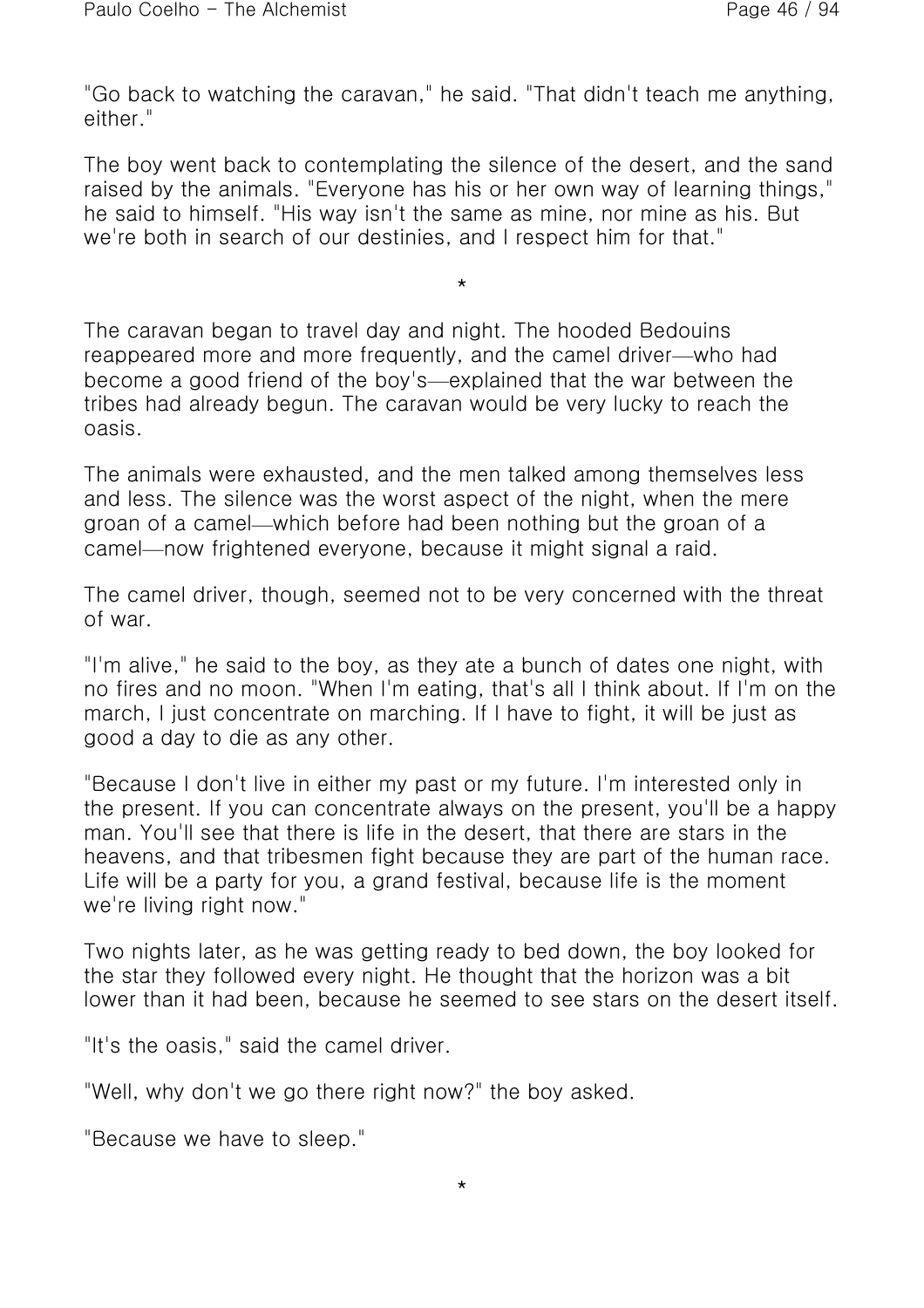"Go back to watching the caravan," he said. "That didn't teach me anything, either."

The boy went back to contemplating the silence of the desert, and the sand raised by the animals. "Everyone has his or her own way of learning things," he said to himself. "His way isn't the same as mine, nor mine as his. But we're both in search of our destinies, and I respect him for that."

\*

The caravan began to travel day and night. The hooded Bedouins reappeared more and more frequently, and the camel driver—who had become a good friend of the boy's—explained that the war between the tribes had already begun. The caravan would be very lucky to reach the oasis.

The animals were exhausted, and the men talked among themselves less and less. The silence was the worst aspect of the night, when the mere groan of a camel—which before had been nothing but the groan of a camel—now frightened everyone, because it might signal a raid.

The camel driver, though, seemed not to be very concerned with the threat of war.

"I'm alive," he said to the boy, as they ate a bunch of dates one night, with no fires and no moon. "When I'm eating, that's all I think about. If I'm on the march, I just concentrate on marching. If I have to fight, it will be just as good a day to die as any other.

"Because I don't live in either my past or my future. I'm interested only in the present. If you can concentrate always on the present, you'll be a happy man. You'll see that there is life in the desert, that there are stars in the heavens, and that tribesmen fight because they are part of the human race. Life will be a party for you, a grand festival, because life is the moment we're living right now."

Two nights later, as he was getting ready to bed down, the boy looked for the star they followed every night. He thought that the horizon was a bit lower than it had been, because he seemed to see stars on the desert itself.

"It's the oasis," said the camel driver.

"Well, why don't we go there right now?" the boy asked.

"Because we have to sleep."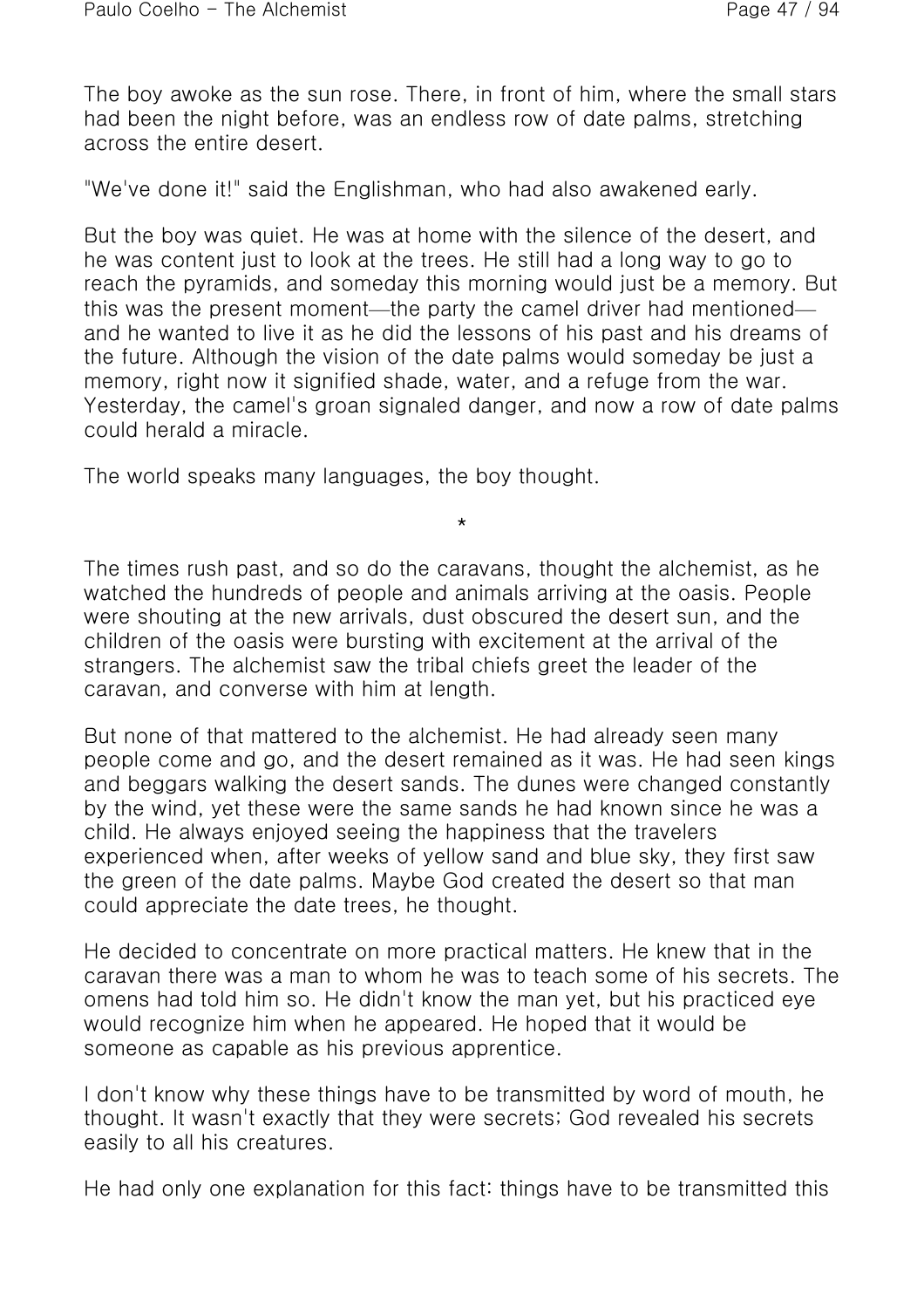The boy awoke as the sun rose. There, in front of him, where the small stars had been the night before, was an endless row of date palms, stretching across the entire desert.

"We've done it!" said the Englishman, who had also awakened early.

But the boy was quiet. He was at home with the silence of the desert, and he was content just to look at the trees. He still had a long way to go to reach the pyramids, and someday this morning would just be a memory. But this was the present moment—the party the camel driver had mentioned and he wanted to live it as he did the lessons of his past and his dreams of the future. Although the vision of the date palms would someday be just a memory, right now it signified shade, water, and a refuge from the war. Yesterday, the camel's groan signaled danger, and now a row of date palms could herald a miracle.

The world speaks many languages, the boy thought.

The times rush past, and so do the caravans, thought the alchemist, as he watched the hundreds of people and animals arriving at the oasis. People were shouting at the new arrivals, dust obscured the desert sun, and the children of the oasis were bursting with excitement at the arrival of the strangers. The alchemist saw the tribal chiefs greet the leader of the caravan, and converse with him at length.

\*

But none of that mattered to the alchemist. He had already seen many people come and go, and the desert remained as it was. He had seen kings and beggars walking the desert sands. The dunes were changed constantly by the wind, yet these were the same sands he had known since he was a child. He always enjoyed seeing the happiness that the travelers experienced when, after weeks of yellow sand and blue sky, they first saw the green of the date palms. Maybe God created the desert so that man could appreciate the date trees, he thought.

He decided to concentrate on more practical matters. He knew that in the caravan there was a man to whom he was to teach some of his secrets. The omens had told him so. He didn't know the man yet, but his practiced eye would recognize him when he appeared. He hoped that it would be someone as capable as his previous apprentice.

I don't know why these things have to be transmitted by word of mouth, he thought. It wasn't exactly that they were secrets; God revealed his secrets easily to all his creatures.

He had only one explanation for this fact: things have to be transmitted this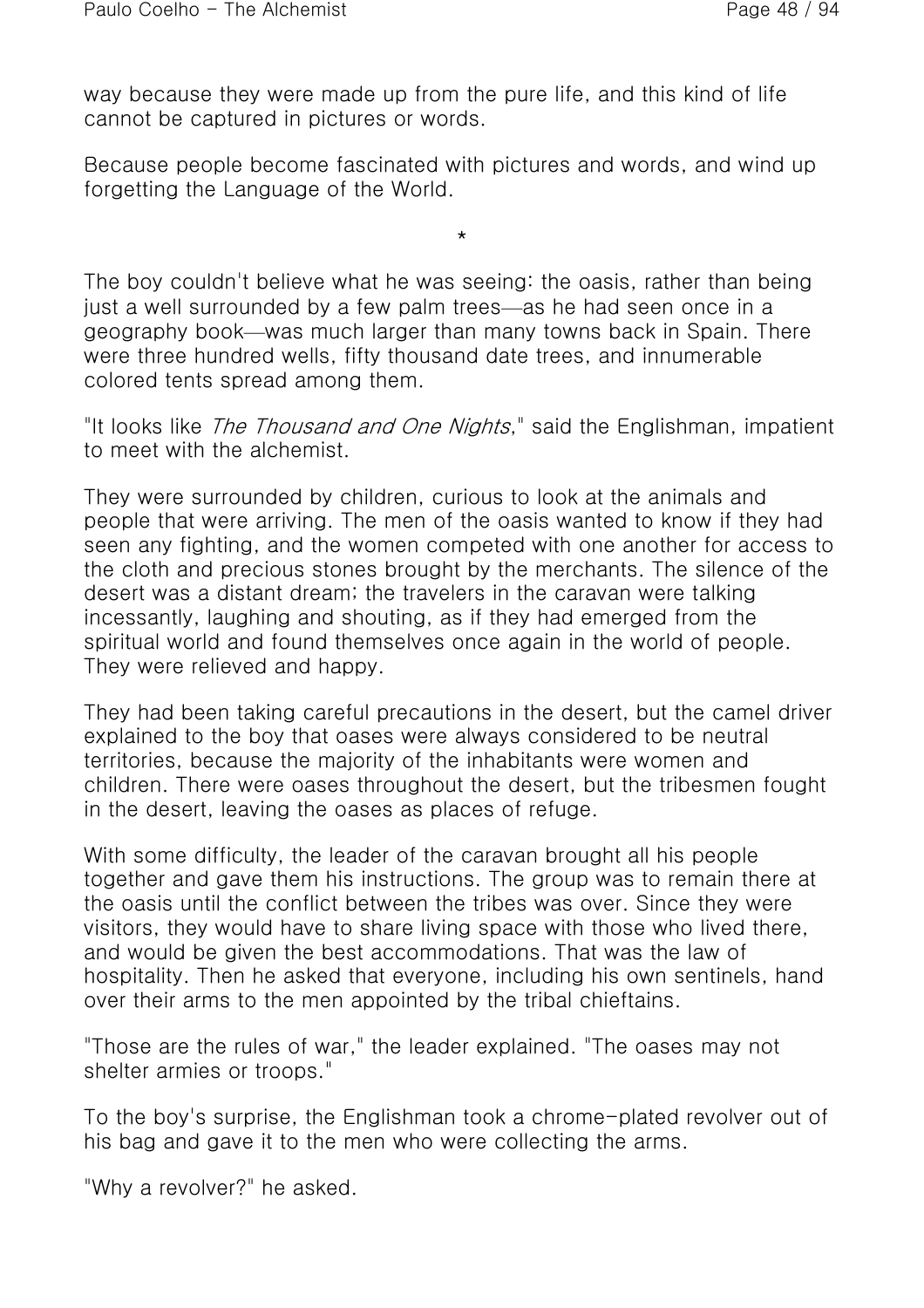way because they were made up from the pure life, and this kind of life cannot be captured in pictures or words.

Because people become fascinated with pictures and words, and wind up forgetting the Language of the World.

\*

The boy couldn't believe what he was seeing: the oasis, rather than being just a well surrounded by a few palm trees—as he had seen once in a geography book—was much larger than many towns back in Spain. There were three hundred wells, fifty thousand date trees, and innumerable colored tents spread among them.

"It looks like The Thousand and One Nights," said the Englishman, impatient to meet with the alchemist.

They were surrounded by children, curious to look at the animals and people that were arriving. The men of the oasis wanted to know if they had seen any fighting, and the women competed with one another for access to the cloth and precious stones brought by the merchants. The silence of the desert was a distant dream; the travelers in the caravan were talking incessantly, laughing and shouting, as if they had emerged from the spiritual world and found themselves once again in the world of people. They were relieved and happy.

They had been taking careful precautions in the desert, but the camel driver explained to the boy that oases were always considered to be neutral territories, because the majority of the inhabitants were women and children. There were oases throughout the desert, but the tribesmen fought in the desert, leaving the oases as places of refuge.

With some difficulty, the leader of the caravan brought all his people together and gave them his instructions. The group was to remain there at the oasis until the conflict between the tribes was over. Since they were visitors, they would have to share living space with those who lived there, and would be given the best accommodations. That was the law of hospitality. Then he asked that everyone, including his own sentinels, hand over their arms to the men appointed by the tribal chieftains.

"Those are the rules of war," the leader explained. "The oases may not shelter armies or troops."

To the boy's surprise, the Englishman took a chrome-plated revolver out of his bag and gave it to the men who were collecting the arms.

"Why a revolver?" he asked.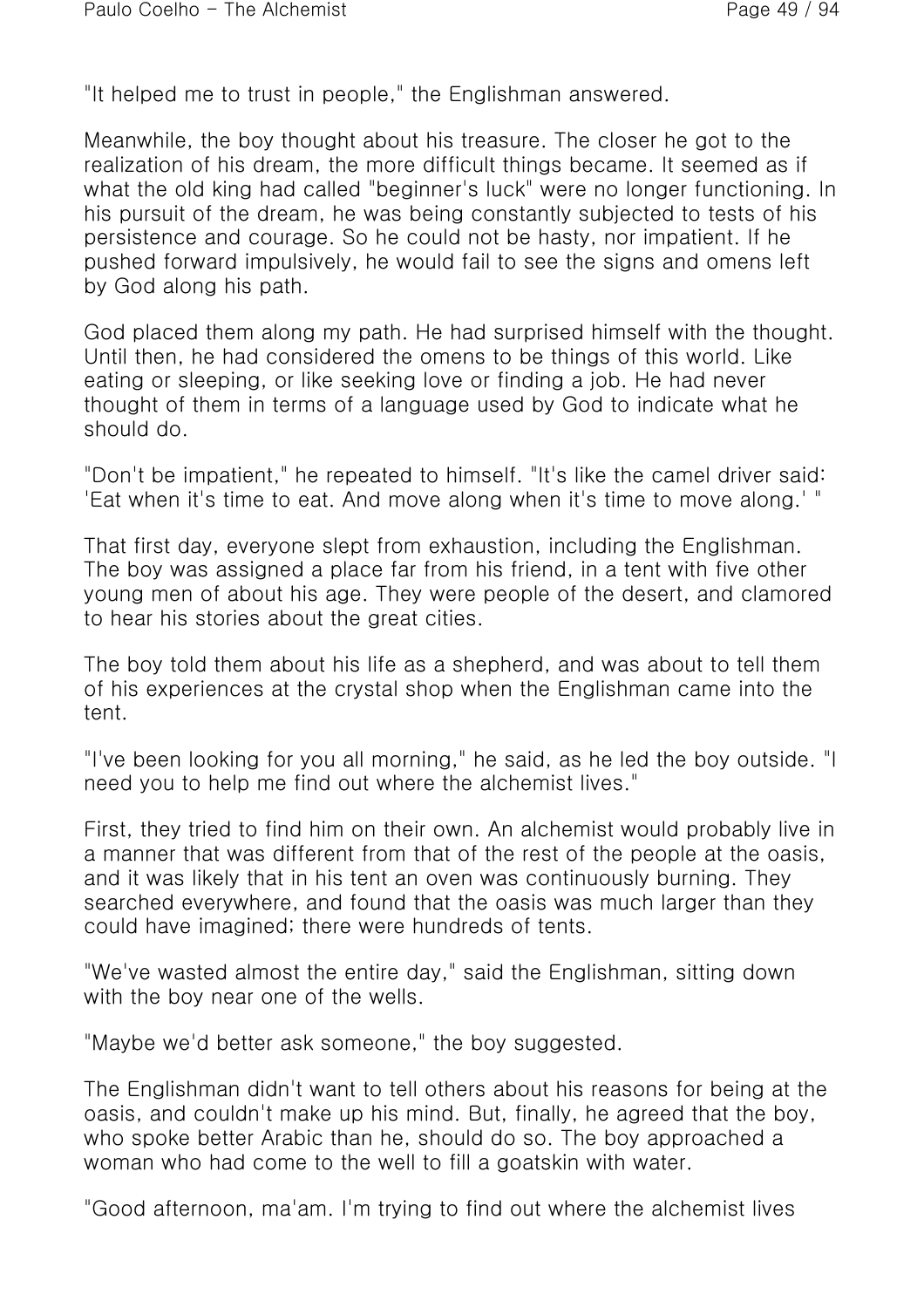"It helped me to trust in people," the Englishman answered.

Meanwhile, the boy thought about his treasure. The closer he got to the realization of his dream, the more difficult things became. It seemed as if what the old king had called "beginner's luck" were no longer functioning. In his pursuit of the dream, he was being constantly subjected to tests of his persistence and courage. So he could not be hasty, nor impatient. If he pushed forward impulsively, he would fail to see the signs and omens left by God along his path.

God placed them along my path. He had surprised himself with the thought. Until then, he had considered the omens to be things of this world. Like eating or sleeping, or like seeking love or finding a job. He had never thought of them in terms of a language used by God to indicate what he should do.

"Don't be impatient," he repeated to himself. "It's like the camel driver said: 'Eat when it's time to eat. And move along when it's time to move along.' "

That first day, everyone slept from exhaustion, including the Englishman. The boy was assigned a place far from his friend, in a tent with five other young men of about his age. They were people of the desert, and clamored to hear his stories about the great cities.

The boy told them about his life as a shepherd, and was about to tell them of his experiences at the crystal shop when the Englishman came into the tent.

"I've been looking for you all morning," he said, as he led the boy outside. "I need you to help me find out where the alchemist lives."

First, they tried to find him on their own. An alchemist would probably live in a manner that was different from that of the rest of the people at the oasis, and it was likely that in his tent an oven was continuously burning. They searched everywhere, and found that the oasis was much larger than they could have imagined; there were hundreds of tents.

"We've wasted almost the entire day," said the Englishman, sitting down with the boy near one of the wells.

"Maybe we'd better ask someone," the boy suggested.

The Englishman didn't want to tell others about his reasons for being at the oasis, and couldn't make up his mind. But, finally, he agreed that the boy, who spoke better Arabic than he, should do so. The boy approached a woman who had come to the well to fill a goatskin with water.

"Good afternoon, ma'am. I'm trying to find out where the alchemist lives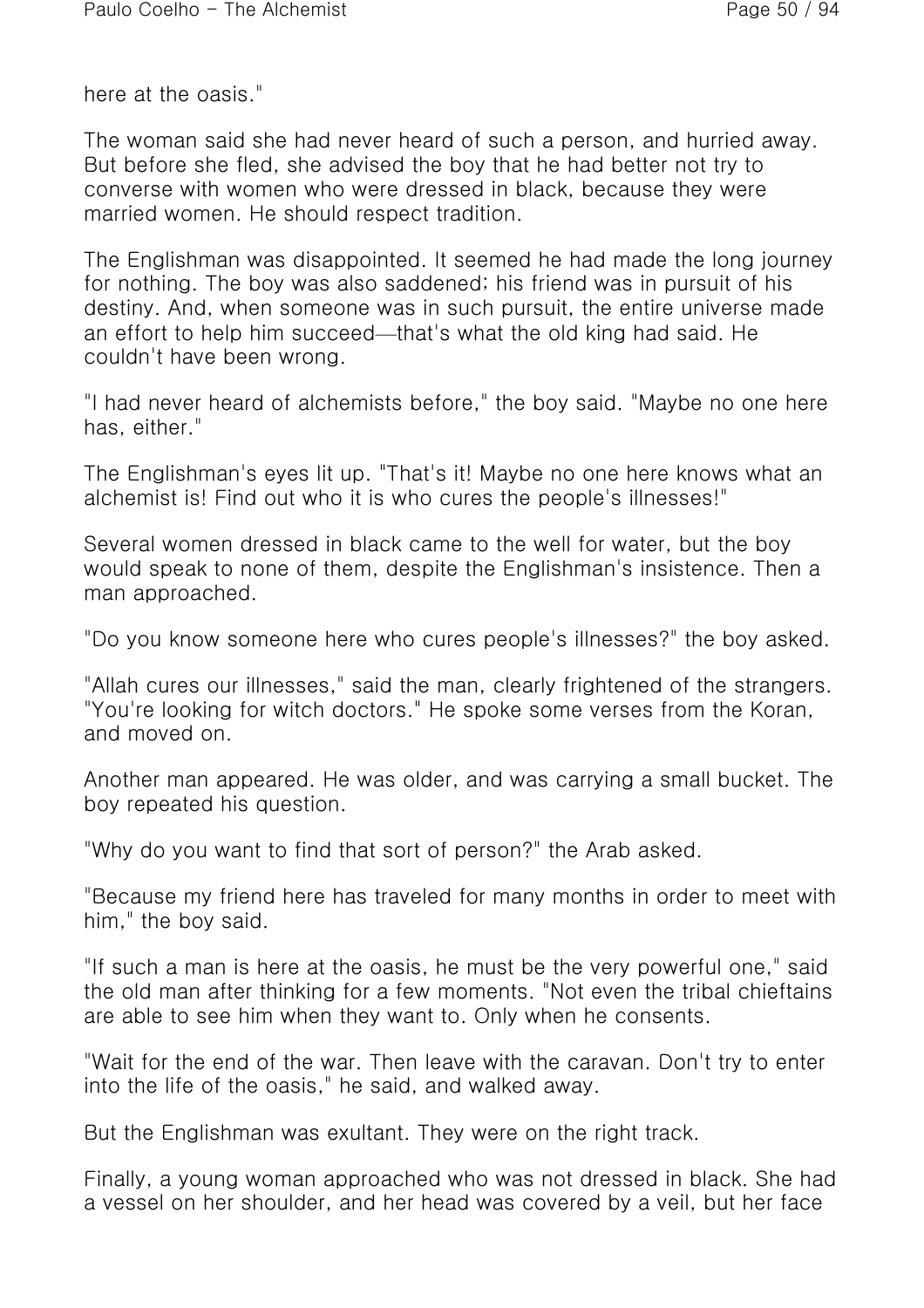here at the oasis."

The woman said she had never heard of such a person, and hurried away. But before she fled, she advised the boy that he had better not try to converse with women who were dressed in black, because they were married women. He should respect tradition.

The Englishman was disappointed. It seemed he had made the long journey for nothing. The boy was also saddened; his friend was in pursuit of his destiny. And, when someone was in such pursuit, the entire universe made an effort to help him succeed—that's what the old king had said. He couldn't have been wrong.

"I had never heard of alchemists before," the boy said. "Maybe no one here has, either."

The Englishman's eyes lit up. "That's it! Maybe no one here knows what an alchemist is! Find out who it is who cures the people's illnesses!"

Several women dressed in black came to the well for water, but the boy would speak to none of them, despite the Englishman's insistence. Then a man approached.

"Do you know someone here who cures people's illnesses?" the boy asked.

"Allah cures our illnesses," said the man, clearly frightened of the strangers. "You're looking for witch doctors." He spoke some verses from the Koran, and moved on.

Another man appeared. He was older, and was carrying a small bucket. The boy repeated his question.

"Why do you want to find that sort of person?" the Arab asked.

"Because my friend here has traveled for many months in order to meet with him," the boy said.

"If such a man is here at the oasis, he must be the very powerful one," said the old man after thinking for a few moments. "Not even the tribal chieftains are able to see him when they want to. Only when he consents.

"Wait for the end of the war. Then leave with the caravan. Don't try to enter into the life of the oasis," he said, and walked away.

But the Englishman was exultant. They were on the right track.

Finally, a young woman approached who was not dressed in black. She had a vessel on her shoulder, and her head was covered by a veil, but her face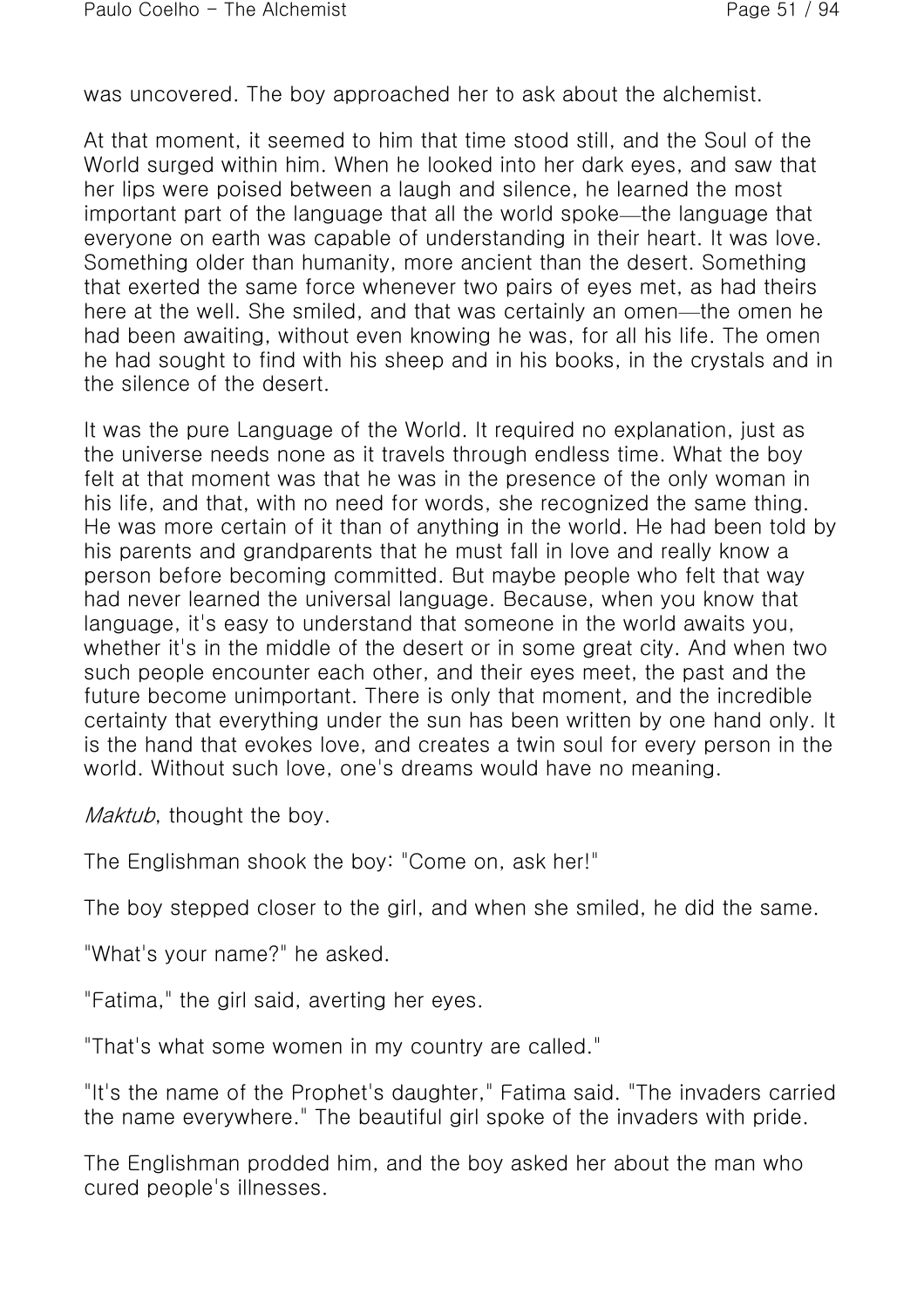was uncovered. The boy approached her to ask about the alchemist.

At that moment, it seemed to him that time stood still, and the Soul of the World surged within him. When he looked into her dark eyes, and saw that her lips were poised between a laugh and silence, he learned the most important part of the language that all the world spoke—the language that everyone on earth was capable of understanding in their heart. It was love. Something older than humanity, more ancient than the desert. Something that exerted the same force whenever two pairs of eyes met, as had theirs here at the well. She smiled, and that was certainly an omen—the omen he had been awaiting, without even knowing he was, for all his life. The omen he had sought to find with his sheep and in his books, in the crystals and in the silence of the desert.

It was the pure Language of the World. It required no explanation, just as the universe needs none as it travels through endless time. What the boy felt at that moment was that he was in the presence of the only woman in his life, and that, with no need for words, she recognized the same thing. He was more certain of it than of anything in the world. He had been told by his parents and grandparents that he must fall in love and really know a person before becoming committed. But maybe people who felt that way had never learned the universal language. Because, when you know that language, it's easy to understand that someone in the world awaits you, whether it's in the middle of the desert or in some great city. And when two such people encounter each other, and their eyes meet, the past and the future become unimportant. There is only that moment, and the incredible certainty that everything under the sun has been written by one hand only. It is the hand that evokes love, and creates a twin soul for every person in the world. Without such love, one's dreams would have no meaning.

Maktub, thought the boy.

The Englishman shook the boy: "Come on, ask her!"

The boy stepped closer to the girl, and when she smiled, he did the same.

"What's your name?" he asked.

"Fatima," the girl said, averting her eyes.

"That's what some women in my country are called."

"It's the name of the Prophet's daughter," Fatima said. "The invaders carried the name everywhere." The beautiful girl spoke of the invaders with pride.

The Englishman prodded him, and the boy asked her about the man who cured people's illnesses.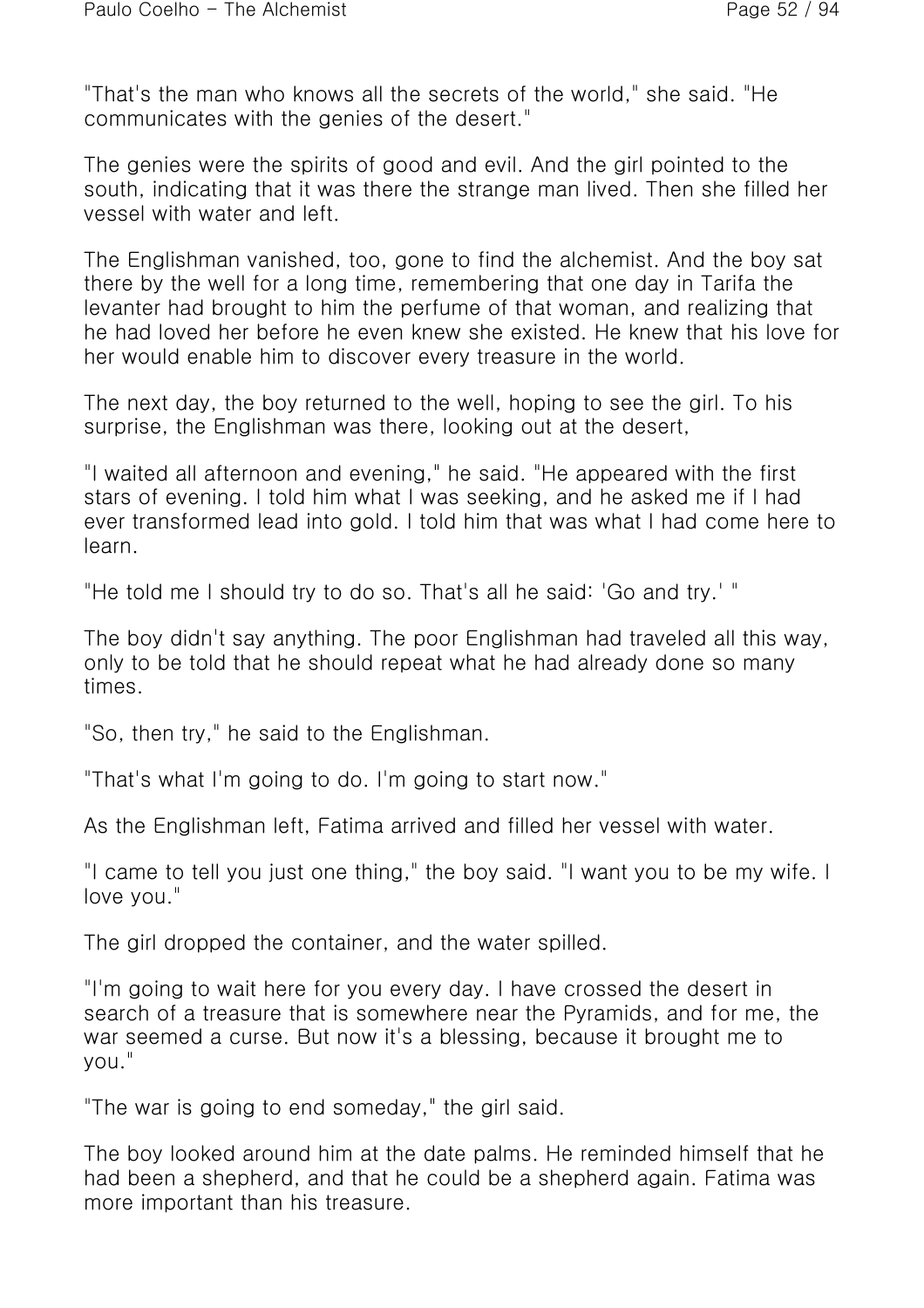"That's the man who knows all the secrets of the world," she said. "He communicates with the genies of the desert."

The genies were the spirits of good and evil. And the girl pointed to the south, indicating that it was there the strange man lived. Then she filled her vessel with water and left.

The Englishman vanished, too, gone to find the alchemist. And the boy sat there by the well for a long time, remembering that one day in Tarifa the levanter had brought to him the perfume of that woman, and realizing that he had loved her before he even knew she existed. He knew that his love for her would enable him to discover every treasure in the world.

The next day, the boy returned to the well, hoping to see the girl. To his surprise, the Englishman was there, looking out at the desert,

"I waited all afternoon and evening," he said. "He appeared with the first stars of evening. I told him what I was seeking, and he asked me if I had ever transformed lead into gold. I told him that was what I had come here to learn.

"He told me I should try to do so. That's all he said: 'Go and try.' "

The boy didn't say anything. The poor Englishman had traveled all this way, only to be told that he should repeat what he had already done so many times.

"So, then try," he said to the Englishman.

"That's what I'm going to do. I'm going to start now."

As the Englishman left, Fatima arrived and filled her vessel with water.

"I came to tell you just one thing," the boy said. "I want you to be my wife. I love you."

The girl dropped the container, and the water spilled.

"I'm going to wait here for you every day. I have crossed the desert in search of a treasure that is somewhere near the Pyramids, and for me, the war seemed a curse. But now it's a blessing, because it brought me to you."

"The war is going to end someday," the girl said.

The boy looked around him at the date palms. He reminded himself that he had been a shepherd, and that he could be a shepherd again. Fatima was more important than his treasure.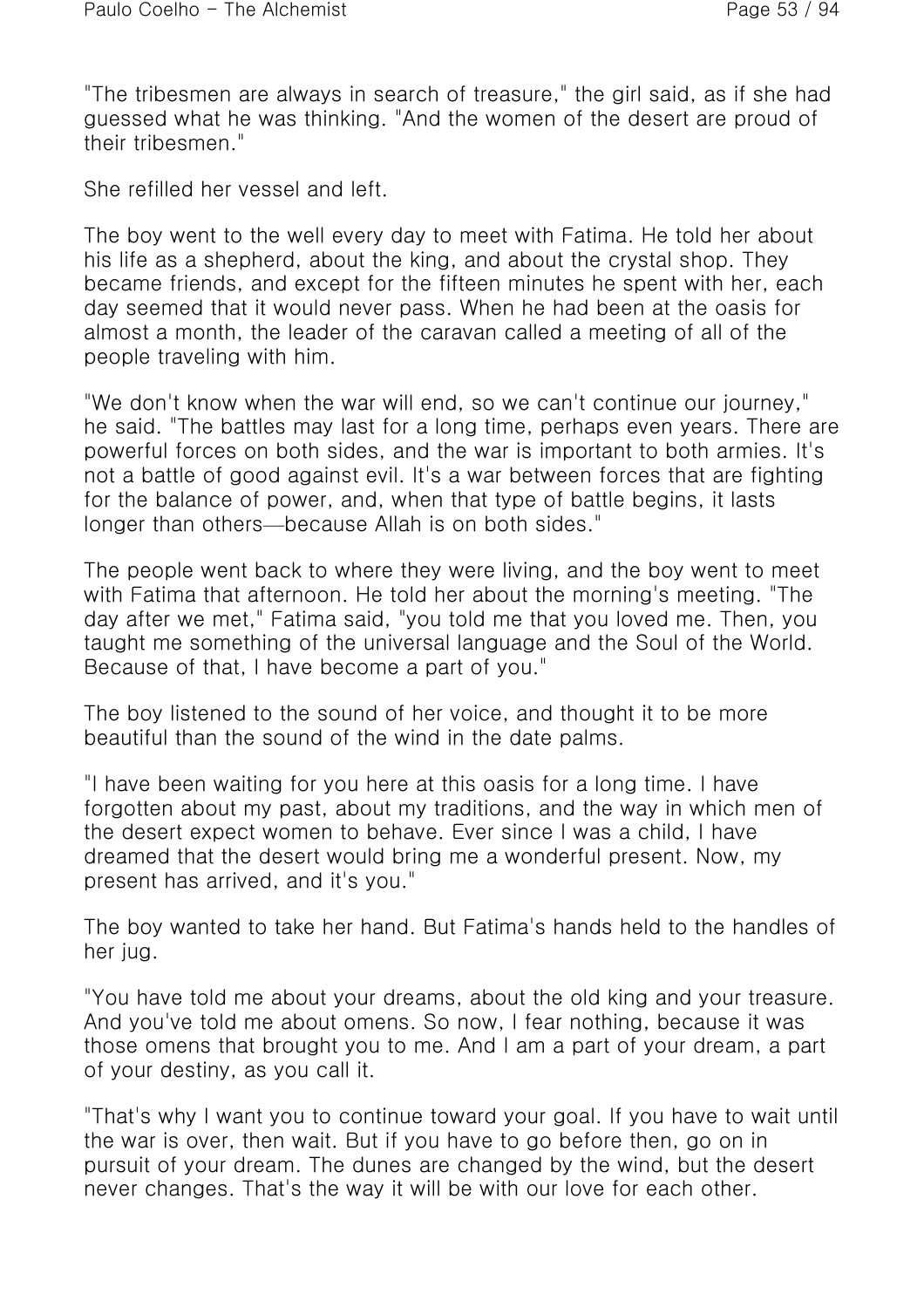"The tribesmen are always in search of treasure," the girl said, as if she had guessed what he was thinking. "And the women of the desert are proud of their tribesmen."

She refilled her vessel and left.

The boy went to the well every day to meet with Fatima. He told her about his life as a shepherd, about the king, and about the crystal shop. They became friends, and except for the fifteen minutes he spent with her, each day seemed that it would never pass. When he had been at the oasis for almost a month, the leader of the caravan called a meeting of all of the people traveling with him.

"We don't know when the war will end, so we can't continue our journey," he said. "The battles may last for a long time, perhaps even years. There are powerful forces on both sides, and the war is important to both armies. It's not a battle of good against evil. It's a war between forces that are fighting for the balance of power, and, when that type of battle begins, it lasts longer than others—because Allah is on both sides."

The people went back to where they were living, and the boy went to meet with Fatima that afternoon. He told her about the morning's meeting. "The day after we met," Fatima said, "you told me that you loved me. Then, you taught me something of the universal language and the Soul of the World. Because of that, I have become a part of you."

The boy listened to the sound of her voice, and thought it to be more beautiful than the sound of the wind in the date palms.

"I have been waiting for you here at this oasis for a long time. I have forgotten about my past, about my traditions, and the way in which men of the desert expect women to behave. Ever since I was a child, I have dreamed that the desert would bring me a wonderful present. Now, my present has arrived, and it's you."

The boy wanted to take her hand. But Fatima's hands held to the handles of her jug.

"You have told me about your dreams, about the old king and your treasure. And you've told me about omens. So now, I fear nothing, because it was those omens that brought you to me. And I am a part of your dream, a part of your destiny, as you call it.

"That's why I want you to continue toward your goal. If you have to wait until the war is over, then wait. But if you have to go before then, go on in pursuit of your dream. The dunes are changed by the wind, but the desert never changes. That's the way it will be with our love for each other.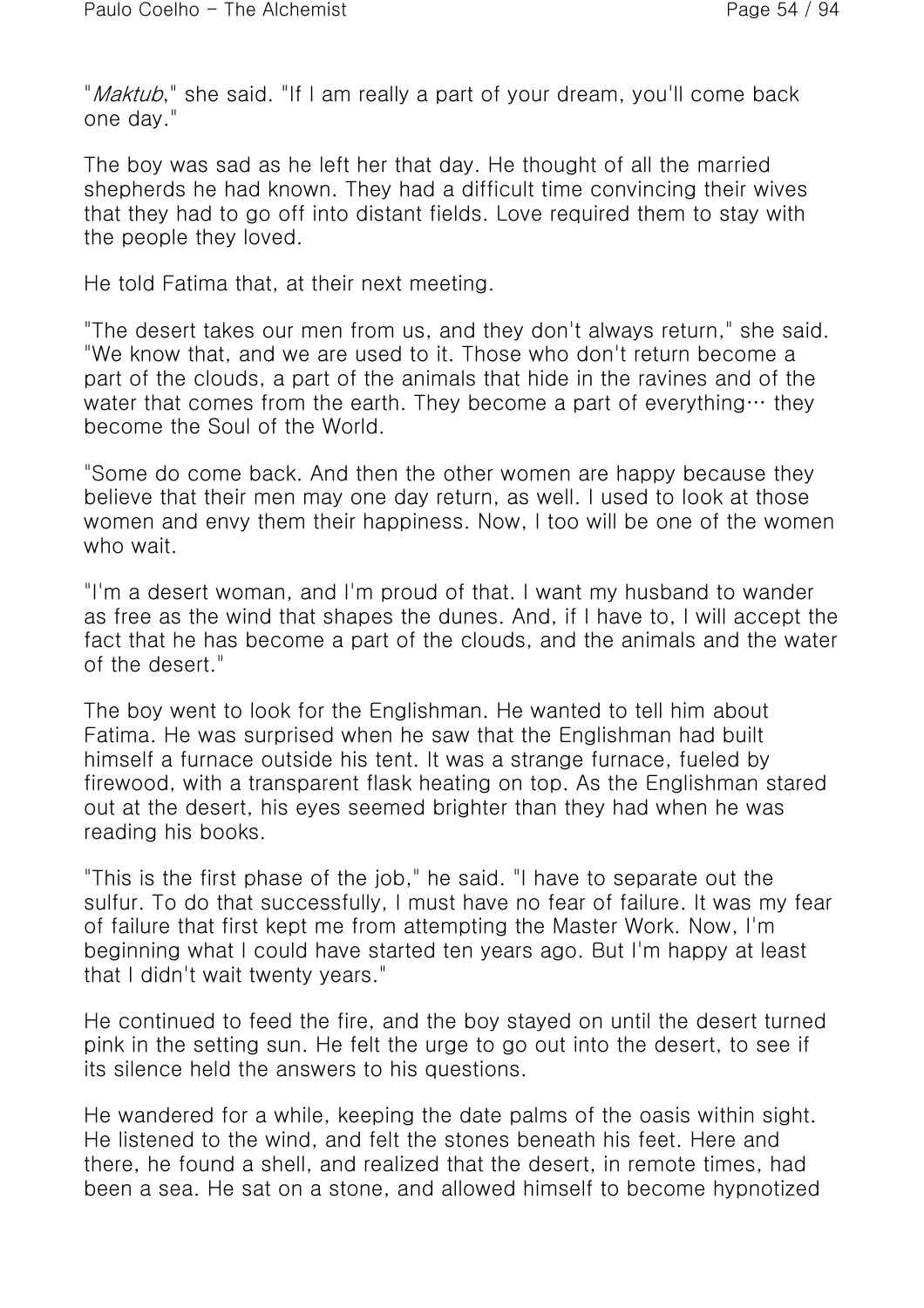"*Maktub*," she said. "If I am really a part of your dream, you'll come back one day."

The boy was sad as he left her that day. He thought of all the married shepherds he had known. They had a difficult time convincing their wives that they had to go off into distant fields. Love required them to stay with the people they loved.

He told Fatima that, at their next meeting.

"The desert takes our men from us, and they don't always return," she said. "We know that, and we are used to it. Those who don't return become a part of the clouds, a part of the animals that hide in the ravines and of the water that comes from the earth. They become a part of everything  $\cdots$  they become the Soul of the World.

"Some do come back. And then the other women are happy because they believe that their men may one day return, as well. I used to look at those women and envy them their happiness. Now, I too will be one of the women who wait.

"I'm a desert woman, and I'm proud of that. I want my husband to wander as free as the wind that shapes the dunes. And, if I have to, I will accept the fact that he has become a part of the clouds, and the animals and the water of the desert."

The boy went to look for the Englishman. He wanted to tell him about Fatima. He was surprised when he saw that the Englishman had built himself a furnace outside his tent. It was a strange furnace, fueled by firewood, with a transparent flask heating on top. As the Englishman stared out at the desert, his eyes seemed brighter than they had when he was reading his books.

"This is the first phase of the job," he said. "I have to separate out the sulfur. To do that successfully, I must have no fear of failure. It was my fear of failure that first kept me from attempting the Master Work. Now, I'm beginning what I could have started ten years ago. But I'm happy at least that I didn't wait twenty years."

He continued to feed the fire, and the boy stayed on until the desert turned pink in the setting sun. He felt the urge to go out into the desert, to see if its silence held the answers to his questions.

He wandered for a while, keeping the date palms of the oasis within sight. He listened to the wind, and felt the stones beneath his feet. Here and there, he found a shell, and realized that the desert, in remote times, had been a sea. He sat on a stone, and allowed himself to become hypnotized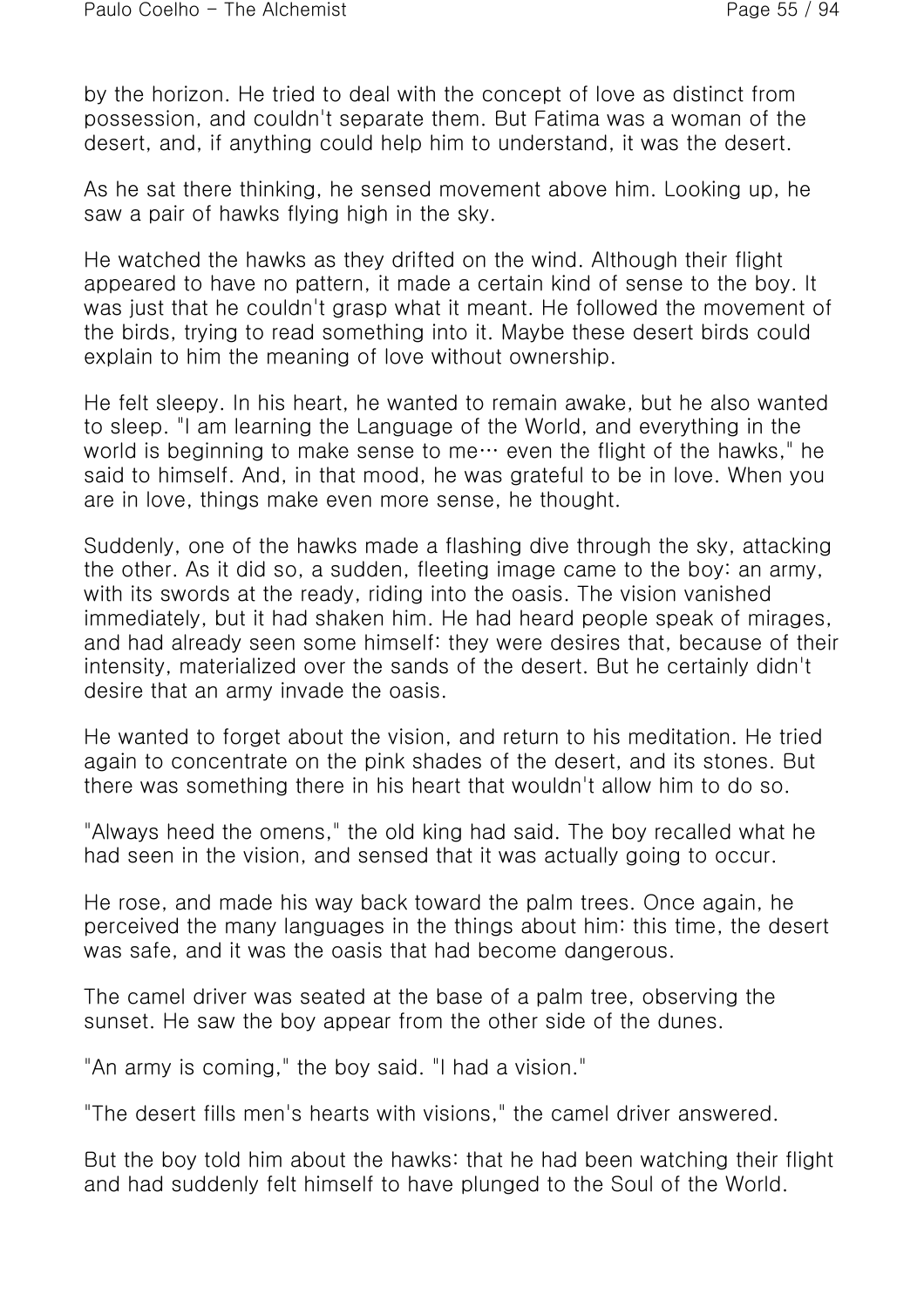by the horizon. He tried to deal with the concept of love as distinct from possession, and couldn't separate them. But Fatima was a woman of the desert, and, if anything could help him to understand, it was the desert.

As he sat there thinking, he sensed movement above him. Looking up, he saw a pair of hawks flying high in the sky.

He watched the hawks as they drifted on the wind. Although their flight appeared to have no pattern, it made a certain kind of sense to the boy. It was just that he couldn't grasp what it meant. He followed the movement of the birds, trying to read something into it. Maybe these desert birds could explain to him the meaning of love without ownership.

He felt sleepy. In his heart, he wanted to remain awake, but he also wanted to sleep. "I am learning the Language of the World, and everything in the world is beginning to make sense to me… even the flight of the hawks," he said to himself. And, in that mood, he was grateful to be in love. When you are in love, things make even more sense, he thought.

Suddenly, one of the hawks made a flashing dive through the sky, attacking the other. As it did so, a sudden, fleeting image came to the boy: an army, with its swords at the ready, riding into the oasis. The vision vanished immediately, but it had shaken him. He had heard people speak of mirages, and had already seen some himself: they were desires that, because of their intensity, materialized over the sands of the desert. But he certainly didn't desire that an army invade the oasis.

He wanted to forget about the vision, and return to his meditation. He tried again to concentrate on the pink shades of the desert, and its stones. But there was something there in his heart that wouldn't allow him to do so.

"Always heed the omens," the old king had said. The boy recalled what he had seen in the vision, and sensed that it was actually going to occur.

He rose, and made his way back toward the palm trees. Once again, he perceived the many languages in the things about him: this time, the desert was safe, and it was the oasis that had become dangerous.

The camel driver was seated at the base of a palm tree, observing the sunset. He saw the boy appear from the other side of the dunes.

"An army is coming," the boy said. "I had a vision."

"The desert fills men's hearts with visions," the camel driver answered.

But the boy told him about the hawks: that he had been watching their flight and had suddenly felt himself to have plunged to the Soul of the World.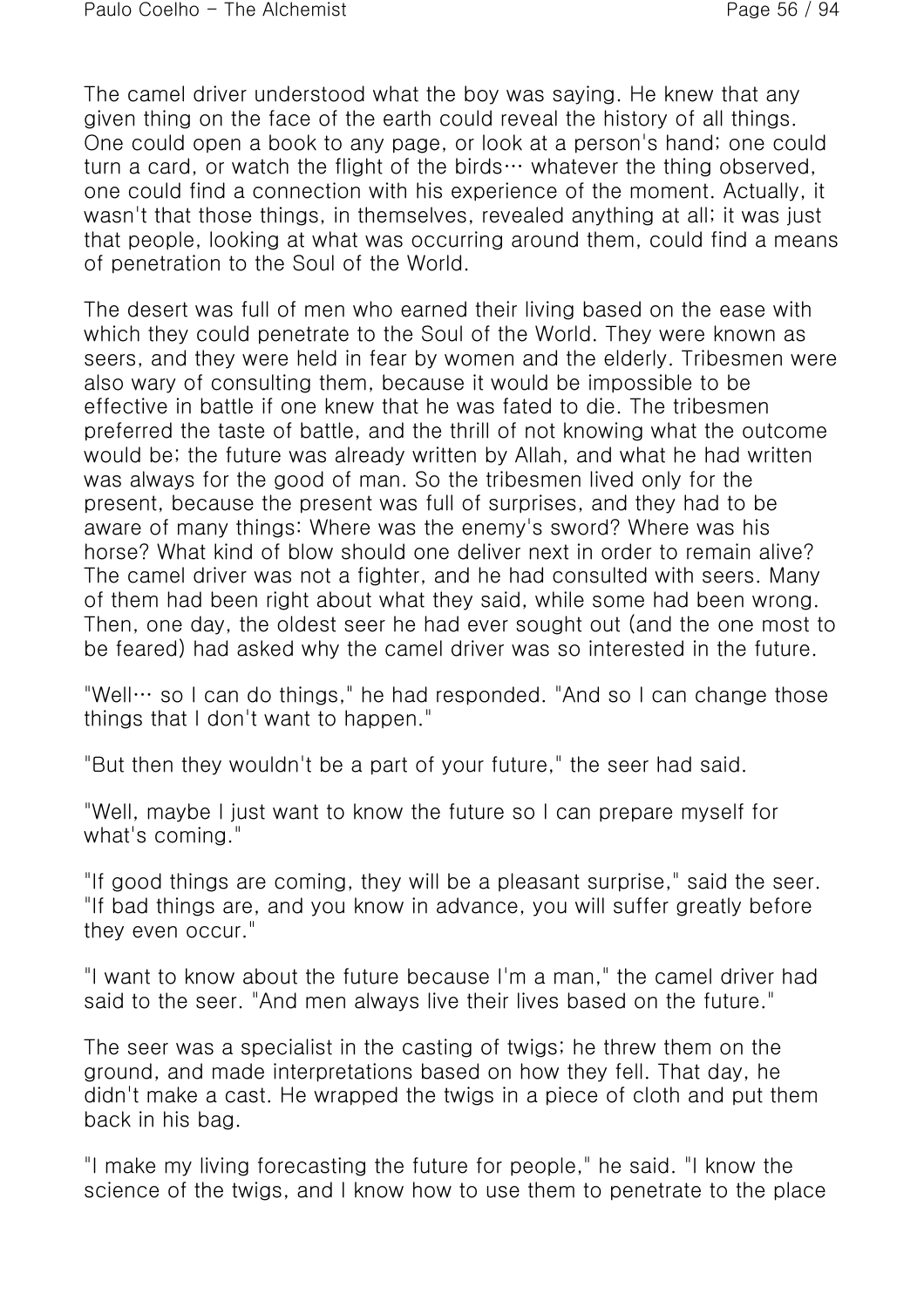The camel driver understood what the boy was saying. He knew that any given thing on the face of the earth could reveal the history of all things. One could open a book to any page, or look at a person's hand; one could turn a card, or watch the flight of the birds… whatever the thing observed. one could find a connection with his experience of the moment. Actually, it wasn't that those things, in themselves, revealed anything at all; it was just that people, looking at what was occurring around them, could find a means of penetration to the Soul of the World.

The desert was full of men who earned their living based on the ease with which they could penetrate to the Soul of the World. They were known as seers, and they were held in fear by women and the elderly. Tribesmen were also wary of consulting them, because it would be impossible to be effective in battle if one knew that he was fated to die. The tribesmen preferred the taste of battle, and the thrill of not knowing what the outcome would be; the future was already written by Allah, and what he had written was always for the good of man. So the tribesmen lived only for the present, because the present was full of surprises, and they had to be aware of many things: Where was the enemy's sword? Where was his horse? What kind of blow should one deliver next in order to remain alive? The camel driver was not a fighter, and he had consulted with seers. Many of them had been right about what they said, while some had been wrong. Then, one day, the oldest seer he had ever sought out (and the one most to be feared) had asked why the camel driver was so interested in the future.

"Well $\cdots$  so I can do things," he had responded. "And so I can change those things that I don't want to happen."

"But then they wouldn't be a part of your future," the seer had said.

"Well, maybe I just want to know the future so I can prepare myself for what's coming."

"If good things are coming, they will be a pleasant surprise," said the seer. "If bad things are, and you know in advance, you will suffer greatly before they even occur."

"I want to know about the future because I'm a man," the camel driver had said to the seer. "And men always live their lives based on the future."

The seer was a specialist in the casting of twigs; he threw them on the ground, and made interpretations based on how they fell. That day, he didn't make a cast. He wrapped the twigs in a piece of cloth and put them back in his bag.

"I make my living forecasting the future for people," he said. "I know the science of the twigs, and I know how to use them to penetrate to the place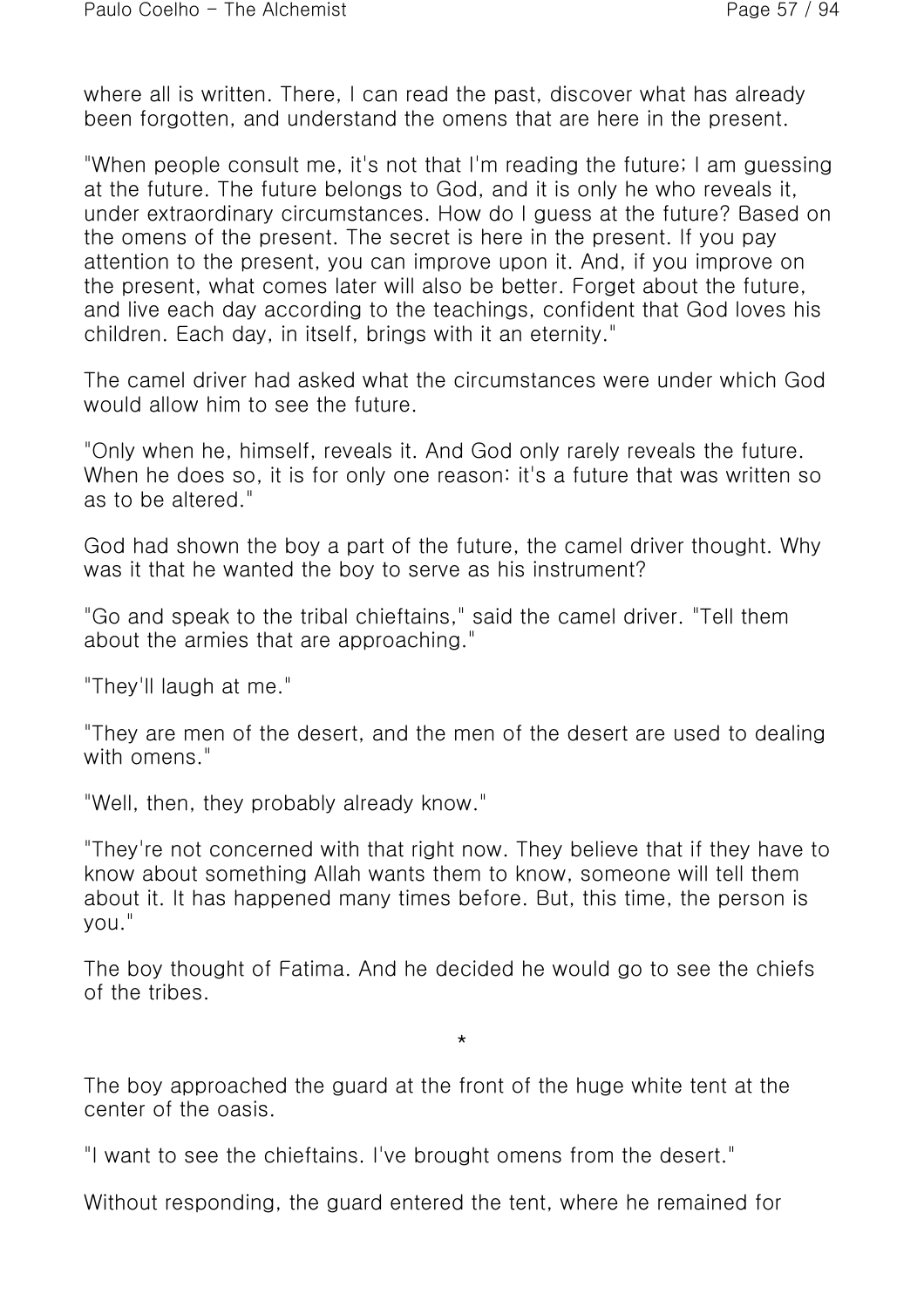where all is written. There, I can read the past, discover what has already been forgotten, and understand the omens that are here in the present.

"When people consult me, it's not that I'm reading the future; I am guessing at the future. The future belongs to God, and it is only he who reveals it, under extraordinary circumstances. How do I guess at the future? Based on the omens of the present. The secret is here in the present. If you pay attention to the present, you can improve upon it. And, if you improve on the present, what comes later will also be better. Forget about the future, and live each day according to the teachings, confident that God loves his children. Each day, in itself, brings with it an eternity."

The camel driver had asked what the circumstances were under which God would allow him to see the future.

"Only when he, himself, reveals it. And God only rarely reveals the future. When he does so, it is for only one reason: it's a future that was written so as to be altered."

God had shown the boy a part of the future, the camel driver thought. Why was it that he wanted the boy to serve as his instrument?

"Go and speak to the tribal chieftains," said the camel driver. "Tell them about the armies that are approaching."

"They'll laugh at me."

"They are men of the desert, and the men of the desert are used to dealing with omens."

"Well, then, they probably already know."

"They're not concerned with that right now. They believe that if they have to know about something Allah wants them to know, someone will tell them about it. It has happened many times before. But, this time, the person is you."

The boy thought of Fatima. And he decided he would go to see the chiefs of the tribes.

\*

The boy approached the guard at the front of the huge white tent at the center of the oasis.

"I want to see the chieftains. I've brought omens from the desert."

Without responding, the guard entered the tent, where he remained for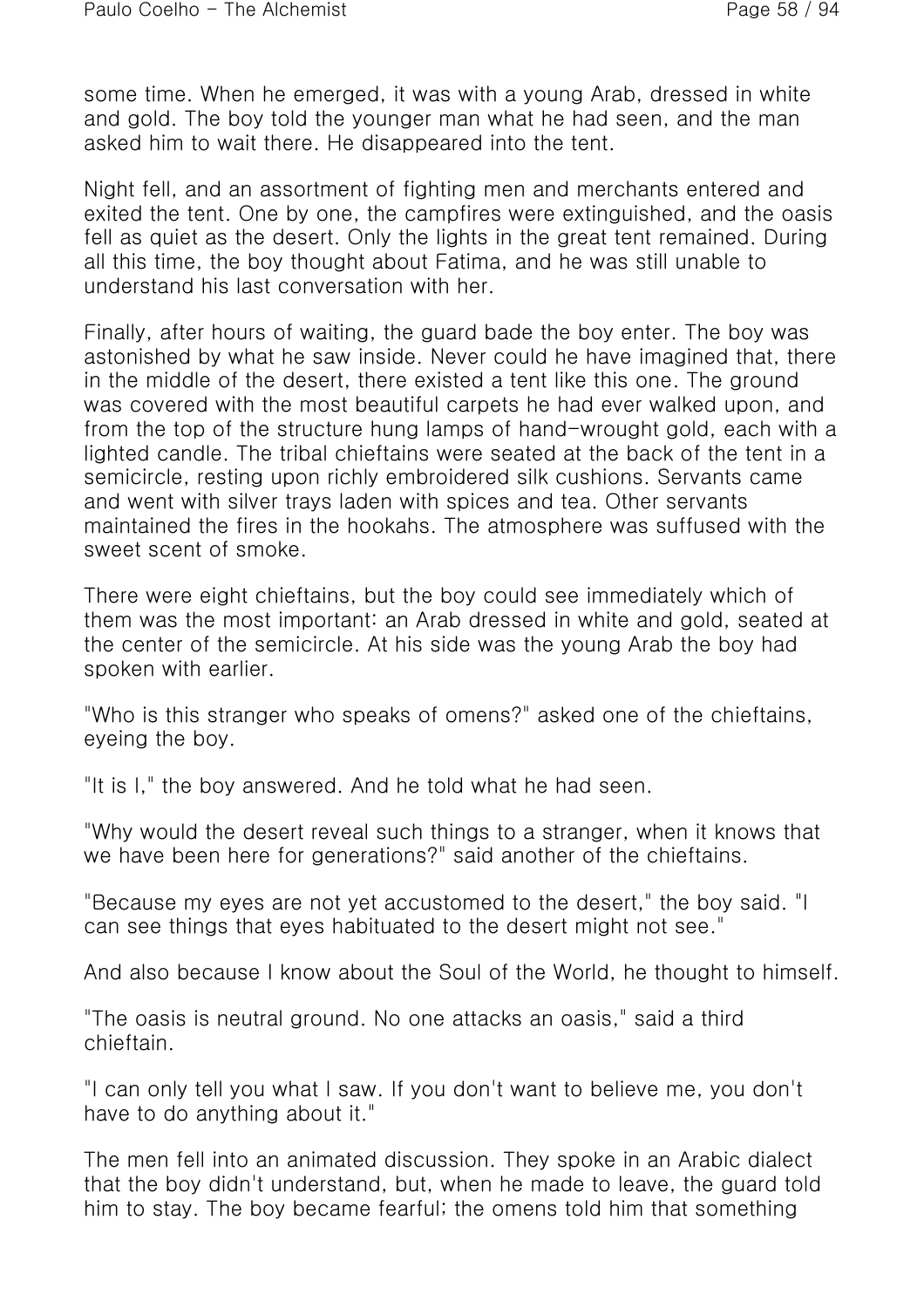some time. When he emerged, it was with a young Arab, dressed in white and gold. The boy told the younger man what he had seen, and the man asked him to wait there. He disappeared into the tent.

Night fell, and an assortment of fighting men and merchants entered and exited the tent. One by one, the campfires were extinguished, and the oasis fell as quiet as the desert. Only the lights in the great tent remained. During all this time, the boy thought about Fatima, and he was still unable to understand his last conversation with her.

Finally, after hours of waiting, the guard bade the boy enter. The boy was astonished by what he saw inside. Never could he have imagined that, there in the middle of the desert, there existed a tent like this one. The ground was covered with the most beautiful carpets he had ever walked upon, and from the top of the structure hung lamps of hand-wrought gold, each with a lighted candle. The tribal chieftains were seated at the back of the tent in a semicircle, resting upon richly embroidered silk cushions. Servants came and went with silver trays laden with spices and tea. Other servants maintained the fires in the hookahs. The atmosphere was suffused with the sweet scent of smoke.

There were eight chieftains, but the boy could see immediately which of them was the most important: an Arab dressed in white and gold, seated at the center of the semicircle. At his side was the young Arab the boy had spoken with earlier.

"Who is this stranger who speaks of omens?" asked one of the chieftains, eyeing the boy.

"It is I," the boy answered. And he told what he had seen.

"Why would the desert reveal such things to a stranger, when it knows that we have been here for generations?" said another of the chieftains.

"Because my eyes are not yet accustomed to the desert," the boy said. "I can see things that eyes habituated to the desert might not see."

And also because I know about the Soul of the World, he thought to himself.

"The oasis is neutral ground. No one attacks an oasis," said a third chieftain.

"I can only tell you what I saw. If you don't want to believe me, you don't have to do anything about it."

The men fell into an animated discussion. They spoke in an Arabic dialect that the boy didn't understand, but, when he made to leave, the guard told him to stay. The boy became fearful; the omens told him that something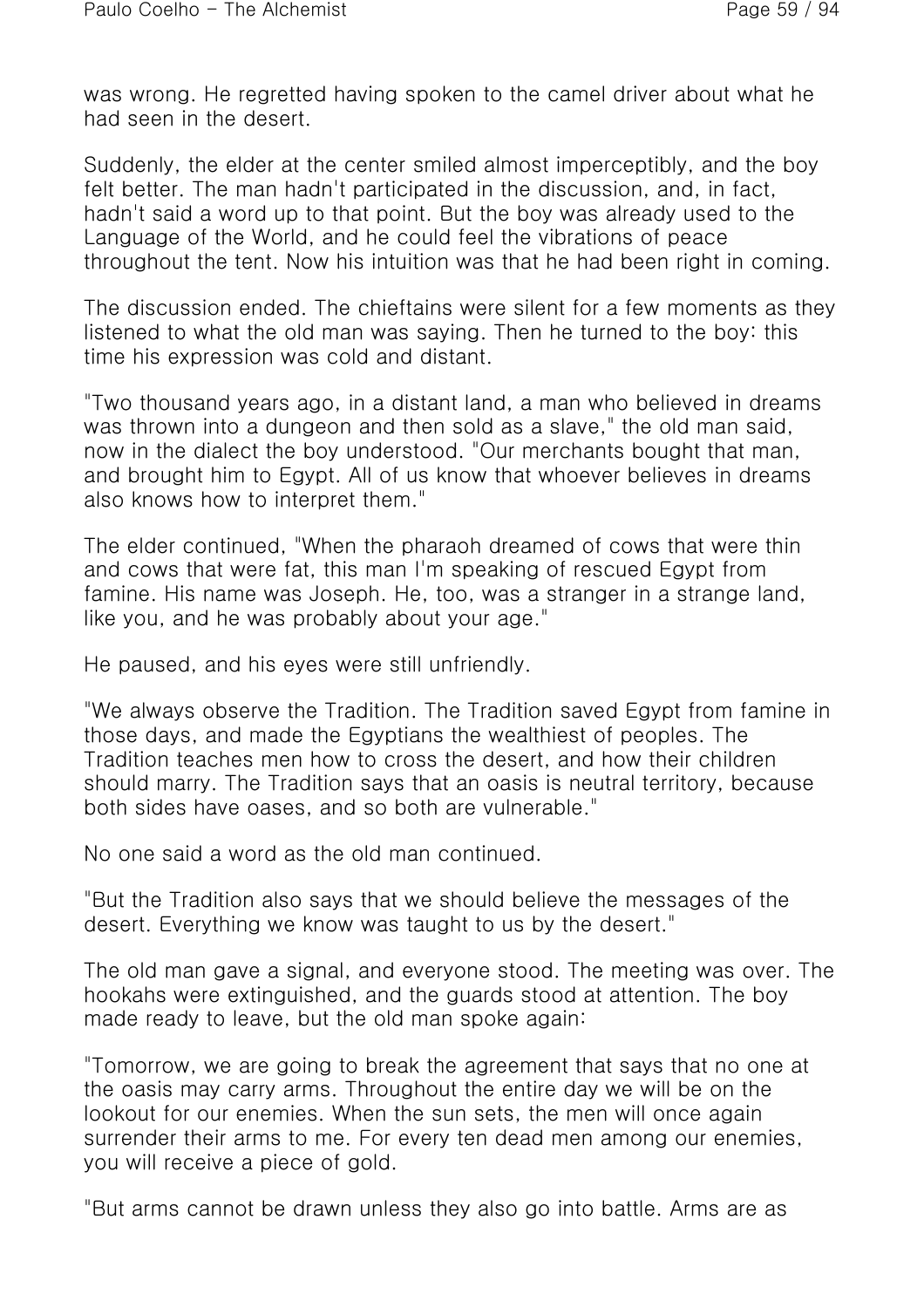was wrong. He regretted having spoken to the camel driver about what he had seen in the desert.

Suddenly, the elder at the center smiled almost imperceptibly, and the boy felt better. The man hadn't participated in the discussion, and, in fact, hadn't said a word up to that point. But the boy was already used to the Language of the World, and he could feel the vibrations of peace throughout the tent. Now his intuition was that he had been right in coming.

The discussion ended. The chieftains were silent for a few moments as they listened to what the old man was saying. Then he turned to the boy: this time his expression was cold and distant.

"Two thousand years ago, in a distant land, a man who believed in dreams was thrown into a dungeon and then sold as a slave," the old man said, now in the dialect the boy understood. "Our merchants bought that man, and brought him to Egypt. All of us know that whoever believes in dreams also knows how to interpret them."

The elder continued, "When the pharaoh dreamed of cows that were thin and cows that were fat, this man I'm speaking of rescued Egypt from famine. His name was Joseph. He, too, was a stranger in a strange land, like you, and he was probably about your age."

He paused, and his eyes were still unfriendly.

"We always observe the Tradition. The Tradition saved Egypt from famine in those days, and made the Egyptians the wealthiest of peoples. The Tradition teaches men how to cross the desert, and how their children should marry. The Tradition says that an oasis is neutral territory, because both sides have oases, and so both are vulnerable."

No one said a word as the old man continued.

"But the Tradition also says that we should believe the messages of the desert. Everything we know was taught to us by the desert."

The old man gave a signal, and everyone stood. The meeting was over. The hookahs were extinguished, and the guards stood at attention. The boy made ready to leave, but the old man spoke again:

"Tomorrow, we are going to break the agreement that says that no one at the oasis may carry arms. Throughout the entire day we will be on the lookout for our enemies. When the sun sets, the men will once again surrender their arms to me. For every ten dead men among our enemies, you will receive a piece of gold.

"But arms cannot be drawn unless they also go into battle. Arms are as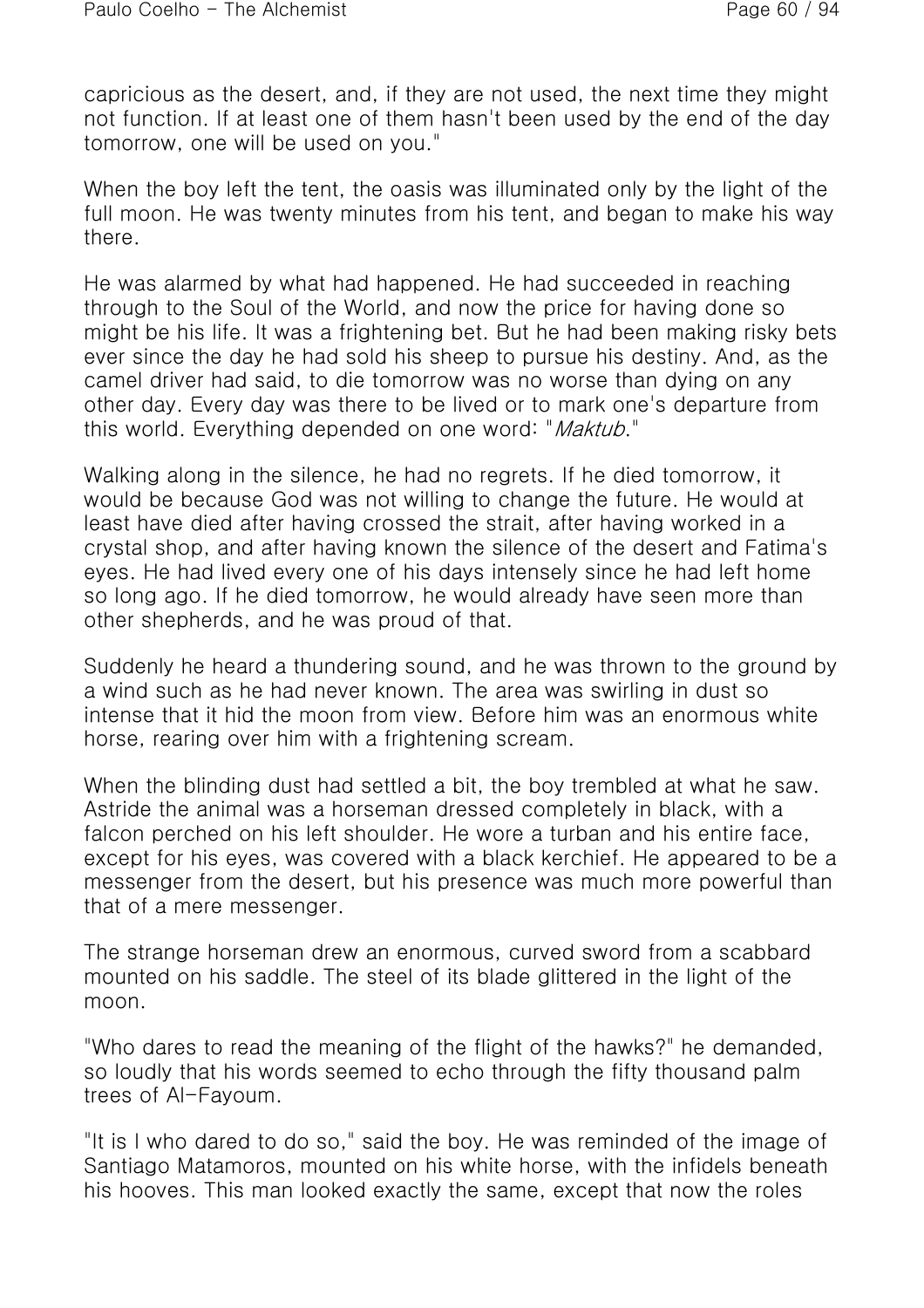capricious as the desert, and, if they are not used, the next time they might not function. If at least one of them hasn't been used by the end of the day tomorrow, one will be used on you."

When the boy left the tent, the oasis was illuminated only by the light of the full moon. He was twenty minutes from his tent, and began to make his way there.

He was alarmed by what had happened. He had succeeded in reaching through to the Soul of the World, and now the price for having done so might be his life. It was a frightening bet. But he had been making risky bets ever since the day he had sold his sheep to pursue his destiny. And, as the camel driver had said, to die tomorrow was no worse than dying on any other day. Every day was there to be lived or to mark one's departure from this world. Everything depended on one word: "*Maktub*."

Walking along in the silence, he had no regrets. If he died tomorrow, it would be because God was not willing to change the future. He would at least have died after having crossed the strait, after having worked in a crystal shop, and after having known the silence of the desert and Fatima's eyes. He had lived every one of his days intensely since he had left home so long ago. If he died tomorrow, he would already have seen more than other shepherds, and he was proud of that.

Suddenly he heard a thundering sound, and he was thrown to the ground by a wind such as he had never known. The area was swirling in dust so intense that it hid the moon from view. Before him was an enormous white horse, rearing over him with a frightening scream.

When the blinding dust had settled a bit, the boy trembled at what he saw. Astride the animal was a horseman dressed completely in black, with a falcon perched on his left shoulder. He wore a turban and his entire face, except for his eyes, was covered with a black kerchief. He appeared to be a messenger from the desert, but his presence was much more powerful than that of a mere messenger.

The strange horseman drew an enormous, curved sword from a scabbard mounted on his saddle. The steel of its blade glittered in the light of the moon.

"Who dares to read the meaning of the flight of the hawks?" he demanded, so loudly that his words seemed to echo through the fifty thousand palm trees of Al-Fayoum.

"It is I who dared to do so," said the boy. He was reminded of the image of Santiago Matamoros, mounted on his white horse, with the infidels beneath his hooves. This man looked exactly the same, except that now the roles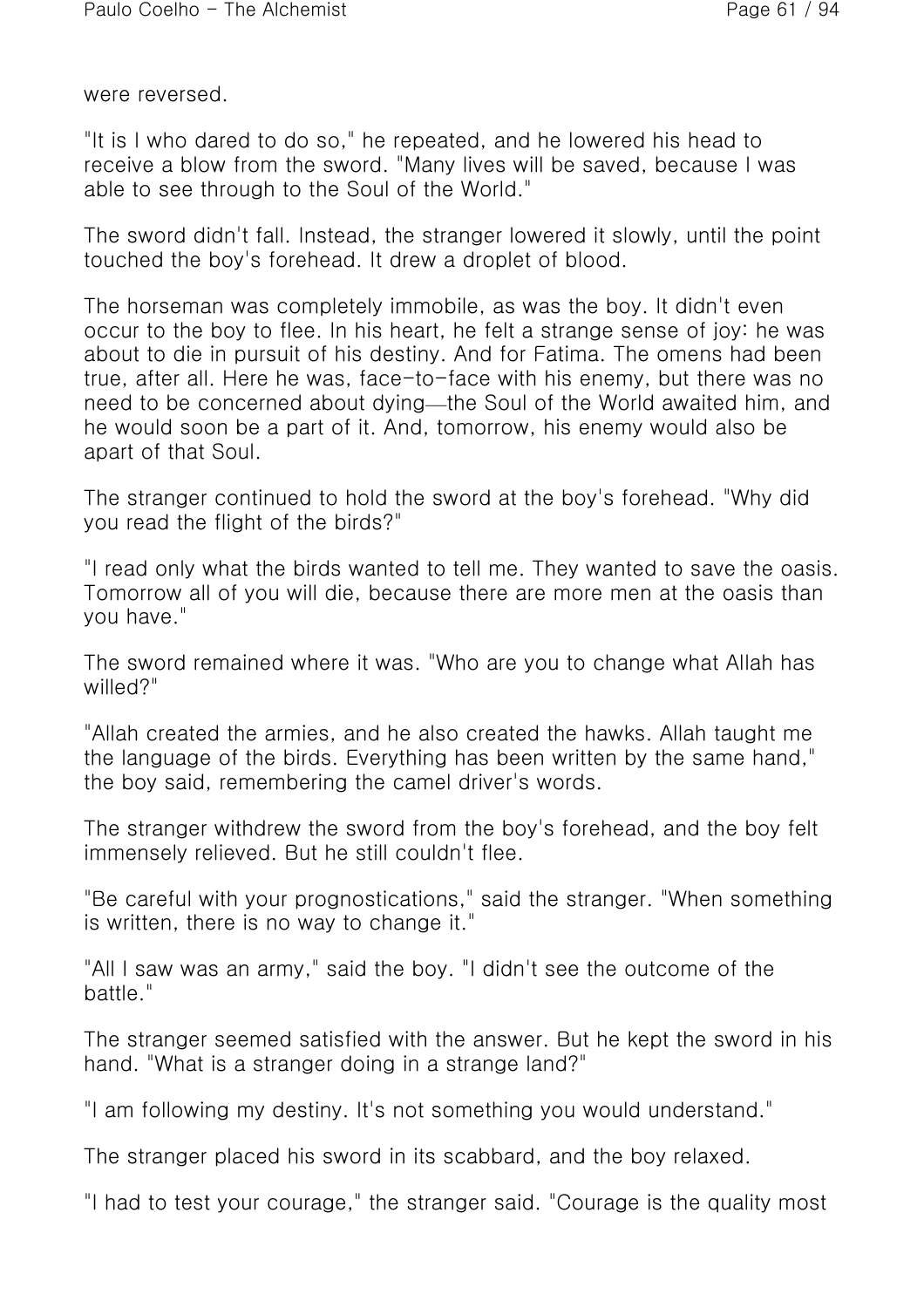were reversed.

"It is I who dared to do so," he repeated, and he lowered his head to receive a blow from the sword. "Many lives will be saved, because I was able to see through to the Soul of the World."

The sword didn't fall. Instead, the stranger lowered it slowly, until the point touched the boy's forehead. It drew a droplet of blood.

The horseman was completely immobile, as was the boy. It didn't even occur to the boy to flee. In his heart, he felt a strange sense of joy: he was about to die in pursuit of his destiny. And for Fatima. The omens had been true, after all. Here he was, face-to-face with his enemy, but there was no need to be concerned about dying—the Soul of the World awaited him, and he would soon be a part of it. And, tomorrow, his enemy would also be apart of that Soul.

The stranger continued to hold the sword at the boy's forehead. "Why did you read the flight of the birds?"

"I read only what the birds wanted to tell me. They wanted to save the oasis. Tomorrow all of you will die, because there are more men at the oasis than you have."

The sword remained where it was. "Who are you to change what Allah has willed?"

"Allah created the armies, and he also created the hawks. Allah taught me the language of the birds. Everything has been written by the same hand," the boy said, remembering the camel driver's words.

The stranger withdrew the sword from the boy's forehead, and the boy felt immensely relieved. But he still couldn't flee.

"Be careful with your prognostications," said the stranger. "When something is written, there is no way to change it."

"All I saw was an army," said the boy. "I didn't see the outcome of the battle."

The stranger seemed satisfied with the answer. But he kept the sword in his hand. "What is a stranger doing in a strange land?"

"I am following my destiny. It's not something you would understand."

The stranger placed his sword in its scabbard, and the boy relaxed.

"I had to test your courage," the stranger said. "Courage is the quality most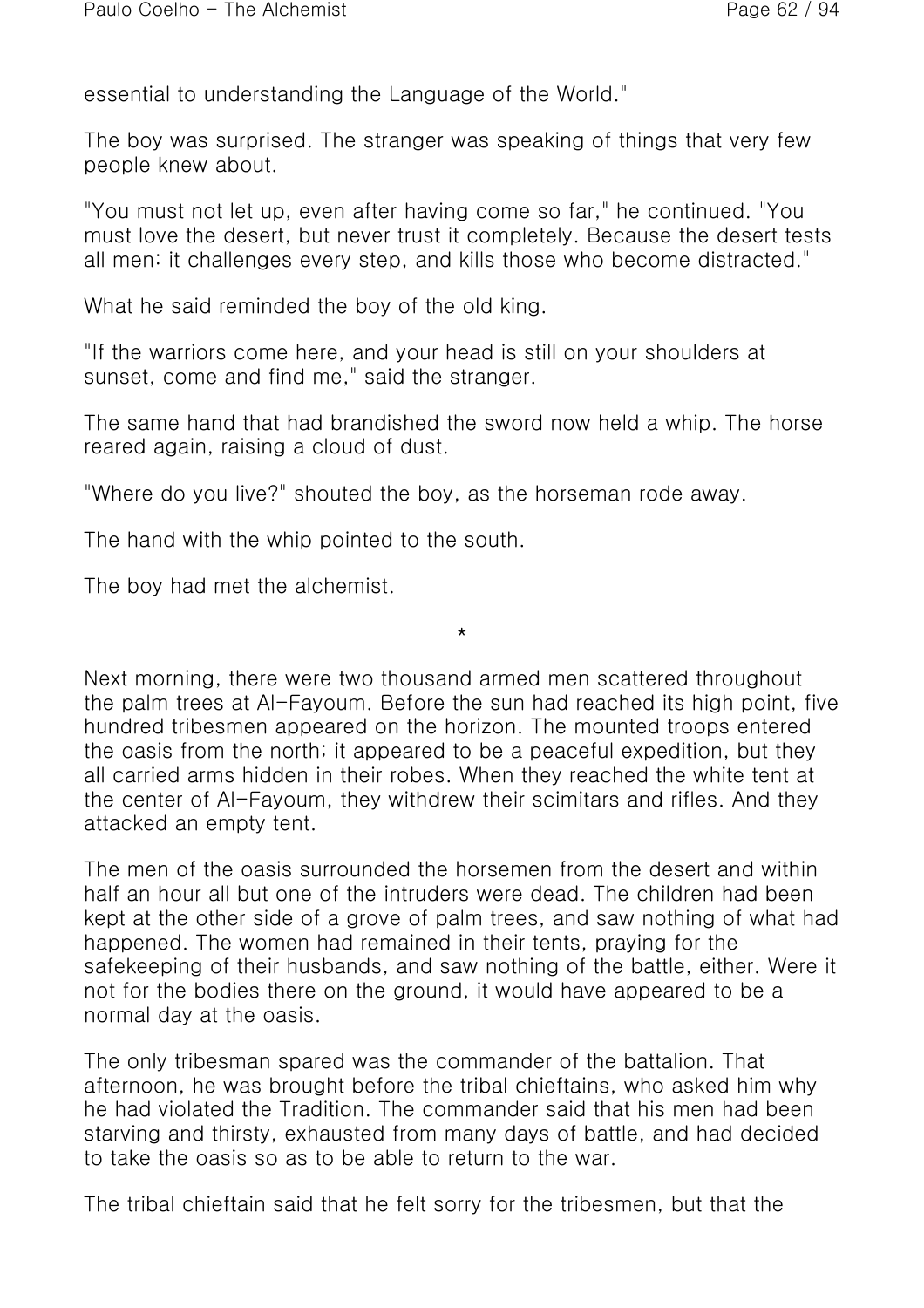essential to understanding the Language of the World."

The boy was surprised. The stranger was speaking of things that very few people knew about.

"You must not let up, even after having come so far," he continued. "You must love the desert, but never trust it completely. Because the desert tests all men: it challenges every step, and kills those who become distracted."

What he said reminded the boy of the old king.

"If the warriors come here, and your head is still on your shoulders at sunset, come and find me," said the stranger.

The same hand that had brandished the sword now held a whip. The horse reared again, raising a cloud of dust.

"Where do you live?" shouted the boy, as the horseman rode away.

The hand with the whip pointed to the south.

The boy had met the alchemist.

Next morning, there were two thousand armed men scattered throughout the palm trees at Al-Fayoum. Before the sun had reached its high point, five hundred tribesmen appeared on the horizon. The mounted troops entered the oasis from the north; it appeared to be a peaceful expedition, but they all carried arms hidden in their robes. When they reached the white tent at the center of Al-Fayoum, they withdrew their scimitars and rifles. And they attacked an empty tent.

\*

The men of the oasis surrounded the horsemen from the desert and within half an hour all but one of the intruders were dead. The children had been kept at the other side of a grove of palm trees, and saw nothing of what had happened. The women had remained in their tents, praying for the safekeeping of their husbands, and saw nothing of the battle, either. Were it not for the bodies there on the ground, it would have appeared to be a normal day at the oasis.

The only tribesman spared was the commander of the battalion. That afternoon, he was brought before the tribal chieftains, who asked him why he had violated the Tradition. The commander said that his men had been starving and thirsty, exhausted from many days of battle, and had decided to take the oasis so as to be able to return to the war.

The tribal chieftain said that he felt sorry for the tribesmen, but that the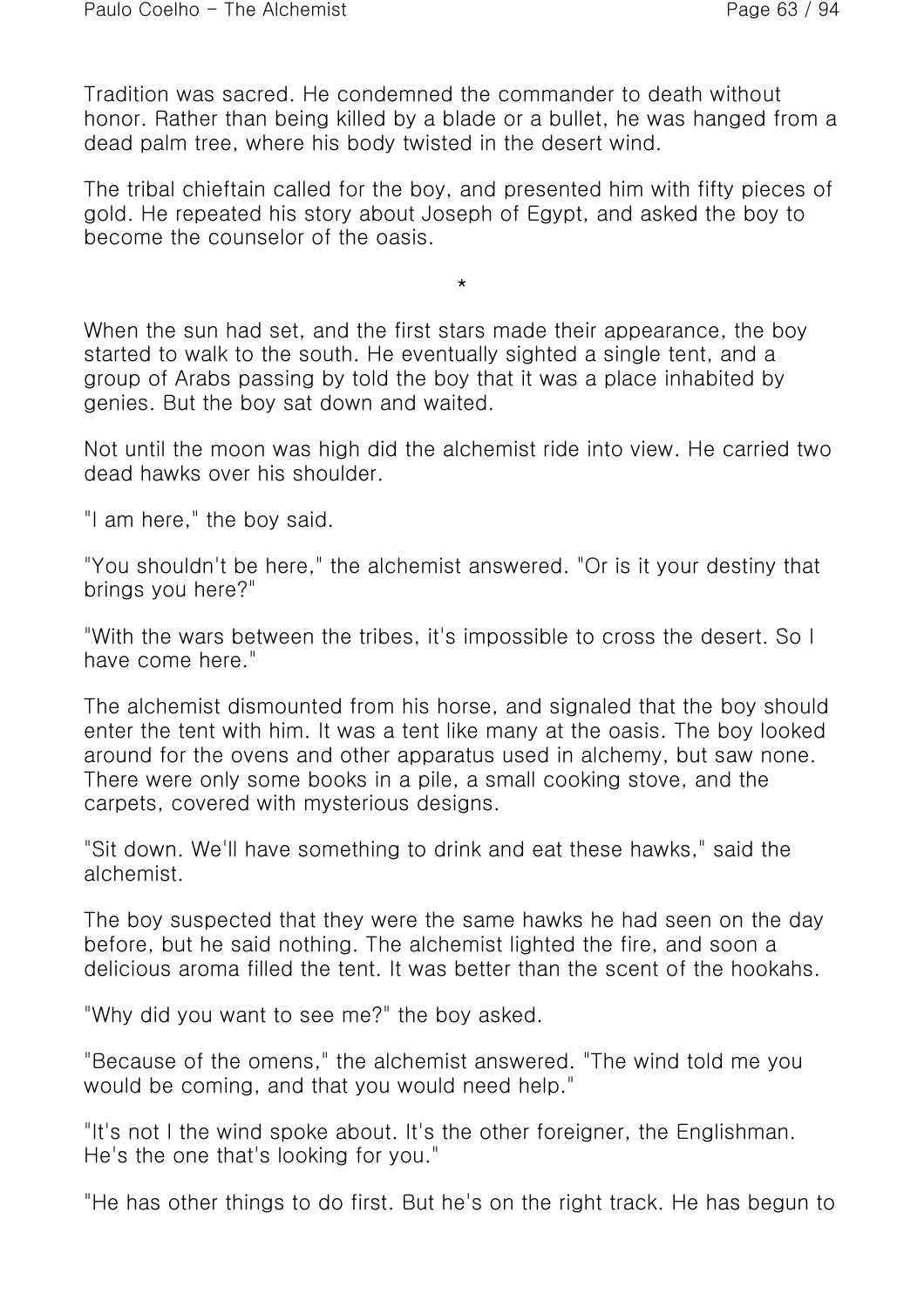Tradition was sacred. He condemned the commander to death without honor. Rather than being killed by a blade or a bullet, he was hanged from a dead palm tree, where his body twisted in the desert wind.

The tribal chieftain called for the boy, and presented him with fifty pieces of gold. He repeated his story about Joseph of Egypt, and asked the boy to become the counselor of the oasis.

\*

When the sun had set, and the first stars made their appearance, the boy started to walk to the south. He eventually sighted a single tent, and a group of Arabs passing by told the boy that it was a place inhabited by genies. But the boy sat down and waited.

Not until the moon was high did the alchemist ride into view. He carried two dead hawks over his shoulder.

"I am here," the boy said.

"You shouldn't be here," the alchemist answered. "Or is it your destiny that brings you here?"

"With the wars between the tribes, it's impossible to cross the desert. So I have come here."

The alchemist dismounted from his horse, and signaled that the boy should enter the tent with him. It was a tent like many at the oasis. The boy looked around for the ovens and other apparatus used in alchemy, but saw none. There were only some books in a pile, a small cooking stove, and the carpets, covered with mysterious designs.

"Sit down. We'll have something to drink and eat these hawks," said the alchemist.

The boy suspected that they were the same hawks he had seen on the day before, but he said nothing. The alchemist lighted the fire, and soon a delicious aroma filled the tent. It was better than the scent of the hookahs.

"Why did you want to see me?" the boy asked.

"Because of the omens," the alchemist answered. "The wind told me you would be coming, and that you would need help."

"It's not I the wind spoke about. It's the other foreigner, the Englishman. He's the one that's looking for you."

"He has other things to do first. But he's on the right track. He has begun to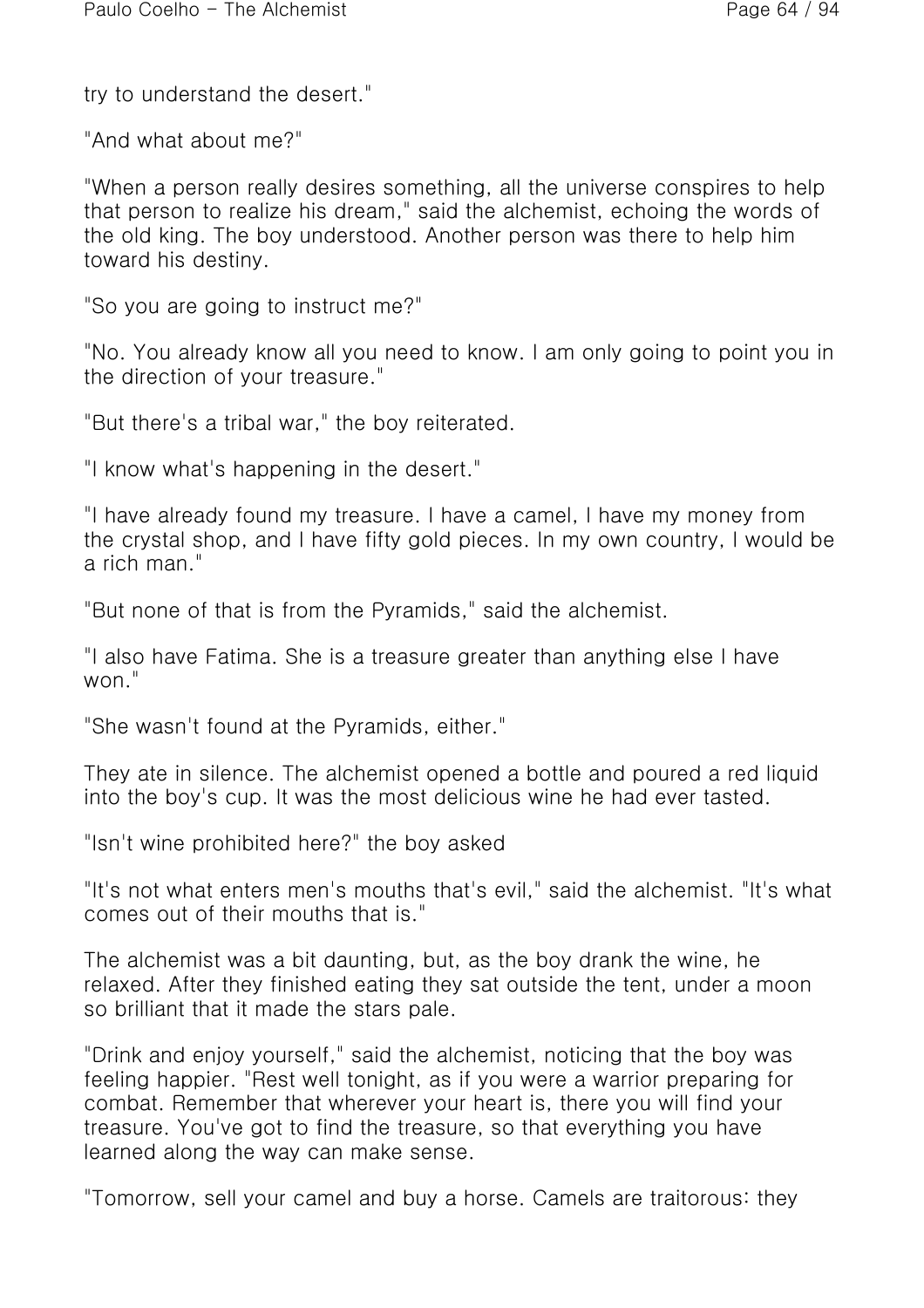try to understand the desert."

"And what about me?"

"When a person really desires something, all the universe conspires to help that person to realize his dream," said the alchemist, echoing the words of the old king. The boy understood. Another person was there to help him toward his destiny.

"So you are going to instruct me?"

"No. You already know all you need to know. I am only going to point you in the direction of your treasure."

"But there's a tribal war," the boy reiterated.

"I know what's happening in the desert."

"I have already found my treasure. I have a camel, I have my money from the crystal shop, and I have fifty gold pieces. In my own country, I would be a rich man."

"But none of that is from the Pyramids," said the alchemist.

"I also have Fatima. She is a treasure greater than anything else I have won."

"She wasn't found at the Pyramids, either."

They ate in silence. The alchemist opened a bottle and poured a red liquid into the boy's cup. It was the most delicious wine he had ever tasted.

"Isn't wine prohibited here?" the boy asked

"It's not what enters men's mouths that's evil," said the alchemist. "It's what comes out of their mouths that is."

The alchemist was a bit daunting, but, as the boy drank the wine, he relaxed. After they finished eating they sat outside the tent, under a moon so brilliant that it made the stars pale.

"Drink and enjoy yourself," said the alchemist, noticing that the boy was feeling happier. "Rest well tonight, as if you were a warrior preparing for combat. Remember that wherever your heart is, there you will find your treasure. You've got to find the treasure, so that everything you have learned along the way can make sense.

"Tomorrow, sell your camel and buy a horse. Camels are traitorous: they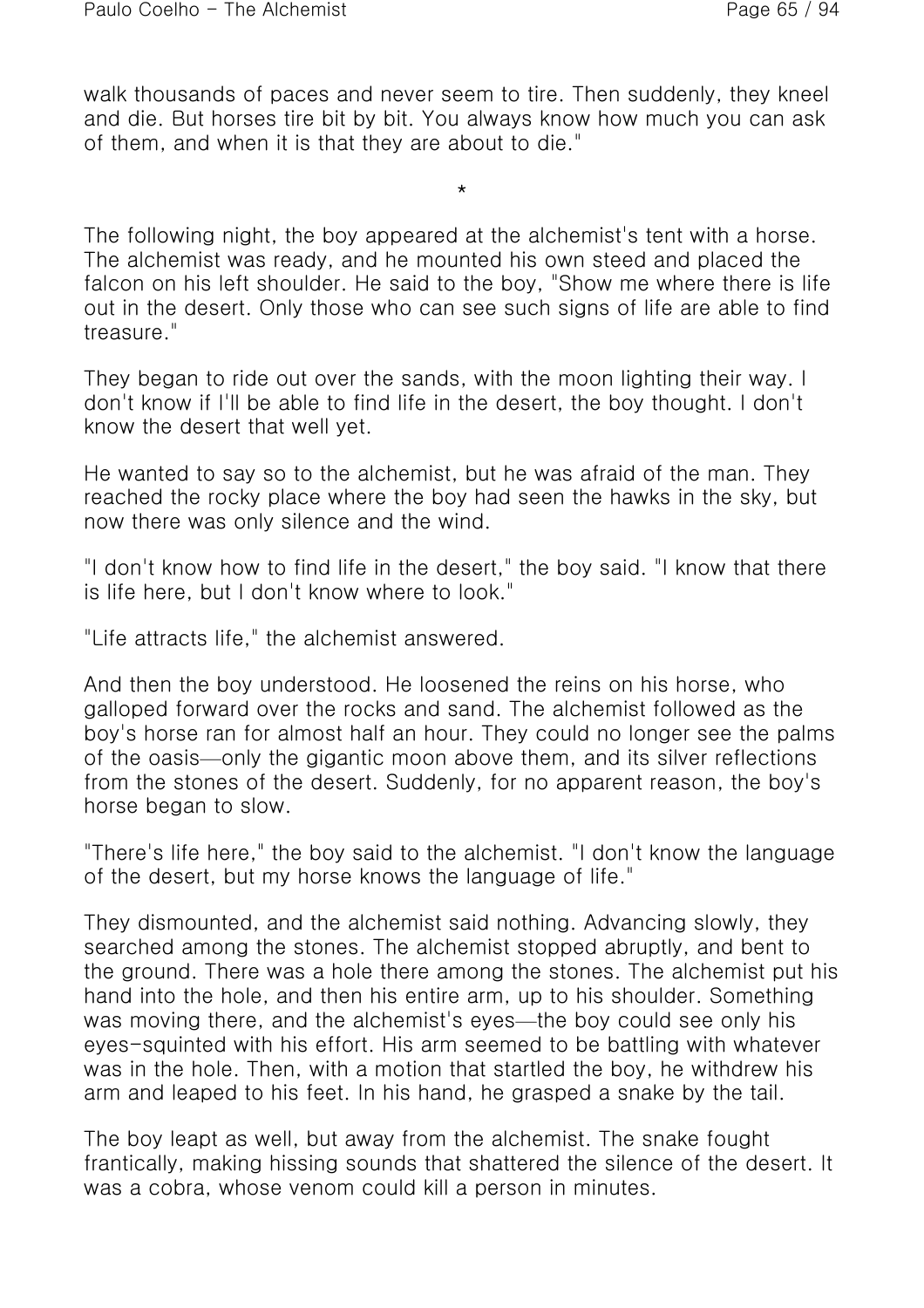walk thousands of paces and never seem to tire. Then suddenly, they kneel and die. But horses tire bit by bit. You always know how much you can ask of them, and when it is that they are about to die."

\*

The following night, the boy appeared at the alchemist's tent with a horse. The alchemist was ready, and he mounted his own steed and placed the falcon on his left shoulder. He said to the boy, "Show me where there is life out in the desert. Only those who can see such signs of life are able to find treasure."

They began to ride out over the sands, with the moon lighting their way. I don't know if I'll be able to find life in the desert, the boy thought. I don't know the desert that well yet.

He wanted to say so to the alchemist, but he was afraid of the man. They reached the rocky place where the boy had seen the hawks in the sky, but now there was only silence and the wind.

"I don't know how to find life in the desert," the boy said. "I know that there is life here, but I don't know where to look."

"Life attracts life," the alchemist answered.

And then the boy understood. He loosened the reins on his horse, who galloped forward over the rocks and sand. The alchemist followed as the boy's horse ran for almost half an hour. They could no longer see the palms of the oasis—only the gigantic moon above them, and its silver reflections from the stones of the desert. Suddenly, for no apparent reason, the boy's horse began to slow.

"There's life here," the boy said to the alchemist. "I don't know the language of the desert, but my horse knows the language of life."

They dismounted, and the alchemist said nothing. Advancing slowly, they searched among the stones. The alchemist stopped abruptly, and bent to the ground. There was a hole there among the stones. The alchemist put his hand into the hole, and then his entire arm, up to his shoulder. Something was moving there, and the alchemist's eyes—the boy could see only his eyes-squinted with his effort. His arm seemed to be battling with whatever was in the hole. Then, with a motion that startled the boy, he withdrew his arm and leaped to his feet. In his hand, he grasped a snake by the tail.

The boy leapt as well, but away from the alchemist. The snake fought frantically, making hissing sounds that shattered the silence of the desert. It was a cobra, whose venom could kill a person in minutes.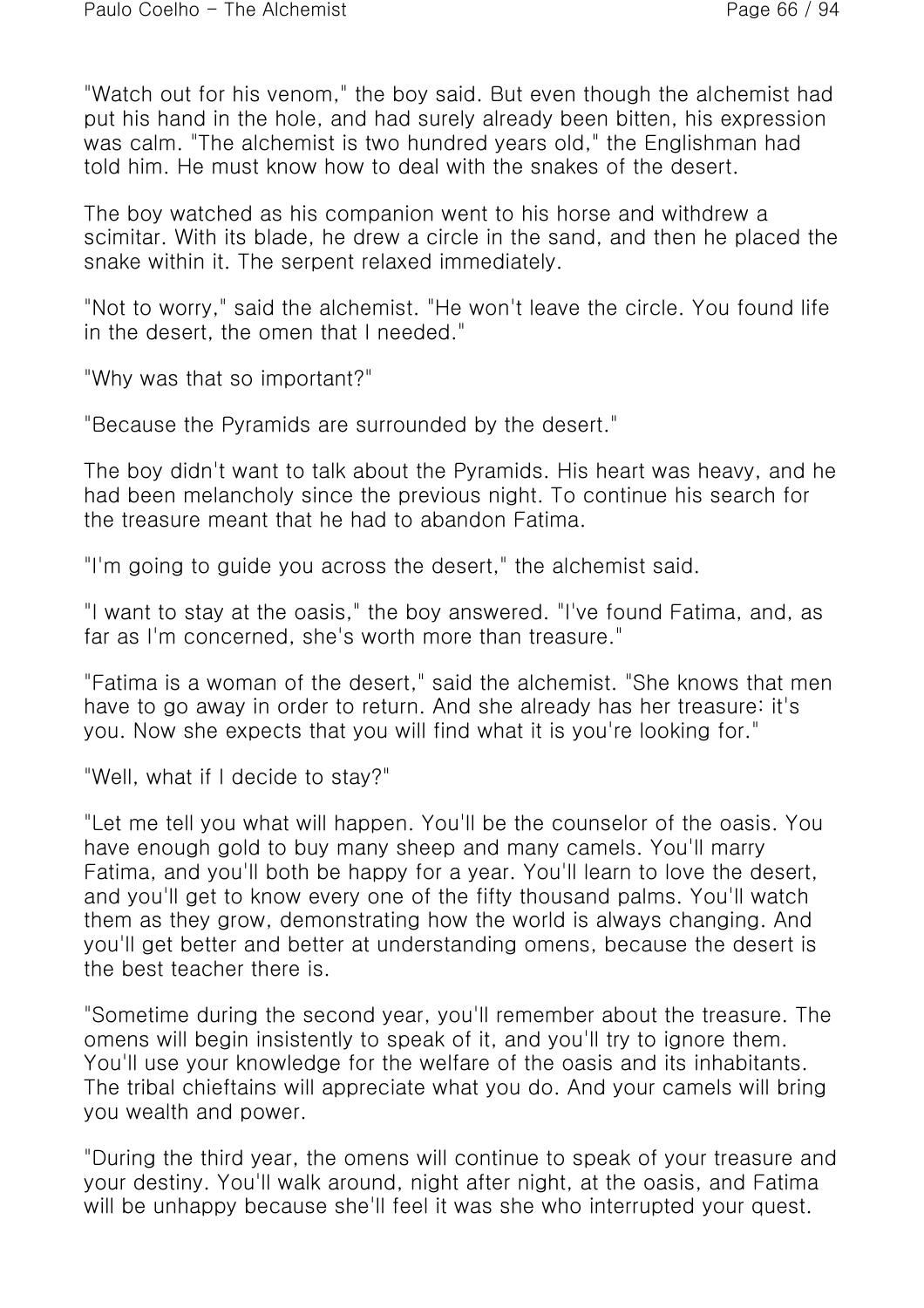"Watch out for his venom," the boy said. But even though the alchemist had put his hand in the hole, and had surely already been bitten, his expression was calm. "The alchemist is two hundred years old," the Englishman had told him. He must know how to deal with the snakes of the desert.

The boy watched as his companion went to his horse and withdrew a scimitar. With its blade, he drew a circle in the sand, and then he placed the snake within it. The serpent relaxed immediately.

"Not to worry," said the alchemist. "He won't leave the circle. You found life in the desert, the omen that I needed."

"Why was that so important?"

"Because the Pyramids are surrounded by the desert."

The boy didn't want to talk about the Pyramids. His heart was heavy, and he had been melancholy since the previous night. To continue his search for the treasure meant that he had to abandon Fatima.

"I'm going to guide you across the desert," the alchemist said.

"I want to stay at the oasis," the boy answered. "I've found Fatima, and, as far as I'm concerned, she's worth more than treasure."

"Fatima is a woman of the desert," said the alchemist. "She knows that men have to go away in order to return. And she already has her treasure: it's you. Now she expects that you will find what it is you're looking for."

"Well, what if I decide to stay?"

"Let me tell you what will happen. You'll be the counselor of the oasis. You have enough gold to buy many sheep and many camels. You'll marry Fatima, and you'll both be happy for a year. You'll learn to love the desert, and you'll get to know every one of the fifty thousand palms. You'll watch them as they grow, demonstrating how the world is always changing. And you'll get better and better at understanding omens, because the desert is the best teacher there is.

"Sometime during the second year, you'll remember about the treasure. The omens will begin insistently to speak of it, and you'll try to ignore them. You'll use your knowledge for the welfare of the oasis and its inhabitants. The tribal chieftains will appreciate what you do. And your camels will bring you wealth and power.

"During the third year, the omens will continue to speak of your treasure and your destiny. You'll walk around, night after night, at the oasis, and Fatima will be unhappy because she'll feel it was she who interrupted your quest.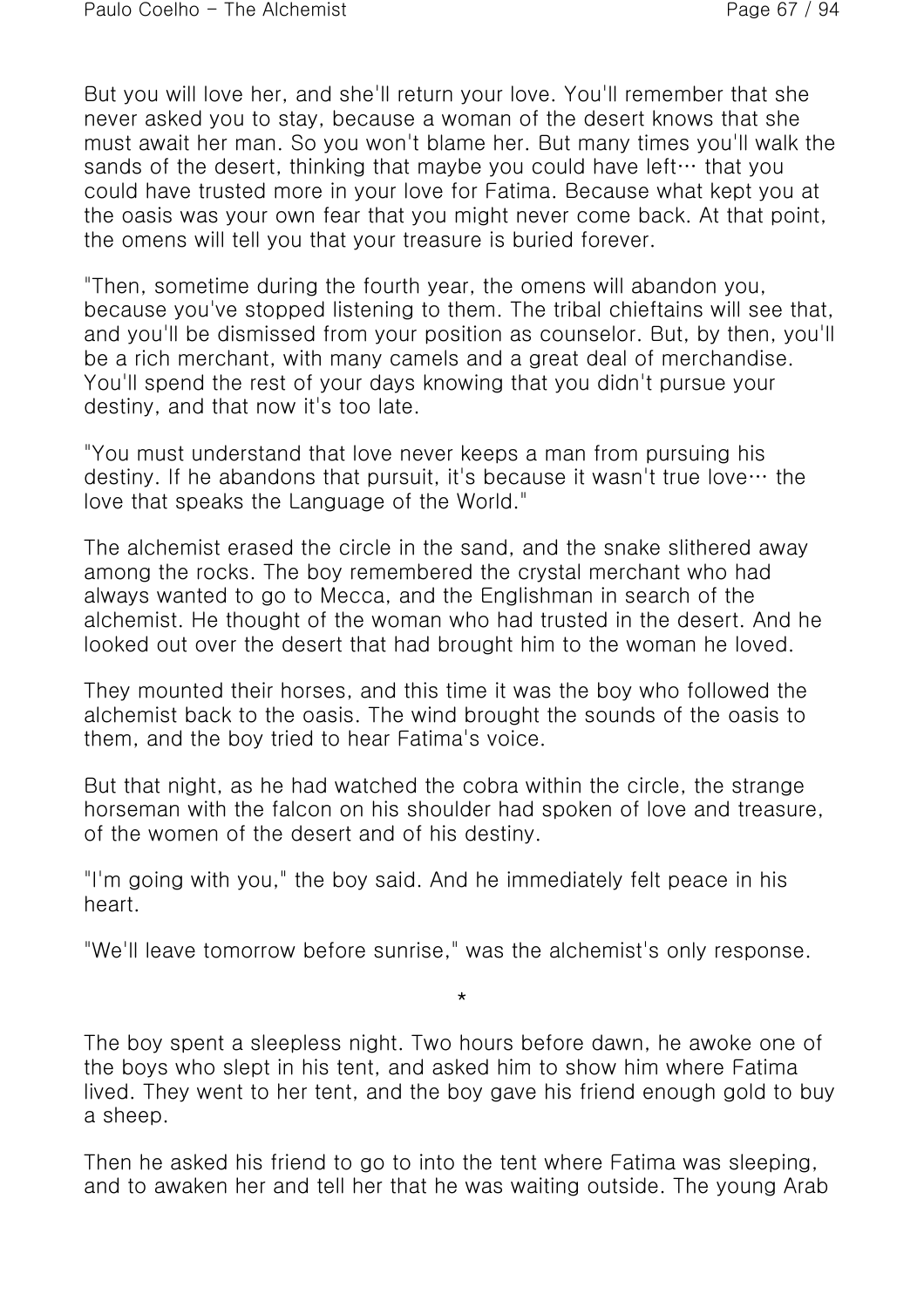But you will love her, and she'll return your love. You'll remember that she never asked you to stay, because a woman of the desert knows that she must await her man. So you won't blame her. But many times you'll walk the sands of the desert, thinking that maybe you could have left. that you could have trusted more in your love for Fatima. Because what kept you at the oasis was your own fear that you might never come back. At that point, the omens will tell you that your treasure is buried forever.

"Then, sometime during the fourth year, the omens will abandon you, because you've stopped listening to them. The tribal chieftains will see that, and you'll be dismissed from your position as counselor. But, by then, you'll be a rich merchant, with many camels and a great deal of merchandise. You'll spend the rest of your days knowing that you didn't pursue your destiny, and that now it's too late.

"You must understand that love never keeps a man from pursuing his destiny. If he abandons that pursuit, it's because it wasn't true love… the love that speaks the Language of the World."

The alchemist erased the circle in the sand, and the snake slithered away among the rocks. The boy remembered the crystal merchant who had always wanted to go to Mecca, and the Englishman in search of the alchemist. He thought of the woman who had trusted in the desert. And he looked out over the desert that had brought him to the woman he loved.

They mounted their horses, and this time it was the boy who followed the alchemist back to the oasis. The wind brought the sounds of the oasis to them, and the boy tried to hear Fatima's voice.

But that night, as he had watched the cobra within the circle, the strange horseman with the falcon on his shoulder had spoken of love and treasure, of the women of the desert and of his destiny.

"I'm going with you," the boy said. And he immediately felt peace in his heart.

"We'll leave tomorrow before sunrise," was the alchemist's only response.

The boy spent a sleepless night. Two hours before dawn, he awoke one of the boys who slept in his tent, and asked him to show him where Fatima lived. They went to her tent, and the boy gave his friend enough gold to buy a sheep.

\*

Then he asked his friend to go to into the tent where Fatima was sleeping, and to awaken her and tell her that he was waiting outside. The young Arab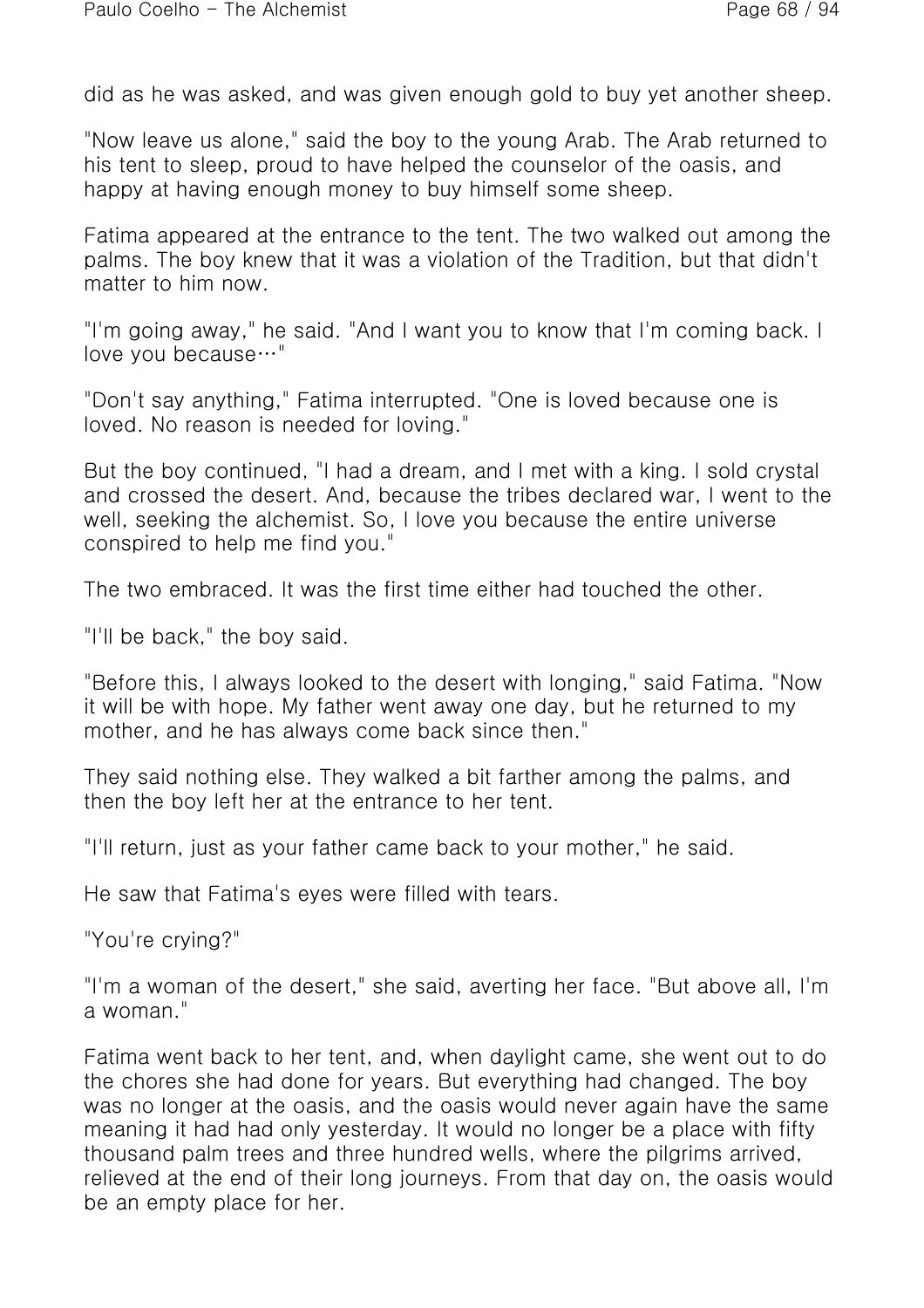did as he was asked, and was given enough gold to buy yet another sheep.

"Now leave us alone," said the boy to the young Arab. The Arab returned to his tent to sleep, proud to have helped the counselor of the oasis, and happy at having enough money to buy himself some sheep.

Fatima appeared at the entrance to the tent. The two walked out among the palms. The boy knew that it was a violation of the Tradition, but that didn't matter to him now.

"I'm going away," he said. "And I want you to know that I'm coming back. I love you because…"

"Don't say anything," Fatima interrupted. "One is loved because one is loved. No reason is needed for loving."

But the boy continued, "I had a dream, and I met with a king. I sold crystal and crossed the desert. And, because the tribes declared war, I went to the well, seeking the alchemist. So, I love you because the entire universe conspired to help me find you."

The two embraced. It was the first time either had touched the other.

"I'll be back," the boy said.

"Before this, I always looked to the desert with longing," said Fatima. "Now it will be with hope. My father went away one day, but he returned to my mother, and he has always come back since then."

They said nothing else. They walked a bit farther among the palms, and then the boy left her at the entrance to her tent.

"I'll return, just as your father came back to your mother," he said.

He saw that Fatima's eyes were filled with tears.

"You're crying?"

"I'm a woman of the desert," she said, averting her face. "But above all, I'm a woman."

Fatima went back to her tent, and, when daylight came, she went out to do the chores she had done for years. But everything had changed. The boy was no longer at the oasis, and the oasis would never again have the same meaning it had had only yesterday. It would no longer be a place with fifty thousand palm trees and three hundred wells, where the pilgrims arrived, relieved at the end of their long journeys. From that day on, the oasis would be an empty place for her.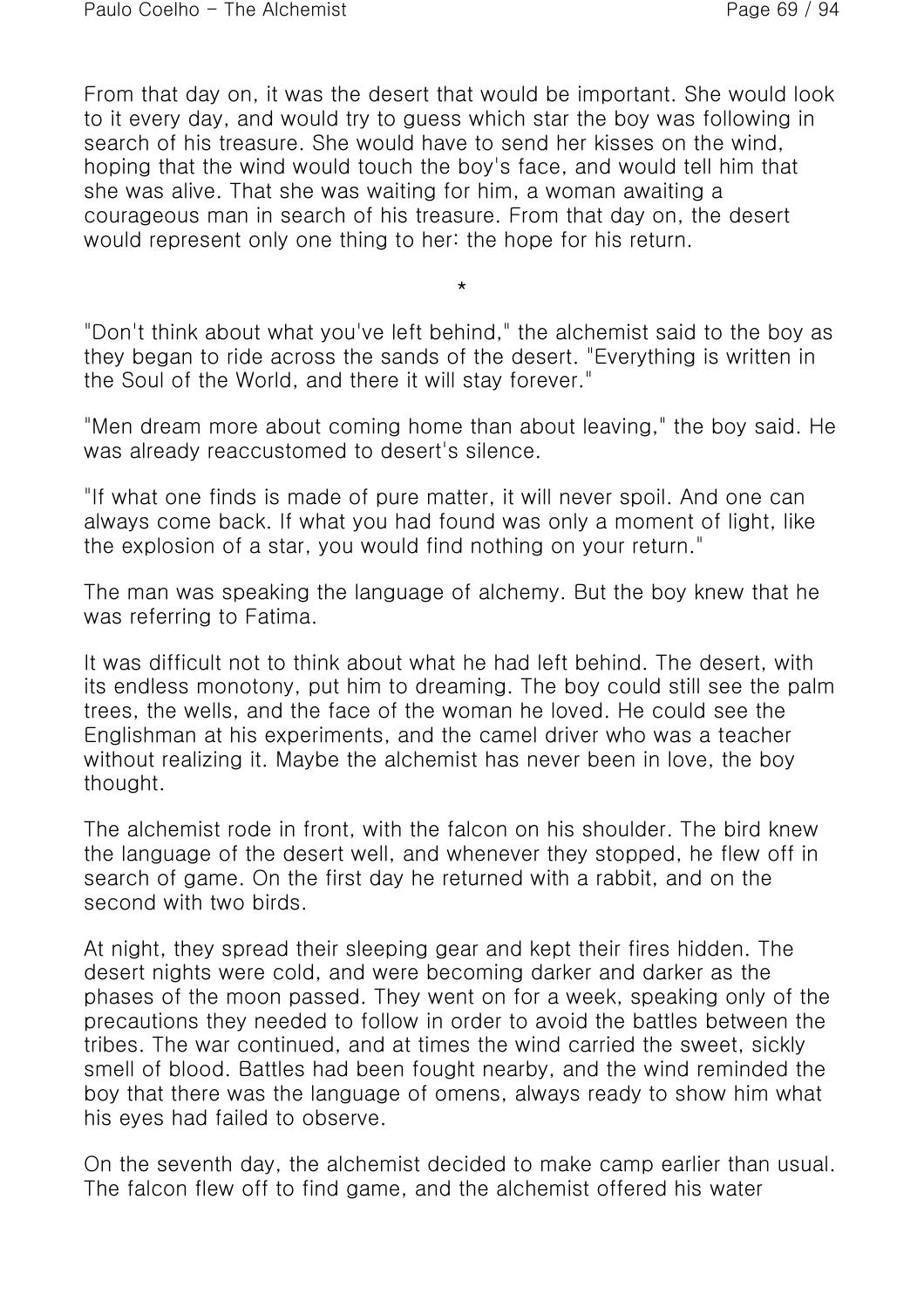From that day on, it was the desert that would be important. She would look to it every day, and would try to guess which star the boy was following in search of his treasure. She would have to send her kisses on the wind, hoping that the wind would touch the boy's face, and would tell him that she was alive. That she was waiting for him, a woman awaiting a courageous man in search of his treasure. From that day on, the desert would represent only one thing to her: the hope for his return.

"Don't think about what you've left behind," the alchemist said to the boy as they began to ride across the sands of the desert. "Everything is written in the Soul of the World, and there it will stay forever."

\*

"Men dream more about coming home than about leaving," the boy said. He was already reaccustomed to desert's silence.

"If what one finds is made of pure matter, it will never spoil. And one can always come back. If what you had found was only a moment of light, like the explosion of a star, you would find nothing on your return."

The man was speaking the language of alchemy. But the boy knew that he was referring to Fatima.

It was difficult not to think about what he had left behind. The desert, with its endless monotony, put him to dreaming. The boy could still see the palm trees, the wells, and the face of the woman he loved. He could see the Englishman at his experiments, and the camel driver who was a teacher without realizing it. Maybe the alchemist has never been in love, the boy thought.

The alchemist rode in front, with the falcon on his shoulder. The bird knew the language of the desert well, and whenever they stopped, he flew off in search of game. On the first day he returned with a rabbit, and on the second with two birds.

At night, they spread their sleeping gear and kept their fires hidden. The desert nights were cold, and were becoming darker and darker as the phases of the moon passed. They went on for a week, speaking only of the precautions they needed to follow in order to avoid the battles between the tribes. The war continued, and at times the wind carried the sweet, sickly smell of blood. Battles had been fought nearby, and the wind reminded the boy that there was the language of omens, always ready to show him what his eyes had failed to observe.

On the seventh day, the alchemist decided to make camp earlier than usual. The falcon flew off to find game, and the alchemist offered his water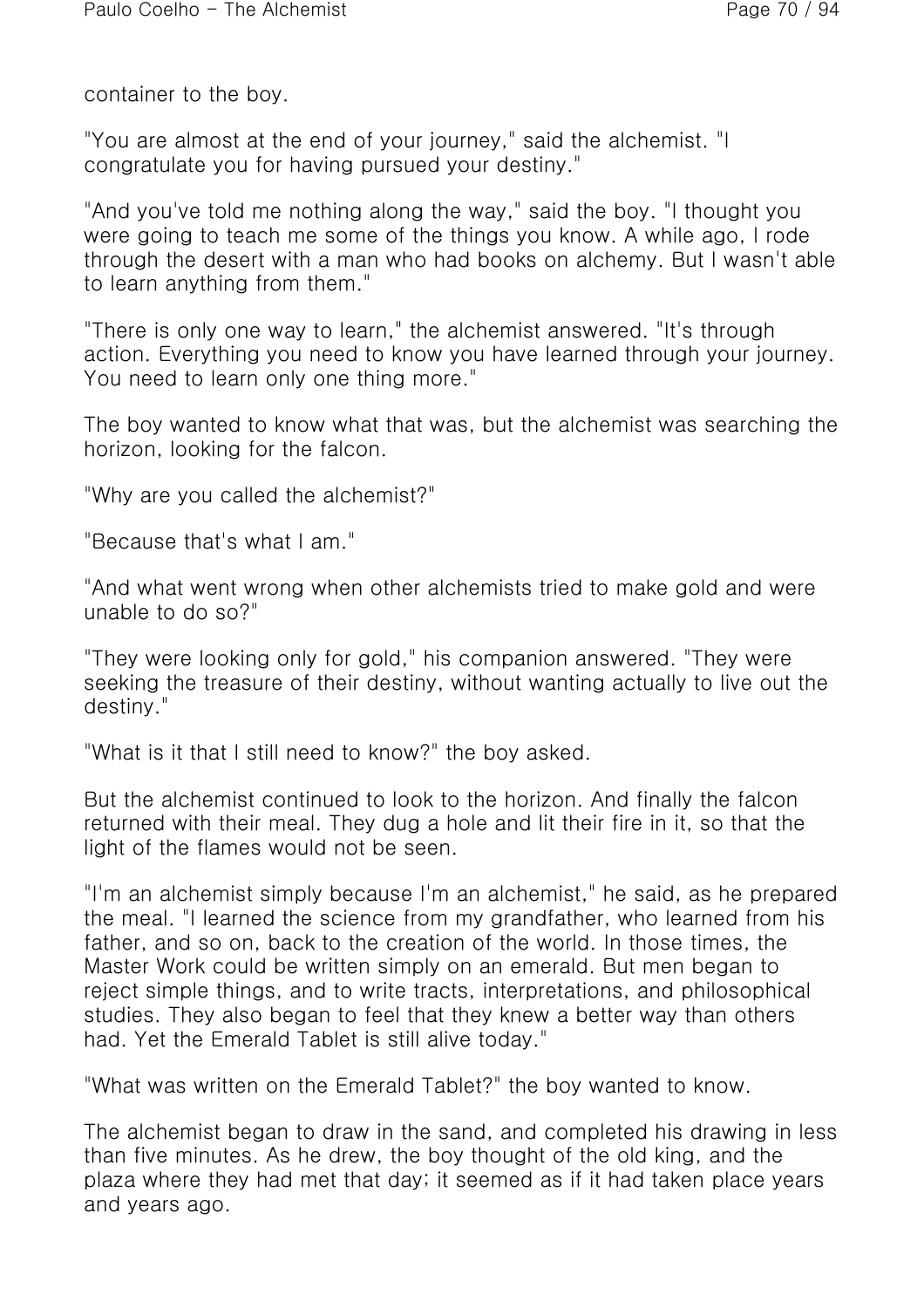container to the boy.

"You are almost at the end of your journey," said the alchemist. "I congratulate you for having pursued your destiny."

"And you've told me nothing along the way," said the boy. "I thought you were going to teach me some of the things you know. A while ago, I rode through the desert with a man who had books on alchemy. But I wasn't able to learn anything from them."

"There is only one way to learn," the alchemist answered. "It's through action. Everything you need to know you have learned through your journey. You need to learn only one thing more."

The boy wanted to know what that was, but the alchemist was searching the horizon, looking for the falcon.

"Why are you called the alchemist?"

"Because that's what I am."

"And what went wrong when other alchemists tried to make gold and were unable to do so?"

"They were looking only for gold," his companion answered. "They were seeking the treasure of their destiny, without wanting actually to live out the destiny."

"What is it that I still need to know?" the boy asked.

But the alchemist continued to look to the horizon. And finally the falcon returned with their meal. They dug a hole and lit their fire in it, so that the light of the flames would not be seen.

"I'm an alchemist simply because I'm an alchemist," he said, as he prepared the meal. "I learned the science from my grandfather, who learned from his father, and so on, back to the creation of the world. In those times, the Master Work could be written simply on an emerald. But men began to reject simple things, and to write tracts, interpretations, and philosophical studies. They also began to feel that they knew a better way than others had. Yet the Emerald Tablet is still alive today."

"What was written on the Emerald Tablet?" the boy wanted to know.

The alchemist began to draw in the sand, and completed his drawing in less than five minutes. As he drew, the boy thought of the old king, and the plaza where they had met that day; it seemed as if it had taken place years and years ago.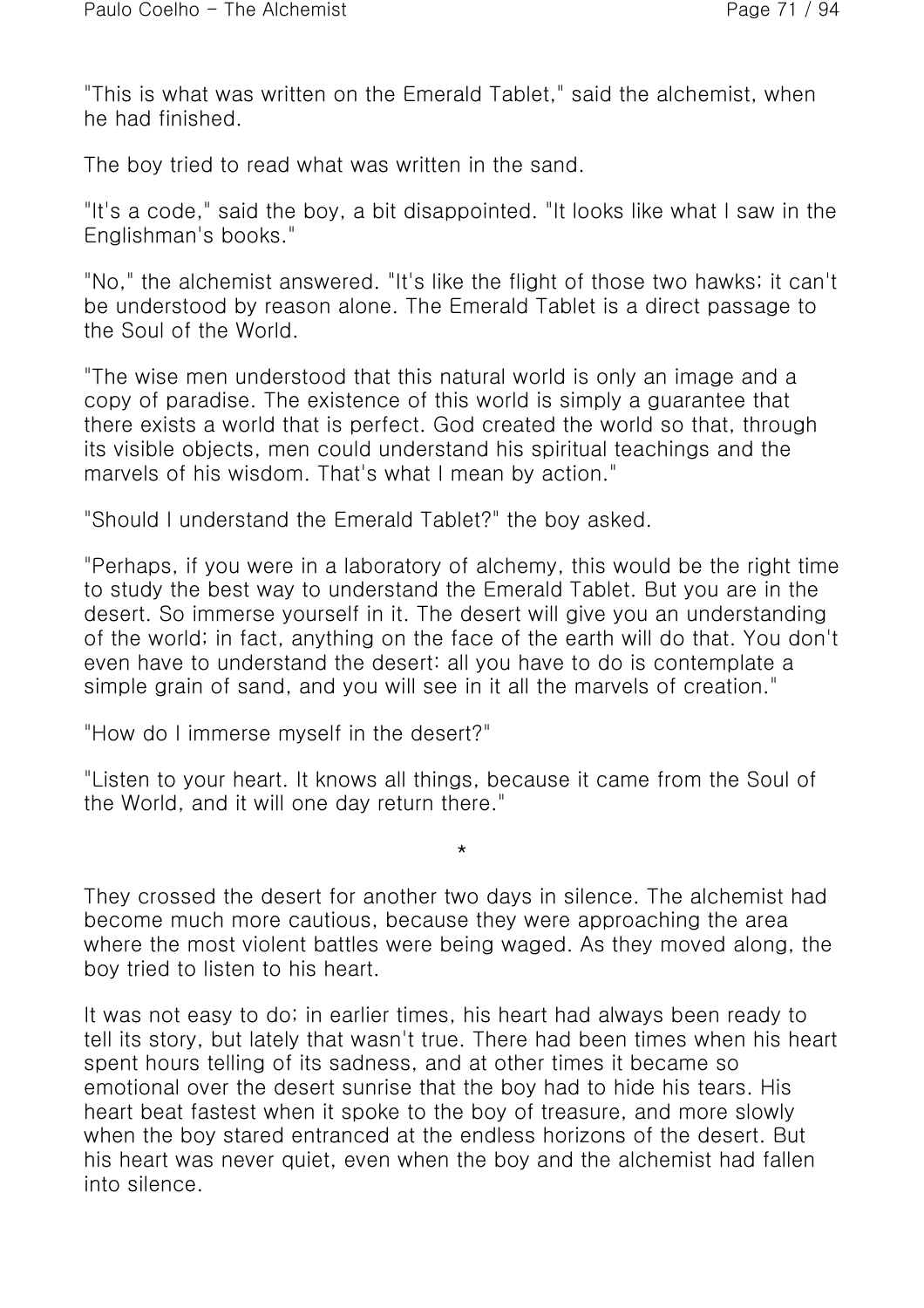"This is what was written on the Emerald Tablet," said the alchemist, when he had finished.

The boy tried to read what was written in the sand.

"It's a code," said the boy, a bit disappointed. "It looks like what I saw in the Englishman's books."

"No," the alchemist answered. "It's like the flight of those two hawks; it can't be understood by reason alone. The Emerald Tablet is a direct passage to the Soul of the World.

"The wise men understood that this natural world is only an image and a copy of paradise. The existence of this world is simply a guarantee that there exists a world that is perfect. God created the world so that, through its visible objects, men could understand his spiritual teachings and the marvels of his wisdom. That's what I mean by action."

"Should I understand the Emerald Tablet?" the boy asked.

"Perhaps, if you were in a laboratory of alchemy, this would be the right time to study the best way to understand the Emerald Tablet. But you are in the desert. So immerse yourself in it. The desert will give you an understanding of the world; in fact, anything on the face of the earth will do that. You don't even have to understand the desert: all you have to do is contemplate a simple grain of sand, and you will see in it all the marvels of creation."

"How do I immerse myself in the desert?"

"Listen to your heart. It knows all things, because it came from the Soul of the World, and it will one day return there."

They crossed the desert for another two days in silence. The alchemist had become much more cautious, because they were approaching the area where the most violent battles were being waged. As they moved along, the boy tried to listen to his heart.

\*

It was not easy to do; in earlier times, his heart had always been ready to tell its story, but lately that wasn't true. There had been times when his heart spent hours telling of its sadness, and at other times it became so emotional over the desert sunrise that the boy had to hide his tears. His heart beat fastest when it spoke to the boy of treasure, and more slowly when the boy stared entranced at the endless horizons of the desert. But his heart was never quiet, even when the boy and the alchemist had fallen into silence.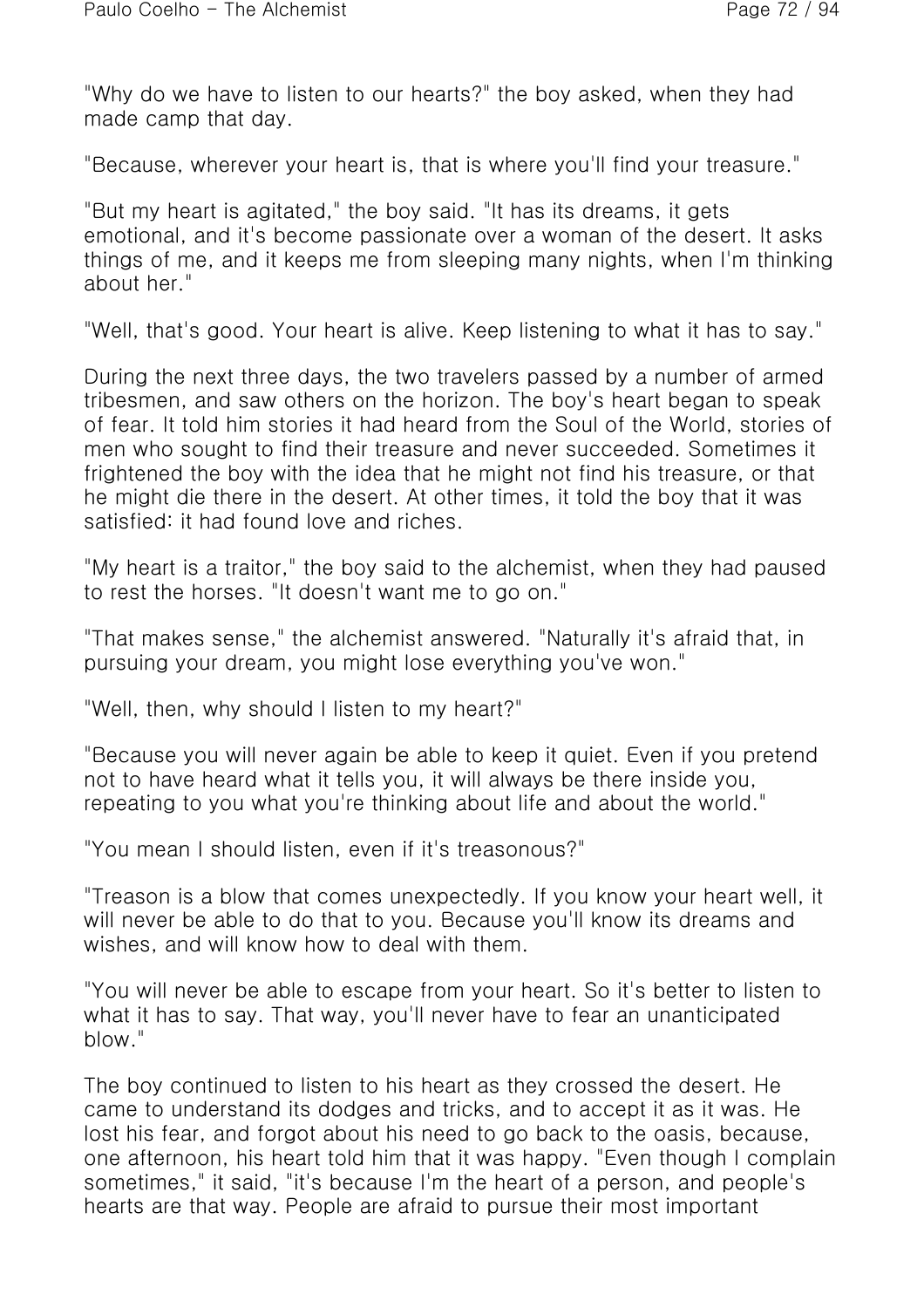"Why do we have to listen to our hearts?" the boy asked, when they had made camp that day.

"Because, wherever your heart is, that is where you'll find your treasure."

"But my heart is agitated," the boy said. "It has its dreams, it gets emotional, and it's become passionate over a woman of the desert. It asks things of me, and it keeps me from sleeping many nights, when I'm thinking about her."

"Well, that's good. Your heart is alive. Keep listening to what it has to say."

During the next three days, the two travelers passed by a number of armed tribesmen, and saw others on the horizon. The boy's heart began to speak of fear. It told him stories it had heard from the Soul of the World, stories of men who sought to find their treasure and never succeeded. Sometimes it frightened the boy with the idea that he might not find his treasure, or that he might die there in the desert. At other times, it told the boy that it was satisfied: it had found love and riches.

"My heart is a traitor," the boy said to the alchemist, when they had paused to rest the horses. "It doesn't want me to go on."

"That makes sense," the alchemist answered. "Naturally it's afraid that, in pursuing your dream, you might lose everything you've won."

"Well, then, why should I listen to my heart?"

"Because you will never again be able to keep it quiet. Even if you pretend not to have heard what it tells you, it will always be there inside you, repeating to you what you're thinking about life and about the world."

"You mean I should listen, even if it's treasonous?"

"Treason is a blow that comes unexpectedly. If you know your heart well, it will never be able to do that to you. Because you'll know its dreams and wishes, and will know how to deal with them.

"You will never be able to escape from your heart. So it's better to listen to what it has to say. That way, you'll never have to fear an unanticipated blow."

The boy continued to listen to his heart as they crossed the desert. He came to understand its dodges and tricks, and to accept it as it was. He lost his fear, and forgot about his need to go back to the oasis, because, one afternoon, his heart told him that it was happy. "Even though I complain sometimes," it said, "it's because I'm the heart of a person, and people's hearts are that way. People are afraid to pursue their most important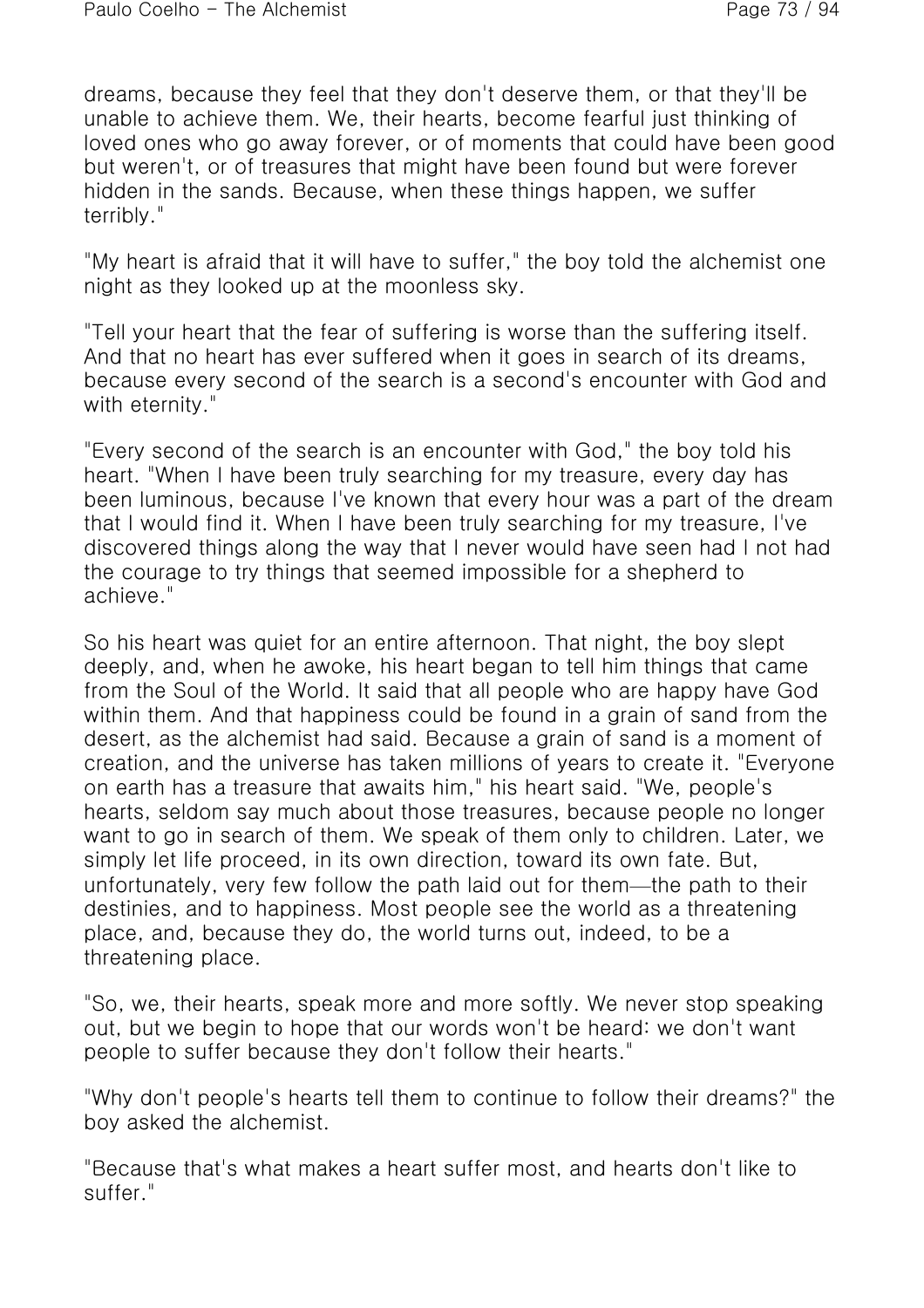dreams, because they feel that they don't deserve them, or that they'll be unable to achieve them. We, their hearts, become fearful just thinking of loved ones who go away forever, or of moments that could have been good but weren't, or of treasures that might have been found but were forever hidden in the sands. Because, when these things happen, we suffer terribly."

"My heart is afraid that it will have to suffer," the boy told the alchemist one night as they looked up at the moonless sky.

"Tell your heart that the fear of suffering is worse than the suffering itself. And that no heart has ever suffered when it goes in search of its dreams, because every second of the search is a second's encounter with God and with eternity."

"Every second of the search is an encounter with God," the boy told his heart. "When I have been truly searching for my treasure, every day has been luminous, because I've known that every hour was a part of the dream that I would find it. When I have been truly searching for my treasure, I've discovered things along the way that I never would have seen had I not had the courage to try things that seemed impossible for a shepherd to achieve."

So his heart was quiet for an entire afternoon. That night, the boy slept deeply, and, when he awoke, his heart began to tell him things that came from the Soul of the World. It said that all people who are happy have God within them. And that happiness could be found in a grain of sand from the desert, as the alchemist had said. Because a grain of sand is a moment of creation, and the universe has taken millions of years to create it. "Everyone on earth has a treasure that awaits him," his heart said. "We, people's hearts, seldom say much about those treasures, because people no longer want to go in search of them. We speak of them only to children. Later, we simply let life proceed, in its own direction, toward its own fate. But, unfortunately, very few follow the path laid out for them—the path to their destinies, and to happiness. Most people see the world as a threatening place, and, because they do, the world turns out, indeed, to be a threatening place.

"So, we, their hearts, speak more and more softly. We never stop speaking out, but we begin to hope that our words won't be heard: we don't want people to suffer because they don't follow their hearts."

"Why don't people's hearts tell them to continue to follow their dreams?" the boy asked the alchemist.

"Because that's what makes a heart suffer most, and hearts don't like to suffer."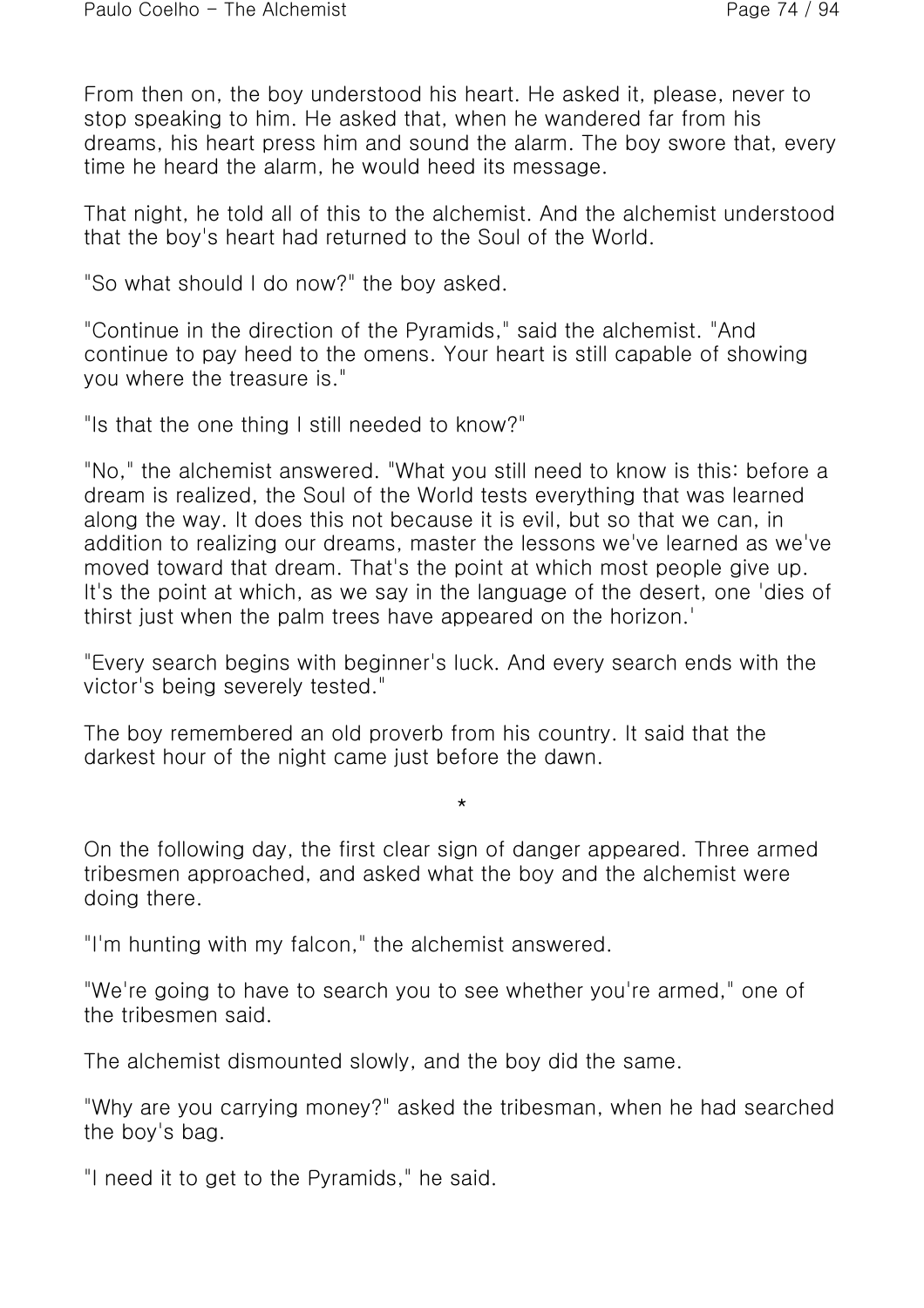From then on, the boy understood his heart. He asked it, please, never to stop speaking to him. He asked that, when he wandered far from his dreams, his heart press him and sound the alarm. The boy swore that, every time he heard the alarm, he would heed its message.

That night, he told all of this to the alchemist. And the alchemist understood that the boy's heart had returned to the Soul of the World.

"So what should I do now?" the boy asked.

"Continue in the direction of the Pyramids," said the alchemist. "And continue to pay heed to the omens. Your heart is still capable of showing you where the treasure is."

"Is that the one thing I still needed to know?"

"No," the alchemist answered. "What you still need to know is this: before a dream is realized, the Soul of the World tests everything that was learned along the way. It does this not because it is evil, but so that we can, in addition to realizing our dreams, master the lessons we've learned as we've moved toward that dream. That's the point at which most people give up. It's the point at which, as we say in the language of the desert, one 'dies of thirst just when the palm trees have appeared on the horizon.'

"Every search begins with beginner's luck. And every search ends with the victor's being severely tested."

The boy remembered an old proverb from his country. It said that the darkest hour of the night came just before the dawn.

On the following day, the first clear sign of danger appeared. Three armed tribesmen approached, and asked what the boy and the alchemist were doing there.

\*

"I'm hunting with my falcon," the alchemist answered.

"We're going to have to search you to see whether you're armed," one of the tribesmen said.

The alchemist dismounted slowly, and the boy did the same.

"Why are you carrying money?" asked the tribesman, when he had searched the boy's bag.

"I need it to get to the Pyramids," he said.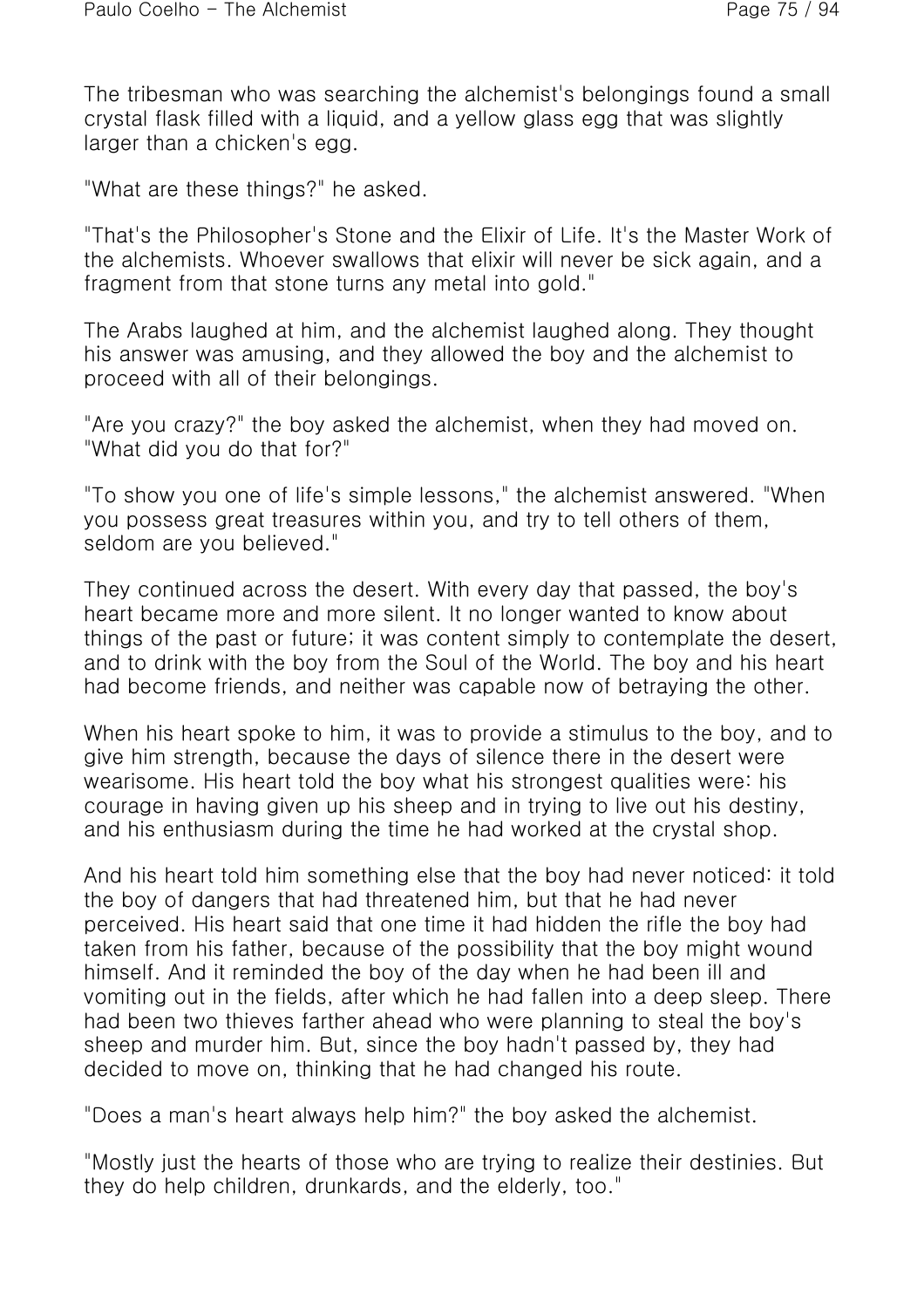The tribesman who was searching the alchemist's belongings found a small crystal flask filled with a liquid, and a yellow glass egg that was slightly larger than a chicken's egg.

"What are these things?" he asked.

"That's the Philosopher's Stone and the Elixir of Life. It's the Master Work of the alchemists. Whoever swallows that elixir will never be sick again, and a fragment from that stone turns any metal into gold."

The Arabs laughed at him, and the alchemist laughed along. They thought his answer was amusing, and they allowed the boy and the alchemist to proceed with all of their belongings.

"Are you crazy?" the boy asked the alchemist, when they had moved on. "What did you do that for?"

"To show you one of life's simple lessons," the alchemist answered. "When you possess great treasures within you, and try to tell others of them, seldom are you believed."

They continued across the desert. With every day that passed, the boy's heart became more and more silent. It no longer wanted to know about things of the past or future; it was content simply to contemplate the desert, and to drink with the boy from the Soul of the World. The boy and his heart had become friends, and neither was capable now of betraying the other.

When his heart spoke to him, it was to provide a stimulus to the boy, and to give him strength, because the days of silence there in the desert were wearisome. His heart told the boy what his strongest qualities were: his courage in having given up his sheep and in trying to live out his destiny, and his enthusiasm during the time he had worked at the crystal shop.

And his heart told him something else that the boy had never noticed: it told the boy of dangers that had threatened him, but that he had never perceived. His heart said that one time it had hidden the rifle the boy had taken from his father, because of the possibility that the boy might wound himself. And it reminded the boy of the day when he had been ill and vomiting out in the fields, after which he had fallen into a deep sleep. There had been two thieves farther ahead who were planning to steal the boy's sheep and murder him. But, since the boy hadn't passed by, they had decided to move on, thinking that he had changed his route.

"Does a man's heart always help him?" the boy asked the alchemist.

"Mostly just the hearts of those who are trying to realize their destinies. But they do help children, drunkards, and the elderly, too."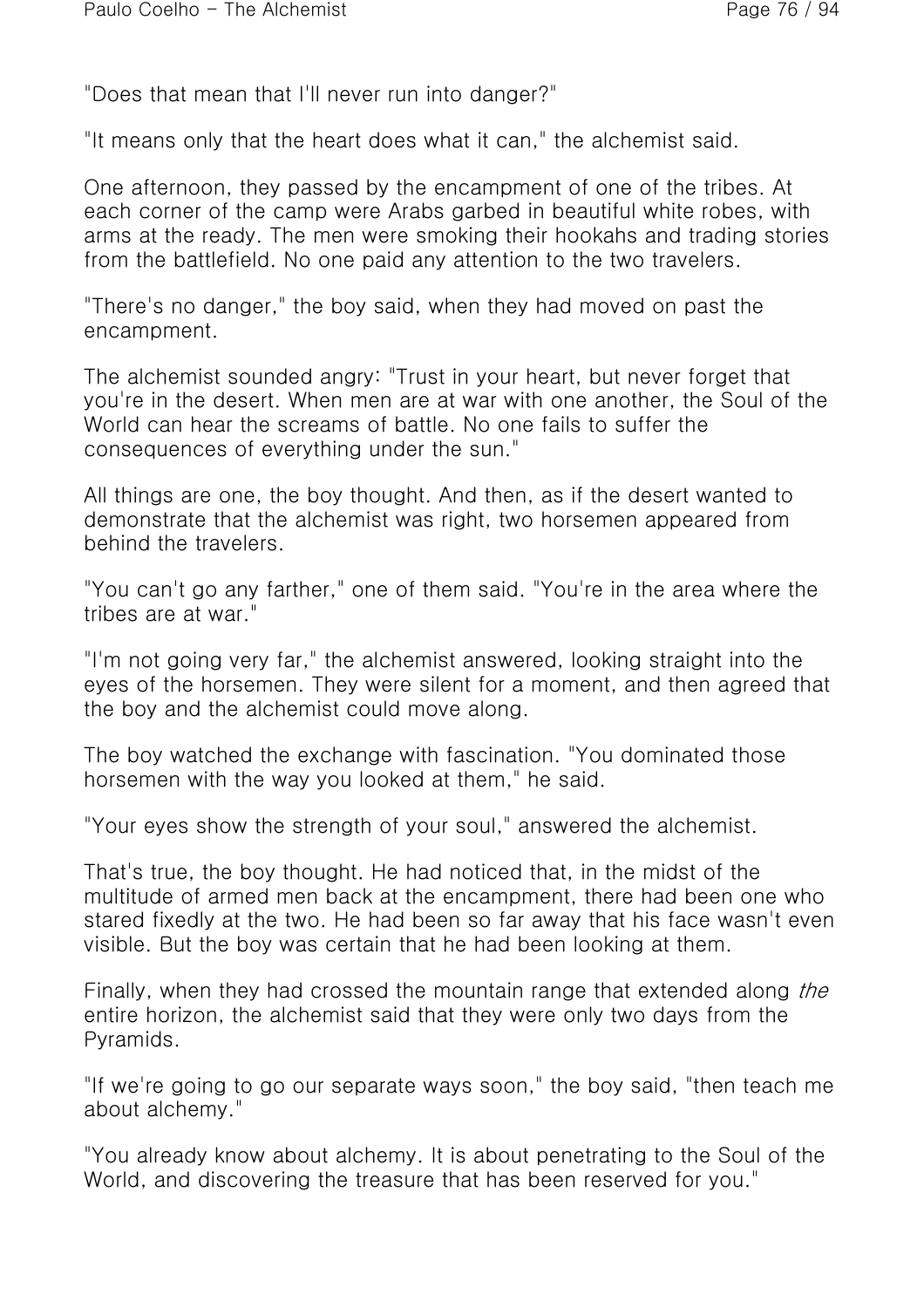"Does that mean that I'll never run into danger?"

"It means only that the heart does what it can," the alchemist said.

One afternoon, they passed by the encampment of one of the tribes. At each corner of the camp were Arabs garbed in beautiful white robes, with arms at the ready. The men were smoking their hookahs and trading stories from the battlefield. No one paid any attention to the two travelers.

"There's no danger," the boy said, when they had moved on past the encampment.

The alchemist sounded angry: "Trust in your heart, but never forget that you're in the desert. When men are at war with one another, the Soul of the World can hear the screams of battle. No one fails to suffer the consequences of everything under the sun."

All things are one, the boy thought. And then, as if the desert wanted to demonstrate that the alchemist was right, two horsemen appeared from behind the travelers.

"You can't go any farther," one of them said. "You're in the area where the tribes are at war."

"I'm not going very far," the alchemist answered, looking straight into the eyes of the horsemen. They were silent for a moment, and then agreed that the boy and the alchemist could move along.

The boy watched the exchange with fascination. "You dominated those horsemen with the way you looked at them," he said.

"Your eyes show the strength of your soul," answered the alchemist.

That's true, the boy thought. He had noticed that, in the midst of the multitude of armed men back at the encampment, there had been one who stared fixedly at the two. He had been so far away that his face wasn't even visible. But the boy was certain that he had been looking at them.

Finally, when they had crossed the mountain range that extended along the entire horizon, the alchemist said that they were only two days from the Pyramids.

"If we're going to go our separate ways soon," the boy said, "then teach me about alchemy."

"You already know about alchemy. It is about penetrating to the Soul of the World, and discovering the treasure that has been reserved for you."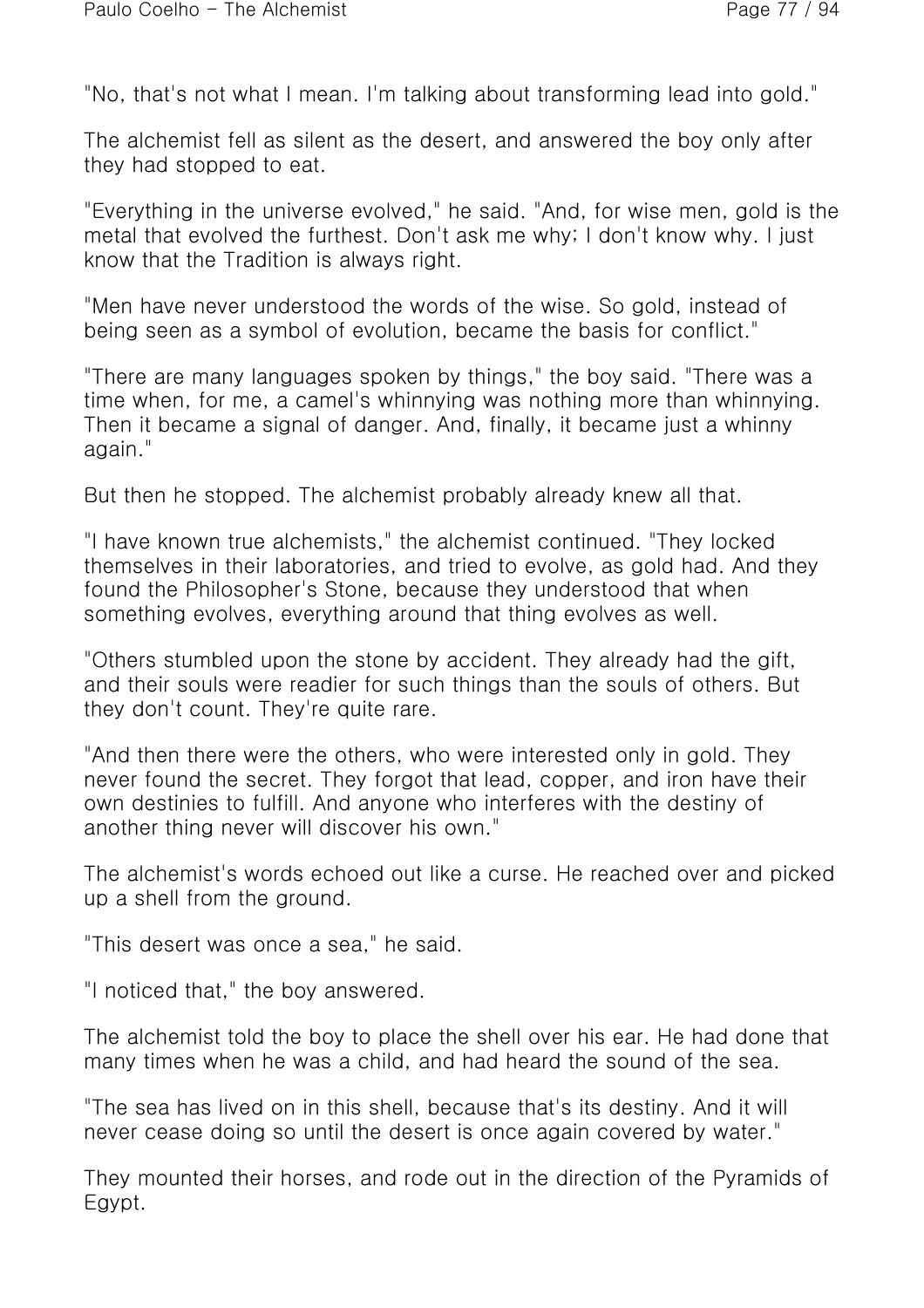"No, that's not what I mean. I'm talking about transforming lead into gold."

The alchemist fell as silent as the desert, and answered the boy only after they had stopped to eat.

"Everything in the universe evolved," he said. "And, for wise men, gold is the metal that evolved the furthest. Don't ask me why; I don't know why. I just know that the Tradition is always right.

"Men have never understood the words of the wise. So gold, instead of being seen as a symbol of evolution, became the basis for conflict."

"There are many languages spoken by things," the boy said. "There was a time when, for me, a camel's whinnying was nothing more than whinnying. Then it became a signal of danger. And, finally, it became just a whinny again."

But then he stopped. The alchemist probably already knew all that.

"I have known true alchemists," the alchemist continued. "They locked themselves in their laboratories, and tried to evolve, as gold had. And they found the Philosopher's Stone, because they understood that when something evolves, everything around that thing evolves as well.

"Others stumbled upon the stone by accident. They already had the gift, and their souls were readier for such things than the souls of others. But they don't count. They're quite rare.

"And then there were the others, who were interested only in gold. They never found the secret. They forgot that lead, copper, and iron have their own destinies to fulfill. And anyone who interferes with the destiny of another thing never will discover his own."

The alchemist's words echoed out like a curse. He reached over and picked up a shell from the ground.

"This desert was once a sea," he said.

"I noticed that," the boy answered.

The alchemist told the boy to place the shell over his ear. He had done that many times when he was a child, and had heard the sound of the sea.

"The sea has lived on in this shell, because that's its destiny. And it will never cease doing so until the desert is once again covered by water."

They mounted their horses, and rode out in the direction of the Pyramids of Egypt.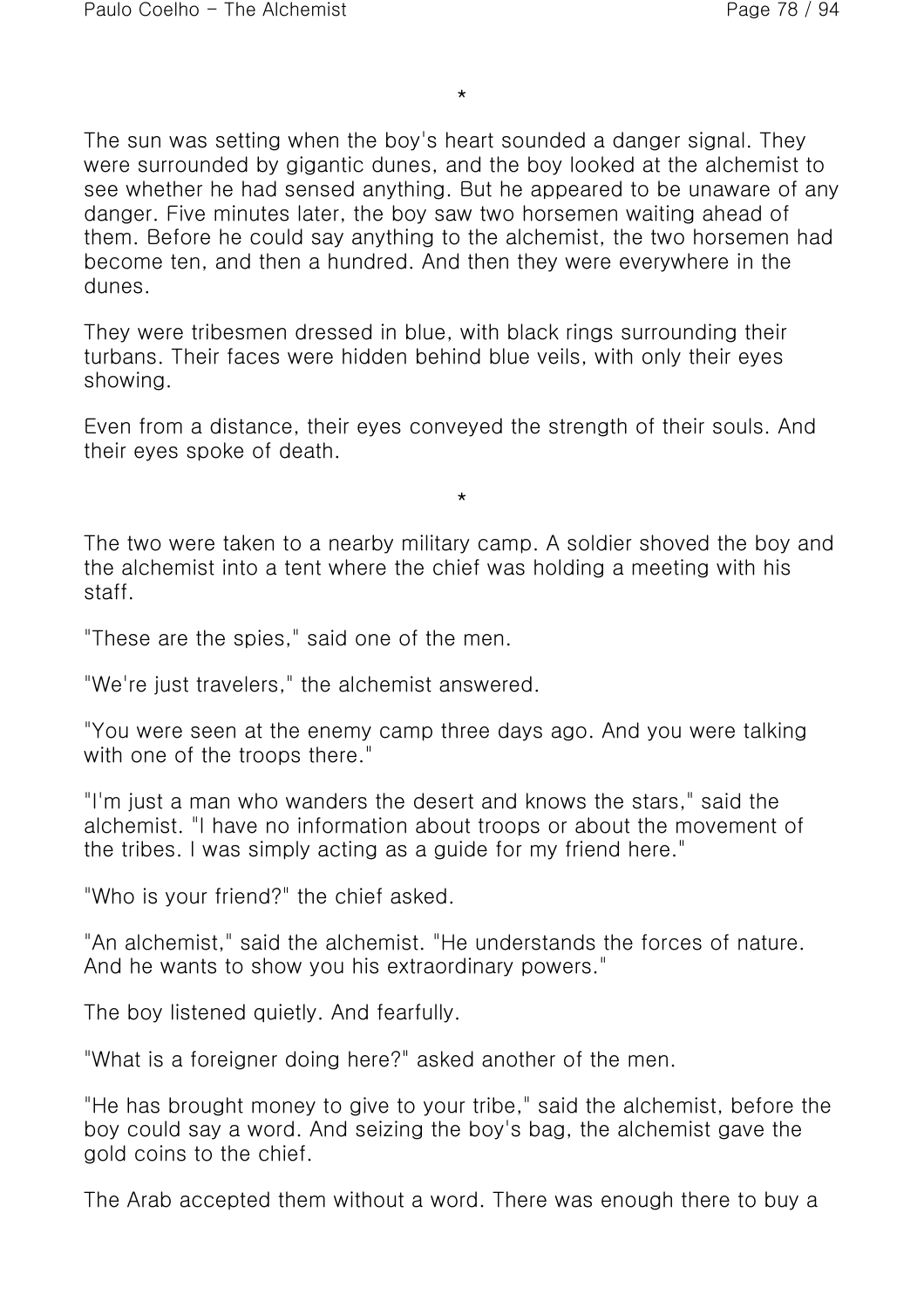\*

The sun was setting when the boy's heart sounded a danger signal. They were surrounded by gigantic dunes, and the boy looked at the alchemist to see whether he had sensed anything. But he appeared to be unaware of any danger. Five minutes later, the boy saw two horsemen waiting ahead of them. Before he could say anything to the alchemist, the two horsemen had become ten, and then a hundred. And then they were everywhere in the dunes.

They were tribesmen dressed in blue, with black rings surrounding their turbans. Their faces were hidden behind blue veils, with only their eyes showing.

Even from a distance, their eyes conveyed the strength of their souls. And their eyes spoke of death.

The two were taken to a nearby military camp. A soldier shoved the boy and the alchemist into a tent where the chief was holding a meeting with his staff.

\*

"These are the spies," said one of the men.

"We're just travelers," the alchemist answered.

"You were seen at the enemy camp three days ago. And you were talking with one of the troops there."

"I'm just a man who wanders the desert and knows the stars," said the alchemist. "I have no information about troops or about the movement of the tribes. I was simply acting as a guide for my friend here."

"Who is your friend?" the chief asked.

"An alchemist," said the alchemist. "He understands the forces of nature. And he wants to show you his extraordinary powers."

The boy listened quietly. And fearfully.

"What is a foreigner doing here?" asked another of the men.

"He has brought money to give to your tribe," said the alchemist, before the boy could say a word. And seizing the boy's bag, the alchemist gave the gold coins to the chief.

The Arab accepted them without a word. There was enough there to buy a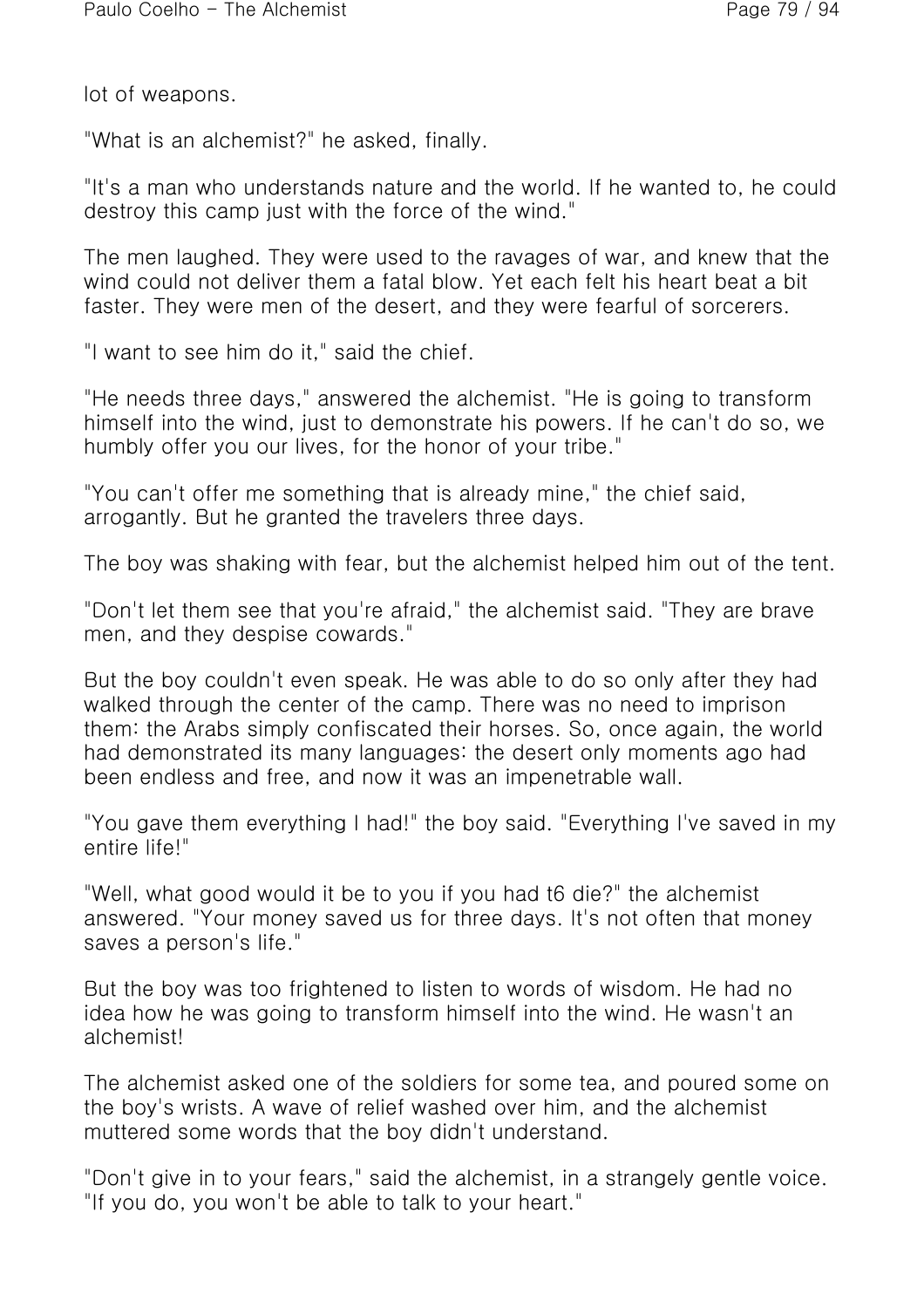lot of weapons.

"What is an alchemist?" he asked, finally.

"It's a man who understands nature and the world. If he wanted to, he could destroy this camp just with the force of the wind."

The men laughed. They were used to the ravages of war, and knew that the wind could not deliver them a fatal blow. Yet each felt his heart beat a bit faster. They were men of the desert, and they were fearful of sorcerers.

"I want to see him do it," said the chief.

"He needs three days," answered the alchemist. "He is going to transform himself into the wind, just to demonstrate his powers. If he can't do so, we humbly offer you our lives, for the honor of your tribe."

"You can't offer me something that is already mine," the chief said, arrogantly. But he granted the travelers three days.

The boy was shaking with fear, but the alchemist helped him out of the tent.

"Don't let them see that you're afraid," the alchemist said. "They are brave men, and they despise cowards."

But the boy couldn't even speak. He was able to do so only after they had walked through the center of the camp. There was no need to imprison them: the Arabs simply confiscated their horses. So, once again, the world had demonstrated its many languages: the desert only moments ago had been endless and free, and now it was an impenetrable wall.

"You gave them everything I had!" the boy said. "Everything I've saved in my entire life!"

"Well, what good would it be to you if you had t6 die?" the alchemist answered. "Your money saved us for three days. It's not often that money saves a person's life."

But the boy was too frightened to listen to words of wisdom. He had no idea how he was going to transform himself into the wind. He wasn't an alchemist!

The alchemist asked one of the soldiers for some tea, and poured some on the boy's wrists. A wave of relief washed over him, and the alchemist muttered some words that the boy didn't understand.

"Don't give in to your fears," said the alchemist, in a strangely gentle voice. "If you do, you won't be able to talk to your heart."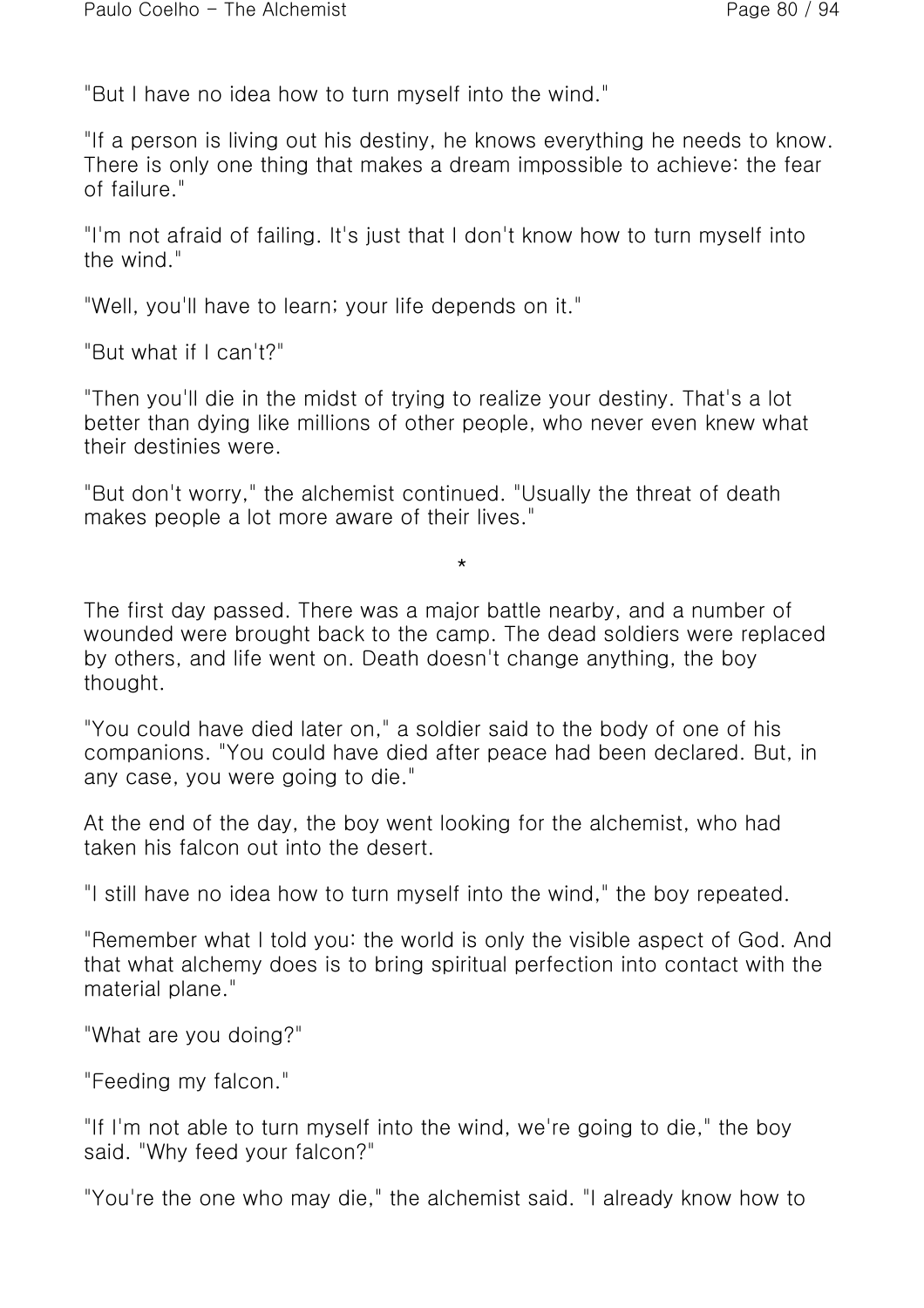"But I have no idea how to turn myself into the wind."

"If a person is living out his destiny, he knows everything he needs to know. There is only one thing that makes a dream impossible to achieve: the fear of failure."

"I'm not afraid of failing. It's just that I don't know how to turn myself into the wind."

"Well, you'll have to learn; your life depends on it."

"But what if I can't?"

"Then you'll die in the midst of trying to realize your destiny. That's a lot better than dying like millions of other people, who never even knew what their destinies were.

"But don't worry," the alchemist continued. "Usually the threat of death makes people a lot more aware of their lives."

The first day passed. There was a major battle nearby, and a number of wounded were brought back to the camp. The dead soldiers were replaced by others, and life went on. Death doesn't change anything, the boy thought.

\*

"You could have died later on," a soldier said to the body of one of his companions. "You could have died after peace had been declared. But, in any case, you were going to die."

At the end of the day, the boy went looking for the alchemist, who had taken his falcon out into the desert.

"I still have no idea how to turn myself into the wind," the boy repeated.

"Remember what I told you: the world is only the visible aspect of God. And that what alchemy does is to bring spiritual perfection into contact with the material plane."

"What are you doing?"

"Feeding my falcon."

"If I'm not able to turn myself into the wind, we're going to die," the boy said. "Why feed your falcon?"

"You're the one who may die," the alchemist said. "I already know how to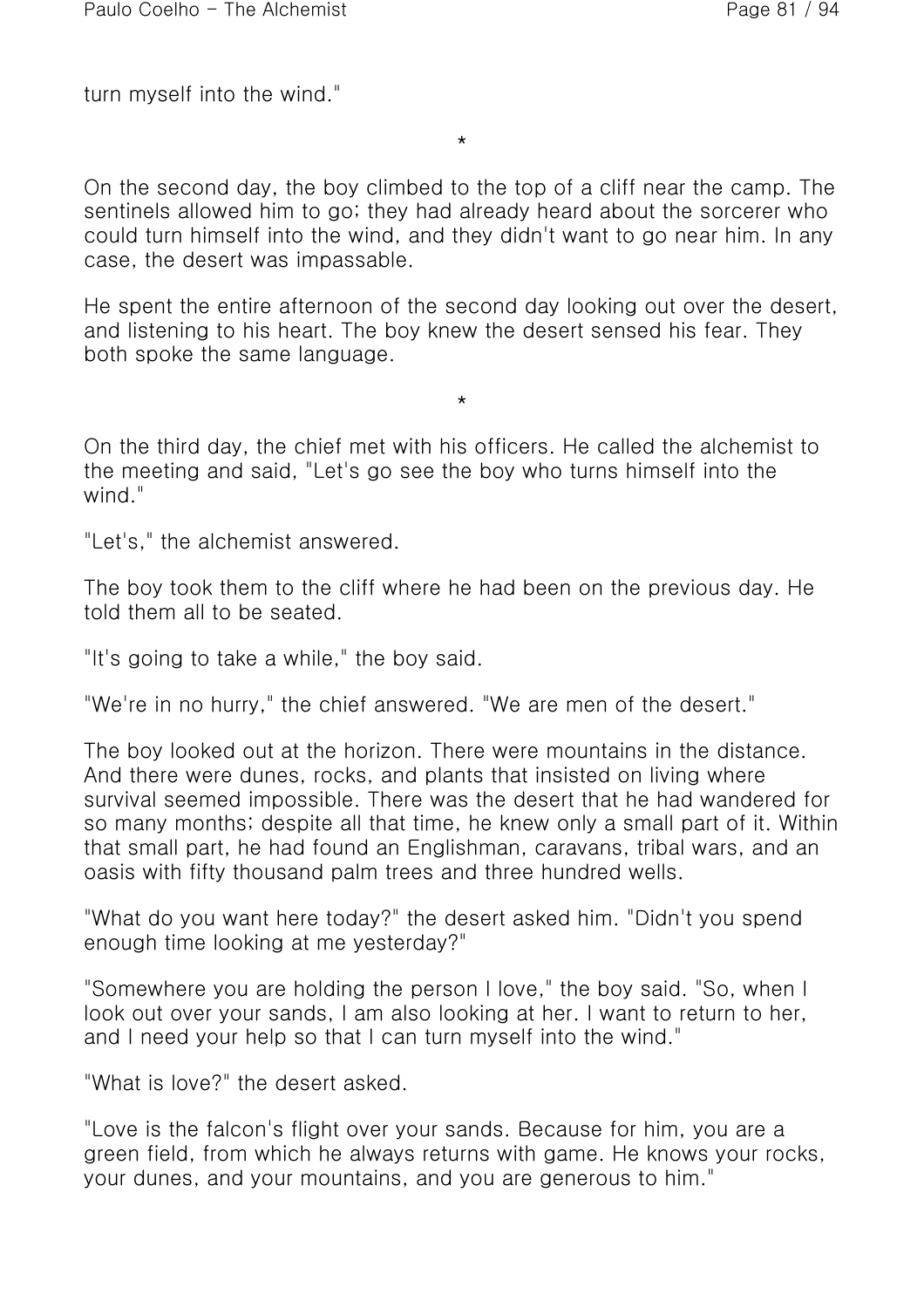turn myself into the wind."

On the second day, the boy climbed to the top of a cliff near the camp. The sentinels allowed him to go; they had already heard about the sorcerer who could turn himself into the wind, and they didn't want to go near him. In any case, the desert was impassable.

\*

He spent the entire afternoon of the second day looking out over the desert, and listening to his heart. The boy knew the desert sensed his fear. They both spoke the same language.

\*

On the third day, the chief met with his officers. He called the alchemist to the meeting and said, "Let's go see the boy who turns himself into the wind."

"Let's," the alchemist answered.

The boy took them to the cliff where he had been on the previous day. He told them all to be seated.

"It's going to take a while," the boy said.

"We're in no hurry," the chief answered. "We are men of the desert."

The boy looked out at the horizon. There were mountains in the distance. And there were dunes, rocks, and plants that insisted on living where survival seemed impossible. There was the desert that he had wandered for so many months; despite all that time, he knew only a small part of it. Within that small part, he had found an Englishman, caravans, tribal wars, and an oasis with fifty thousand palm trees and three hundred wells.

"What do you want here today?" the desert asked him. "Didn't you spend enough time looking at me yesterday?"

"Somewhere you are holding the person I love," the boy said. "So, when I look out over your sands, I am also looking at her. I want to return to her, and I need your help so that I can turn myself into the wind."

"What is love?" the desert asked.

"Love is the falcon's flight over your sands. Because for him, you are a green field, from which he always returns with game. He knows your rocks, your dunes, and your mountains, and you are generous to him."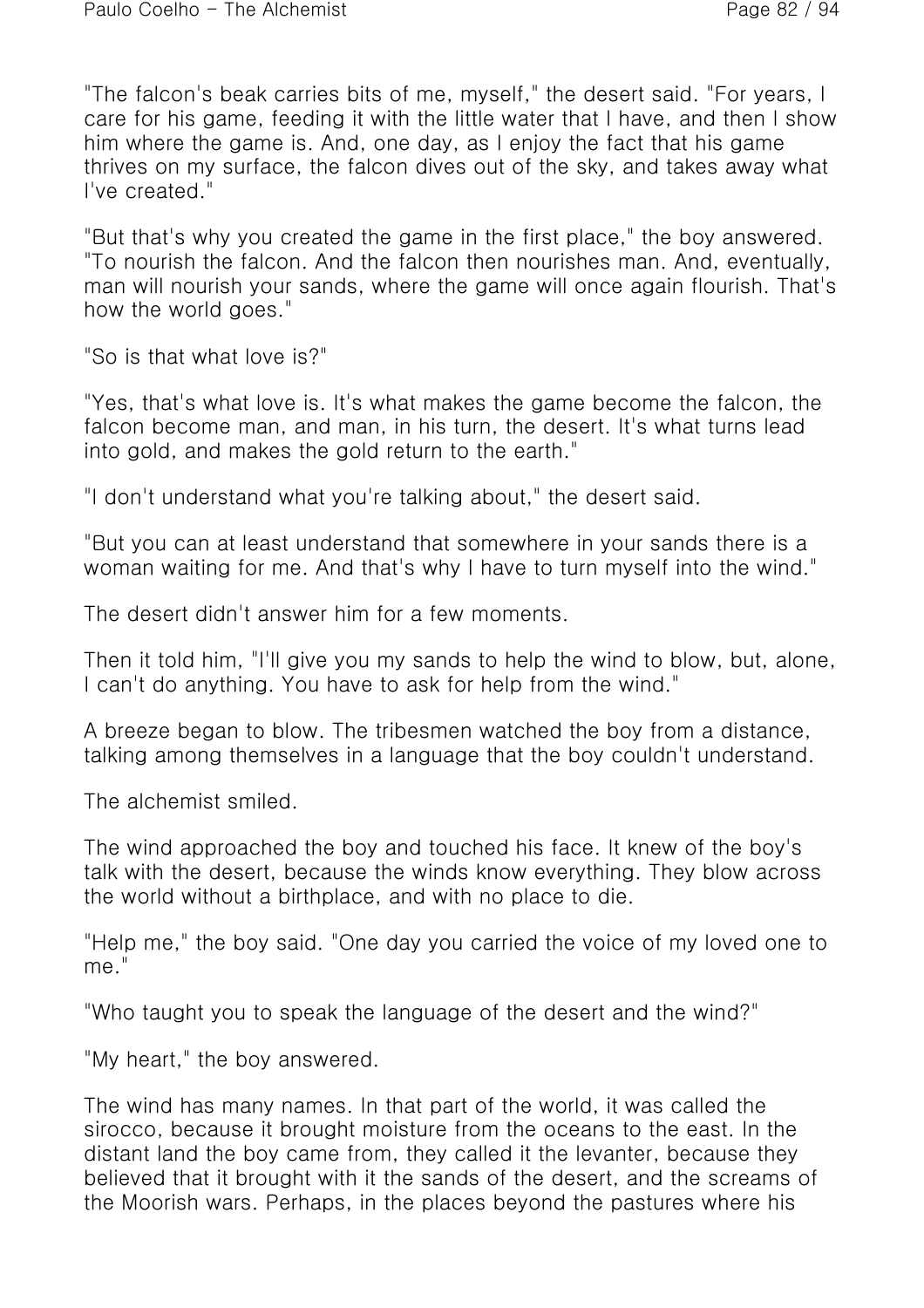"The falcon's beak carries bits of me, myself," the desert said. "For years, I care for his game, feeding it with the little water that I have, and then I show him where the game is. And, one day, as I enjoy the fact that his game thrives on my surface, the falcon dives out of the sky, and takes away what I've created."

"But that's why you created the game in the first place," the boy answered. "To nourish the falcon. And the falcon then nourishes man. And, eventually, man will nourish your sands, where the game will once again flourish. That's how the world goes."

"So is that what love is?"

"Yes, that's what love is. It's what makes the game become the falcon, the falcon become man, and man, in his turn, the desert. It's what turns lead into gold, and makes the gold return to the earth."

"I don't understand what you're talking about," the desert said.

"But you can at least understand that somewhere in your sands there is a woman waiting for me. And that's why I have to turn myself into the wind."

The desert didn't answer him for a few moments.

Then it told him, "I'll give you my sands to help the wind to blow, but, alone, I can't do anything. You have to ask for help from the wind."

A breeze began to blow. The tribesmen watched the boy from a distance, talking among themselves in a language that the boy couldn't understand.

The alchemist smiled.

The wind approached the boy and touched his face. It knew of the boy's talk with the desert, because the winds know everything. They blow across the world without a birthplace, and with no place to die.

"Help me," the boy said. "One day you carried the voice of my loved one to me."

"Who taught you to speak the language of the desert and the wind?"

"My heart," the boy answered.

The wind has many names. In that part of the world, it was called the sirocco, because it brought moisture from the oceans to the east. In the distant land the boy came from, they called it the levanter, because they believed that it brought with it the sands of the desert, and the screams of the Moorish wars. Perhaps, in the places beyond the pastures where his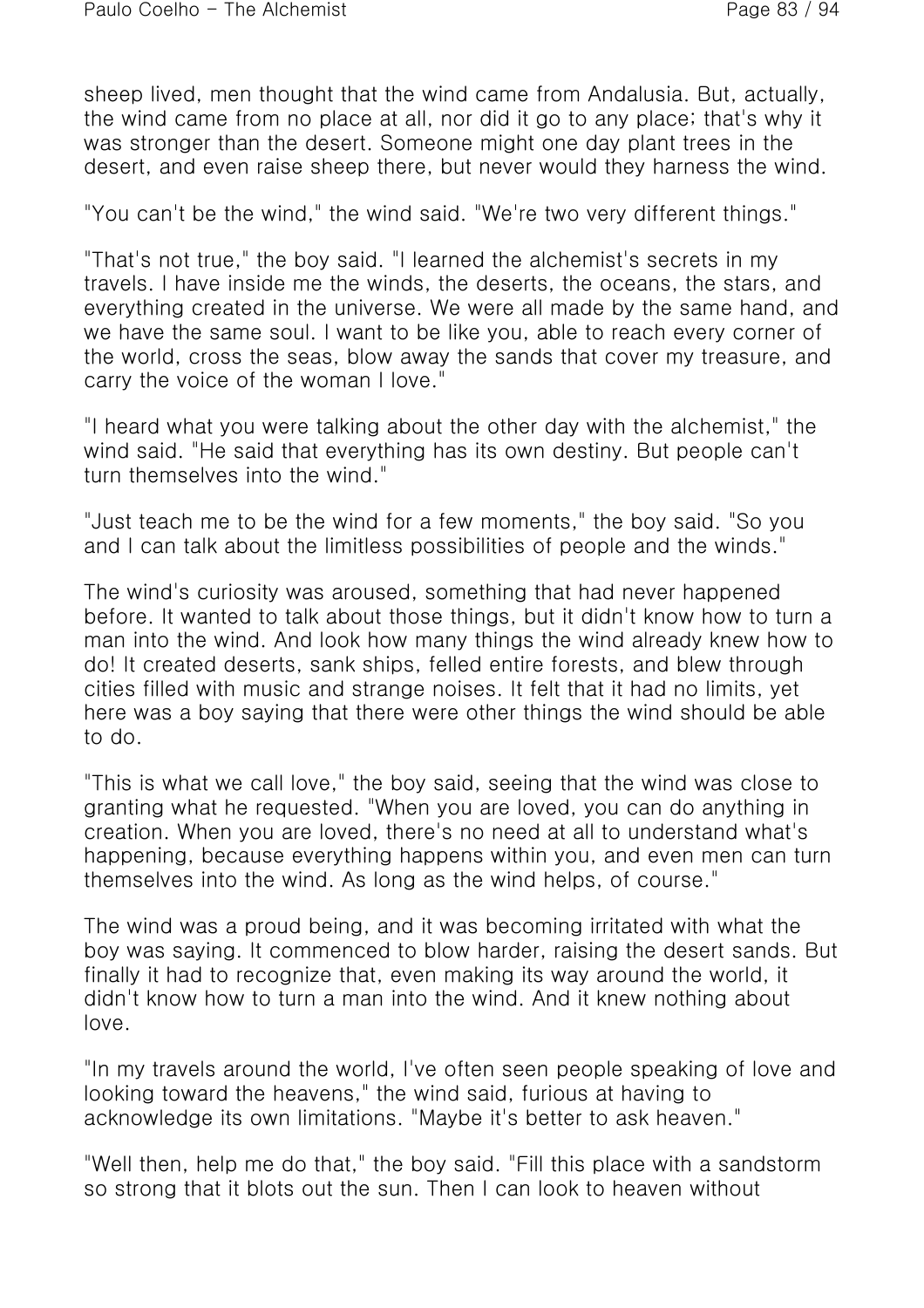sheep lived, men thought that the wind came from Andalusia. But, actually, the wind came from no place at all, nor did it go to any place; that's why it was stronger than the desert. Someone might one day plant trees in the desert, and even raise sheep there, but never would they harness the wind.

"You can't be the wind," the wind said. "We're two very different things."

"That's not true," the boy said. "I learned the alchemist's secrets in my travels. I have inside me the winds, the deserts, the oceans, the stars, and everything created in the universe. We were all made by the same hand, and we have the same soul. I want to be like you, able to reach every corner of the world, cross the seas, blow away the sands that cover my treasure, and carry the voice of the woman I love."

"I heard what you were talking about the other day with the alchemist," the wind said. "He said that everything has its own destiny. But people can't turn themselves into the wind."

"Just teach me to be the wind for a few moments," the boy said. "So you and I can talk about the limitless possibilities of people and the winds."

The wind's curiosity was aroused, something that had never happened before. It wanted to talk about those things, but it didn't know how to turn a man into the wind. And look how many things the wind already knew how to do! It created deserts, sank ships, felled entire forests, and blew through cities filled with music and strange noises. It felt that it had no limits, yet here was a boy saying that there were other things the wind should be able to do.

"This is what we call love," the boy said, seeing that the wind was close to granting what he requested. "When you are loved, you can do anything in creation. When you are loved, there's no need at all to understand what's happening, because everything happens within you, and even men can turn themselves into the wind. As long as the wind helps, of course."

The wind was a proud being, and it was becoming irritated with what the boy was saying. It commenced to blow harder, raising the desert sands. But finally it had to recognize that, even making its way around the world, it didn't know how to turn a man into the wind. And it knew nothing about love.

"In my travels around the world, I've often seen people speaking of love and looking toward the heavens," the wind said, furious at having to acknowledge its own limitations. "Maybe it's better to ask heaven."

"Well then, help me do that," the boy said. "Fill this place with a sandstorm so strong that it blots out the sun. Then I can look to heaven without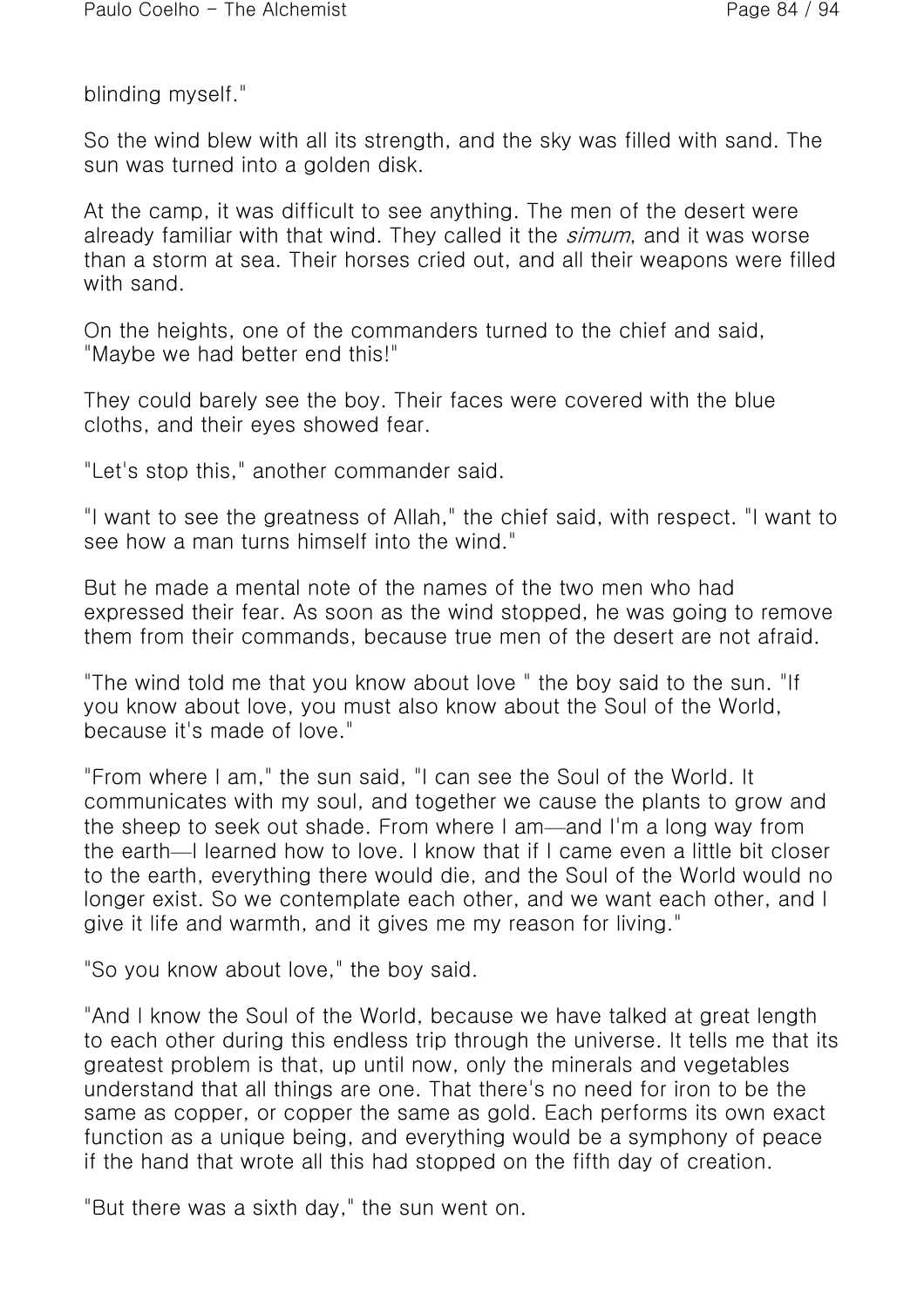blinding myself."

So the wind blew with all its strength, and the sky was filled with sand. The sun was turned into a golden disk.

At the camp, it was difficult to see anything. The men of the desert were already familiar with that wind. They called it the simum, and it was worse than a storm at sea. Their horses cried out, and all their weapons were filled with sand.

On the heights, one of the commanders turned to the chief and said, "Maybe we had better end this!"

They could barely see the boy. Their faces were covered with the blue cloths, and their eyes showed fear.

"Let's stop this," another commander said.

"I want to see the greatness of Allah," the chief said, with respect. "I want to see how a man turns himself into the wind."

But he made a mental note of the names of the two men who had expressed their fear. As soon as the wind stopped, he was going to remove them from their commands, because true men of the desert are not afraid.

"The wind told me that you know about love " the boy said to the sun. "If you know about love, you must also know about the Soul of the World, because it's made of love."

"From where I am," the sun said, "I can see the Soul of the World. It communicates with my soul, and together we cause the plants to grow and the sheep to seek out shade. From where I am—and I'm a long way from the earth—I learned how to love. I know that if I came even a little bit closer to the earth, everything there would die, and the Soul of the World would no longer exist. So we contemplate each other, and we want each other, and I give it life and warmth, and it gives me my reason for living."

"So you know about love," the boy said.

"And I know the Soul of the World, because we have talked at great length to each other during this endless trip through the universe. It tells me that its greatest problem is that, up until now, only the minerals and vegetables understand that all things are one. That there's no need for iron to be the same as copper, or copper the same as gold. Each performs its own exact function as a unique being, and everything would be a symphony of peace if the hand that wrote all this had stopped on the fifth day of creation.

"But there was a sixth day," the sun went on.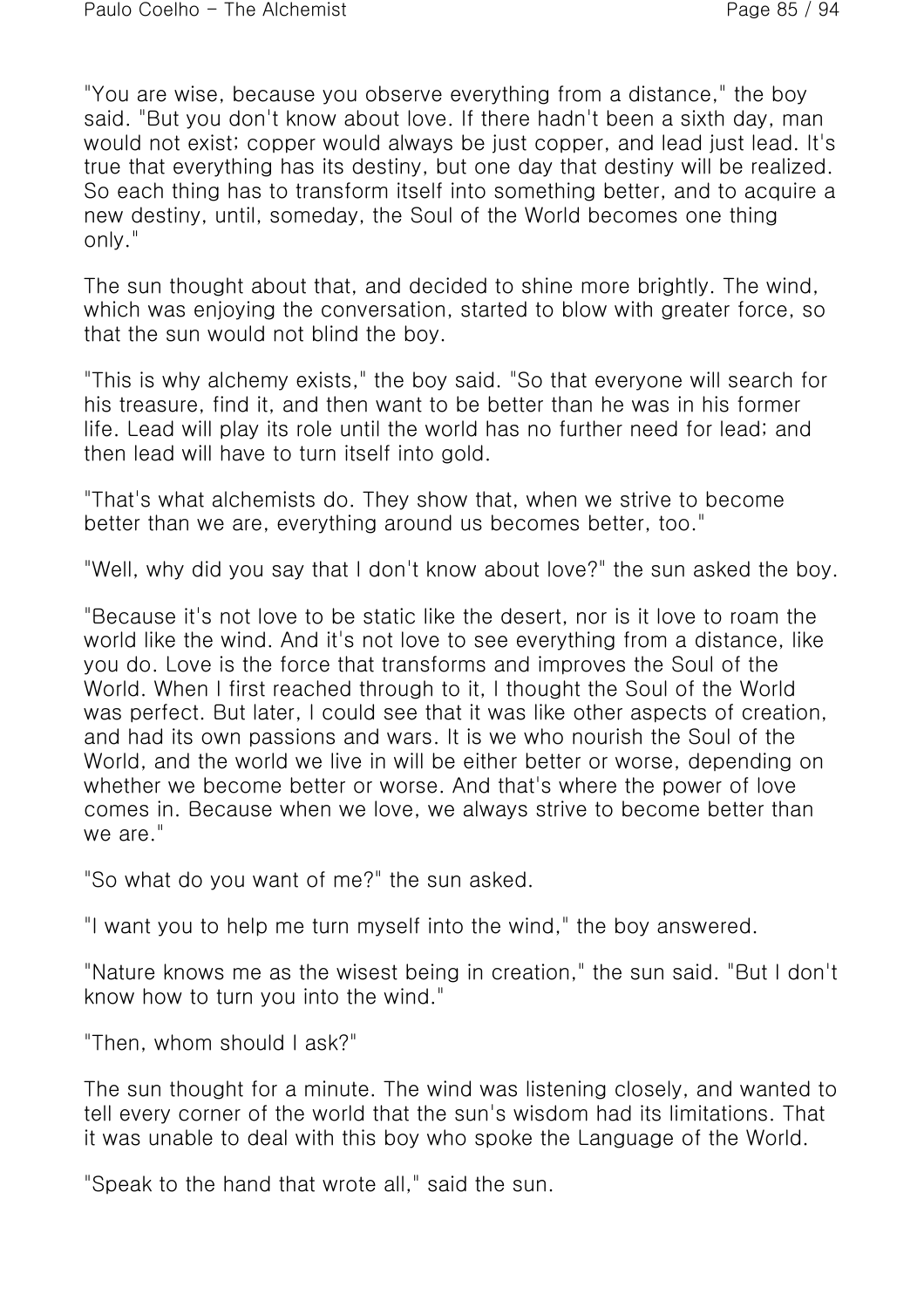"You are wise, because you observe everything from a distance," the boy said. "But you don't know about love. If there hadn't been a sixth day, man would not exist; copper would always be just copper, and lead just lead. It's true that everything has its destiny, but one day that destiny will be realized. So each thing has to transform itself into something better, and to acquire a new destiny, until, someday, the Soul of the World becomes one thing only."

The sun thought about that, and decided to shine more brightly. The wind, which was enjoying the conversation, started to blow with greater force, so that the sun would not blind the boy.

"This is why alchemy exists," the boy said. "So that everyone will search for his treasure, find it, and then want to be better than he was in his former life. Lead will play its role until the world has no further need for lead; and then lead will have to turn itself into gold.

"That's what alchemists do. They show that, when we strive to become better than we are, everything around us becomes better, too."

"Well, why did you say that I don't know about love?" the sun asked the boy.

"Because it's not love to be static like the desert, nor is it love to roam the world like the wind. And it's not love to see everything from a distance, like you do. Love is the force that transforms and improves the Soul of the World. When I first reached through to it, I thought the Soul of the World was perfect. But later, I could see that it was like other aspects of creation, and had its own passions and wars. It is we who nourish the Soul of the World, and the world we live in will be either better or worse, depending on whether we become better or worse. And that's where the power of love comes in. Because when we love, we always strive to become better than we are."

"So what do you want of me?" the sun asked.

"I want you to help me turn myself into the wind," the boy answered.

"Nature knows me as the wisest being in creation," the sun said. "But I don't know how to turn you into the wind."

"Then, whom should I ask?"

The sun thought for a minute. The wind was listening closely, and wanted to tell every corner of the world that the sun's wisdom had its limitations. That it was unable to deal with this boy who spoke the Language of the World.

"Speak to the hand that wrote all," said the sun.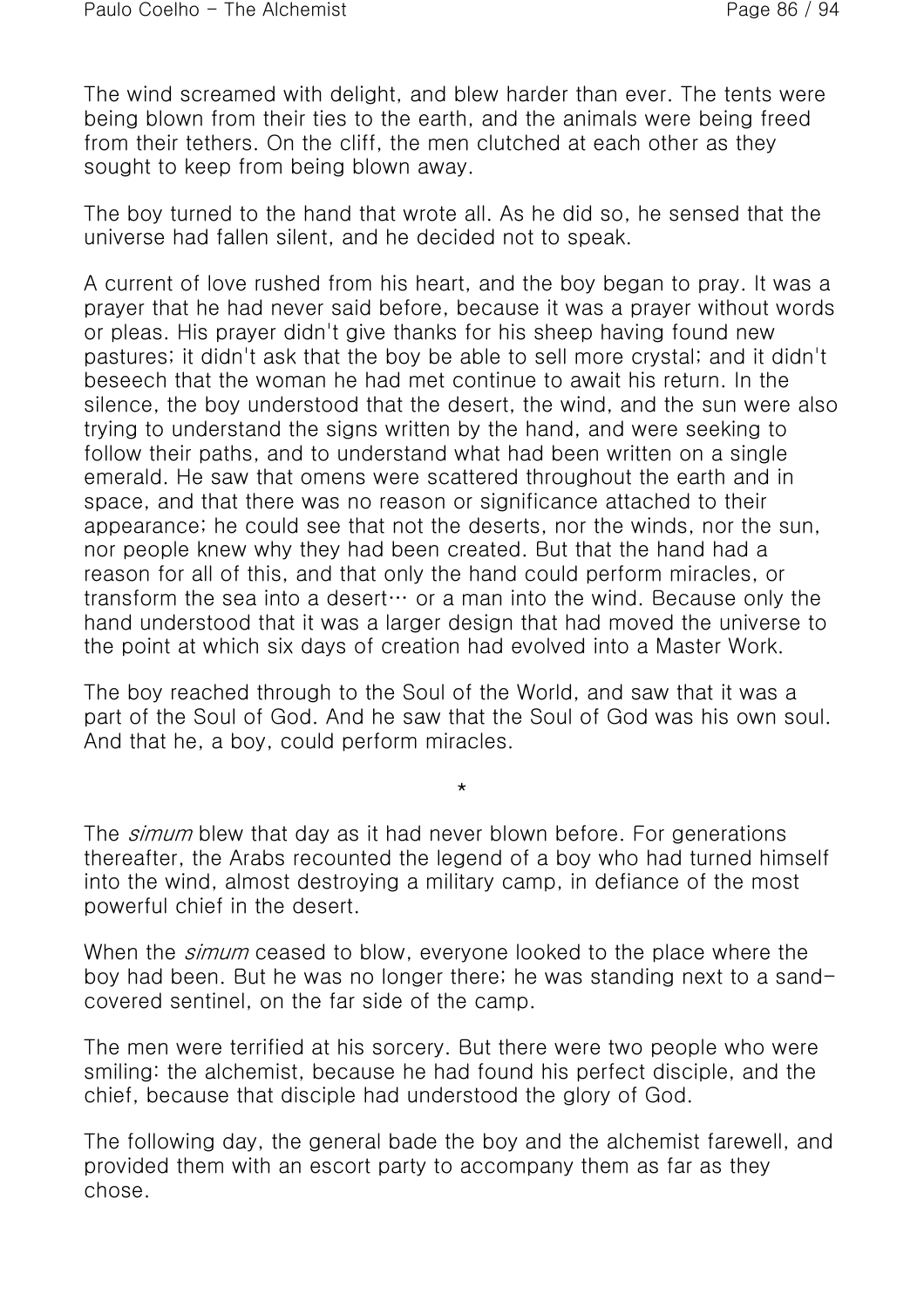The wind screamed with delight, and blew harder than ever. The tents were being blown from their ties to the earth, and the animals were being freed from their tethers. On the cliff, the men clutched at each other as they sought to keep from being blown away.

The boy turned to the hand that wrote all. As he did so, he sensed that the universe had fallen silent, and he decided not to speak.

A current of love rushed from his heart, and the boy began to pray. It was a prayer that he had never said before, because it was a prayer without words or pleas. His prayer didn't give thanks for his sheep having found new pastures; it didn't ask that the boy be able to sell more crystal; and it didn't beseech that the woman he had met continue to await his return. In the silence, the boy understood that the desert, the wind, and the sun were also trying to understand the signs written by the hand, and were seeking to follow their paths, and to understand what had been written on a single emerald. He saw that omens were scattered throughout the earth and in space, and that there was no reason or significance attached to their appearance; he could see that not the deserts, nor the winds, nor the sun, nor people knew why they had been created. But that the hand had a reason for all of this, and that only the hand could perform miracles, or transform the sea into a desert  $\cdots$  or a man into the wind. Because only the hand understood that it was a larger design that had moved the universe to the point at which six days of creation had evolved into a Master Work.

The boy reached through to the Soul of the World, and saw that it was a part of the Soul of God. And he saw that the Soul of God was his own soul. And that he, a boy, could perform miracles.

\*

The *simum* blew that day as it had never blown before. For generations thereafter, the Arabs recounted the legend of a boy who had turned himself into the wind, almost destroying a military camp, in defiance of the most powerful chief in the desert.

When the *simum* ceased to blow, everyone looked to the place where the boy had been. But he was no longer there; he was standing next to a sandcovered sentinel, on the far side of the camp.

The men were terrified at his sorcery. But there were two people who were smiling: the alchemist, because he had found his perfect disciple, and the chief, because that disciple had understood the glory of God.

The following day, the general bade the boy and the alchemist farewell, and provided them with an escort party to accompany them as far as they chose.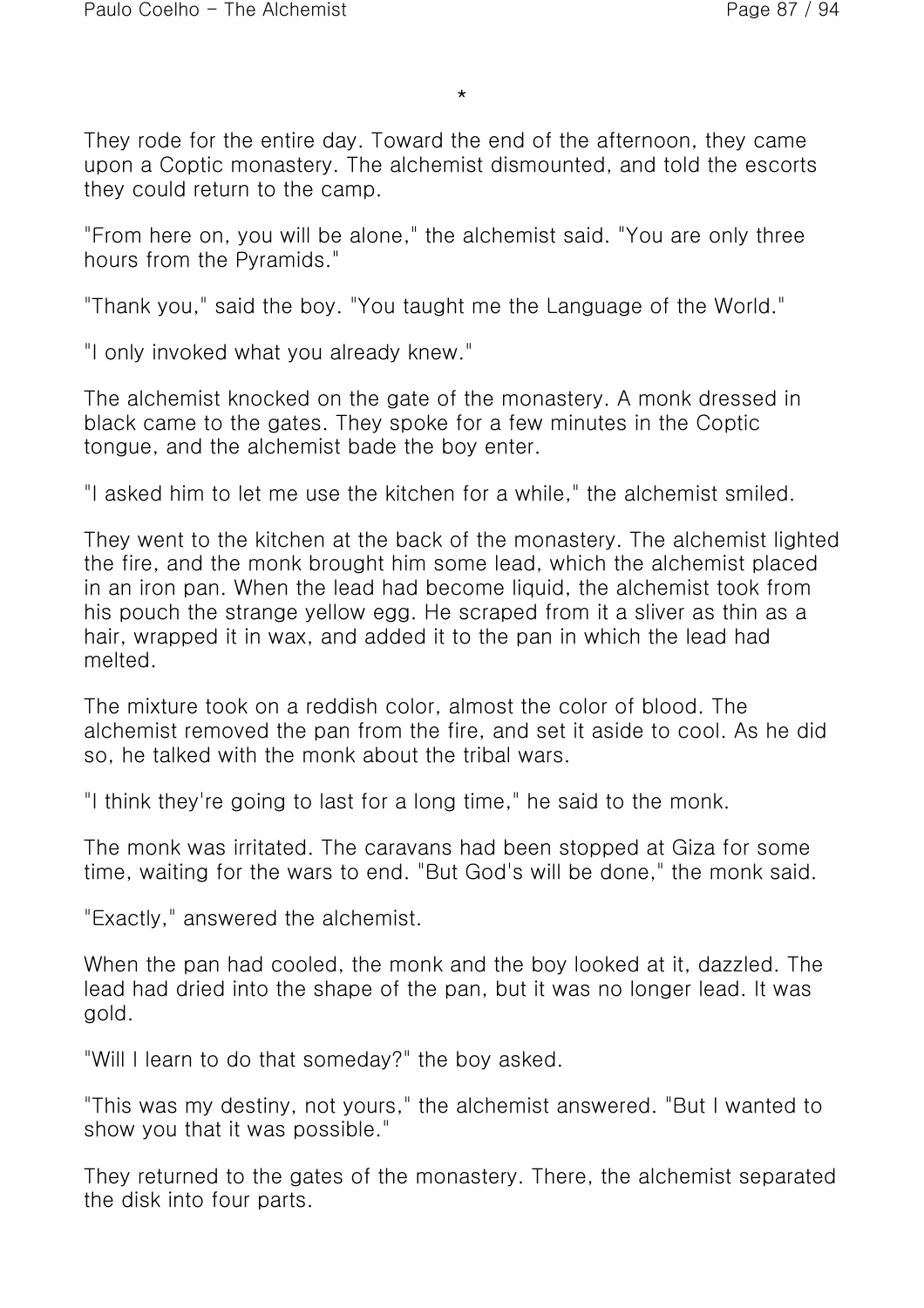\*

They rode for the entire day. Toward the end of the afternoon, they came upon a Coptic monastery. The alchemist dismounted, and told the escorts they could return to the camp.

"From here on, you will be alone," the alchemist said. "You are only three hours from the Pyramids."

"Thank you," said the boy. "You taught me the Language of the World."

"I only invoked what you already knew."

The alchemist knocked on the gate of the monastery. A monk dressed in black came to the gates. They spoke for a few minutes in the Coptic tongue, and the alchemist bade the boy enter.

"I asked him to let me use the kitchen for a while," the alchemist smiled.

They went to the kitchen at the back of the monastery. The alchemist lighted the fire, and the monk brought him some lead, which the alchemist placed in an iron pan. When the lead had become liquid, the alchemist took from his pouch the strange yellow egg. He scraped from it a sliver as thin as a hair, wrapped it in wax, and added it to the pan in which the lead had melted.

The mixture took on a reddish color, almost the color of blood. The alchemist removed the pan from the fire, and set it aside to cool. As he did so, he talked with the monk about the tribal wars.

"I think they're going to last for a long time," he said to the monk.

The monk was irritated. The caravans had been stopped at Giza for some time, waiting for the wars to end. "But God's will be done," the monk said.

"Exactly," answered the alchemist.

When the pan had cooled, the monk and the boy looked at it, dazzled. The lead had dried into the shape of the pan, but it was no longer lead. It was gold.

"Will I learn to do that someday?" the boy asked.

"This was my destiny, not yours," the alchemist answered. "But I wanted to show you that it was possible."

They returned to the gates of the monastery. There, the alchemist separated the disk into four parts.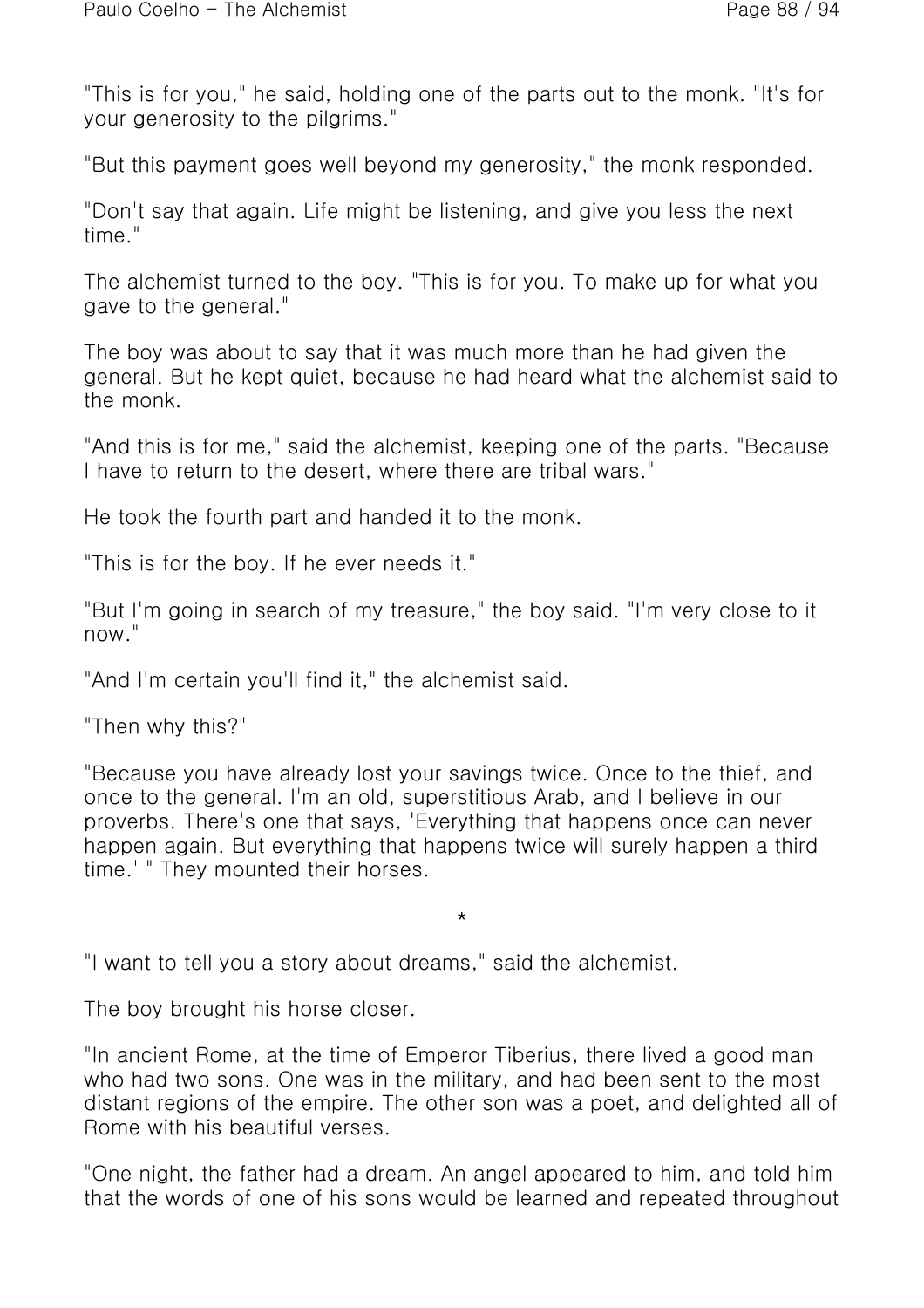"This is for you," he said, holding one of the parts out to the monk. "It's for your generosity to the pilgrims."

"But this payment goes well beyond my generosity," the monk responded.

"Don't say that again. Life might be listening, and give you less the next time."

The alchemist turned to the boy. "This is for you. To make up for what you gave to the general."

The boy was about to say that it was much more than he had given the general. But he kept quiet, because he had heard what the alchemist said to the monk.

"And this is for me," said the alchemist, keeping one of the parts. "Because I have to return to the desert, where there are tribal wars."

He took the fourth part and handed it to the monk.

"This is for the boy. If he ever needs it."

"But I'm going in search of my treasure," the boy said. "I'm very close to it now."

"And I'm certain you'll find it," the alchemist said.

"Then why this?"

"Because you have already lost your savings twice. Once to the thief, and once to the general. I'm an old, superstitious Arab, and I believe in our proverbs. There's one that says, 'Everything that happens once can never happen again. But everything that happens twice will surely happen a third time.' " They mounted their horses.

\*

"I want to tell you a story about dreams," said the alchemist.

The boy brought his horse closer.

"In ancient Rome, at the time of Emperor Tiberius, there lived a good man who had two sons. One was in the military, and had been sent to the most distant regions of the empire. The other son was a poet, and delighted all of Rome with his beautiful verses.

"One night, the father had a dream. An angel appeared to him, and told him that the words of one of his sons would be learned and repeated throughout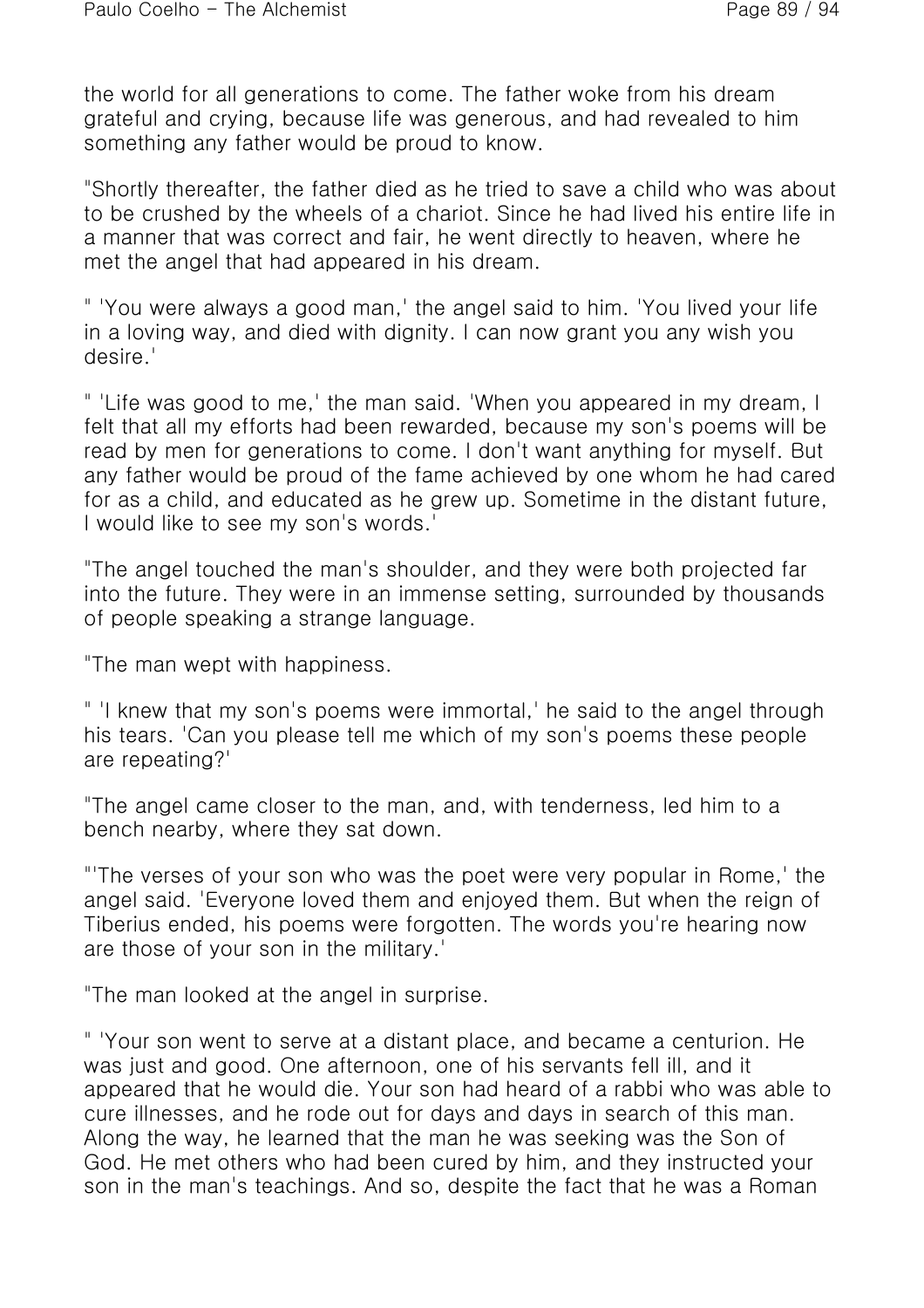the world for all generations to come. The father woke from his dream grateful and crying, because life was generous, and had revealed to him something any father would be proud to know.

"Shortly thereafter, the father died as he tried to save a child who was about to be crushed by the wheels of a chariot. Since he had lived his entire life in a manner that was correct and fair, he went directly to heaven, where he met the angel that had appeared in his dream.

" 'You were always a good man,' the angel said to him. 'You lived your life in a loving way, and died with dignity. I can now grant you any wish you desire.'

" 'Life was good to me,' the man said. 'When you appeared in my dream, I felt that all my efforts had been rewarded, because my son's poems will be read by men for generations to come. I don't want anything for myself. But any father would be proud of the fame achieved by one whom he had cared for as a child, and educated as he grew up. Sometime in the distant future, I would like to see my son's words.'

"The angel touched the man's shoulder, and they were both projected far into the future. They were in an immense setting, surrounded by thousands of people speaking a strange language.

"The man wept with happiness.

" 'I knew that my son's poems were immortal,' he said to the angel through his tears. 'Can you please tell me which of my son's poems these people are repeating?'

"The angel came closer to the man, and, with tenderness, led him to a bench nearby, where they sat down.

"'The verses of your son who was the poet were very popular in Rome,' the angel said. 'Everyone loved them and enjoyed them. But when the reign of Tiberius ended, his poems were forgotten. The words you're hearing now are those of your son in the military.'

"The man looked at the angel in surprise.

" 'Your son went to serve at a distant place, and became a centurion. He was just and good. One afternoon, one of his servants fell ill, and it appeared that he would die. Your son had heard of a rabbi who was able to cure illnesses, and he rode out for days and days in search of this man. Along the way, he learned that the man he was seeking was the Son of God. He met others who had been cured by him, and they instructed your son in the man's teachings. And so, despite the fact that he was a Roman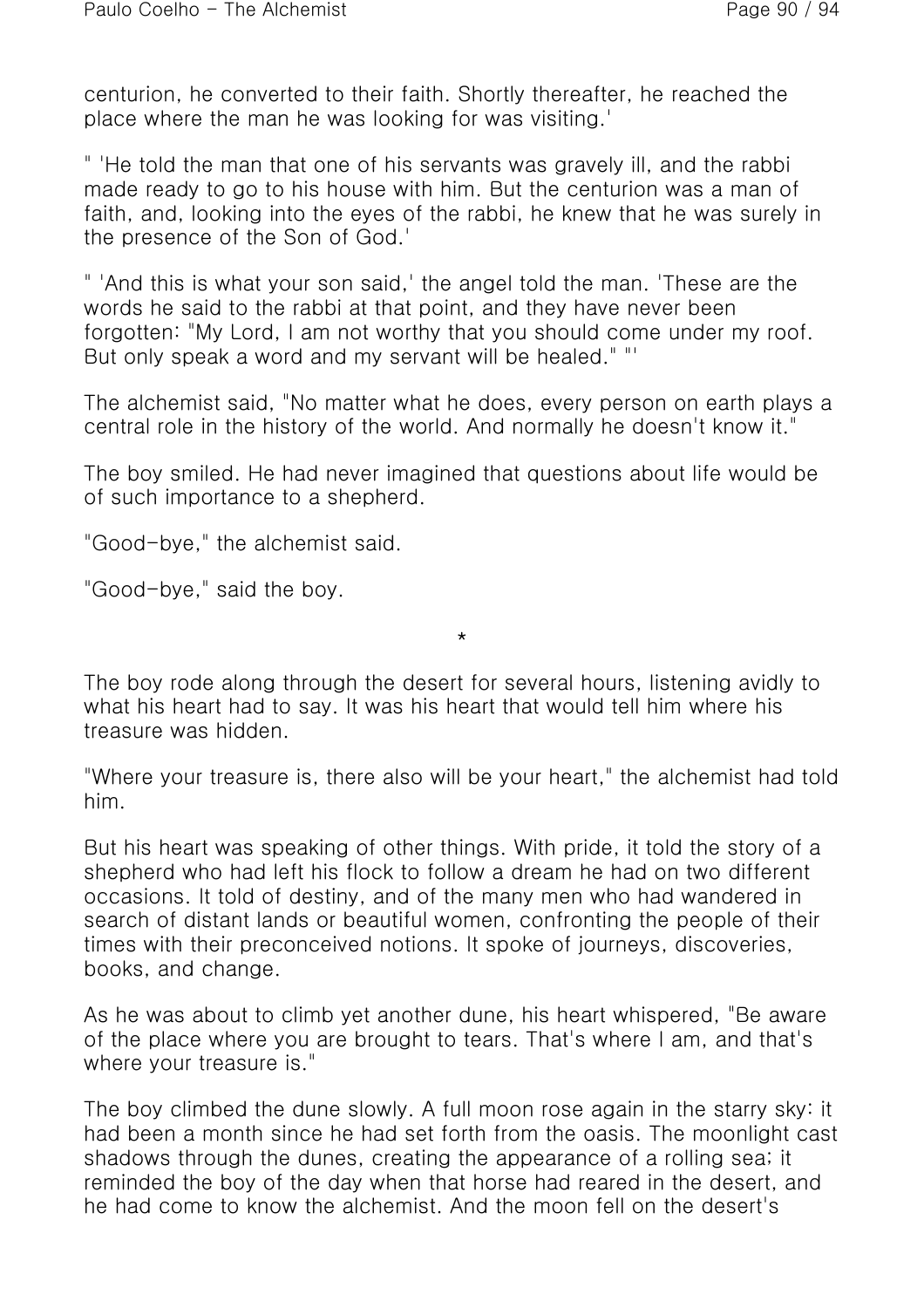centurion, he converted to their faith. Shortly thereafter, he reached the place where the man he was looking for was visiting.'

" 'He told the man that one of his servants was gravely ill, and the rabbi made ready to go to his house with him. But the centurion was a man of faith, and, looking into the eyes of the rabbi, he knew that he was surely in the presence of the Son of God.'

" 'And this is what your son said,' the angel told the man. 'These are the words he said to the rabbi at that point, and they have never been forgotten: "My Lord, I am not worthy that you should come under my roof. But only speak a word and my servant will be healed." "'

The alchemist said, "No matter what he does, every person on earth plays a central role in the history of the world. And normally he doesn't know it."

The boy smiled. He had never imagined that questions about life would be of such importance to a shepherd.

"Good-bye," the alchemist said.

"Good-bye," said the boy.

The boy rode along through the desert for several hours, listening avidly to what his heart had to say. It was his heart that would tell him where his treasure was hidden.

\*

"Where your treasure is, there also will be your heart," the alchemist had told him.

But his heart was speaking of other things. With pride, it told the story of a shepherd who had left his flock to follow a dream he had on two different occasions. It told of destiny, and of the many men who had wandered in search of distant lands or beautiful women, confronting the people of their times with their preconceived notions. It spoke of journeys, discoveries, books, and change.

As he was about to climb yet another dune, his heart whispered, "Be aware of the place where you are brought to tears. That's where I am, and that's where your treasure is."

The boy climbed the dune slowly. A full moon rose again in the starry sky: it had been a month since he had set forth from the oasis. The moonlight cast shadows through the dunes, creating the appearance of a rolling sea; it reminded the boy of the day when that horse had reared in the desert, and he had come to know the alchemist. And the moon fell on the desert's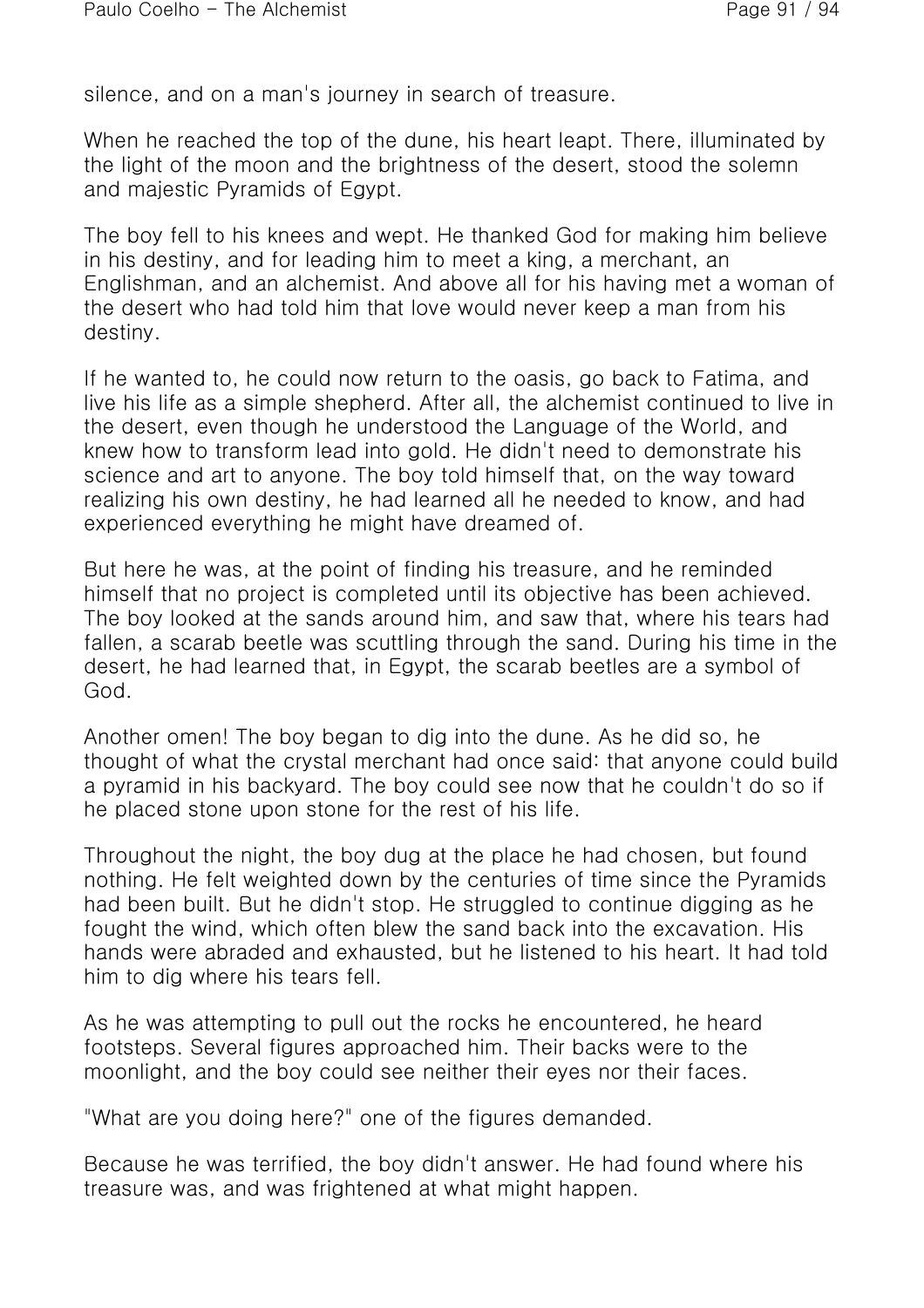silence, and on a man's journey in search of treasure.

When he reached the top of the dune, his heart leapt. There, illuminated by the light of the moon and the brightness of the desert, stood the solemn and majestic Pyramids of Egypt.

The boy fell to his knees and wept. He thanked God for making him believe in his destiny, and for leading him to meet a king, a merchant, an Englishman, and an alchemist. And above all for his having met a woman of the desert who had told him that love would never keep a man from his destiny.

If he wanted to, he could now return to the oasis, go back to Fatima, and live his life as a simple shepherd. After all, the alchemist continued to live in the desert, even though he understood the Language of the World, and knew how to transform lead into gold. He didn't need to demonstrate his science and art to anyone. The boy told himself that, on the way toward realizing his own destiny, he had learned all he needed to know, and had experienced everything he might have dreamed of.

But here he was, at the point of finding his treasure, and he reminded himself that no project is completed until its objective has been achieved. The boy looked at the sands around him, and saw that, where his tears had fallen, a scarab beetle was scuttling through the sand. During his time in the desert, he had learned that, in Egypt, the scarab beetles are a symbol of God.

Another omen! The boy began to dig into the dune. As he did so, he thought of what the crystal merchant had once said: that anyone could build a pyramid in his backyard. The boy could see now that he couldn't do so if he placed stone upon stone for the rest of his life.

Throughout the night, the boy dug at the place he had chosen, but found nothing. He felt weighted down by the centuries of time since the Pyramids had been built. But he didn't stop. He struggled to continue digging as he fought the wind, which often blew the sand back into the excavation. His hands were abraded and exhausted, but he listened to his heart. It had told him to dig where his tears fell.

As he was attempting to pull out the rocks he encountered, he heard footsteps. Several figures approached him. Their backs were to the moonlight, and the boy could see neither their eyes nor their faces.

"What are you doing here?" one of the figures demanded.

Because he was terrified, the boy didn't answer. He had found where his treasure was, and was frightened at what might happen.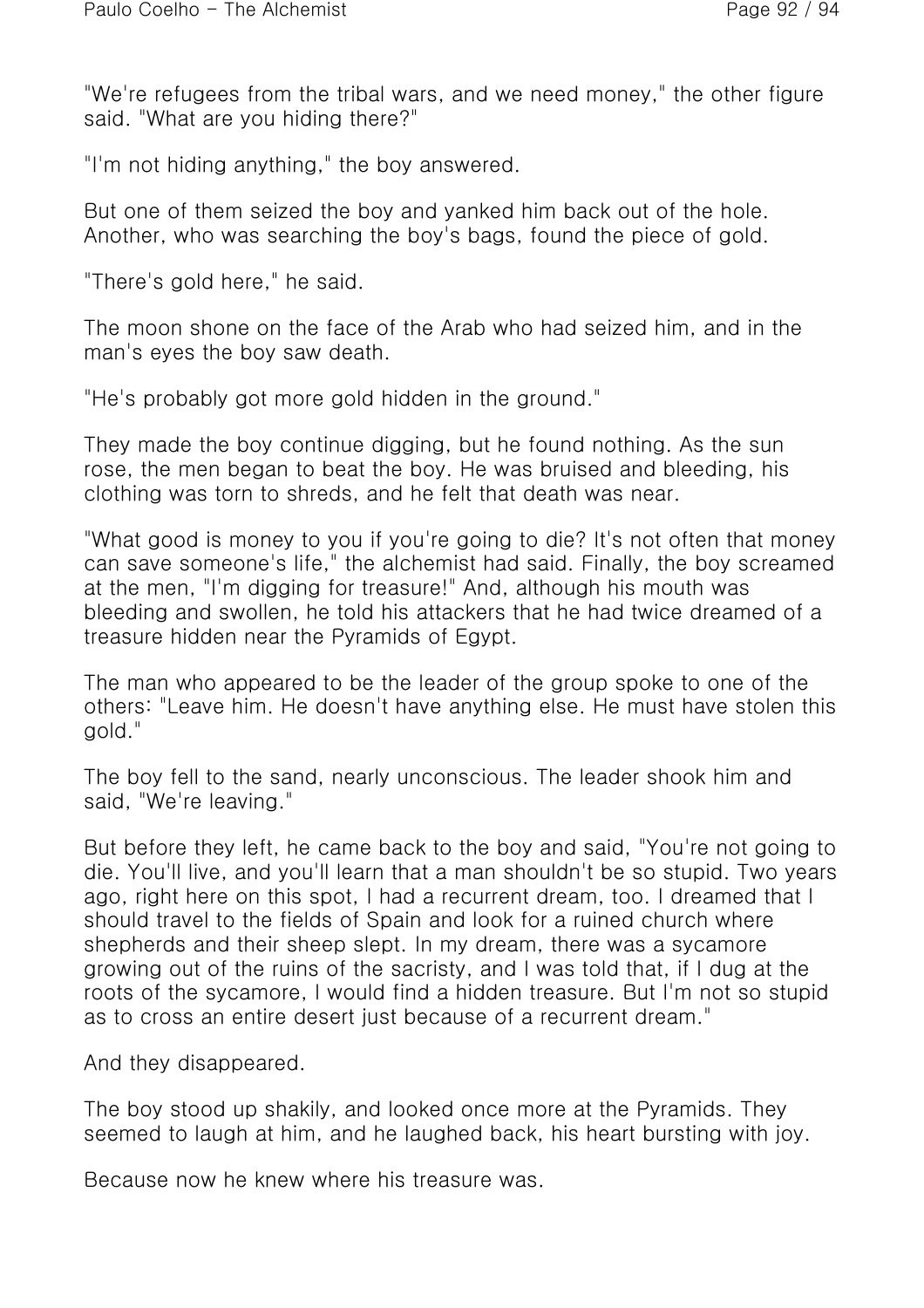"We're refugees from the tribal wars, and we need money," the other figure said. "What are you hiding there?"

"I'm not hiding anything," the boy answered.

But one of them seized the boy and yanked him back out of the hole. Another, who was searching the boy's bags, found the piece of gold.

"There's gold here," he said.

The moon shone on the face of the Arab who had seized him, and in the man's eyes the boy saw death.

"He's probably got more gold hidden in the ground."

They made the boy continue digging, but he found nothing. As the sun rose, the men began to beat the boy. He was bruised and bleeding, his clothing was torn to shreds, and he felt that death was near.

"What good is money to you if you're going to die? It's not often that money can save someone's life," the alchemist had said. Finally, the boy screamed at the men, "I'm digging for treasure!" And, although his mouth was bleeding and swollen, he told his attackers that he had twice dreamed of a treasure hidden near the Pyramids of Egypt.

The man who appeared to be the leader of the group spoke to one of the others: "Leave him. He doesn't have anything else. He must have stolen this gold."

The boy fell to the sand, nearly unconscious. The leader shook him and said, "We're leaving."

But before they left, he came back to the boy and said, "You're not going to die. You'll live, and you'll learn that a man shouldn't be so stupid. Two years ago, right here on this spot, I had a recurrent dream, too. I dreamed that I should travel to the fields of Spain and look for a ruined church where shepherds and their sheep slept. In my dream, there was a sycamore growing out of the ruins of the sacristy, and I was told that, if I dug at the roots of the sycamore, I would find a hidden treasure. But I'm not so stupid as to cross an entire desert just because of a recurrent dream."

And they disappeared.

The boy stood up shakily, and looked once more at the Pyramids. They seemed to laugh at him, and he laughed back, his heart bursting with joy.

Because now he knew where his treasure was.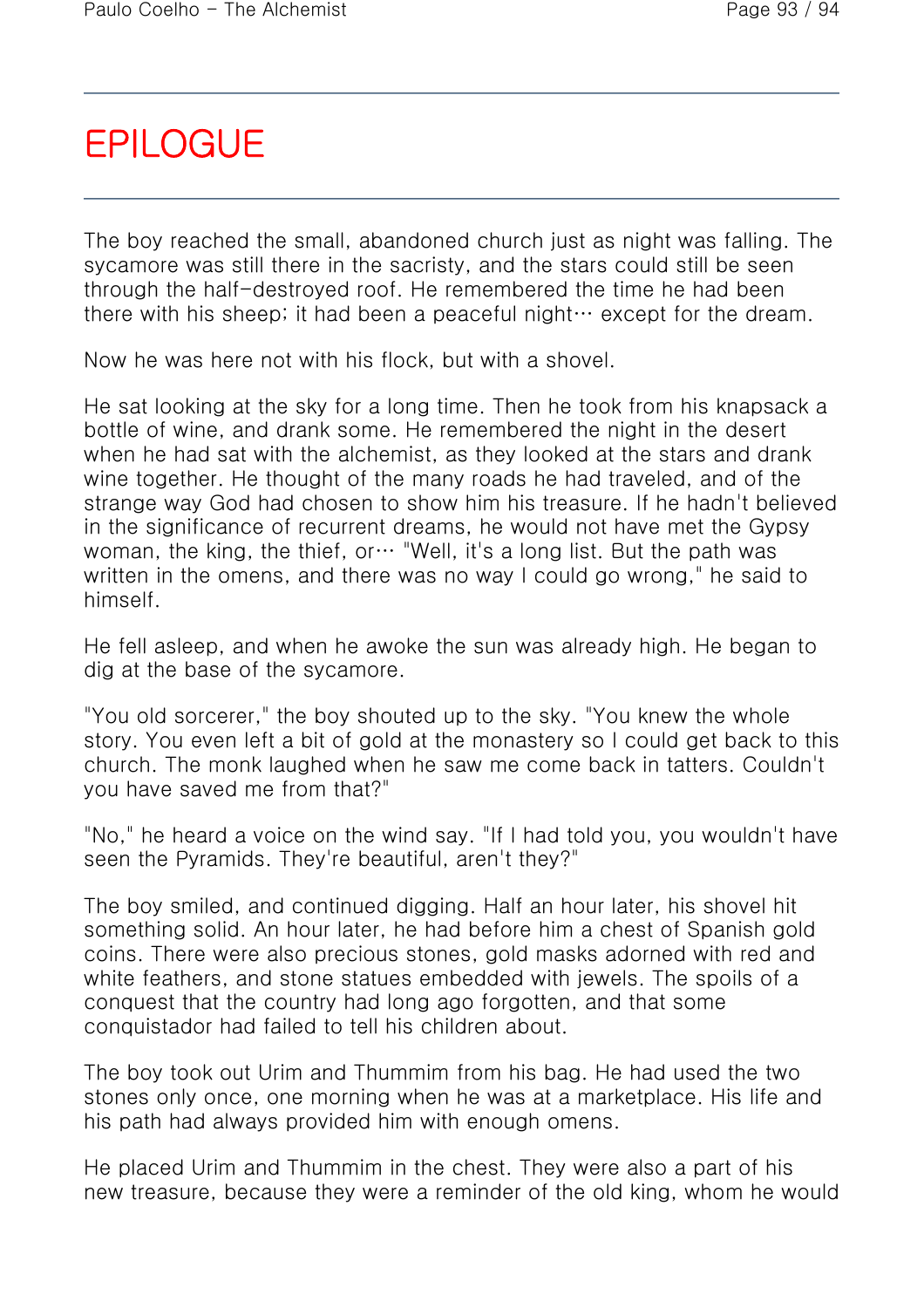## EPILOGUE

The boy reached the small, abandoned church just as night was falling. The sycamore was still there in the sacristy, and the stars could still be seen through the half-destroyed roof. He remembered the time he had been there with his sheep; it had been a peaceful night $\cdots$  except for the dream.

Now he was here not with his flock, but with a shovel.

He sat looking at the sky for a long time. Then he took from his knapsack a bottle of wine, and drank some. He remembered the night in the desert when he had sat with the alchemist, as they looked at the stars and drank wine together. He thought of the many roads he had traveled, and of the strange way God had chosen to show him his treasure. If he hadn't believed in the significance of recurrent dreams, he would not have met the Gypsy woman, the king, the thief, or… "Well, it's a long list. But the path was written in the omens, and there was no way I could go wrong," he said to himself.

He fell asleep, and when he awoke the sun was already high. He began to dig at the base of the sycamore.

"You old sorcerer," the boy shouted up to the sky. "You knew the whole story. You even left a bit of gold at the monastery so I could get back to this church. The monk laughed when he saw me come back in tatters. Couldn't you have saved me from that?"

"No," he heard a voice on the wind say. "If I had told you, you wouldn't have seen the Pyramids. They're beautiful, aren't they?"

The boy smiled, and continued digging. Half an hour later, his shovel hit something solid. An hour later, he had before him a chest of Spanish gold coins. There were also precious stones, gold masks adorned with red and white feathers, and stone statues embedded with jewels. The spoils of a conquest that the country had long ago forgotten, and that some conquistador had failed to tell his children about.

The boy took out Urim and Thummim from his bag. He had used the two stones only once, one morning when he was at a marketplace. His life and his path had always provided him with enough omens.

He placed Urim and Thummim in the chest. They were also a part of his new treasure, because they were a reminder of the old king, whom he would